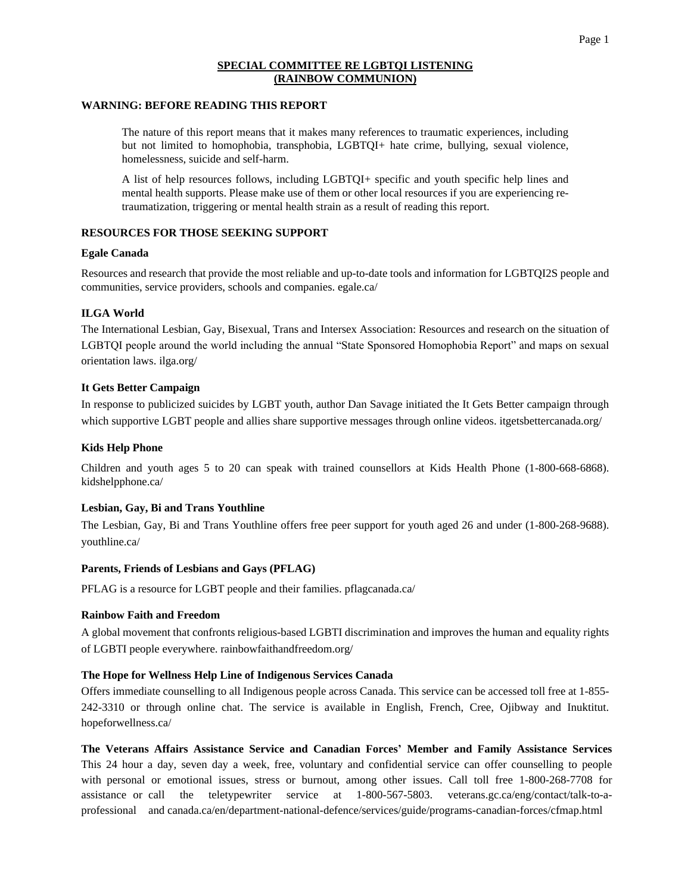# **SPECIAL COMMITTEE RE LGBTQI LISTENING (RAINBOW COMMUNION)**

### **WARNING: BEFORE READING THIS REPORT**

The nature of this report means that it makes many references to traumatic experiences, including but not limited to homophobia, transphobia, LGBTQI+ hate crime, bullying, sexual violence, homelessness, suicide and self-harm.

A list of help resources follows, including LGBTQI+ specific and youth specific help lines and mental health supports. Please make use of them or other local resources if you are experiencing retraumatization, triggering or mental health strain as a result of reading this report.

# **RESOURCES FOR THOSE SEEKING SUPPORT**

### **Egale Canada**

Resources and research that provide the most reliable and up-to-date tools and information for LGBTQI2S people and communities, service providers, schools and companies. egale.ca/

# **ILGA World**

The International Lesbian, Gay, Bisexual, Trans and Intersex Association: Resources and research on the situation of LGBTQI people around the world including the annual "State Sponsored Homophobia Report" and maps on sexual orientation laws. ilga.org/

# **It Gets Better Campaign**

In response to publicized suicides by LGBT youth, author Dan Savage initiated the It Gets Better campaign through which supportive LGBT people and allies share supportive messages through online videos. itgetsbettercanada.org/

#### **Kids Help Phone**

Children and youth ages 5 to 20 can speak with trained counsellors at Kids Health Phone (1-800-668-6868). kidshelpphone.ca/

# **Lesbian, Gay, Bi and Trans Youthline**

The Lesbian, Gay, Bi and Trans Youthline offers free peer support for youth aged 26 and under (1-800-268-9688). youthline.ca/

#### **Parents, Friends of Lesbians and Gays (PFLAG)**

PFLAG is a resource for LGBT people and their families. pflagcanada.ca/

#### **Rainbow Faith and Freedom**

A global movement that confronts religious-based LGBTI discrimination and improves the human and equality rights of LGBTI people everywhere. rainbowfaithandfreedom.org/

# **The Hope for Wellness Help Line of Indigenous Services Canada**

Offers immediate counselling to all Indigenous people across Canada. This service can be accessed toll free at 1-855- 242-3310 or through online chat. The service is available in English, French, Cree, Ojibway and Inuktitut. hopeforwellness.ca/

**The Veterans Affairs Assistance Service and Canadian Forces' Member and Family Assistance Services**  This 24 hour a day, seven day a week, free, voluntary and confidential service can offer counselling to people with personal or emotional issues, stress or burnout, among other issues. Call toll free 1-800-268-7708 for assistance or call the teletypewriter service at 1-800-567-5803. veterans.gc.ca/eng/contact/talk-to-aprofessional and canada.ca/en/department-national-defence/services/guide/programs-canadian-forces/cfmap.html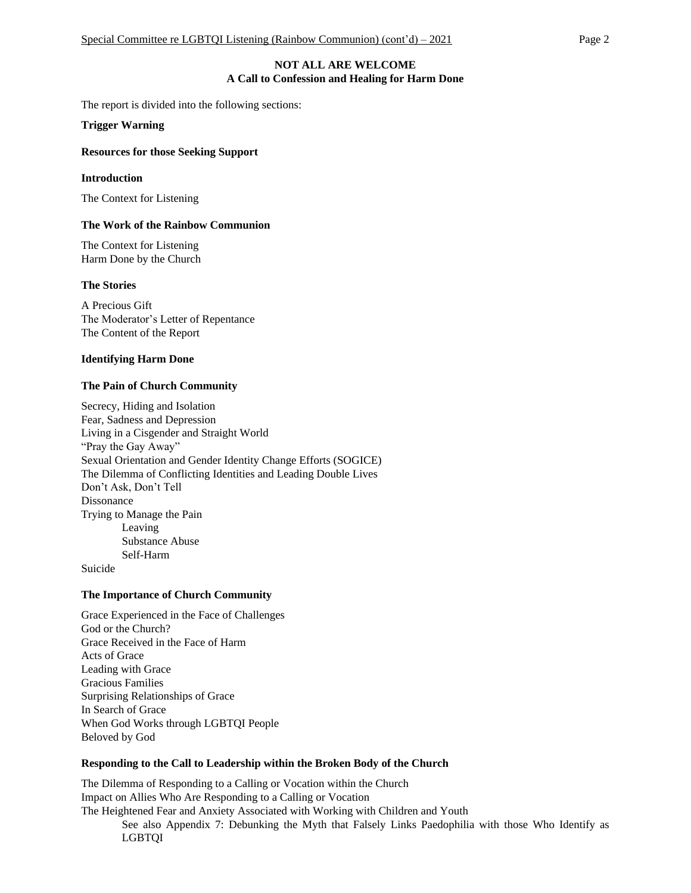### **NOT ALL ARE WELCOME A Call to Confession and Healing for Harm Done**

The report is divided into the following sections:

**Trigger Warning**

### **Resources for those Seeking Support**

#### **Introduction**

The Context for Listening

### **The Work of the Rainbow Communion**

The Context for Listening Harm Done by the Church

### **The Stories**

A Precious Gift The Moderator's Letter of Repentance The Content of the Report

### **Identifying Harm Done**

### **The Pain of Church Community**

Secrecy, Hiding and Isolation Fear, Sadness and Depression Living in a Cisgender and Straight World "Pray the Gay Away" Sexual Orientation and Gender Identity Change Efforts (SOGICE) The Dilemma of Conflicting Identities and Leading Double Lives Don't Ask, Don't Tell Dissonance Trying to Manage the Pain Leaving Substance Abuse Self-Harm

Suicide

#### **The Importance of Church Community**

Grace Experienced in the Face of Challenges God or the Church? Grace Received in the Face of Harm Acts of Grace Leading with Grace Gracious Families Surprising Relationships of Grace In Search of Grace When God Works through LGBTQI People Beloved by God

#### **Responding to the Call to Leadership within the Broken Body of the Church**

The Dilemma of Responding to a Calling or Vocation within the Church Impact on Allies Who Are Responding to a Calling or Vocation The Heightened Fear and Anxiety Associated with Working with Children and Youth See also Appendix 7: Debunking the Myth that Falsely Links Paedophilia with those Who Identify as LGBTQI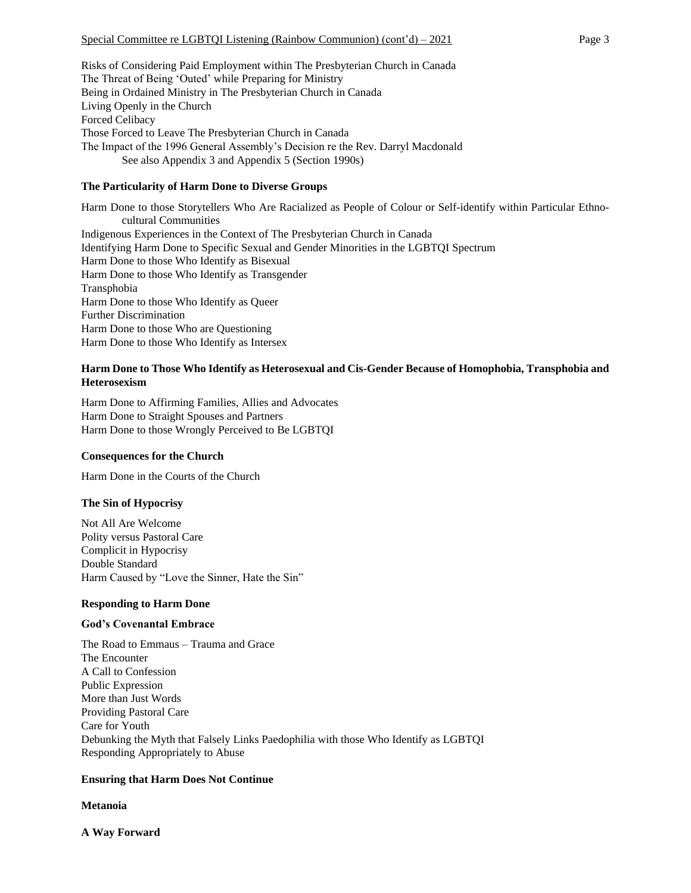Risks of Considering Paid Employment within The Presbyterian Church in Canada The Threat of Being 'Outed' while Preparing for Ministry Being in Ordained Ministry in The Presbyterian Church in Canada Living Openly in the Church Forced Celibacy Those Forced to Leave The Presbyterian Church in Canada The Impact of the 1996 General Assembly's Decision re the Rev. Darryl Macdonald See also Appendix 3 and Appendix 5 (Section 1990s)

# **The Particularity of Harm Done to Diverse Groups**

Harm Done to those Storytellers Who Are Racialized as People of Colour or Self-identify within Particular Ethnocultural Communities Indigenous Experiences in the Context of The Presbyterian Church in Canada Identifying Harm Done to Specific Sexual and Gender Minorities in the LGBTQI Spectrum Harm Done to those Who Identify as Bisexual Harm Done to those Who Identify as Transgender Transphobia Harm Done to those Who Identify as Queer Further Discrimination Harm Done to those Who are Questioning Harm Done to those Who Identify as Intersex

# **Harm Done to Those Who Identify as Heterosexual and Cis-Gender Because of Homophobia, Transphobia and Heterosexism**

Harm Done to Affirming Families, Allies and Advocates Harm Done to Straight Spouses and Partners Harm Done to those Wrongly Perceived to Be LGBTQI

# **Consequences for the Church**

Harm Done in the Courts of the Church

# **The Sin of Hypocrisy**

Not All Are Welcome Polity versus Pastoral Care Complicit in Hypocrisy Double Standard Harm Caused by "Love the Sinner, Hate the Sin"

# **Responding to Harm Done**

# **God's Covenantal Embrace**

The Road to Emmaus – Trauma and Grace The Encounter A Call to Confession Public Expression More than Just Words Providing Pastoral Care Care for Youth Debunking the Myth that Falsely Links Paedophilia with those Who Identify as LGBTQI Responding Appropriately to Abuse

# **Ensuring that Harm Does Not Continue**

# **Metanoia**

**A Way Forward**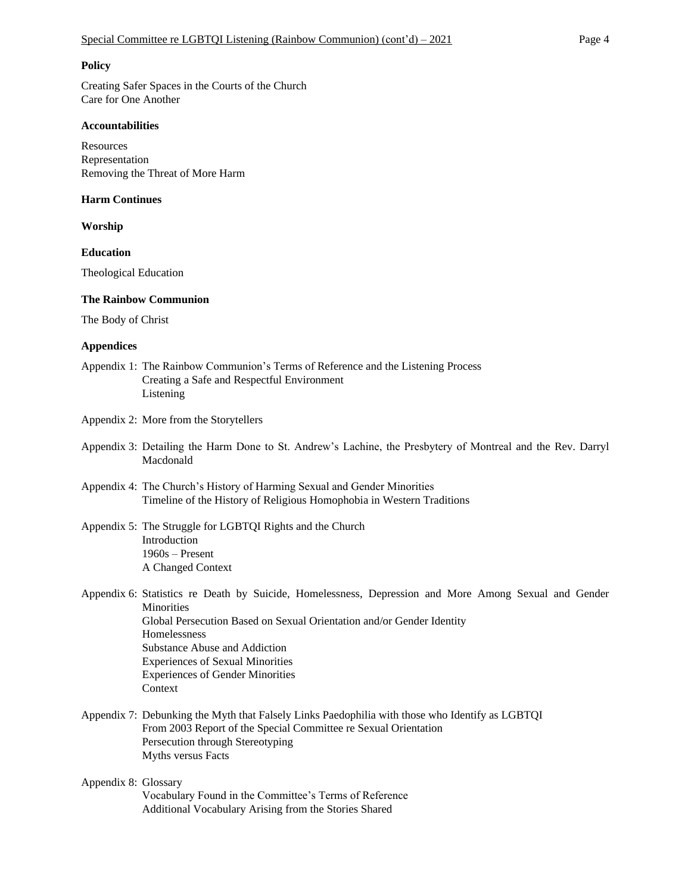#### **Policy**

Creating Safer Spaces in the Courts of the Church Care for One Another

### **Accountabilities**

**Resources** Representation Removing the Threat of More Harm

#### **Harm Continues**

**Worship**

**Education**

Theological Education

#### **The Rainbow Communion**

The Body of Christ

#### **Appendices**

- Appendix 1: The Rainbow Communion's Terms of Reference and the Listening Process Creating a Safe and Respectful Environment Listening
- Appendix 2: More from the Storytellers
- Appendix 3: Detailing the Harm Done to St. Andrew's Lachine, the Presbytery of Montreal and the Rev. Darryl Macdonald
- Appendix 4: The Church's History of Harming Sexual and Gender Minorities Timeline of the History of Religious Homophobia in Western Traditions
- Appendix 5: The Struggle for LGBTQI Rights and the Church Introduction 1960s – Present A Changed Context
- Appendix 6: Statistics re Death by Suicide, Homelessness, Depression and More Among Sexual and Gender **Minorities** Global Persecution Based on Sexual Orientation and/or Gender Identity Homelessness Substance Abuse and Addiction Experiences of Sexual Minorities Experiences of Gender Minorities Context
- Appendix 7: Debunking the Myth that Falsely Links Paedophilia with those who Identify as LGBTQI From 2003 Report of the Special Committee re Sexual Orientation Persecution through Stereotyping Myths versus Facts
- Appendix 8: Glossary Vocabulary Found in the Committee's Terms of Reference Additional Vocabulary Arising from the Stories Shared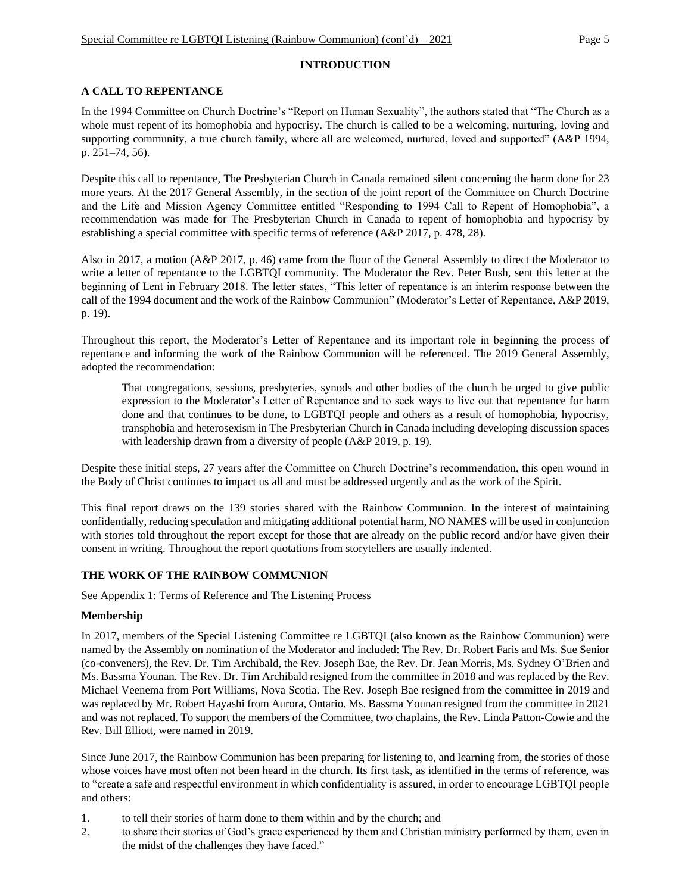# **INTRODUCTION**

# **A CALL TO REPENTANCE**

In the 1994 Committee on Church Doctrine's "Report on Human Sexuality", the authors stated that "The Church as a whole must repent of its homophobia and hypocrisy. The church is called to be a welcoming, nurturing, loving and supporting community, a true church family, where all are welcomed, nurtured, loved and supported" (A&P 1994, p. 251–74, 56).

Despite this call to repentance, The Presbyterian Church in Canada remained silent concerning the harm done for 23 more years. At the 2017 General Assembly, in the section of the joint report of the Committee on Church Doctrine and the Life and Mission Agency Committee entitled "Responding to 1994 Call to Repent of Homophobia", a recommendation was made for The Presbyterian Church in Canada to repent of homophobia and hypocrisy by establishing a special committee with specific terms of reference (A&P 2017, p. 478, 28).

Also in 2017, a motion (A&P 2017, p. 46) came from the floor of the General Assembly to direct the Moderator to write a letter of repentance to the LGBTQI community. The Moderator the Rev. Peter Bush, sent this letter at the beginning of Lent in February 2018. The letter states, "This letter of repentance is an interim response between the call of the 1994 document and the work of the Rainbow Communion" (Moderator's Letter of Repentance, A&P 2019, p. 19).

Throughout this report, the Moderator's Letter of Repentance and its important role in beginning the process of repentance and informing the work of the Rainbow Communion will be referenced. The 2019 General Assembly, adopted the recommendation:

That congregations, sessions, presbyteries, synods and other bodies of the church be urged to give public expression to the Moderator's Letter of Repentance and to seek ways to live out that repentance for harm done and that continues to be done, to LGBTQI people and others as a result of homophobia, hypocrisy, transphobia and heterosexism in The Presbyterian Church in Canada including developing discussion spaces with leadership drawn from a diversity of people (A&P 2019, p. 19).

Despite these initial steps, 27 years after the Committee on Church Doctrine's recommendation, this open wound in the Body of Christ continues to impact us all and must be addressed urgently and as the work of the Spirit.

This final report draws on the 139 stories shared with the Rainbow Communion. In the interest of maintaining confidentially, reducing speculation and mitigating additional potential harm, NO NAMES will be used in conjunction with stories told throughout the report except for those that are already on the public record and/or have given their consent in writing. Throughout the report quotations from storytellers are usually indented.

# **THE WORK OF THE RAINBOW COMMUNION**

See Appendix 1: Terms of Reference and The Listening Process

# **Membership**

In 2017, members of the Special Listening Committee re LGBTQI (also known as the Rainbow Communion) were named by the Assembly on nomination of the Moderator and included: The Rev. Dr. Robert Faris and Ms. Sue Senior (co-conveners), the Rev. Dr. Tim Archibald, the Rev. Joseph Bae, the Rev. Dr. Jean Morris, Ms. Sydney O'Brien and Ms. Bassma Younan. The Rev. Dr. Tim Archibald resigned from the committee in 2018 and was replaced by the Rev. Michael Veenema from Port Williams, Nova Scotia. The Rev. Joseph Bae resigned from the committee in 2019 and was replaced by Mr. Robert Hayashi from Aurora, Ontario. Ms. Bassma Younan resigned from the committee in 2021 and was not replaced. To support the members of the Committee, two chaplains, the Rev. Linda Patton-Cowie and the Rev. Bill Elliott, were named in 2019.

Since June 2017, the Rainbow Communion has been preparing for listening to, and learning from, the stories of those whose voices have most often not been heard in the church. Its first task, as identified in the terms of reference, was to "create a safe and respectful environment in which confidentiality is assured, in order to encourage LGBTQI people and others:

- 1. to tell their stories of harm done to them within and by the church; and
- 2. to share their stories of God's grace experienced by them and Christian ministry performed by them, even in the midst of the challenges they have faced."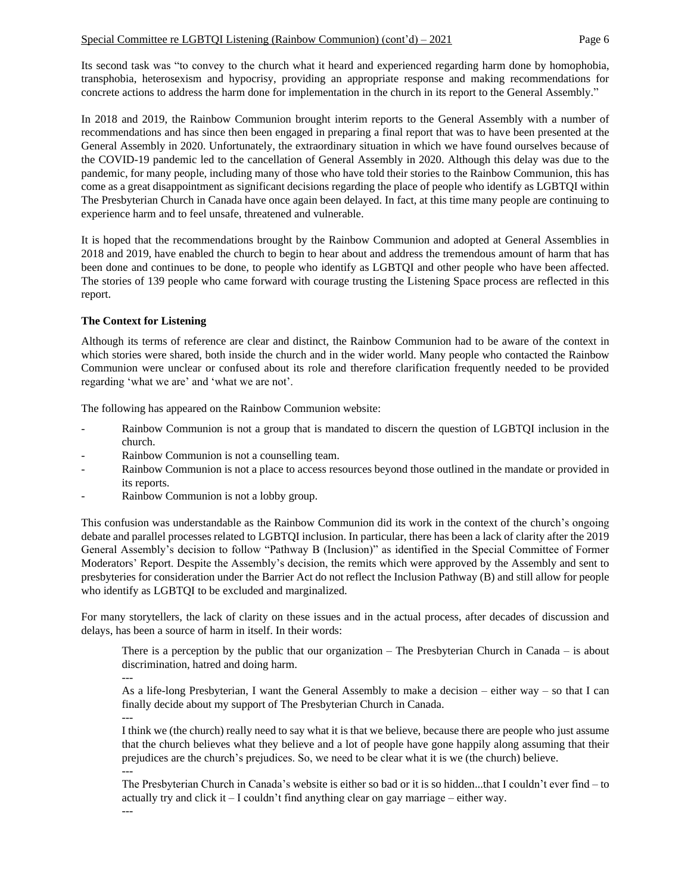Its second task was "to convey to the church what it heard and experienced regarding harm done by homophobia, transphobia, heterosexism and hypocrisy, providing an appropriate response and making recommendations for concrete actions to address the harm done for implementation in the church in its report to the General Assembly."

In 2018 and 2019, the Rainbow Communion brought interim reports to the General Assembly with a number of recommendations and has since then been engaged in preparing a final report that was to have been presented at the General Assembly in 2020. Unfortunately, the extraordinary situation in which we have found ourselves because of the COVID-19 pandemic led to the cancellation of General Assembly in 2020. Although this delay was due to the pandemic, for many people, including many of those who have told their stories to the Rainbow Communion, this has come as a great disappointment as significant decisions regarding the place of people who identify as LGBTQI within The Presbyterian Church in Canada have once again been delayed. In fact, at this time many people are continuing to experience harm and to feel unsafe, threatened and vulnerable.

It is hoped that the recommendations brought by the Rainbow Communion and adopted at General Assemblies in 2018 and 2019, have enabled the church to begin to hear about and address the tremendous amount of harm that has been done and continues to be done, to people who identify as LGBTQI and other people who have been affected. The stories of 139 people who came forward with courage trusting the Listening Space process are reflected in this report.

# **The Context for Listening**

Although its terms of reference are clear and distinct, the Rainbow Communion had to be aware of the context in which stories were shared, both inside the church and in the wider world. Many people who contacted the Rainbow Communion were unclear or confused about its role and therefore clarification frequently needed to be provided regarding 'what we are' and 'what we are not'.

The following has appeared on the Rainbow Communion website:

- Rainbow Communion is not a group that is mandated to discern the question of LGBTQI inclusion in the church.
- Rainbow Communion is not a counselling team.
- Rainbow Communion is not a place to access resources beyond those outlined in the mandate or provided in its reports.
- Rainbow Communion is not a lobby group.

This confusion was understandable as the Rainbow Communion did its work in the context of the church's ongoing debate and parallel processes related to LGBTQI inclusion. In particular, there has been a lack of clarity after the 2019 General Assembly's decision to follow "Pathway B (Inclusion)" as identified in the Special Committee of Former Moderators' Report. Despite the Assembly's decision, the remits which were approved by the Assembly and sent to presbyteries for consideration under the Barrier Act do not reflect the Inclusion Pathway (B) and still allow for people who identify as LGBTQI to be excluded and marginalized.

For many storytellers, the lack of clarity on these issues and in the actual process, after decades of discussion and delays, has been a source of harm in itself. In their words:

There is a perception by the public that our organization – The Presbyterian Church in Canada – is about discrimination, hatred and doing harm.

--- As a life-long Presbyterian, I want the General Assembly to make a decision – either way – so that I can finally decide about my support of The Presbyterian Church in Canada.

---

I think we (the church) really need to say what it is that we believe, because there are people who just assume that the church believes what they believe and a lot of people have gone happily along assuming that their prejudices are the church's prejudices. So, we need to be clear what it is we (the church) believe. ---

The Presbyterian Church in Canada's website is either so bad or it is so hidden...that I couldn't ever find – to actually try and click it – I couldn't find anything clear on gay marriage – either way.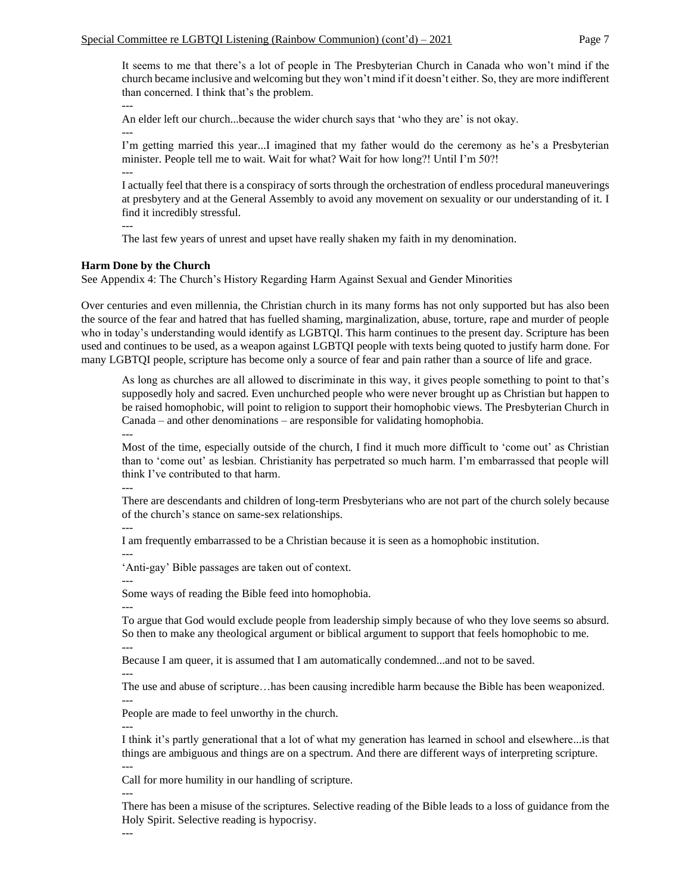It seems to me that there's a lot of people in The Presbyterian Church in Canada who won't mind if the church became inclusive and welcoming but they won't mind if it doesn't either. So, they are more indifferent than concerned. I think that's the problem.

--- An elder left our church...because the wider church says that 'who they are' is not okay. ---

I'm getting married this year...I imagined that my father would do the ceremony as he's a Presbyterian minister. People tell me to wait. Wait for what? Wait for how long?! Until I'm 50?! ---

I actually feel that there is a conspiracy of sorts through the orchestration of endless procedural maneuverings at presbytery and at the General Assembly to avoid any movement on sexuality or our understanding of it. I find it incredibly stressful.

---

The last few years of unrest and upset have really shaken my faith in my denomination.

### **Harm Done by the Church**

See Appendix 4: The Church's History Regarding Harm Against Sexual and Gender Minorities

Over centuries and even millennia, the Christian church in its many forms has not only supported but has also been the source of the fear and hatred that has fuelled shaming, marginalization, abuse, torture, rape and murder of people who in today's understanding would identify as LGBTQI. This harm continues to the present day. Scripture has been used and continues to be used, as a weapon against LGBTQI people with texts being quoted to justify harm done. For many LGBTQI people, scripture has become only a source of fear and pain rather than a source of life and grace.

As long as churches are all allowed to discriminate in this way, it gives people something to point to that's supposedly holy and sacred. Even unchurched people who were never brought up as Christian but happen to be raised homophobic, will point to religion to support their homophobic views. The Presbyterian Church in Canada – and other denominations – are responsible for validating homophobia.

---

Most of the time, especially outside of the church, I find it much more difficult to 'come out' as Christian than to 'come out' as lesbian. Christianity has perpetrated so much harm. I'm embarrassed that people will think I've contributed to that harm.

---

There are descendants and children of long-term Presbyterians who are not part of the church solely because of the church's stance on same-sex relationships.

---

I am frequently embarrassed to be a Christian because it is seen as a homophobic institution.

'Anti-gay' Bible passages are taken out of context.

---

---

---

Some ways of reading the Bible feed into homophobia.

To argue that God would exclude people from leadership simply because of who they love seems so absurd. So then to make any theological argument or biblical argument to support that feels homophobic to me.

---

Because I am queer, it is assumed that I am automatically condemned...and not to be saved.

---

The use and abuse of scripture…has been causing incredible harm because the Bible has been weaponized. ---

People are made to feel unworthy in the church.

--- I think it's partly generational that a lot of what my generation has learned in school and elsewhere...is that things are ambiguous and things are on a spectrum. And there are different ways of interpreting scripture. ---

Call for more humility in our handling of scripture.

---

There has been a misuse of the scriptures. Selective reading of the Bible leads to a loss of guidance from the Holy Spirit. Selective reading is hypocrisy.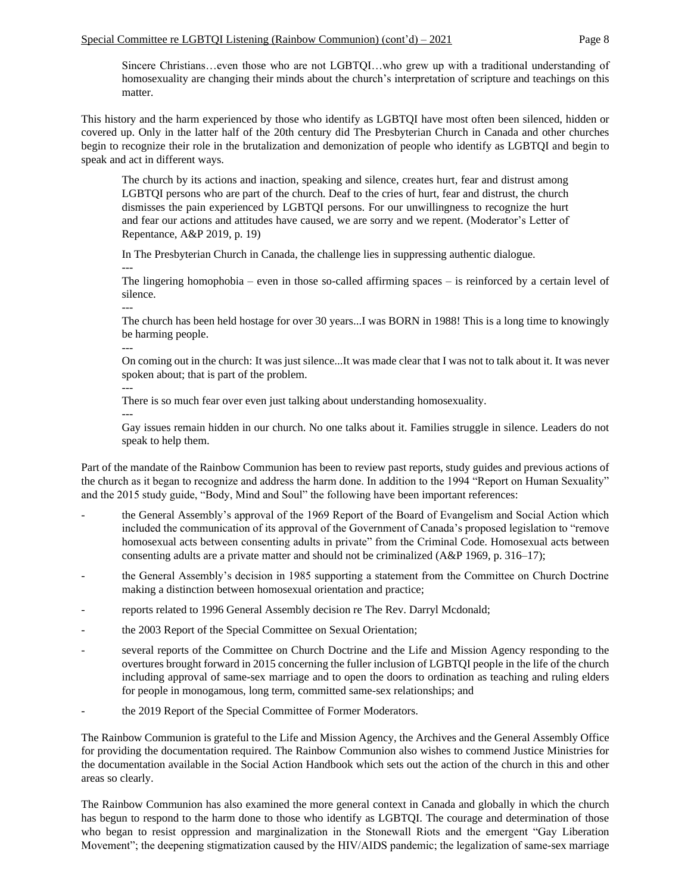Sincere Christians…even those who are not LGBTQI…who grew up with a traditional understanding of homosexuality are changing their minds about the church's interpretation of scripture and teachings on this matter.

This history and the harm experienced by those who identify as LGBTQI have most often been silenced, hidden or covered up. Only in the latter half of the 20th century did The Presbyterian Church in Canada and other churches begin to recognize their role in the brutalization and demonization of people who identify as LGBTQI and begin to speak and act in different ways.

The church by its actions and inaction, speaking and silence, creates hurt, fear and distrust among LGBTQI persons who are part of the church. Deaf to the cries of hurt, fear and distrust, the church dismisses the pain experienced by LGBTQI persons. For our unwillingness to recognize the hurt and fear our actions and attitudes have caused, we are sorry and we repent. (Moderator's Letter of Repentance, A&P 2019, p. 19)

In The Presbyterian Church in Canada, the challenge lies in suppressing authentic dialogue.

--- The lingering homophobia – even in those so-called affirming spaces – is reinforced by a certain level of silence.

--- The church has been held hostage for over 30 years...I was BORN in 1988! This is a long time to knowingly be harming people.

---

On coming out in the church: It was just silence...It was made clear that I was not to talk about it. It was never spoken about; that is part of the problem.

---

There is so much fear over even just talking about understanding homosexuality.

---

Gay issues remain hidden in our church. No one talks about it. Families struggle in silence. Leaders do not speak to help them.

Part of the mandate of the Rainbow Communion has been to review past reports, study guides and previous actions of the church as it began to recognize and address the harm done. In addition to the 1994 "Report on Human Sexuality" and the 2015 study guide, "Body, Mind and Soul" the following have been important references:

- the General Assembly's approval of the 1969 Report of the Board of Evangelism and Social Action which included the communication of its approval of the Government of Canada's proposed legislation to "remove homosexual acts between consenting adults in private" from the Criminal Code. Homosexual acts between consenting adults are a private matter and should not be criminalized (A&P 1969, p. 316–17);
- the General Assembly's decision in 1985 supporting a statement from the Committee on Church Doctrine making a distinction between homosexual orientation and practice;
- reports related to 1996 General Assembly decision re The Rev. Darryl Mcdonald;
- the 2003 Report of the Special Committee on Sexual Orientation;
- several reports of the Committee on Church Doctrine and the Life and Mission Agency responding to the overtures brought forward in 2015 concerning the fuller inclusion of LGBTQI people in the life of the church including approval of same-sex marriage and to open the doors to ordination as teaching and ruling elders for people in monogamous, long term, committed same-sex relationships; and
- the 2019 Report of the Special Committee of Former Moderators.

The Rainbow Communion is grateful to the Life and Mission Agency, the Archives and the General Assembly Office for providing the documentation required. The Rainbow Communion also wishes to commend Justice Ministries for the documentation available in the Social Action Handbook which sets out the action of the church in this and other areas so clearly.

The Rainbow Communion has also examined the more general context in Canada and globally in which the church has begun to respond to the harm done to those who identify as LGBTQI. The courage and determination of those who began to resist oppression and marginalization in the Stonewall Riots and the emergent "Gay Liberation Movement"; the deepening stigmatization caused by the HIV/AIDS pandemic; the legalization of same-sex marriage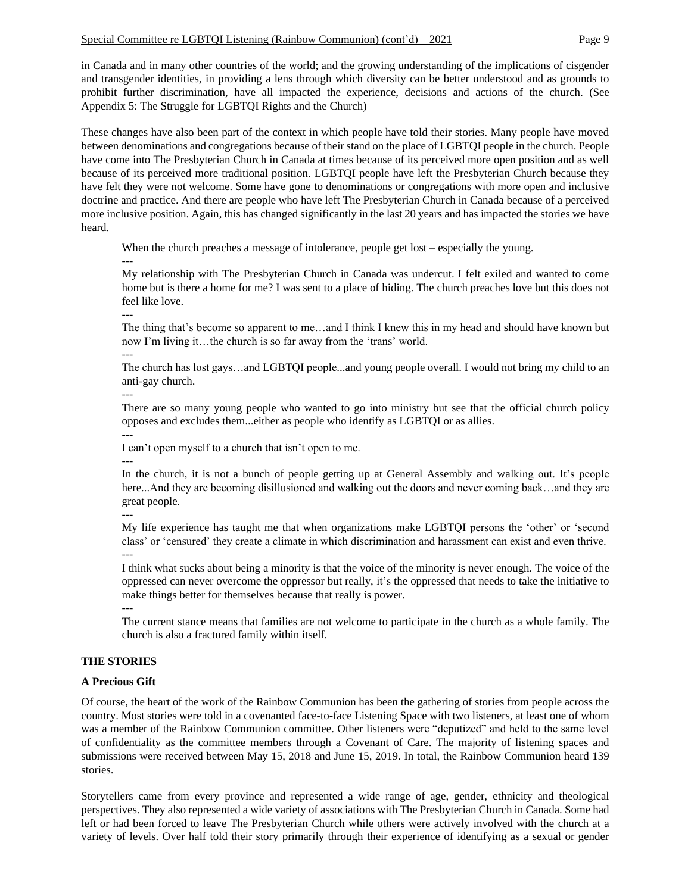in Canada and in many other countries of the world; and the growing understanding of the implications of cisgender and transgender identities, in providing a lens through which diversity can be better understood and as grounds to prohibit further discrimination, have all impacted the experience, decisions and actions of the church. (See Appendix 5: The Struggle for LGBTQI Rights and the Church)

These changes have also been part of the context in which people have told their stories. Many people have moved between denominations and congregations because of their stand on the place of LGBTQI people in the church. People have come into The Presbyterian Church in Canada at times because of its perceived more open position and as well because of its perceived more traditional position. LGBTQI people have left the Presbyterian Church because they have felt they were not welcome. Some have gone to denominations or congregations with more open and inclusive doctrine and practice. And there are people who have left The Presbyterian Church in Canada because of a perceived more inclusive position. Again, this has changed significantly in the last 20 years and has impacted the stories we have heard.

When the church preaches a message of intolerance, people get lost – especially the young. ---

My relationship with The Presbyterian Church in Canada was undercut. I felt exiled and wanted to come home but is there a home for me? I was sent to a place of hiding. The church preaches love but this does not feel like love.

The thing that's become so apparent to me…and I think I knew this in my head and should have known but now I'm living it…the church is so far away from the 'trans' world.

--- The church has lost gays…and LGBTQI people...and young people overall. I would not bring my child to an anti-gay church.

---

---

There are so many young people who wanted to go into ministry but see that the official church policy opposes and excludes them...either as people who identify as LGBTQI or as allies. ---

I can't open myself to a church that isn't open to me.

---

In the church, it is not a bunch of people getting up at General Assembly and walking out. It's people here...And they are becoming disillusioned and walking out the doors and never coming back...and they are great people.

---

My life experience has taught me that when organizations make LGBTQI persons the 'other' or 'second class' or 'censured' they create a climate in which discrimination and harassment can exist and even thrive. ---

I think what sucks about being a minority is that the voice of the minority is never enough. The voice of the oppressed can never overcome the oppressor but really, it's the oppressed that needs to take the initiative to make things better for themselves because that really is power.

---

The current stance means that families are not welcome to participate in the church as a whole family. The church is also a fractured family within itself.

# **THE STORIES**

# **A Precious Gift**

Of course, the heart of the work of the Rainbow Communion has been the gathering of stories from people across the country. Most stories were told in a covenanted face-to-face Listening Space with two listeners, at least one of whom was a member of the Rainbow Communion committee. Other listeners were "deputized" and held to the same level of confidentiality as the committee members through a Covenant of Care. The majority of listening spaces and submissions were received between May 15, 2018 and June 15, 2019. In total, the Rainbow Communion heard 139 stories.

Storytellers came from every province and represented a wide range of age, gender, ethnicity and theological perspectives. They also represented a wide variety of associations with The Presbyterian Church in Canada. Some had left or had been forced to leave The Presbyterian Church while others were actively involved with the church at a variety of levels. Over half told their story primarily through their experience of identifying as a sexual or gender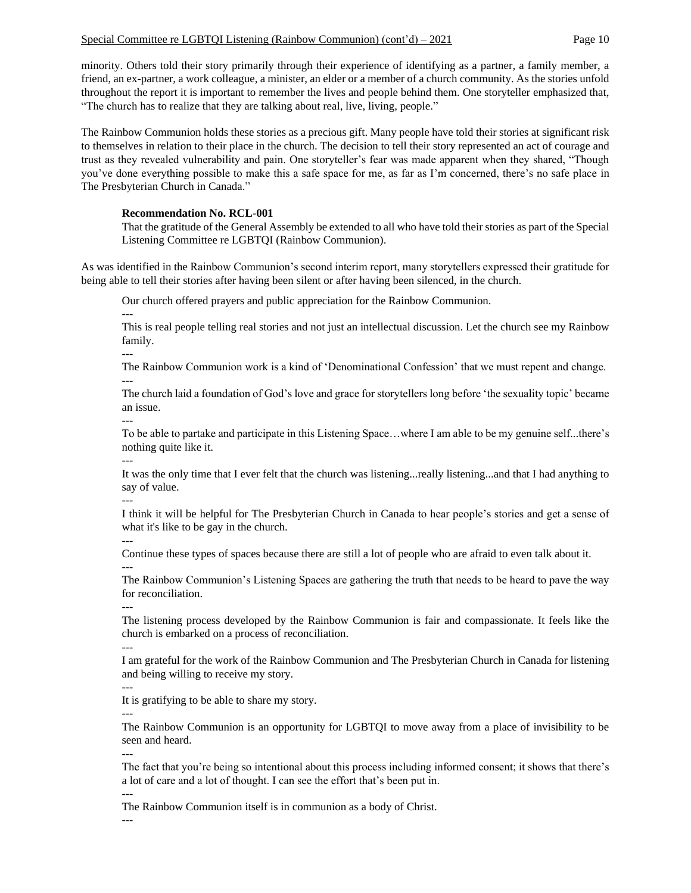minority. Others told their story primarily through their experience of identifying as a partner, a family member, a friend, an ex-partner, a work colleague, a minister, an elder or a member of a church community. As the stories unfold throughout the report it is important to remember the lives and people behind them. One storyteller emphasized that, "The church has to realize that they are talking about real, live, living, people."

The Rainbow Communion holds these stories as a precious gift. Many people have told their stories at significant risk to themselves in relation to their place in the church. The decision to tell their story represented an act of courage and trust as they revealed vulnerability and pain. One storyteller's fear was made apparent when they shared, "Though you've done everything possible to make this a safe space for me, as far as I'm concerned, there's no safe place in The Presbyterian Church in Canada."

### **Recommendation No. RCL-001**

That the gratitude of the General Assembly be extended to all who have told their stories as part of the Special Listening Committee re LGBTQI (Rainbow Communion).

As was identified in the Rainbow Communion's second interim report, many storytellers expressed their gratitude for being able to tell their stories after having been silent or after having been silenced, in the church.

Our church offered prayers and public appreciation for the Rainbow Communion.

This is real people telling real stories and not just an intellectual discussion. Let the church see my Rainbow family.

---

---

The Rainbow Communion work is a kind of 'Denominational Confession' that we must repent and change. ---

The church laid a foundation of God's love and grace for storytellers long before 'the sexuality topic' became an issue. ---

To be able to partake and participate in this Listening Space…where I am able to be my genuine self...there's nothing quite like it.

---

It was the only time that I ever felt that the church was listening...really listening...and that I had anything to say of value. ---

I think it will be helpful for The Presbyterian Church in Canada to hear people's stories and get a sense of what it's like to be gay in the church.

---

---

Continue these types of spaces because there are still a lot of people who are afraid to even talk about it.

The Rainbow Communion's Listening Spaces are gathering the truth that needs to be heard to pave the way for reconciliation.

---

The listening process developed by the Rainbow Communion is fair and compassionate. It feels like the church is embarked on a process of reconciliation.

---

I am grateful for the work of the Rainbow Communion and The Presbyterian Church in Canada for listening and being willing to receive my story.

---

It is gratifying to be able to share my story.

---

---

The Rainbow Communion is an opportunity for LGBTQI to move away from a place of invisibility to be seen and heard.

The fact that you're being so intentional about this process including informed consent; it shows that there's a lot of care and a lot of thought. I can see the effort that's been put in.

The Rainbow Communion itself is in communion as a body of Christ.

---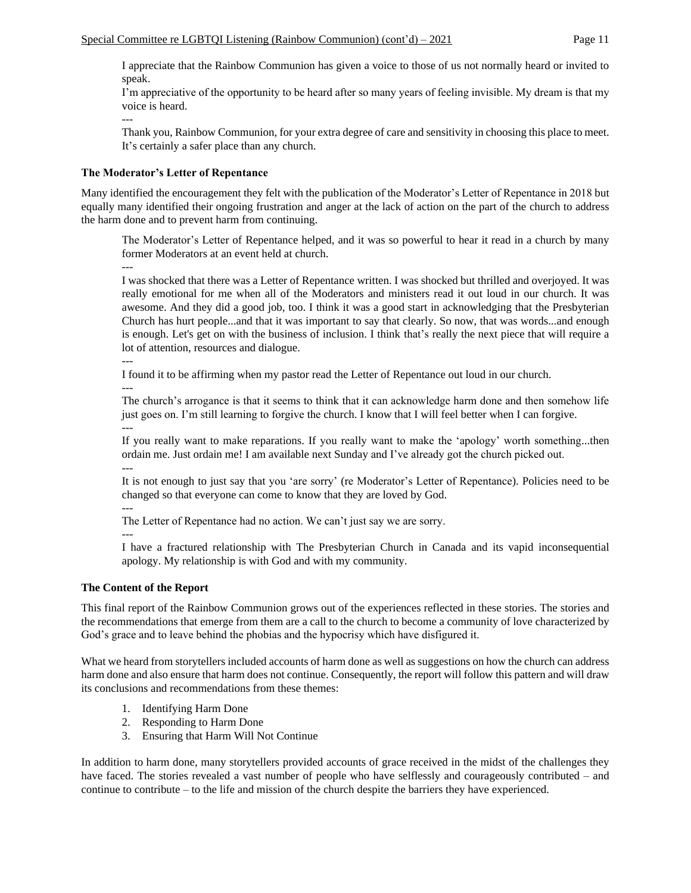I appreciate that the Rainbow Communion has given a voice to those of us not normally heard or invited to speak.

I'm appreciative of the opportunity to be heard after so many years of feeling invisible. My dream is that my voice is heard.

--- Thank you, Rainbow Communion, for your extra degree of care and sensitivity in choosing this place to meet. It's certainly a safer place than any church.

#### **The Moderator's Letter of Repentance**

Many identified the encouragement they felt with the publication of the Moderator's Letter of Repentance in 2018 but equally many identified their ongoing frustration and anger at the lack of action on the part of the church to address the harm done and to prevent harm from continuing.

The Moderator's Letter of Repentance helped, and it was so powerful to hear it read in a church by many former Moderators at an event held at church.

---

I was shocked that there was a Letter of Repentance written. I was shocked but thrilled and overjoyed. It was really emotional for me when all of the Moderators and ministers read it out loud in our church. It was awesome. And they did a good job, too. I think it was a good start in acknowledging that the Presbyterian Church has hurt people...and that it was important to say that clearly. So now, that was words...and enough is enough. Let's get on with the business of inclusion. I think that's really the next piece that will require a lot of attention, resources and dialogue.

---

---

I found it to be affirming when my pastor read the Letter of Repentance out loud in our church.

The church's arrogance is that it seems to think that it can acknowledge harm done and then somehow life just goes on. I'm still learning to forgive the church. I know that I will feel better when I can forgive. ---

If you really want to make reparations. If you really want to make the 'apology' worth something...then ordain me. Just ordain me! I am available next Sunday and I've already got the church picked out. ---

It is not enough to just say that you 'are sorry' (re Moderator's Letter of Repentance). Policies need to be changed so that everyone can come to know that they are loved by God.

---

The Letter of Repentance had no action. We can't just say we are sorry.

---

I have a fractured relationship with The Presbyterian Church in Canada and its vapid inconsequential apology. My relationship is with God and with my community.

#### **The Content of the Report**

This final report of the Rainbow Communion grows out of the experiences reflected in these stories. The stories and the recommendations that emerge from them are a call to the church to become a community of love characterized by God's grace and to leave behind the phobias and the hypocrisy which have disfigured it.

What we heard from storytellers included accounts of harm done as well as suggestions on how the church can address harm done and also ensure that harm does not continue. Consequently, the report will follow this pattern and will draw its conclusions and recommendations from these themes:

- 1. Identifying Harm Done
- 2. Responding to Harm Done
- 3. Ensuring that Harm Will Not Continue

In addition to harm done, many storytellers provided accounts of grace received in the midst of the challenges they have faced. The stories revealed a vast number of people who have selflessly and courageously contributed – and continue to contribute – to the life and mission of the church despite the barriers they have experienced.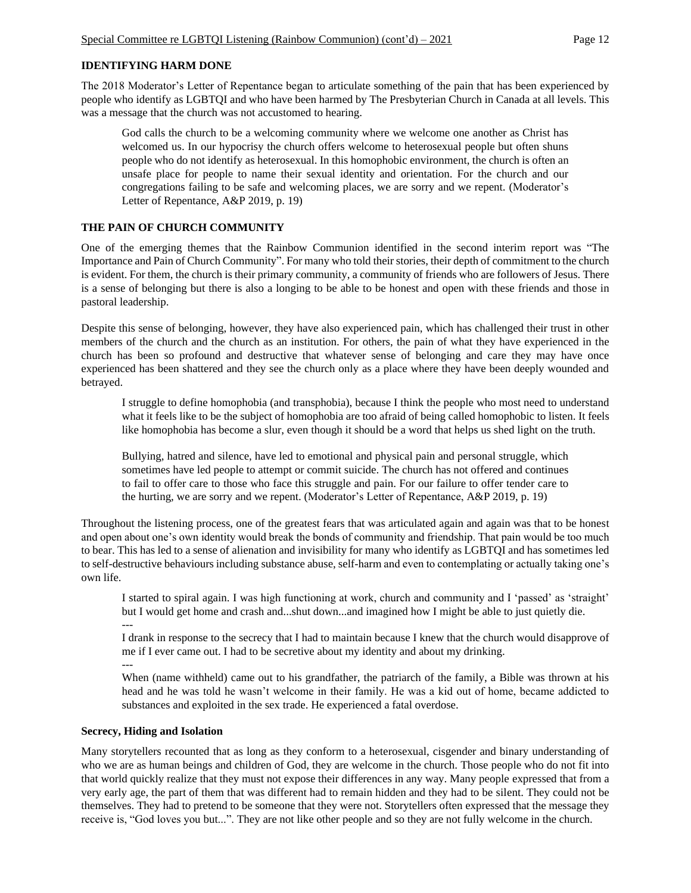# **IDENTIFYING HARM DONE**

The 2018 Moderator's Letter of Repentance began to articulate something of the pain that has been experienced by people who identify as LGBTQI and who have been harmed by The Presbyterian Church in Canada at all levels. This was a message that the church was not accustomed to hearing.

God calls the church to be a welcoming community where we welcome one another as Christ has welcomed us. In our hypocrisy the church offers welcome to heterosexual people but often shuns people who do not identify as heterosexual. In this homophobic environment, the church is often an unsafe place for people to name their sexual identity and orientation. For the church and our congregations failing to be safe and welcoming places, we are sorry and we repent. (Moderator's Letter of Repentance, A&P 2019, p. 19)

# **THE PAIN OF CHURCH COMMUNITY**

One of the emerging themes that the Rainbow Communion identified in the second interim report was "The Importance and Pain of Church Community". For many who told their stories, their depth of commitment to the church is evident. For them, the church is their primary community, a community of friends who are followers of Jesus. There is a sense of belonging but there is also a longing to be able to be honest and open with these friends and those in pastoral leadership.

Despite this sense of belonging, however, they have also experienced pain, which has challenged their trust in other members of the church and the church as an institution. For others, the pain of what they have experienced in the church has been so profound and destructive that whatever sense of belonging and care they may have once experienced has been shattered and they see the church only as a place where they have been deeply wounded and betrayed.

I struggle to define homophobia (and transphobia), because I think the people who most need to understand what it feels like to be the subject of homophobia are too afraid of being called homophobic to listen. It feels like homophobia has become a slur, even though it should be a word that helps us shed light on the truth.

Bullying, hatred and silence, have led to emotional and physical pain and personal struggle, which sometimes have led people to attempt or commit suicide. The church has not offered and continues to fail to offer care to those who face this struggle and pain. For our failure to offer tender care to the hurting, we are sorry and we repent. (Moderator's Letter of Repentance, A&P 2019, p. 19)

Throughout the listening process, one of the greatest fears that was articulated again and again was that to be honest and open about one's own identity would break the bonds of community and friendship. That pain would be too much to bear. This has led to a sense of alienation and invisibility for many who identify as LGBTQI and has sometimes led to self-destructive behaviours including substance abuse, self-harm and even to contemplating or actually taking one's own life.

I started to spiral again. I was high functioning at work, church and community and I 'passed' as 'straight' but I would get home and crash and...shut down...and imagined how I might be able to just quietly die. ---

I drank in response to the secrecy that I had to maintain because I knew that the church would disapprove of me if I ever came out. I had to be secretive about my identity and about my drinking.

---

When (name withheld) came out to his grandfather, the patriarch of the family, a Bible was thrown at his head and he was told he wasn't welcome in their family. He was a kid out of home, became addicted to substances and exploited in the sex trade. He experienced a fatal overdose.

# **Secrecy, Hiding and Isolation**

Many storytellers recounted that as long as they conform to a heterosexual, cisgender and binary understanding of who we are as human beings and children of God, they are welcome in the church. Those people who do not fit into that world quickly realize that they must not expose their differences in any way. Many people expressed that from a very early age, the part of them that was different had to remain hidden and they had to be silent. They could not be themselves. They had to pretend to be someone that they were not. Storytellers often expressed that the message they receive is, "God loves you but...". They are not like other people and so they are not fully welcome in the church.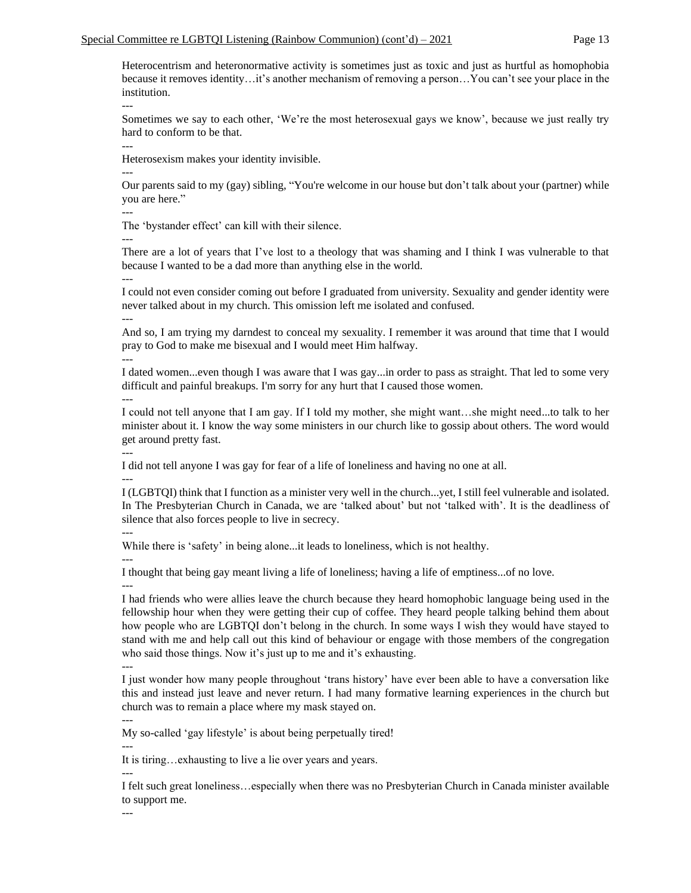Heterocentrism and heteronormative activity is sometimes just as toxic and just as hurtful as homophobia because it removes identity…it's another mechanism of removing a person…You can't see your place in the institution.

---

Sometimes we say to each other, 'We're the most heterosexual gays we know', because we just really try hard to conform to be that.

Heterosexism makes your identity invisible.

---

---

Our parents said to my (gay) sibling, "You're welcome in our house but don't talk about your (partner) while you are here."

---

The 'bystander effect' can kill with their silence.

---

There are a lot of years that I've lost to a theology that was shaming and I think I was vulnerable to that because I wanted to be a dad more than anything else in the world. ---

I could not even consider coming out before I graduated from university. Sexuality and gender identity were never talked about in my church. This omission left me isolated and confused. ---

And so, I am trying my darndest to conceal my sexuality. I remember it was around that time that I would pray to God to make me bisexual and I would meet Him halfway.

---

I dated women...even though I was aware that I was gay...in order to pass as straight. That led to some very difficult and painful breakups. I'm sorry for any hurt that I caused those women. ---

I could not tell anyone that I am gay. If I told my mother, she might want…she might need...to talk to her minister about it. I know the way some ministers in our church like to gossip about others. The word would get around pretty fast.

---

I did not tell anyone I was gay for fear of a life of loneliness and having no one at all.

---

I (LGBTQI) think that I function as a minister very well in the church...yet, I still feel vulnerable and isolated. In The Presbyterian Church in Canada, we are 'talked about' but not 'talked with'. It is the deadliness of silence that also forces people to live in secrecy.

---

While there is 'safety' in being alone...it leads to loneliness, which is not healthy. ---

I thought that being gay meant living a life of loneliness; having a life of emptiness...of no love.

---

I had friends who were allies leave the church because they heard homophobic language being used in the fellowship hour when they were getting their cup of coffee. They heard people talking behind them about how people who are LGBTQI don't belong in the church. In some ways I wish they would have stayed to stand with me and help call out this kind of behaviour or engage with those members of the congregation who said those things. Now it's just up to me and it's exhausting.

I just wonder how many people throughout 'trans history' have ever been able to have a conversation like this and instead just leave and never return. I had many formative learning experiences in the church but church was to remain a place where my mask stayed on.

--- My so-called 'gay lifestyle' is about being perpetually tired!

---

---

---

It is tiring…exhausting to live a lie over years and years.

I felt such great loneliness…especially when there was no Presbyterian Church in Canada minister available to support me.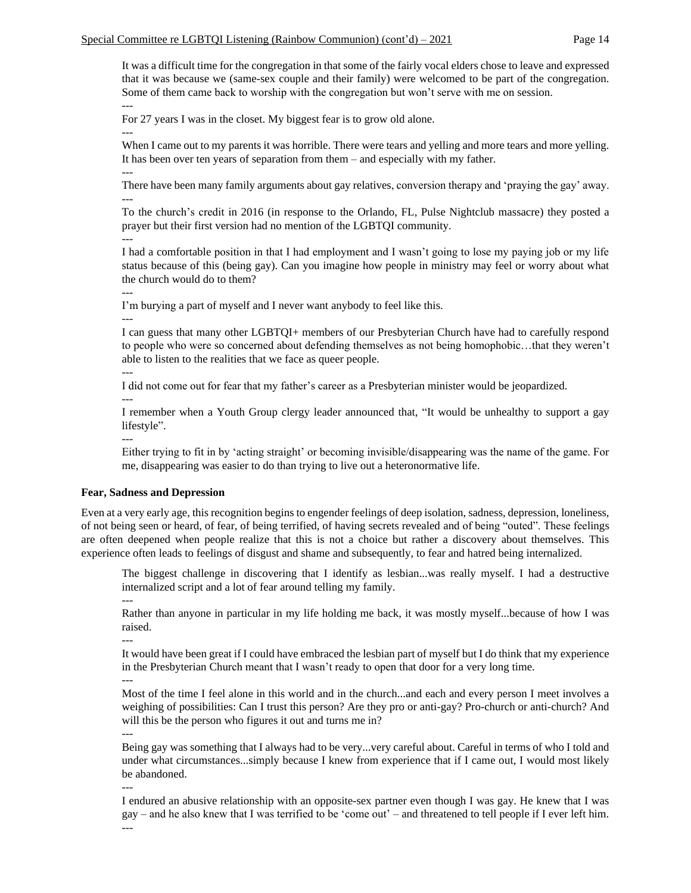It was a difficult time for the congregation in that some of the fairly vocal elders chose to leave and expressed that it was because we (same-sex couple and their family) were welcomed to be part of the congregation. Some of them came back to worship with the congregation but won't serve with me on session. ---

For 27 years I was in the closet. My biggest fear is to grow old alone. ---

When I came out to my parents it was horrible. There were tears and yelling and more tears and more yelling. It has been over ten years of separation from them – and especially with my father. ---

There have been many family arguments about gay relatives, conversion therapy and 'praying the gay' away. ---

To the church's credit in 2016 (in response to the Orlando, FL, Pulse Nightclub massacre) they posted a prayer but their first version had no mention of the LGBTQI community.

--- I had a comfortable position in that I had employment and I wasn't going to lose my paying job or my life status because of this (being gay). Can you imagine how people in ministry may feel or worry about what the church would do to them?

---

I'm burying a part of myself and I never want anybody to feel like this.

---

I can guess that many other LGBTQI+ members of our Presbyterian Church have had to carefully respond to people who were so concerned about defending themselves as not being homophobic…that they weren't able to listen to the realities that we face as queer people.

---

I did not come out for fear that my father's career as a Presbyterian minister would be jeopardized.

---

I remember when a Youth Group clergy leader announced that, "It would be unhealthy to support a gay lifestyle".

--- Either trying to fit in by 'acting straight' or becoming invisible/disappearing was the name of the game. For me, disappearing was easier to do than trying to live out a heteronormative life.

# **Fear, Sadness and Depression**

Even at a very early age, this recognition begins to engender feelings of deep isolation, sadness, depression, loneliness, of not being seen or heard, of fear, of being terrified, of having secrets revealed and of being "outed". These feelings are often deepened when people realize that this is not a choice but rather a discovery about themselves. This experience often leads to feelings of disgust and shame and subsequently, to fear and hatred being internalized.

The biggest challenge in discovering that I identify as lesbian...was really myself. I had a destructive internalized script and a lot of fear around telling my family.

---

Rather than anyone in particular in my life holding me back, it was mostly myself...because of how I was raised.

---

It would have been great if I could have embraced the lesbian part of myself but I do think that my experience in the Presbyterian Church meant that I wasn't ready to open that door for a very long time.

---

Most of the time I feel alone in this world and in the church...and each and every person I meet involves a weighing of possibilities: Can I trust this person? Are they pro or anti-gay? Pro-church or anti-church? And will this be the person who figures it out and turns me in? ---

Being gay was something that I always had to be very...very careful about. Careful in terms of who I told and under what circumstances...simply because I knew from experience that if I came out, I would most likely be abandoned.

---

I endured an abusive relationship with an opposite-sex partner even though I was gay. He knew that I was gay – and he also knew that I was terrified to be 'come out' – and threatened to tell people if I ever left him. ---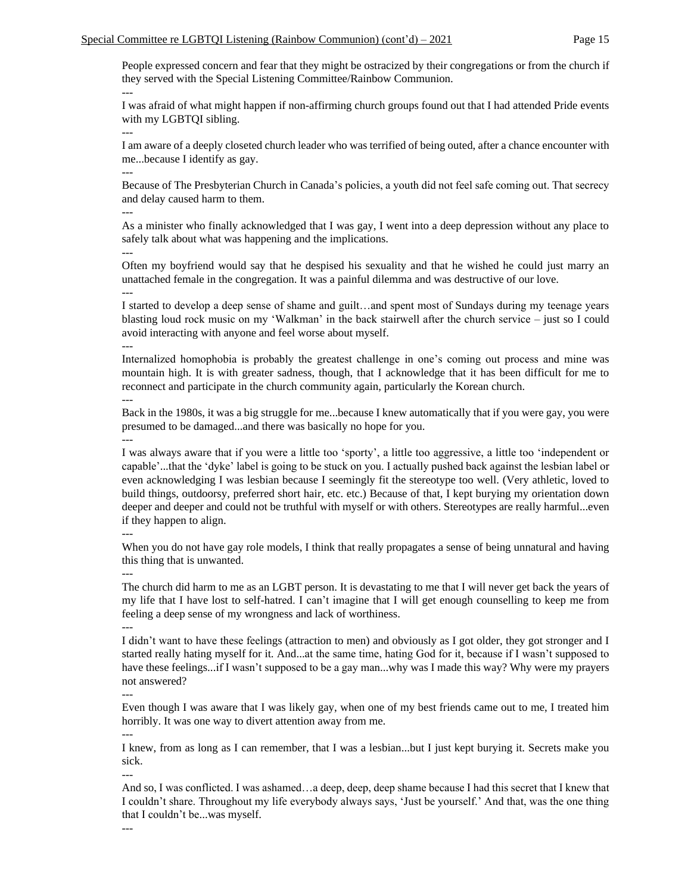People expressed concern and fear that they might be ostracized by their congregations or from the church if they served with the Special Listening Committee/Rainbow Communion. ---

I was afraid of what might happen if non-affirming church groups found out that I had attended Pride events with my LGBTQI sibling.

I am aware of a deeply closeted church leader who was terrified of being outed, after a chance encounter with me...because I identify as gay.

Because of The Presbyterian Church in Canada's policies, a youth did not feel safe coming out. That secrecy and delay caused harm to them.

---

---

---

As a minister who finally acknowledged that I was gay, I went into a deep depression without any place to safely talk about what was happening and the implications.

--- Often my boyfriend would say that he despised his sexuality and that he wished he could just marry an unattached female in the congregation. It was a painful dilemma and was destructive of our love.

---

I started to develop a deep sense of shame and guilt…and spent most of Sundays during my teenage years blasting loud rock music on my 'Walkman' in the back stairwell after the church service – just so I could avoid interacting with anyone and feel worse about myself.

---

Internalized homophobia is probably the greatest challenge in one's coming out process and mine was mountain high. It is with greater sadness, though, that I acknowledge that it has been difficult for me to reconnect and participate in the church community again, particularly the Korean church. ---

Back in the 1980s, it was a big struggle for me...because I knew automatically that if you were gay, you were presumed to be damaged...and there was basically no hope for you.

---

I was always aware that if you were a little too 'sporty', a little too aggressive, a little too 'independent or capable'...that the 'dyke' label is going to be stuck on you. I actually pushed back against the lesbian label or even acknowledging I was lesbian because I seemingly fit the stereotype too well. (Very athletic, loved to build things, outdoorsy, preferred short hair, etc. etc.) Because of that, I kept burying my orientation down deeper and deeper and could not be truthful with myself or with others. Stereotypes are really harmful...even if they happen to align.

---

When you do not have gay role models, I think that really propagates a sense of being unnatural and having this thing that is unwanted.

---

The church did harm to me as an LGBT person. It is devastating to me that I will never get back the years of my life that I have lost to self-hatred. I can't imagine that I will get enough counselling to keep me from feeling a deep sense of my wrongness and lack of worthiness.

---

I didn't want to have these feelings (attraction to men) and obviously as I got older, they got stronger and I started really hating myself for it. And...at the same time, hating God for it, because if I wasn't supposed to have these feelings...if I wasn't supposed to be a gay man...why was I made this way? Why were my prayers not answered?

---

Even though I was aware that I was likely gay, when one of my best friends came out to me, I treated him horribly. It was one way to divert attention away from me.

---

I knew, from as long as I can remember, that I was a lesbian...but I just kept burying it. Secrets make you sick.

---

And so, I was conflicted. I was ashamed…a deep, deep, deep shame because I had this secret that I knew that I couldn't share. Throughout my life everybody always says, 'Just be yourself.' And that, was the one thing that I couldn't be...was myself.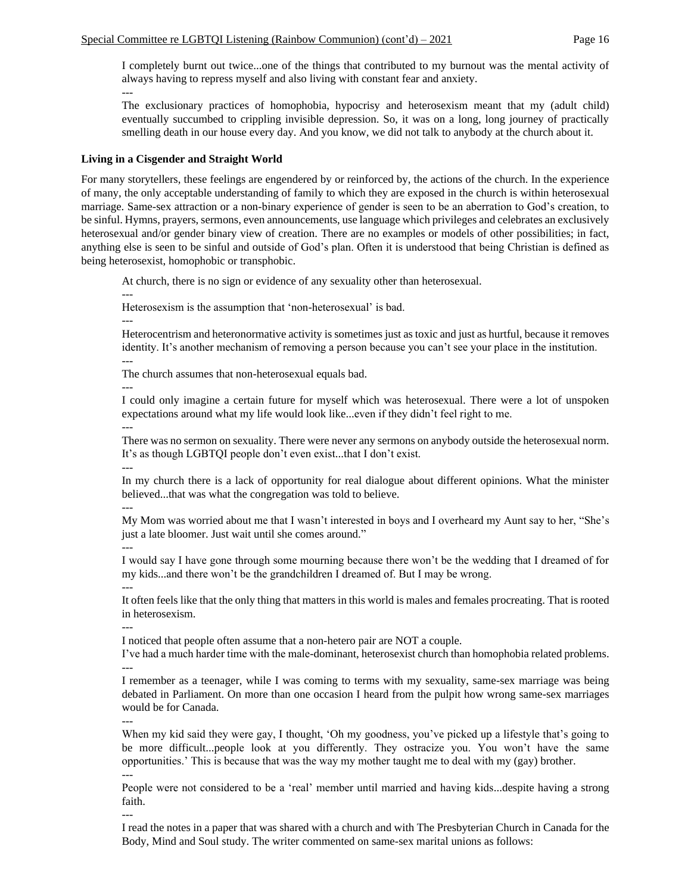I completely burnt out twice...one of the things that contributed to my burnout was the mental activity of always having to repress myself and also living with constant fear and anxiety. ---

The exclusionary practices of homophobia, hypocrisy and heterosexism meant that my (adult child) eventually succumbed to crippling invisible depression. So, it was on a long, long journey of practically smelling death in our house every day. And you know, we did not talk to anybody at the church about it.

# **Living in a Cisgender and Straight World**

For many storytellers, these feelings are engendered by or reinforced by, the actions of the church. In the experience of many, the only acceptable understanding of family to which they are exposed in the church is within heterosexual marriage. Same-sex attraction or a non-binary experience of gender is seen to be an aberration to God's creation, to be sinful. Hymns, prayers, sermons, even announcements, use language which privileges and celebrates an exclusively heterosexual and/or gender binary view of creation. There are no examples or models of other possibilities; in fact, anything else is seen to be sinful and outside of God's plan. Often it is understood that being Christian is defined as being heterosexist, homophobic or transphobic.

At church, there is no sign or evidence of any sexuality other than heterosexual.

--- Heterosexism is the assumption that 'non-heterosexual' is bad.

---

Heterocentrism and heteronormative activity is sometimes just as toxic and just as hurtful, because it removes identity. It's another mechanism of removing a person because you can't see your place in the institution. ---

The church assumes that non-heterosexual equals bad.

---

I could only imagine a certain future for myself which was heterosexual. There were a lot of unspoken expectations around what my life would look like...even if they didn't feel right to me. ---

There was no sermon on sexuality. There were never any sermons on anybody outside the heterosexual norm. It's as though LGBTQI people don't even exist...that I don't exist. ---

In my church there is a lack of opportunity for real dialogue about different opinions. What the minister believed...that was what the congregation was told to believe. ---

My Mom was worried about me that I wasn't interested in boys and I overheard my Aunt say to her, "She's just a late bloomer. Just wait until she comes around."

---

I would say I have gone through some mourning because there won't be the wedding that I dreamed of for my kids...and there won't be the grandchildren I dreamed of. But I may be wrong. ---

It often feels like that the only thing that matters in this world is males and females procreating. That is rooted in heterosexism.

---

I noticed that people often assume that a non-hetero pair are NOT a couple.

I've had a much harder time with the male-dominant, heterosexist church than homophobia related problems. ---

I remember as a teenager, while I was coming to terms with my sexuality, same-sex marriage was being debated in Parliament. On more than one occasion I heard from the pulpit how wrong same-sex marriages would be for Canada.

---

---

When my kid said they were gay, I thought, 'Oh my goodness, you've picked up a lifestyle that's going to be more difficult...people look at you differently. They ostracize you. You won't have the same opportunities.' This is because that was the way my mother taught me to deal with my (gay) brother. ---

People were not considered to be a 'real' member until married and having kids...despite having a strong faith.

I read the notes in a paper that was shared with a church and with The Presbyterian Church in Canada for the Body, Mind and Soul study. The writer commented on same-sex marital unions as follows: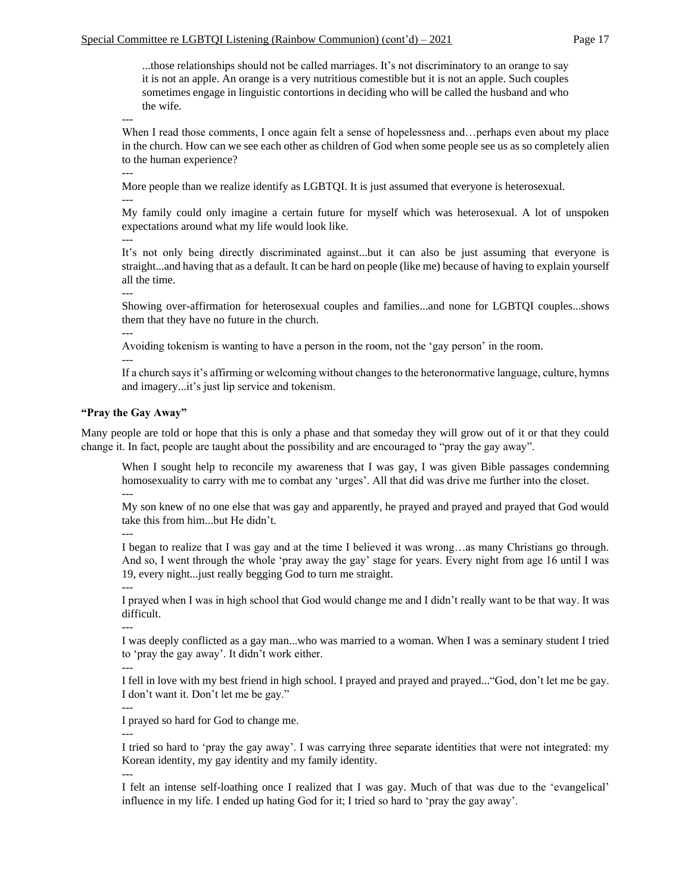...those relationships should not be called marriages. It's not discriminatory to an orange to say it is not an apple. An orange is a very nutritious comestible but it is not an apple. Such couples sometimes engage in linguistic contortions in deciding who will be called the husband and who the wife.

---

When I read those comments, I once again felt a sense of hopelessness and…perhaps even about my place in the church. How can we see each other as children of God when some people see us as so completely alien to the human experience?

---

More people than we realize identify as LGBTQI. It is just assumed that everyone is heterosexual.

---

My family could only imagine a certain future for myself which was heterosexual. A lot of unspoken expectations around what my life would look like.

---

It's not only being directly discriminated against...but it can also be just assuming that everyone is straight...and having that as a default. It can be hard on people (like me) because of having to explain yourself all the time.

Showing over-affirmation for heterosexual couples and families...and none for LGBTQI couples...shows them that they have no future in the church.

Avoiding tokenism is wanting to have a person in the room, not the 'gay person' in the room.

---

---

---

If a church says it's affirming or welcoming without changes to the heteronormative language, culture, hymns and imagery...it's just lip service and tokenism.

# **"Pray the Gay Away"**

Many people are told or hope that this is only a phase and that someday they will grow out of it or that they could change it. In fact, people are taught about the possibility and are encouraged to "pray the gay away".

When I sought help to reconcile my awareness that I was gay, I was given Bible passages condemning homosexuality to carry with me to combat any 'urges'. All that did was drive me further into the closet. ---

My son knew of no one else that was gay and apparently, he prayed and prayed and prayed that God would take this from him...but He didn't.

---

I began to realize that I was gay and at the time I believed it was wrong…as many Christians go through. And so, I went through the whole 'pray away the gay' stage for years. Every night from age 16 until I was 19, every night...just really begging God to turn me straight.

---

I prayed when I was in high school that God would change me and I didn't really want to be that way. It was difficult.

---

---

I was deeply conflicted as a gay man...who was married to a woman. When I was a seminary student I tried to 'pray the gay away'. It didn't work either.

I fell in love with my best friend in high school. I prayed and prayed and prayed..."God, don't let me be gay. I don't want it. Don't let me be gay."

I prayed so hard for God to change me.

---

---

I tried so hard to 'pray the gay away'. I was carrying three separate identities that were not integrated: my Korean identity, my gay identity and my family identity.

---

I felt an intense self-loathing once I realized that I was gay. Much of that was due to the 'evangelical' influence in my life. I ended up hating God for it; I tried so hard to 'pray the gay away'.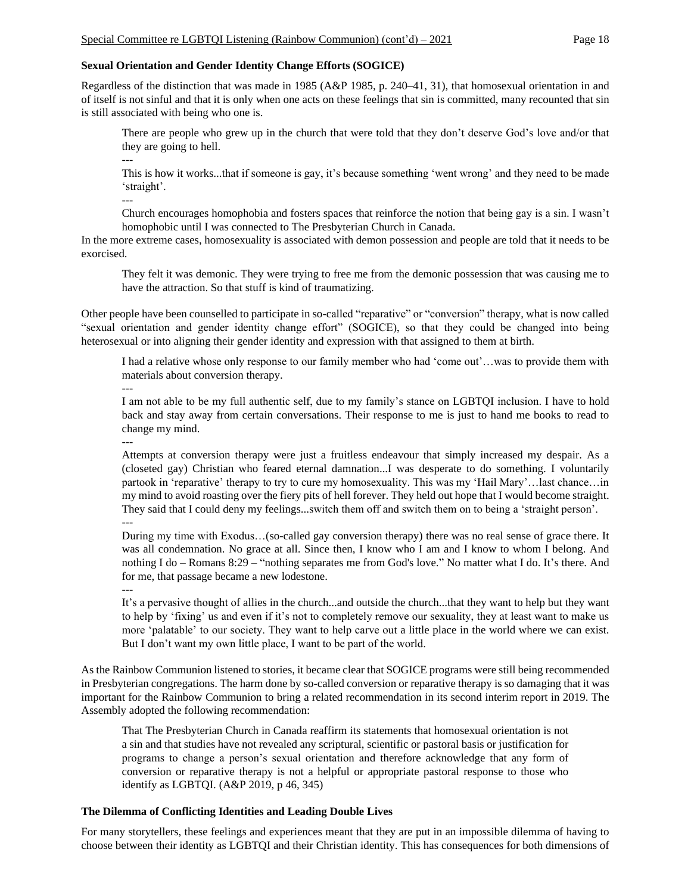#### **Sexual Orientation and Gender Identity Change Efforts (SOGICE)**

Regardless of the distinction that was made in 1985 (A&P 1985, p. 240–41, 31), that homosexual orientation in and of itself is not sinful and that it is only when one acts on these feelings that sin is committed, many recounted that sin is still associated with being who one is.

There are people who grew up in the church that were told that they don't deserve God's love and/or that they are going to hell.

--- This is how it works...that if someone is gay, it's because something 'went wrong' and they need to be made 'straight'.

---

Church encourages homophobia and fosters spaces that reinforce the notion that being gay is a sin. I wasn't homophobic until I was connected to The Presbyterian Church in Canada.

In the more extreme cases, homosexuality is associated with demon possession and people are told that it needs to be exorcised.

They felt it was demonic. They were trying to free me from the demonic possession that was causing me to have the attraction. So that stuff is kind of traumatizing.

Other people have been counselled to participate in so-called "reparative" or "conversion" therapy, what is now called "sexual orientation and gender identity change effort" (SOGICE), so that they could be changed into being heterosexual or into aligning their gender identity and expression with that assigned to them at birth.

I had a relative whose only response to our family member who had 'come out'…was to provide them with materials about conversion therapy.

I am not able to be my full authentic self, due to my family's stance on LGBTQI inclusion. I have to hold back and stay away from certain conversations. Their response to me is just to hand me books to read to change my mind.

---

---

Attempts at conversion therapy were just a fruitless endeavour that simply increased my despair. As a (closeted gay) Christian who feared eternal damnation...I was desperate to do something. I voluntarily partook in 'reparative' therapy to try to cure my homosexuality. This was my 'Hail Mary'…last chance…in my mind to avoid roasting over the fiery pits of hell forever. They held out hope that I would become straight. They said that I could deny my feelings...switch them off and switch them on to being a 'straight person'. ---

During my time with Exodus…(so-called gay conversion therapy) there was no real sense of grace there. It was all condemnation. No grace at all. Since then, I know who I am and I know to whom I belong. And nothing I do – Romans 8:29 – "nothing separates me from God's love." No matter what I do. It's there. And for me, that passage became a new lodestone.

---

It's a pervasive thought of allies in the church...and outside the church...that they want to help but they want to help by 'fixing' us and even if it's not to completely remove our sexuality, they at least want to make us more 'palatable' to our society. They want to help carve out a little place in the world where we can exist. But I don't want my own little place, I want to be part of the world.

As the Rainbow Communion listened to stories, it became clear that SOGICE programs were still being recommended in Presbyterian congregations. The harm done by so-called conversion or reparative therapy is so damaging that it was important for the Rainbow Communion to bring a related recommendation in its second interim report in 2019. The Assembly adopted the following recommendation:

That The Presbyterian Church in Canada reaffirm its statements that homosexual orientation is not a sin and that studies have not revealed any scriptural, scientific or pastoral basis or justification for programs to change a person's sexual orientation and therefore acknowledge that any form of conversion or reparative therapy is not a helpful or appropriate pastoral response to those who identify as LGBTQI. (A&P 2019, p 46, 345)

# **The Dilemma of Conflicting Identities and Leading Double Lives**

For many storytellers, these feelings and experiences meant that they are put in an impossible dilemma of having to choose between their identity as LGBTQI and their Christian identity. This has consequences for both dimensions of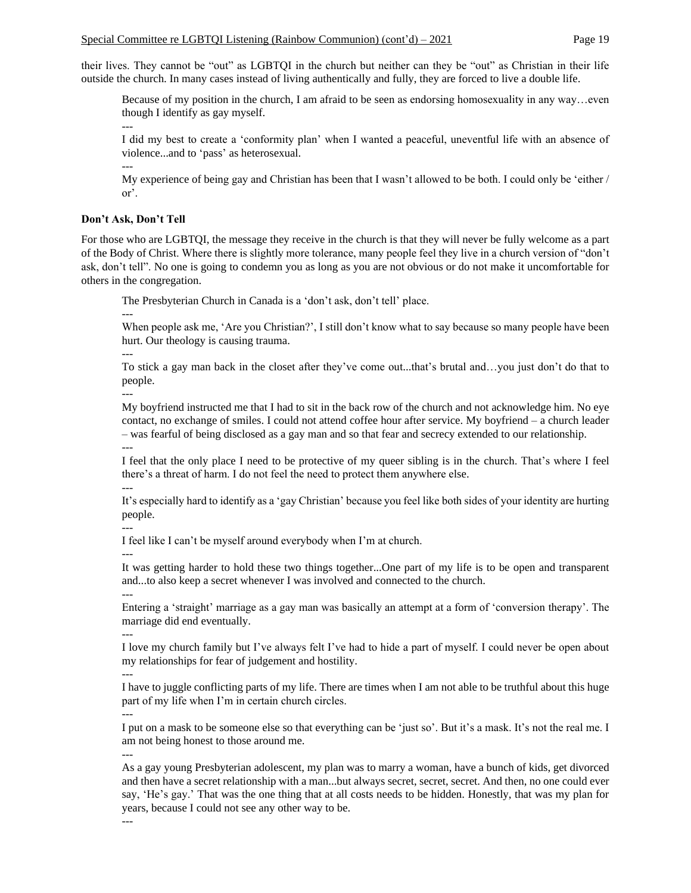their lives. They cannot be "out" as LGBTQI in the church but neither can they be "out" as Christian in their life outside the church. In many cases instead of living authentically and fully, they are forced to live a double life.

Because of my position in the church, I am afraid to be seen as endorsing homosexuality in any way…even though I identify as gay myself.

---

I did my best to create a 'conformity plan' when I wanted a peaceful, uneventful life with an absence of violence...and to 'pass' as heterosexual.

---

My experience of being gay and Christian has been that I wasn't allowed to be both. I could only be 'either / or'.

### **Don't Ask, Don't Tell**

For those who are LGBTQI, the message they receive in the church is that they will never be fully welcome as a part of the Body of Christ. Where there is slightly more tolerance, many people feel they live in a church version of "don't ask, don't tell". No one is going to condemn you as long as you are not obvious or do not make it uncomfortable for others in the congregation.

The Presbyterian Church in Canada is a 'don't ask, don't tell' place.

When people ask me, 'Are you Christian?', I still don't know what to say because so many people have been hurt. Our theology is causing trauma.

---

---

To stick a gay man back in the closet after they've come out...that's brutal and…you just don't do that to people.

---

My boyfriend instructed me that I had to sit in the back row of the church and not acknowledge him. No eye contact, no exchange of smiles. I could not attend coffee hour after service. My boyfriend – a church leader – was fearful of being disclosed as a gay man and so that fear and secrecy extended to our relationship. ---

I feel that the only place I need to be protective of my queer sibling is in the church. That's where I feel there's a threat of harm. I do not feel the need to protect them anywhere else. ---

It's especially hard to identify as a 'gay Christian' because you feel like both sides of your identity are hurting people.

---

I feel like I can't be myself around everybody when I'm at church.

---

It was getting harder to hold these two things together...One part of my life is to be open and transparent and...to also keep a secret whenever I was involved and connected to the church. ---

Entering a 'straight' marriage as a gay man was basically an attempt at a form of 'conversion therapy'. The marriage did end eventually.

--- I love my church family but I've always felt I've had to hide a part of myself. I could never be open about my relationships for fear of judgement and hostility.

---

---

I have to juggle conflicting parts of my life. There are times when I am not able to be truthful about this huge part of my life when I'm in certain church circles.

I put on a mask to be someone else so that everything can be 'just so'. But it's a mask. It's not the real me. I

am not being honest to those around me.

---

As a gay young Presbyterian adolescent, my plan was to marry a woman, have a bunch of kids, get divorced and then have a secret relationship with a man...but always secret, secret, secret. And then, no one could ever say, 'He's gay.' That was the one thing that at all costs needs to be hidden. Honestly, that was my plan for years, because I could not see any other way to be.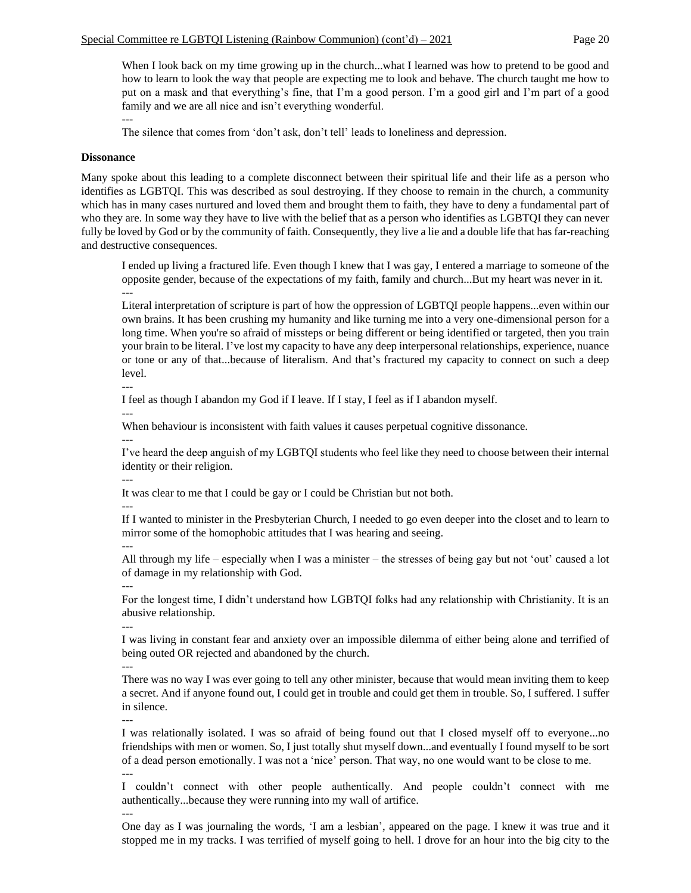When I look back on my time growing up in the church...what I learned was how to pretend to be good and how to learn to look the way that people are expecting me to look and behave. The church taught me how to put on a mask and that everything's fine, that I'm a good person. I'm a good girl and I'm part of a good family and we are all nice and isn't everything wonderful.

The silence that comes from 'don't ask, don't tell' leads to loneliness and depression.

#### **Dissonance**

---

Many spoke about this leading to a complete disconnect between their spiritual life and their life as a person who identifies as LGBTQI. This was described as soul destroying. If they choose to remain in the church, a community which has in many cases nurtured and loved them and brought them to faith, they have to deny a fundamental part of who they are. In some way they have to live with the belief that as a person who identifies as LGBTQI they can never fully be loved by God or by the community of faith. Consequently, they live a lie and a double life that has far-reaching and destructive consequences.

I ended up living a fractured life. Even though I knew that I was gay, I entered a marriage to someone of the opposite gender, because of the expectations of my faith, family and church...But my heart was never in it. ---

Literal interpretation of scripture is part of how the oppression of LGBTQI people happens...even within our own brains. It has been crushing my humanity and like turning me into a very one-dimensional person for a long time. When you're so afraid of missteps or being different or being identified or targeted, then you train your brain to be literal. I've lost my capacity to have any deep interpersonal relationships, experience, nuance or tone or any of that...because of literalism. And that's fractured my capacity to connect on such a deep level.

I feel as though I abandon my God if I leave. If I stay, I feel as if I abandon myself.

---

---

When behaviour is inconsistent with faith values it causes perpetual cognitive dissonance.

---

I've heard the deep anguish of my LGBTQI students who feel like they need to choose between their internal identity or their religion.

It was clear to me that I could be gay or I could be Christian but not both.

---

---

If I wanted to minister in the Presbyterian Church, I needed to go even deeper into the closet and to learn to mirror some of the homophobic attitudes that I was hearing and seeing.

---

---

---

All through my life – especially when I was a minister – the stresses of being gay but not 'out' caused a lot of damage in my relationship with God.

For the longest time, I didn't understand how LGBTQI folks had any relationship with Christianity. It is an abusive relationship.

I was living in constant fear and anxiety over an impossible dilemma of either being alone and terrified of being outed OR rejected and abandoned by the church.

--- There was no way I was ever going to tell any other minister, because that would mean inviting them to keep a secret. And if anyone found out, I could get in trouble and could get them in trouble. So, I suffered. I suffer in silence.

---

---

I was relationally isolated. I was so afraid of being found out that I closed myself off to everyone...no friendships with men or women. So, I just totally shut myself down...and eventually I found myself to be sort of a dead person emotionally. I was not a 'nice' person. That way, no one would want to be close to me. ---

I couldn't connect with other people authentically. And people couldn't connect with me authentically...because they were running into my wall of artifice.

One day as I was journaling the words, 'I am a lesbian', appeared on the page. I knew it was true and it stopped me in my tracks. I was terrified of myself going to hell. I drove for an hour into the big city to the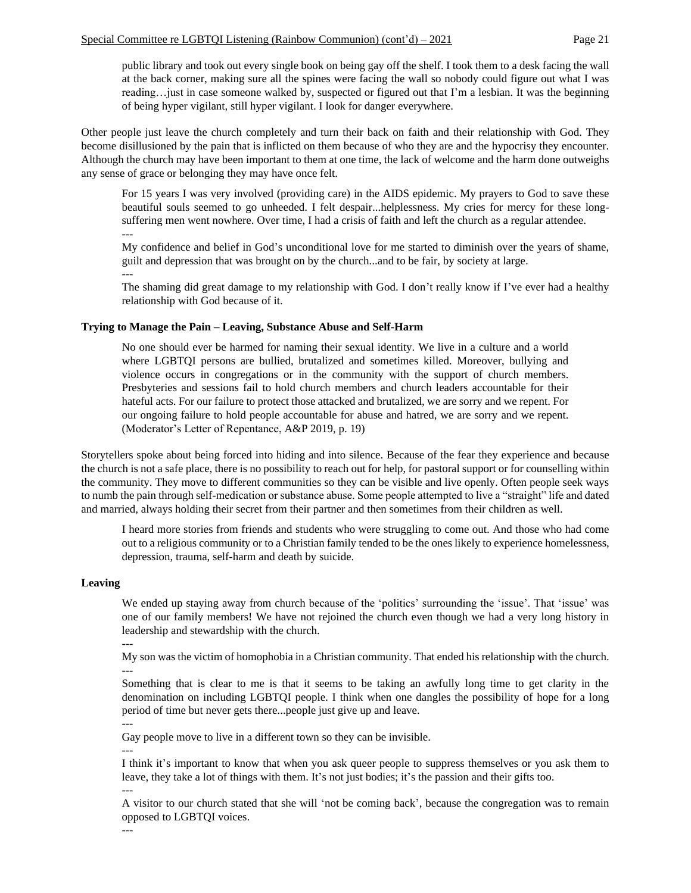public library and took out every single book on being gay off the shelf. I took them to a desk facing the wall at the back corner, making sure all the spines were facing the wall so nobody could figure out what I was reading…just in case someone walked by, suspected or figured out that I'm a lesbian. It was the beginning of being hyper vigilant, still hyper vigilant. I look for danger everywhere.

Other people just leave the church completely and turn their back on faith and their relationship with God. They become disillusioned by the pain that is inflicted on them because of who they are and the hypocrisy they encounter. Although the church may have been important to them at one time, the lack of welcome and the harm done outweighs any sense of grace or belonging they may have once felt.

For 15 years I was very involved (providing care) in the AIDS epidemic. My prayers to God to save these beautiful souls seemed to go unheeded. I felt despair...helplessness. My cries for mercy for these longsuffering men went nowhere. Over time, I had a crisis of faith and left the church as a regular attendee. ---

My confidence and belief in God's unconditional love for me started to diminish over the years of shame, guilt and depression that was brought on by the church...and to be fair, by society at large.

---

The shaming did great damage to my relationship with God. I don't really know if I've ever had a healthy relationship with God because of it.

#### **Trying to Manage the Pain – Leaving, Substance Abuse and Self-Harm**

No one should ever be harmed for naming their sexual identity. We live in a culture and a world where LGBTQI persons are bullied, brutalized and sometimes killed. Moreover, bullying and violence occurs in congregations or in the community with the support of church members. Presbyteries and sessions fail to hold church members and church leaders accountable for their hateful acts. For our failure to protect those attacked and brutalized, we are sorry and we repent. For our ongoing failure to hold people accountable for abuse and hatred, we are sorry and we repent. (Moderator's Letter of Repentance, A&P 2019, p. 19)

Storytellers spoke about being forced into hiding and into silence. Because of the fear they experience and because the church is not a safe place, there is no possibility to reach out for help, for pastoral support or for counselling within the community. They move to different communities so they can be visible and live openly. Often people seek ways to numb the pain through self-medication or substance abuse. Some people attempted to live a "straight" life and dated and married, always holding their secret from their partner and then sometimes from their children as well.

I heard more stories from friends and students who were struggling to come out. And those who had come out to a religious community or to a Christian family tended to be the ones likely to experience homelessness, depression, trauma, self-harm and death by suicide.

#### **Leaving**

We ended up staying away from church because of the 'politics' surrounding the 'issue'. That 'issue' was one of our family members! We have not rejoined the church even though we had a very long history in leadership and stewardship with the church.

---

My son was the victim of homophobia in a Christian community. That ended his relationship with the church. ---

Something that is clear to me is that it seems to be taking an awfully long time to get clarity in the denomination on including LGBTQI people. I think when one dangles the possibility of hope for a long period of time but never gets there...people just give up and leave. ---

Gay people move to live in a different town so they can be invisible.

---

I think it's important to know that when you ask queer people to suppress themselves or you ask them to leave, they take a lot of things with them. It's not just bodies; it's the passion and their gifts too.

---

A visitor to our church stated that she will 'not be coming back', because the congregation was to remain opposed to LGBTQI voices.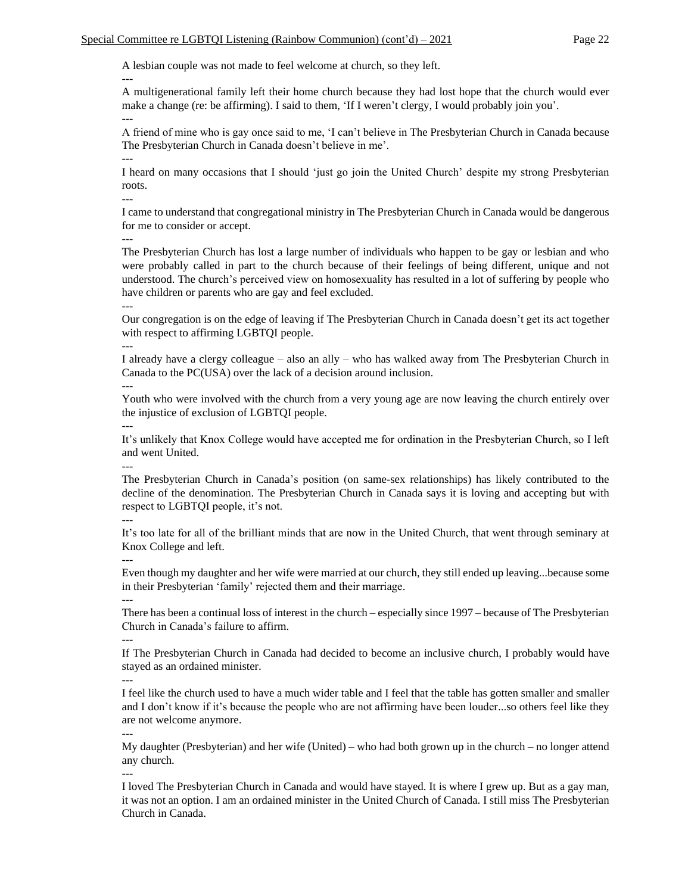A lesbian couple was not made to feel welcome at church, so they left.

A multigenerational family left their home church because they had lost hope that the church would ever make a change (re: be affirming). I said to them, 'If I weren't clergy, I would probably join you'. ---

A friend of mine who is gay once said to me, 'I can't believe in The Presbyterian Church in Canada because The Presbyterian Church in Canada doesn't believe in me'. ---

I heard on many occasions that I should 'just go join the United Church' despite my strong Presbyterian roots.

---

---

I came to understand that congregational ministry in The Presbyterian Church in Canada would be dangerous for me to consider or accept.

---

The Presbyterian Church has lost a large number of individuals who happen to be gay or lesbian and who were probably called in part to the church because of their feelings of being different, unique and not understood. The church's perceived view on homosexuality has resulted in a lot of suffering by people who have children or parents who are gay and feel excluded. ---

Our congregation is on the edge of leaving if The Presbyterian Church in Canada doesn't get its act together with respect to affirming LGBTQI people.

---

I already have a clergy colleague – also an ally – who has walked away from The Presbyterian Church in Canada to the PC(USA) over the lack of a decision around inclusion.

---

Youth who were involved with the church from a very young age are now leaving the church entirely over the injustice of exclusion of LGBTQI people.

It's unlikely that Knox College would have accepted me for ordination in the Presbyterian Church, so I left and went United.

---

---

The Presbyterian Church in Canada's position (on same-sex relationships) has likely contributed to the decline of the denomination. The Presbyterian Church in Canada says it is loving and accepting but with respect to LGBTQI people, it's not.

---

It's too late for all of the brilliant minds that are now in the United Church, that went through seminary at Knox College and left. ---

Even though my daughter and her wife were married at our church, they still ended up leaving...because some in their Presbyterian 'family' rejected them and their marriage. ---

There has been a continual loss of interest in the church – especially since 1997 – because of The Presbyterian Church in Canada's failure to affirm.

---

If The Presbyterian Church in Canada had decided to become an inclusive church, I probably would have stayed as an ordained minister.

---

I feel like the church used to have a much wider table and I feel that the table has gotten smaller and smaller and I don't know if it's because the people who are not affirming have been louder...so others feel like they are not welcome anymore.

---

My daughter (Presbyterian) and her wife (United) – who had both grown up in the church – no longer attend any church.

---

I loved The Presbyterian Church in Canada and would have stayed. It is where I grew up. But as a gay man, it was not an option. I am an ordained minister in the United Church of Canada. I still miss The Presbyterian Church in Canada.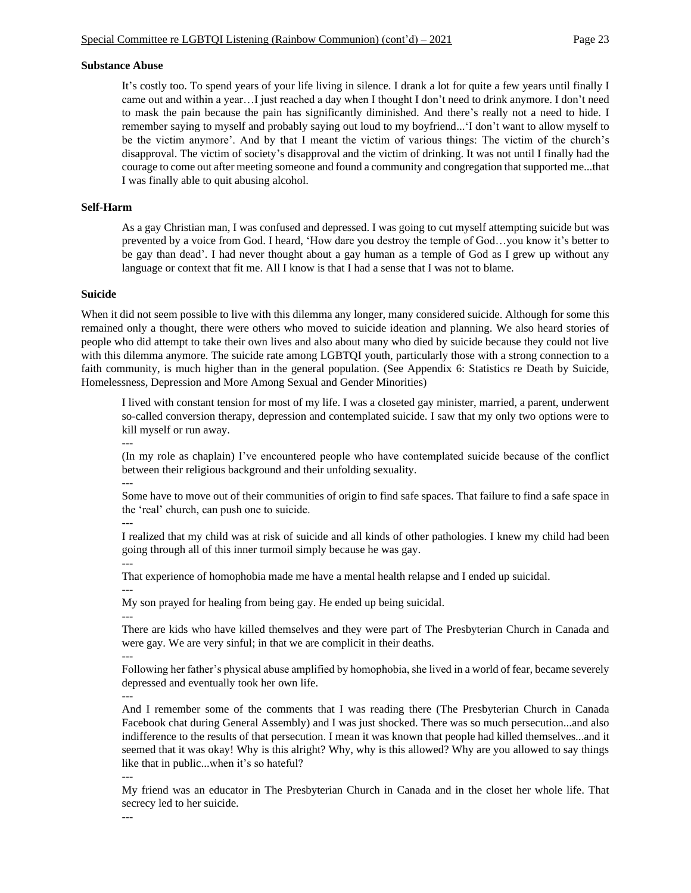#### **Substance Abuse**

It's costly too. To spend years of your life living in silence. I drank a lot for quite a few years until finally I came out and within a year…I just reached a day when I thought I don't need to drink anymore. I don't need to mask the pain because the pain has significantly diminished. And there's really not a need to hide. I remember saying to myself and probably saying out loud to my boyfriend...'I don't want to allow myself to be the victim anymore'. And by that I meant the victim of various things: The victim of the church's disapproval. The victim of society's disapproval and the victim of drinking. It was not until I finally had the courage to come out after meeting someone and found a community and congregation that supported me...that I was finally able to quit abusing alcohol.

#### **Self-Harm**

As a gay Christian man, I was confused and depressed. I was going to cut myself attempting suicide but was prevented by a voice from God. I heard, 'How dare you destroy the temple of God…you know it's better to be gay than dead'. I had never thought about a gay human as a temple of God as I grew up without any language or context that fit me. All I know is that I had a sense that I was not to blame.

#### **Suicide**

When it did not seem possible to live with this dilemma any longer, many considered suicide. Although for some this remained only a thought, there were others who moved to suicide ideation and planning. We also heard stories of people who did attempt to take their own lives and also about many who died by suicide because they could not live with this dilemma anymore. The suicide rate among LGBTQI youth, particularly those with a strong connection to a faith community, is much higher than in the general population. (See Appendix 6: Statistics re Death by Suicide, Homelessness, Depression and More Among Sexual and Gender Minorities)

I lived with constant tension for most of my life. I was a closeted gay minister, married, a parent, underwent so-called conversion therapy, depression and contemplated suicide. I saw that my only two options were to kill myself or run away.

---

(In my role as chaplain) I've encountered people who have contemplated suicide because of the conflict between their religious background and their unfolding sexuality.

---

Some have to move out of their communities of origin to find safe spaces. That failure to find a safe space in the 'real' church, can push one to suicide.

---

---

I realized that my child was at risk of suicide and all kinds of other pathologies. I knew my child had been going through all of this inner turmoil simply because he was gay. ---

That experience of homophobia made me have a mental health relapse and I ended up suicidal.

My son prayed for healing from being gay. He ended up being suicidal. ---

There are kids who have killed themselves and they were part of The Presbyterian Church in Canada and were gay. We are very sinful; in that we are complicit in their deaths. ---

Following her father's physical abuse amplified by homophobia, she lived in a world of fear, became severely depressed and eventually took her own life.

---

And I remember some of the comments that I was reading there (The Presbyterian Church in Canada Facebook chat during General Assembly) and I was just shocked. There was so much persecution...and also indifference to the results of that persecution. I mean it was known that people had killed themselves...and it seemed that it was okay! Why is this alright? Why, why is this allowed? Why are you allowed to say things like that in public...when it's so hateful?

---

My friend was an educator in The Presbyterian Church in Canada and in the closet her whole life. That secrecy led to her suicide.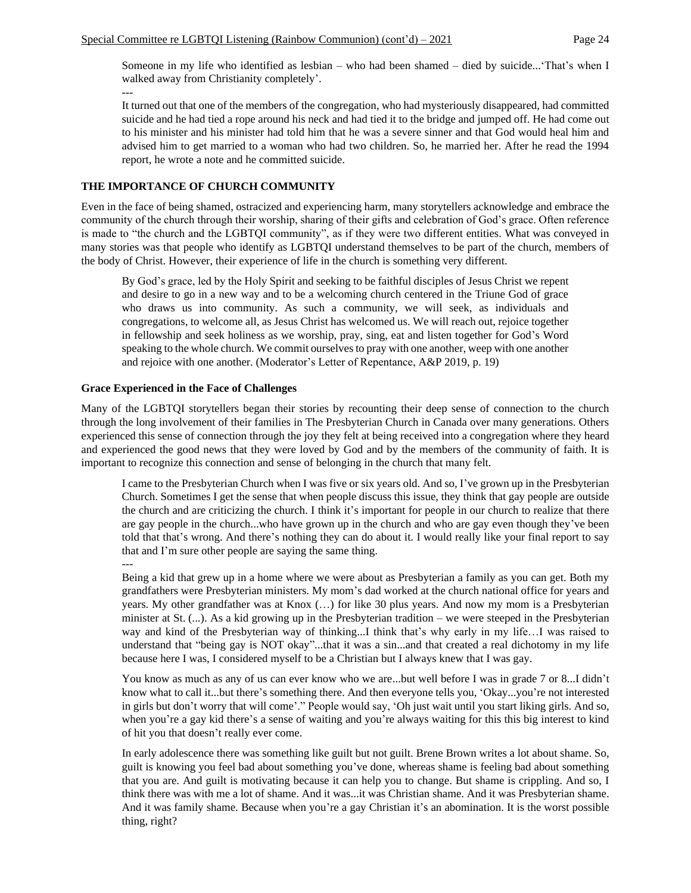Someone in my life who identified as lesbian – who had been shamed – died by suicide...'That's when I walked away from Christianity completely'. ---

It turned out that one of the members of the congregation, who had mysteriously disappeared, had committed suicide and he had tied a rope around his neck and had tied it to the bridge and jumped off. He had come out to his minister and his minister had told him that he was a severe sinner and that God would heal him and advised him to get married to a woman who had two children. So, he married her. After he read the 1994 report, he wrote a note and he committed suicide.

# **THE IMPORTANCE OF CHURCH COMMUNITY**

Even in the face of being shamed, ostracized and experiencing harm, many storytellers acknowledge and embrace the community of the church through their worship, sharing of their gifts and celebration of God's grace. Often reference is made to "the church and the LGBTQI community", as if they were two different entities. What was conveyed in many stories was that people who identify as LGBTQI understand themselves to be part of the church, members of the body of Christ. However, their experience of life in the church is something very different.

By God's grace, led by the Holy Spirit and seeking to be faithful disciples of Jesus Christ we repent and desire to go in a new way and to be a welcoming church centered in the Triune God of grace who draws us into community. As such a community, we will seek, as individuals and congregations, to welcome all, as Jesus Christ has welcomed us. We will reach out, rejoice together in fellowship and seek holiness as we worship, pray, sing, eat and listen together for God's Word speaking to the whole church. We commit ourselves to pray with one another, weep with one another and rejoice with one another. (Moderator's Letter of Repentance, A&P 2019, p. 19)

### **Grace Experienced in the Face of Challenges**

Many of the LGBTQI storytellers began their stories by recounting their deep sense of connection to the church through the long involvement of their families in The Presbyterian Church in Canada over many generations. Others experienced this sense of connection through the joy they felt at being received into a congregation where they heard and experienced the good news that they were loved by God and by the members of the community of faith. It is important to recognize this connection and sense of belonging in the church that many felt.

I came to the Presbyterian Church when I was five or six years old. And so, I've grown up in the Presbyterian Church. Sometimes I get the sense that when people discuss this issue, they think that gay people are outside the church and are criticizing the church. I think it's important for people in our church to realize that there are gay people in the church...who have grown up in the church and who are gay even though they've been told that that's wrong. And there's nothing they can do about it. I would really like your final report to say that and I'm sure other people are saying the same thing.

---

Being a kid that grew up in a home where we were about as Presbyterian a family as you can get. Both my grandfathers were Presbyterian ministers. My mom's dad worked at the church national office for years and years. My other grandfather was at Knox (…) for like 30 plus years. And now my mom is a Presbyterian minister at St. (...). As a kid growing up in the Presbyterian tradition – we were steeped in the Presbyterian way and kind of the Presbyterian way of thinking...I think that's why early in my life…I was raised to understand that "being gay is NOT okay"...that it was a sin...and that created a real dichotomy in my life because here I was, I considered myself to be a Christian but I always knew that I was gay.

You know as much as any of us can ever know who we are...but well before I was in grade 7 or 8...I didn't know what to call it...but there's something there. And then everyone tells you, 'Okay...you're not interested in girls but don't worry that will come'." People would say, 'Oh just wait until you start liking girls. And so, when you're a gay kid there's a sense of waiting and you're always waiting for this this big interest to kind of hit you that doesn't really ever come.

In early adolescence there was something like guilt but not guilt. Brene Brown writes a lot about shame. So, guilt is knowing you feel bad about something you've done, whereas shame is feeling bad about something that you are. And guilt is motivating because it can help you to change. But shame is crippling. And so, I think there was with me a lot of shame. And it was...it was Christian shame. And it was Presbyterian shame. And it was family shame. Because when you're a gay Christian it's an abomination. It is the worst possible thing, right?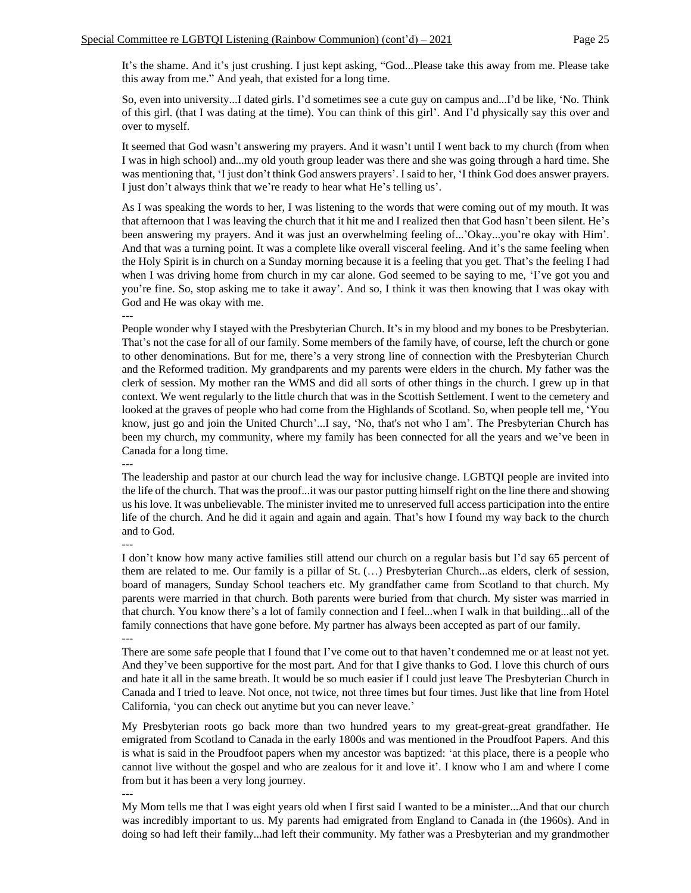It's the shame. And it's just crushing. I just kept asking, "God...Please take this away from me. Please take this away from me." And yeah, that existed for a long time.

So, even into university...I dated girls. I'd sometimes see a cute guy on campus and...I'd be like, 'No. Think of this girl. (that I was dating at the time). You can think of this girl'. And I'd physically say this over and over to myself.

It seemed that God wasn't answering my prayers. And it wasn't until I went back to my church (from when I was in high school) and...my old youth group leader was there and she was going through a hard time. She was mentioning that, 'I just don't think God answers prayers'. I said to her, 'I think God does answer prayers. I just don't always think that we're ready to hear what He's telling us'.

As I was speaking the words to her, I was listening to the words that were coming out of my mouth. It was that afternoon that I was leaving the church that it hit me and I realized then that God hasn't been silent. He's been answering my prayers. And it was just an overwhelming feeling of...'Okay...you're okay with Him'. And that was a turning point. It was a complete like overall visceral feeling. And it's the same feeling when the Holy Spirit is in church on a Sunday morning because it is a feeling that you get. That's the feeling I had when I was driving home from church in my car alone. God seemed to be saying to me, 'I've got you and you're fine. So, stop asking me to take it away'. And so, I think it was then knowing that I was okay with God and He was okay with me.

---

People wonder why I stayed with the Presbyterian Church. It's in my blood and my bones to be Presbyterian. That's not the case for all of our family. Some members of the family have, of course, left the church or gone to other denominations. But for me, there's a very strong line of connection with the Presbyterian Church and the Reformed tradition. My grandparents and my parents were elders in the church. My father was the clerk of session. My mother ran the WMS and did all sorts of other things in the church. I grew up in that context. We went regularly to the little church that was in the Scottish Settlement. I went to the cemetery and looked at the graves of people who had come from the Highlands of Scotland. So, when people tell me, 'You know, just go and join the United Church'...I say, 'No, that's not who I am'. The Presbyterian Church has been my church, my community, where my family has been connected for all the years and we've been in Canada for a long time.

---

The leadership and pastor at our church lead the way for inclusive change. LGBTQI people are invited into the life of the church. That was the proof...it was our pastor putting himself right on the line there and showing us his love. It was unbelievable. The minister invited me to unreserved full access participation into the entire life of the church. And he did it again and again and again. That's how I found my way back to the church and to God.

---

I don't know how many active families still attend our church on a regular basis but I'd say 65 percent of them are related to me. Our family is a pillar of St. (…) Presbyterian Church...as elders, clerk of session, board of managers, Sunday School teachers etc. My grandfather came from Scotland to that church. My parents were married in that church. Both parents were buried from that church. My sister was married in that church. You know there's a lot of family connection and I feel...when I walk in that building...all of the family connections that have gone before. My partner has always been accepted as part of our family. ---

There are some safe people that I found that I've come out to that haven't condemned me or at least not yet. And they've been supportive for the most part. And for that I give thanks to God. I love this church of ours and hate it all in the same breath. It would be so much easier if I could just leave The Presbyterian Church in Canada and I tried to leave. Not once, not twice, not three times but four times. Just like that line from Hotel California, 'you can check out anytime but you can never leave.'

My Presbyterian roots go back more than two hundred years to my great-great-great grandfather. He emigrated from Scotland to Canada in the early 1800s and was mentioned in the Proudfoot Papers. And this is what is said in the Proudfoot papers when my ancestor was baptized: 'at this place, there is a people who cannot live without the gospel and who are zealous for it and love it'. I know who I am and where I come from but it has been a very long journey.

---

My Mom tells me that I was eight years old when I first said I wanted to be a minister...And that our church was incredibly important to us. My parents had emigrated from England to Canada in (the 1960s). And in doing so had left their family...had left their community. My father was a Presbyterian and my grandmother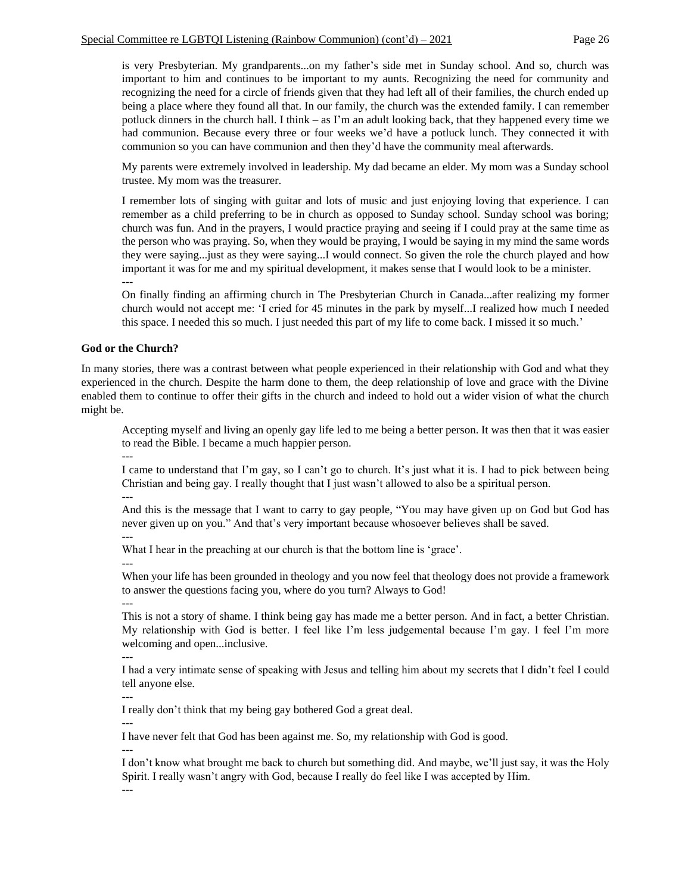is very Presbyterian. My grandparents...on my father's side met in Sunday school. And so, church was important to him and continues to be important to my aunts. Recognizing the need for community and recognizing the need for a circle of friends given that they had left all of their families, the church ended up being a place where they found all that. In our family, the church was the extended family. I can remember potluck dinners in the church hall. I think – as I'm an adult looking back, that they happened every time we had communion. Because every three or four weeks we'd have a potluck lunch. They connected it with communion so you can have communion and then they'd have the community meal afterwards.

My parents were extremely involved in leadership. My dad became an elder. My mom was a Sunday school trustee. My mom was the treasurer.

I remember lots of singing with guitar and lots of music and just enjoying loving that experience. I can remember as a child preferring to be in church as opposed to Sunday school. Sunday school was boring; church was fun. And in the prayers, I would practice praying and seeing if I could pray at the same time as the person who was praying. So, when they would be praying, I would be saying in my mind the same words they were saying...just as they were saying...I would connect. So given the role the church played and how important it was for me and my spiritual development, it makes sense that I would look to be a minister. ---

On finally finding an affirming church in The Presbyterian Church in Canada...after realizing my former church would not accept me: 'I cried for 45 minutes in the park by myself...I realized how much I needed this space. I needed this so much. I just needed this part of my life to come back. I missed it so much.'

#### **God or the Church?**

In many stories, there was a contrast between what people experienced in their relationship with God and what they experienced in the church. Despite the harm done to them, the deep relationship of love and grace with the Divine enabled them to continue to offer their gifts in the church and indeed to hold out a wider vision of what the church might be.

Accepting myself and living an openly gay life led to me being a better person. It was then that it was easier to read the Bible. I became a much happier person.

I came to understand that I'm gay, so I can't go to church. It's just what it is. I had to pick between being Christian and being gay. I really thought that I just wasn't allowed to also be a spiritual person.

---

---

And this is the message that I want to carry to gay people, "You may have given up on God but God has never given up on you." And that's very important because whosoever believes shall be saved.

---

What I hear in the preaching at our church is that the bottom line is 'grace'.

---

When your life has been grounded in theology and you now feel that theology does not provide a framework to answer the questions facing you, where do you turn? Always to God!

---

This is not a story of shame. I think being gay has made me a better person. And in fact, a better Christian. My relationship with God is better. I feel like I'm less judgemental because I'm gay. I feel I'm more welcoming and open...inclusive.

---

I had a very intimate sense of speaking with Jesus and telling him about my secrets that I didn't feel I could tell anyone else.

---

---

I really don't think that my being gay bothered God a great deal.

I have never felt that God has been against me. So, my relationship with God is good.

---

I don't know what brought me back to church but something did. And maybe, we'll just say, it was the Holy Spirit. I really wasn't angry with God, because I really do feel like I was accepted by Him.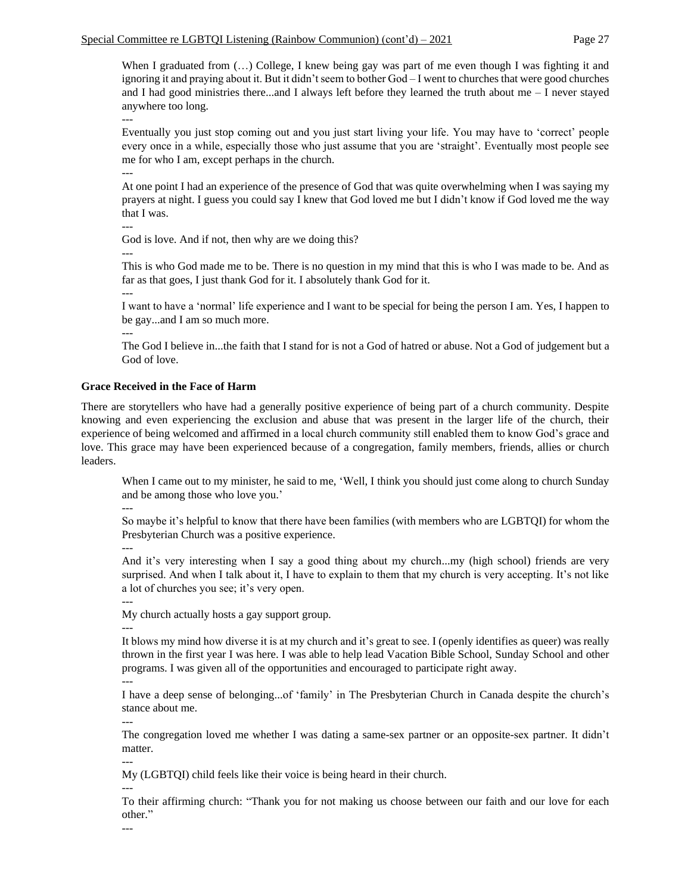When I graduated from  $(...)$  College, I knew being gay was part of me even though I was fighting it and ignoring it and praying about it. But it didn't seem to bother God – I went to churches that were good churches and I had good ministries there...and I always left before they learned the truth about me – I never stayed anywhere too long.

---

Eventually you just stop coming out and you just start living your life. You may have to 'correct' people every once in a while, especially those who just assume that you are 'straight'. Eventually most people see me for who I am, except perhaps in the church.

---

At one point I had an experience of the presence of God that was quite overwhelming when I was saying my prayers at night. I guess you could say I knew that God loved me but I didn't know if God loved me the way that I was.

---

God is love. And if not, then why are we doing this?

---

This is who God made me to be. There is no question in my mind that this is who I was made to be. And as far as that goes, I just thank God for it. I absolutely thank God for it.

---

---

I want to have a 'normal' life experience and I want to be special for being the person I am. Yes, I happen to be gay...and I am so much more.

The God I believe in...the faith that I stand for is not a God of hatred or abuse. Not a God of judgement but a God of love.

### **Grace Received in the Face of Harm**

There are storytellers who have had a generally positive experience of being part of a church community. Despite knowing and even experiencing the exclusion and abuse that was present in the larger life of the church, their experience of being welcomed and affirmed in a local church community still enabled them to know God's grace and love. This grace may have been experienced because of a congregation, family members, friends, allies or church leaders.

When I came out to my minister, he said to me, 'Well, I think you should just come along to church Sunday and be among those who love you.'

---

So maybe it's helpful to know that there have been families (with members who are LGBTQI) for whom the Presbyterian Church was a positive experience.

---

And it's very interesting when I say a good thing about my church...my (high school) friends are very surprised. And when I talk about it, I have to explain to them that my church is very accepting. It's not like a lot of churches you see; it's very open.

My church actually hosts a gay support group.

---

---

It blows my mind how diverse it is at my church and it's great to see. I (openly identifies as queer) was really thrown in the first year I was here. I was able to help lead Vacation Bible School, Sunday School and other programs. I was given all of the opportunities and encouraged to participate right away.

---

I have a deep sense of belonging...of 'family' in The Presbyterian Church in Canada despite the church's stance about me.

---

The congregation loved me whether I was dating a same-sex partner or an opposite-sex partner. It didn't matter.

---

My (LGBTQI) child feels like their voice is being heard in their church.

---

To their affirming church: "Thank you for not making us choose between our faith and our love for each other."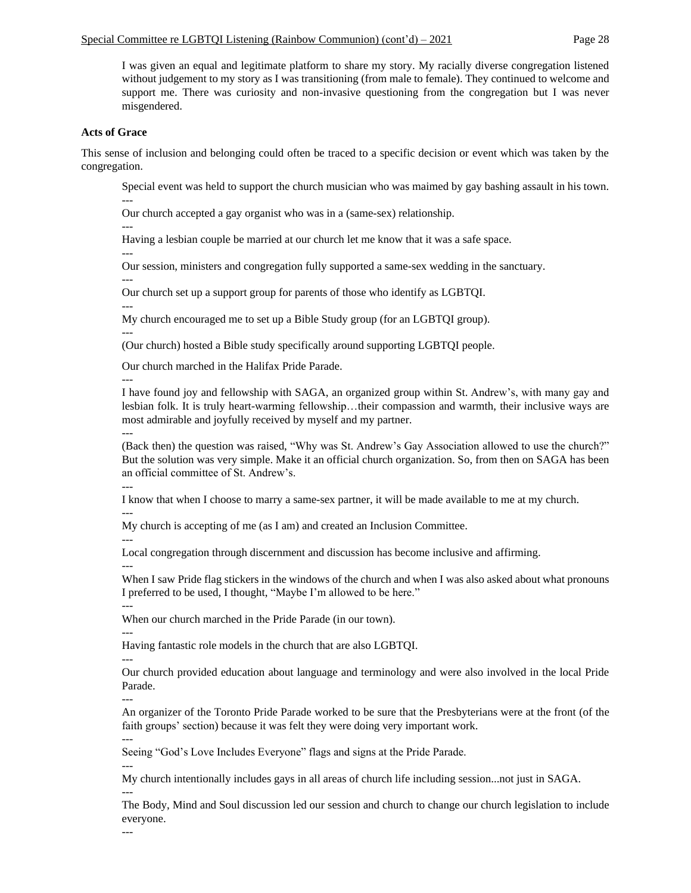I was given an equal and legitimate platform to share my story. My racially diverse congregation listened without judgement to my story as I was transitioning (from male to female). They continued to welcome and support me. There was curiosity and non-invasive questioning from the congregation but I was never misgendered.

# **Acts of Grace**

This sense of inclusion and belonging could often be traced to a specific decision or event which was taken by the congregation.

Special event was held to support the church musician who was maimed by gay bashing assault in his town.

--- Our church accepted a gay organist who was in a (same-sex) relationship.

---

Having a lesbian couple be married at our church let me know that it was a safe space.

---

---

---

---

Our session, ministers and congregation fully supported a same-sex wedding in the sanctuary. ---

Our church set up a support group for parents of those who identify as LGBTQI.

My church encouraged me to set up a Bible Study group (for an LGBTQI group).

(Our church) hosted a Bible study specifically around supporting LGBTQI people.

Our church marched in the Halifax Pride Parade.

I have found joy and fellowship with SAGA, an organized group within St. Andrew's, with many gay and lesbian folk. It is truly heart-warming fellowship…their compassion and warmth, their inclusive ways are most admirable and joyfully received by myself and my partner. ---

(Back then) the question was raised, "Why was St. Andrew's Gay Association allowed to use the church?" But the solution was very simple. Make it an official church organization. So, from then on SAGA has been an official committee of St. Andrew's.

--- I know that when I choose to marry a same-sex partner, it will be made available to me at my church. ---

My church is accepting of me (as I am) and created an Inclusion Committee.

--- Local congregation through discernment and discussion has become inclusive and affirming.

---

When I saw Pride flag stickers in the windows of the church and when I was also asked about what pronouns I preferred to be used, I thought, "Maybe I'm allowed to be here."

---

When our church marched in the Pride Parade (in our town). ---

Having fantastic role models in the church that are also LGBTQI.

---

---

Our church provided education about language and terminology and were also involved in the local Pride Parade.

An organizer of the Toronto Pride Parade worked to be sure that the Presbyterians were at the front (of the faith groups' section) because it was felt they were doing very important work.

--- Seeing "God's Love Includes Everyone" flags and signs at the Pride Parade.

---

My church intentionally includes gays in all areas of church life including session...not just in SAGA.

--- The Body, Mind and Soul discussion led our session and church to change our church legislation to include everyone.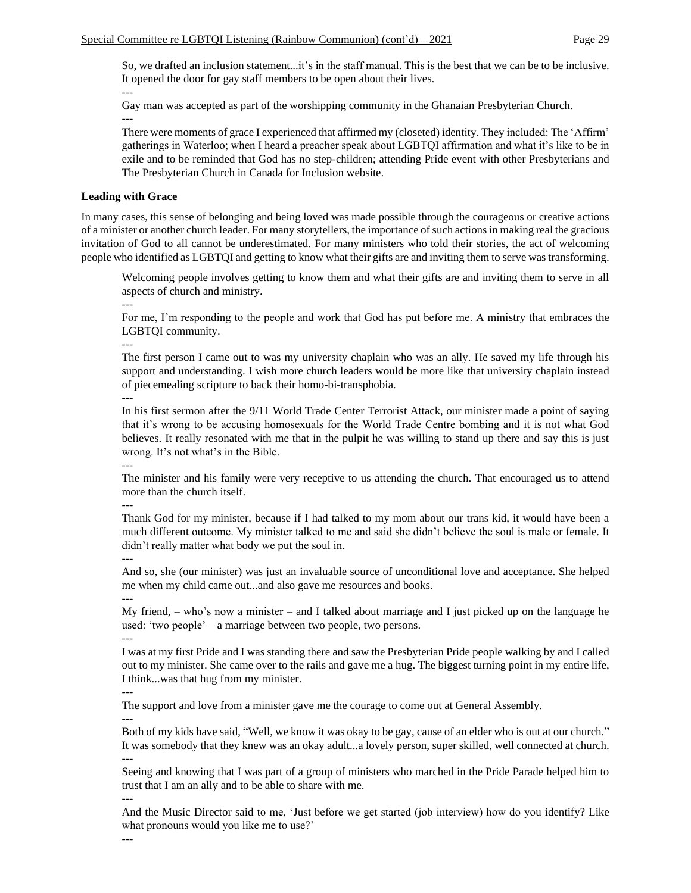So, we drafted an inclusion statement...it's in the staff manual. This is the best that we can be to be inclusive. It opened the door for gay staff members to be open about their lives.

Gay man was accepted as part of the worshipping community in the Ghanaian Presbyterian Church. ---

There were moments of grace I experienced that affirmed my (closeted) identity. They included: The 'Affirm' gatherings in Waterloo; when I heard a preacher speak about LGBTQI affirmation and what it's like to be in exile and to be reminded that God has no step-children; attending Pride event with other Presbyterians and The Presbyterian Church in Canada for Inclusion website.

# **Leading with Grace**

---

In many cases, this sense of belonging and being loved was made possible through the courageous or creative actions of a minister or another church leader. For many storytellers, the importance of such actions in making real the gracious invitation of God to all cannot be underestimated. For many ministers who told their stories, the act of welcoming people who identified as LGBTQI and getting to know what their gifts are and inviting them to serve was transforming.

Welcoming people involves getting to know them and what their gifts are and inviting them to serve in all aspects of church and ministry.

---

For me, I'm responding to the people and work that God has put before me. A ministry that embraces the LGBTQI community.

---

---

The first person I came out to was my university chaplain who was an ally. He saved my life through his support and understanding. I wish more church leaders would be more like that university chaplain instead of piecemealing scripture to back their homo-bi-transphobia.

In his first sermon after the 9/11 World Trade Center Terrorist Attack, our minister made a point of saying that it's wrong to be accusing homosexuals for the World Trade Centre bombing and it is not what God believes. It really resonated with me that in the pulpit he was willing to stand up there and say this is just wrong. It's not what's in the Bible.

---

The minister and his family were very receptive to us attending the church. That encouraged us to attend more than the church itself.

---

Thank God for my minister, because if I had talked to my mom about our trans kid, it would have been a much different outcome. My minister talked to me and said she didn't believe the soul is male or female. It didn't really matter what body we put the soul in.

---

And so, she (our minister) was just an invaluable source of unconditional love and acceptance. She helped me when my child came out...and also gave me resources and books. ---

My friend, – who's now a minister – and I talked about marriage and I just picked up on the language he used: 'two people' – a marriage between two people, two persons.

I was at my first Pride and I was standing there and saw the Presbyterian Pride people walking by and I called out to my minister. She came over to the rails and gave me a hug. The biggest turning point in my entire life, I think...was that hug from my minister.

---

---

The support and love from a minister gave me the courage to come out at General Assembly.

--- Both of my kids have said, "Well, we know it was okay to be gay, cause of an elder who is out at our church." It was somebody that they knew was an okay adult...a lovely person, super skilled, well connected at church. ---

Seeing and knowing that I was part of a group of ministers who marched in the Pride Parade helped him to trust that I am an ally and to be able to share with me.

---

And the Music Director said to me, 'Just before we get started (job interview) how do you identify? Like what pronouns would you like me to use?'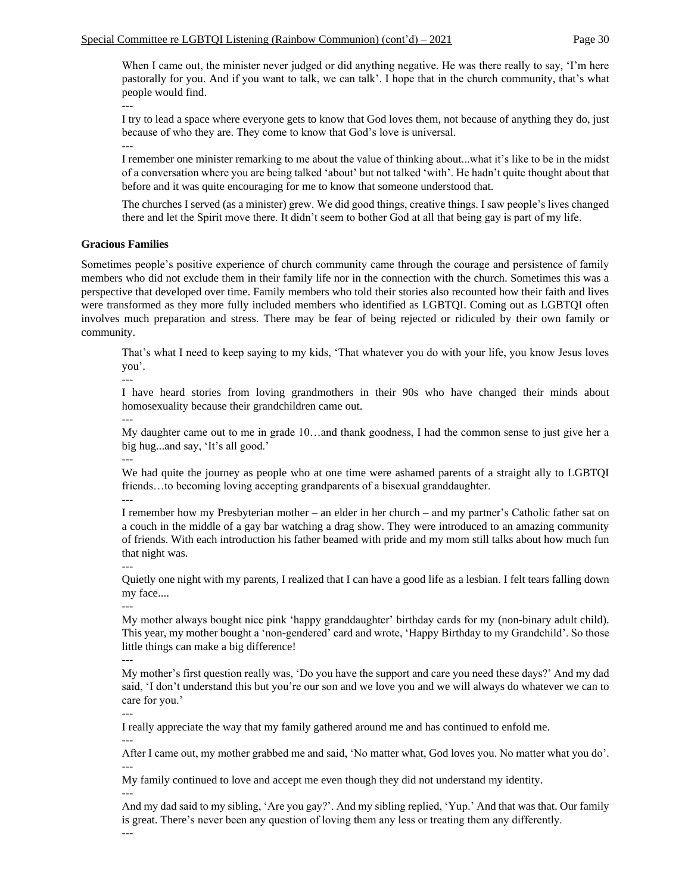When I came out, the minister never judged or did anything negative. He was there really to say, 'I'm here pastorally for you. And if you want to talk, we can talk'. I hope that in the church community, that's what people would find.

---

---

I try to lead a space where everyone gets to know that God loves them, not because of anything they do, just because of who they are. They come to know that God's love is universal.

I remember one minister remarking to me about the value of thinking about...what it's like to be in the midst of a conversation where you are being talked 'about' but not talked 'with'. He hadn't quite thought about that before and it was quite encouraging for me to know that someone understood that.

The churches I served (as a minister) grew. We did good things, creative things. I saw people's lives changed there and let the Spirit move there. It didn't seem to bother God at all that being gay is part of my life.

#### **Gracious Families**

Sometimes people's positive experience of church community came through the courage and persistence of family members who did not exclude them in their family life nor in the connection with the church. Sometimes this was a perspective that developed over time. Family members who told their stories also recounted how their faith and lives were transformed as they more fully included members who identified as LGBTQI. Coming out as LGBTQI often involves much preparation and stress. There may be fear of being rejected or ridiculed by their own family or community.

That's what I need to keep saying to my kids, 'That whatever you do with your life, you know Jesus loves you'.

I have heard stories from loving grandmothers in their 90s who have changed their minds about homosexuality because their grandchildren came out.

My daughter came out to me in grade 10…and thank goodness, I had the common sense to just give her a big hug...and say, 'It's all good.'

---

---

---

We had quite the journey as people who at one time were ashamed parents of a straight ally to LGBTQI friends…to becoming loving accepting grandparents of a bisexual granddaughter.

---

I remember how my Presbyterian mother – an elder in her church – and my partner's Catholic father sat on a couch in the middle of a gay bar watching a drag show. They were introduced to an amazing community of friends. With each introduction his father beamed with pride and my mom still talks about how much fun that night was.

---

Quietly one night with my parents, I realized that I can have a good life as a lesbian. I felt tears falling down my face....

---

My mother always bought nice pink 'happy granddaughter' birthday cards for my (non-binary adult child). This year, my mother bought a 'non-gendered' card and wrote, 'Happy Birthday to my Grandchild'. So those little things can make a big difference!

---

My mother's first question really was, 'Do you have the support and care you need these days?' And my dad said, 'I don't understand this but you're our son and we love you and we will always do whatever we can to care for you.'

---

I really appreciate the way that my family gathered around me and has continued to enfold me.

--- After I came out, my mother grabbed me and said, 'No matter what, God loves you. No matter what you do'. ---

My family continued to love and accept me even though they did not understand my identity.

And my dad said to my sibling, 'Are you gay?'. And my sibling replied, 'Yup.' And that was that. Our family is great. There's never been any question of loving them any less or treating them any differently.

---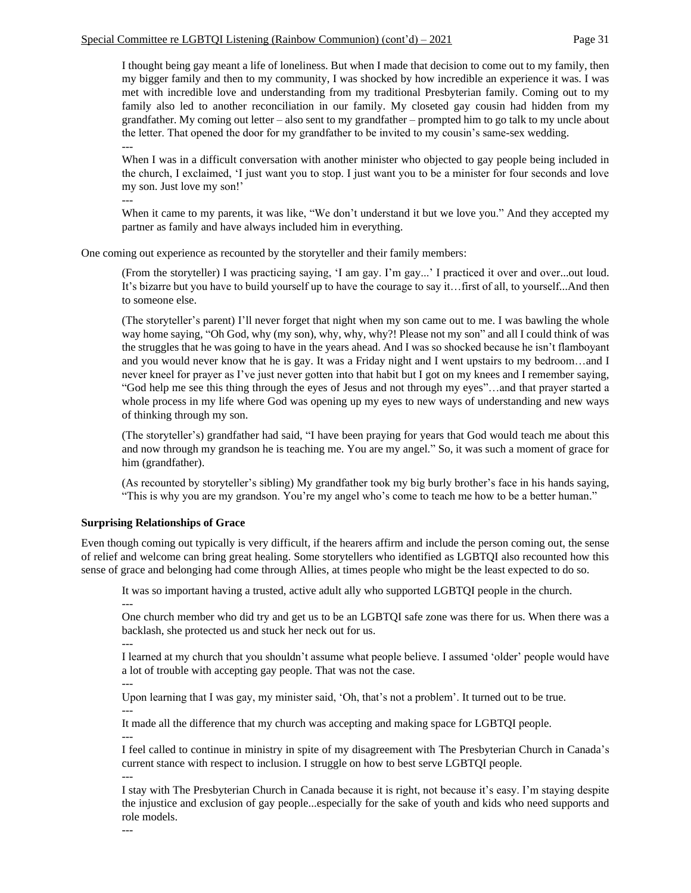I thought being gay meant a life of loneliness. But when I made that decision to come out to my family, then my bigger family and then to my community, I was shocked by how incredible an experience it was. I was met with incredible love and understanding from my traditional Presbyterian family. Coming out to my family also led to another reconciliation in our family. My closeted gay cousin had hidden from my grandfather. My coming out letter – also sent to my grandfather – prompted him to go talk to my uncle about the letter. That opened the door for my grandfather to be invited to my cousin's same-sex wedding.

When I was in a difficult conversation with another minister who objected to gay people being included in the church, I exclaimed, 'I just want you to stop. I just want you to be a minister for four seconds and love my son. Just love my son!'

---

---

When it came to my parents, it was like, "We don't understand it but we love you." And they accepted my partner as family and have always included him in everything.

One coming out experience as recounted by the storyteller and their family members:

(From the storyteller) I was practicing saying, 'I am gay. I'm gay...' I practiced it over and over...out loud. It's bizarre but you have to build yourself up to have the courage to say it…first of all, to yourself...And then to someone else.

(The storyteller's parent) I'll never forget that night when my son came out to me. I was bawling the whole way home saying, "Oh God, why (my son), why, why, why?! Please not my son" and all I could think of was the struggles that he was going to have in the years ahead. And I was so shocked because he isn't flamboyant and you would never know that he is gay. It was a Friday night and I went upstairs to my bedroom…and I never kneel for prayer as I've just never gotten into that habit but I got on my knees and I remember saying, "God help me see this thing through the eyes of Jesus and not through my eyes"…and that prayer started a whole process in my life where God was opening up my eyes to new ways of understanding and new ways of thinking through my son.

(The storyteller's) grandfather had said, "I have been praying for years that God would teach me about this and now through my grandson he is teaching me. You are my angel." So, it was such a moment of grace for him (grandfather).

(As recounted by storyteller's sibling) My grandfather took my big burly brother's face in his hands saying, "This is why you are my grandson. You're my angel who's come to teach me how to be a better human."

# **Surprising Relationships of Grace**

Even though coming out typically is very difficult, if the hearers affirm and include the person coming out, the sense of relief and welcome can bring great healing. Some storytellers who identified as LGBTQI also recounted how this sense of grace and belonging had come through Allies, at times people who might be the least expected to do so.

It was so important having a trusted, active adult ally who supported LGBTQI people in the church.

One church member who did try and get us to be an LGBTQI safe zone was there for us. When there was a backlash, she protected us and stuck her neck out for us.

---

---

I learned at my church that you shouldn't assume what people believe. I assumed 'older' people would have a lot of trouble with accepting gay people. That was not the case.

---

Upon learning that I was gay, my minister said, 'Oh, that's not a problem'. It turned out to be true. ---

It made all the difference that my church was accepting and making space for LGBTQI people.

--- I feel called to continue in ministry in spite of my disagreement with The Presbyterian Church in Canada's current stance with respect to inclusion. I struggle on how to best serve LGBTQI people.

---

I stay with The Presbyterian Church in Canada because it is right, not because it's easy. I'm staying despite the injustice and exclusion of gay people...especially for the sake of youth and kids who need supports and role models.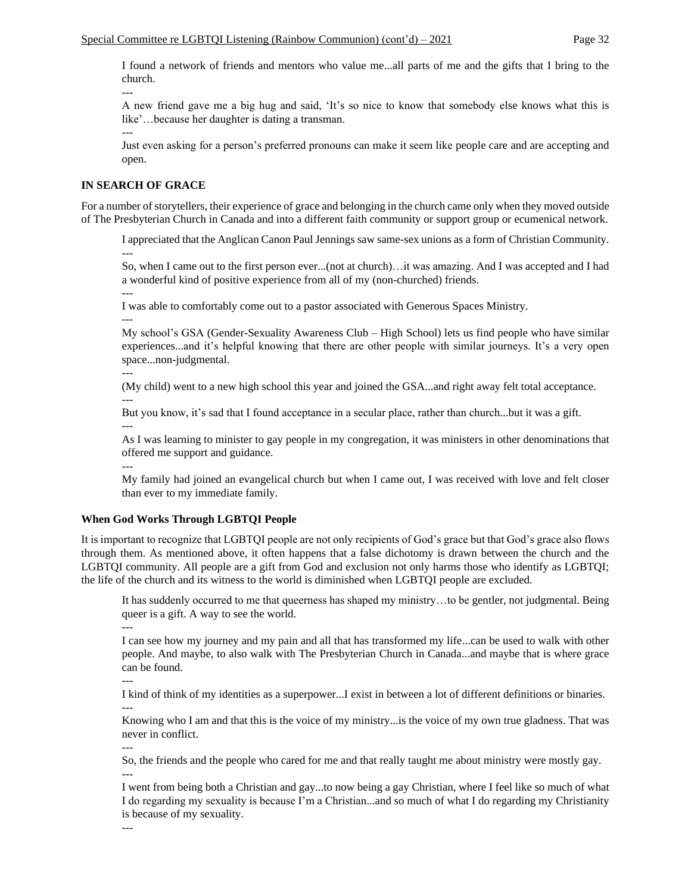I found a network of friends and mentors who value me...all parts of me and the gifts that I bring to the church.

--- A new friend gave me a big hug and said, 'It's so nice to know that somebody else knows what this is like'…because her daughter is dating a transman. ---

Just even asking for a person's preferred pronouns can make it seem like people care and are accepting and open.

# **IN SEARCH OF GRACE**

For a number of storytellers, their experience of grace and belonging in the church came only when they moved outside of The Presbyterian Church in Canada and into a different faith community or support group or ecumenical network.

I appreciated that the Anglican Canon Paul Jennings saw same-sex unions as a form of Christian Community. ---

So, when I came out to the first person ever...(not at church)…it was amazing. And I was accepted and I had a wonderful kind of positive experience from all of my (non-churched) friends.

I was able to comfortably come out to a pastor associated with Generous Spaces Ministry. ---

My school's GSA (Gender-Sexuality Awareness Club – High School) lets us find people who have similar experiences...and it's helpful knowing that there are other people with similar journeys. It's a very open space...non-judgmental.

---

---

(My child) went to a new high school this year and joined the GSA...and right away felt total acceptance. ---

But you know, it's sad that I found acceptance in a secular place, rather than church...but it was a gift.

As I was learning to minister to gay people in my congregation, it was ministers in other denominations that offered me support and guidance.

---

---

My family had joined an evangelical church but when I came out, I was received with love and felt closer than ever to my immediate family.

# **When God Works Through LGBTQI People**

It is important to recognize that LGBTQI people are not only recipients of God's grace but that God's grace also flows through them. As mentioned above, it often happens that a false dichotomy is drawn between the church and the LGBTQI community. All people are a gift from God and exclusion not only harms those who identify as LGBTQI; the life of the church and its witness to the world is diminished when LGBTQI people are excluded.

It has suddenly occurred to me that queerness has shaped my ministry…to be gentler, not judgmental. Being queer is a gift. A way to see the world.

---

I can see how my journey and my pain and all that has transformed my life...can be used to walk with other people. And maybe, to also walk with The Presbyterian Church in Canada...and maybe that is where grace can be found.

--- I kind of think of my identities as a superpower...I exist in between a lot of different definitions or binaries. ---

Knowing who I am and that this is the voice of my ministry...is the voice of my own true gladness. That was never in conflict.

---

So, the friends and the people who cared for me and that really taught me about ministry were mostly gay. ---

I went from being both a Christian and gay...to now being a gay Christian, where I feel like so much of what I do regarding my sexuality is because I'm a Christian...and so much of what I do regarding my Christianity is because of my sexuality.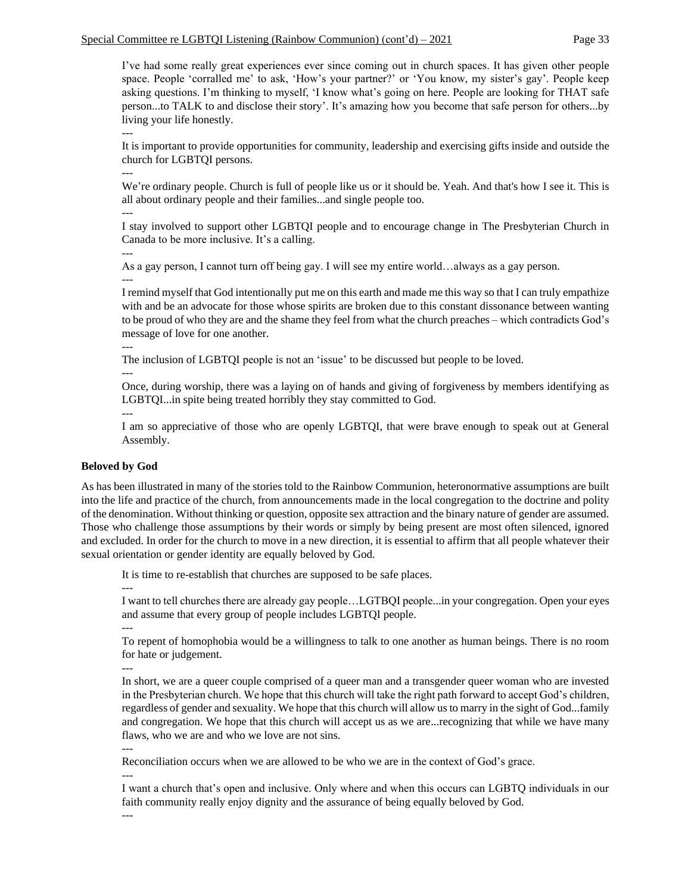### Special Committee re LGBTQI Listening (Rainbow Communion) (cont'd)  $-2021$  Page 33

I've had some really great experiences ever since coming out in church spaces. It has given other people space. People 'corralled me' to ask, 'How's your partner?' or 'You know, my sister's gay'. People keep asking questions. I'm thinking to myself, 'I know what's going on here. People are looking for THAT safe person...to TALK to and disclose their story'. It's amazing how you become that safe person for others...by living your life honestly.

---

It is important to provide opportunities for community, leadership and exercising gifts inside and outside the church for LGBTQI persons.

---

We're ordinary people. Church is full of people like us or it should be. Yeah. And that's how I see it. This is all about ordinary people and their families...and single people too.

---

I stay involved to support other LGBTQI people and to encourage change in The Presbyterian Church in Canada to be more inclusive. It's a calling.

---

As a gay person, I cannot turn off being gay. I will see my entire world…always as a gay person. ---

I remind myself that God intentionally put me on this earth and made me this way so that I can truly empathize with and be an advocate for those whose spirits are broken due to this constant dissonance between wanting to be proud of who they are and the shame they feel from what the church preaches – which contradicts God's message of love for one another.

---

The inclusion of LGBTQI people is not an 'issue' to be discussed but people to be loved.

---

Once, during worship, there was a laying on of hands and giving of forgiveness by members identifying as LGBTQI...in spite being treated horribly they stay committed to God.

---

I am so appreciative of those who are openly LGBTQI, that were brave enough to speak out at General Assembly.

#### **Beloved by God**

As has been illustrated in many of the stories told to the Rainbow Communion, heteronormative assumptions are built into the life and practice of the church, from announcements made in the local congregation to the doctrine and polity of the denomination. Without thinking or question, opposite sex attraction and the binary nature of gender are assumed. Those who challenge those assumptions by their words or simply by being present are most often silenced, ignored and excluded. In order for the church to move in a new direction, it is essential to affirm that all people whatever their sexual orientation or gender identity are equally beloved by God.

It is time to re-establish that churches are supposed to be safe places.

---

I want to tell churches there are already gay people…LGTBQI people...in your congregation. Open your eyes and assume that every group of people includes LGBTQI people.

---

---

To repent of homophobia would be a willingness to talk to one another as human beings. There is no room for hate or judgement.

In short, we are a queer couple comprised of a queer man and a transgender queer woman who are invested in the Presbyterian church. We hope that this church will take the right path forward to accept God's children, regardless of gender and sexuality. We hope that this church will allow us to marry in the sight of God...family and congregation. We hope that this church will accept us as we are...recognizing that while we have many flaws, who we are and who we love are not sins.

---

Reconciliation occurs when we are allowed to be who we are in the context of God's grace.

---

I want a church that's open and inclusive. Only where and when this occurs can LGBTQ individuals in our faith community really enjoy dignity and the assurance of being equally beloved by God.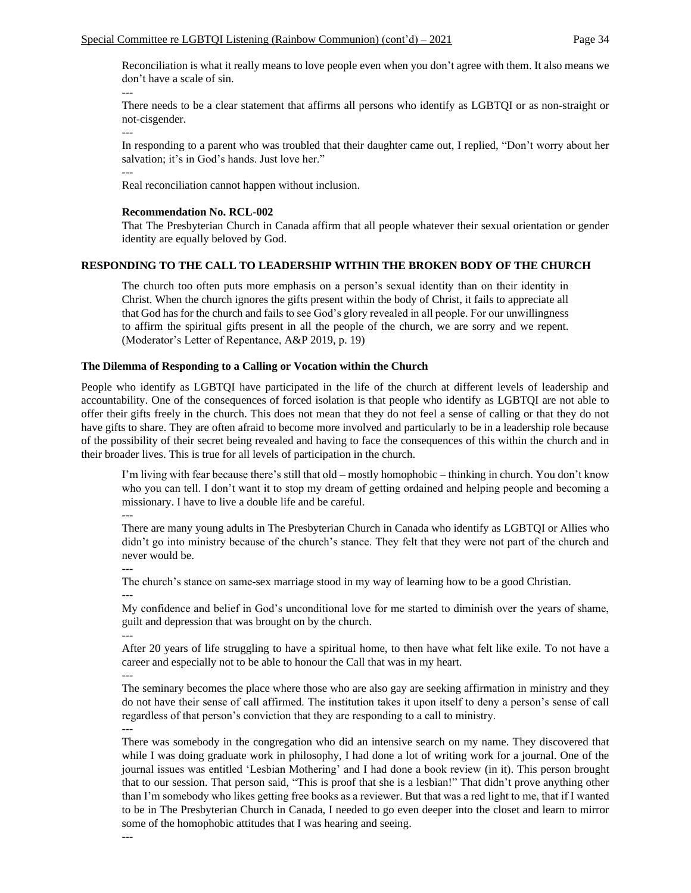Reconciliation is what it really means to love people even when you don't agree with them. It also means we don't have a scale of sin.

There needs to be a clear statement that affirms all persons who identify as LGBTQI or as non-straight or not-cisgender.

---

---

In responding to a parent who was troubled that their daughter came out, I replied, "Don't worry about her salvation; it's in God's hands. Just love her."

---

Real reconciliation cannot happen without inclusion.

#### **Recommendation No. RCL-002**

That The Presbyterian Church in Canada affirm that all people whatever their sexual orientation or gender identity are equally beloved by God.

### **RESPONDING TO THE CALL TO LEADERSHIP WITHIN THE BROKEN BODY OF THE CHURCH**

The church too often puts more emphasis on a person's sexual identity than on their identity in Christ. When the church ignores the gifts present within the body of Christ, it fails to appreciate all that God has for the church and fails to see God's glory revealed in all people. For our unwillingness to affirm the spiritual gifts present in all the people of the church, we are sorry and we repent. (Moderator's Letter of Repentance, A&P 2019, p. 19)

### **The Dilemma of Responding to a Calling or Vocation within the Church**

People who identify as LGBTQI have participated in the life of the church at different levels of leadership and accountability. One of the consequences of forced isolation is that people who identify as LGBTQI are not able to offer their gifts freely in the church. This does not mean that they do not feel a sense of calling or that they do not have gifts to share. They are often afraid to become more involved and particularly to be in a leadership role because of the possibility of their secret being revealed and having to face the consequences of this within the church and in their broader lives. This is true for all levels of participation in the church.

I'm living with fear because there's still that old – mostly homophobic – thinking in church. You don't know who you can tell. I don't want it to stop my dream of getting ordained and helping people and becoming a missionary. I have to live a double life and be careful.

---

There are many young adults in The Presbyterian Church in Canada who identify as LGBTQI or Allies who didn't go into ministry because of the church's stance. They felt that they were not part of the church and never would be.

---

The church's stance on same-sex marriage stood in my way of learning how to be a good Christian. ---

My confidence and belief in God's unconditional love for me started to diminish over the years of shame, guilt and depression that was brought on by the church. ---

After 20 years of life struggling to have a spiritual home, to then have what felt like exile. To not have a career and especially not to be able to honour the Call that was in my heart.

---

The seminary becomes the place where those who are also gay are seeking affirmation in ministry and they do not have their sense of call affirmed. The institution takes it upon itself to deny a person's sense of call regardless of that person's conviction that they are responding to a call to ministry. ---

There was somebody in the congregation who did an intensive search on my name. They discovered that while I was doing graduate work in philosophy, I had done a lot of writing work for a journal. One of the journal issues was entitled 'Lesbian Mothering' and I had done a book review (in it). This person brought that to our session. That person said, "This is proof that she is a lesbian!" That didn't prove anything other than I'm somebody who likes getting free books as a reviewer. But that was a red light to me, that if I wanted to be in The Presbyterian Church in Canada, I needed to go even deeper into the closet and learn to mirror some of the homophobic attitudes that I was hearing and seeing.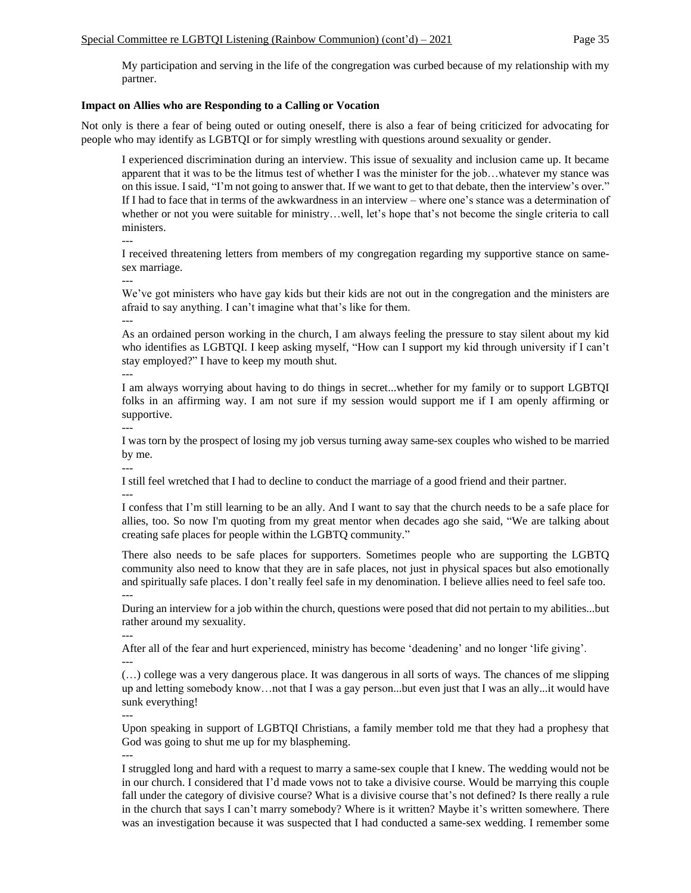My participation and serving in the life of the congregation was curbed because of my relationship with my partner.

# **Impact on Allies who are Responding to a Calling or Vocation**

Not only is there a fear of being outed or outing oneself, there is also a fear of being criticized for advocating for people who may identify as LGBTQI or for simply wrestling with questions around sexuality or gender.

I experienced discrimination during an interview. This issue of sexuality and inclusion came up. It became apparent that it was to be the litmus test of whether I was the minister for the job…whatever my stance was on this issue. I said, "I'm not going to answer that. If we want to get to that debate, then the interview's over." If I had to face that in terms of the awkwardness in an interview – where one's stance was a determination of whether or not you were suitable for ministry…well, let's hope that's not become the single criteria to call ministers.

---

I received threatening letters from members of my congregation regarding my supportive stance on samesex marriage.

---

We've got ministers who have gay kids but their kids are not out in the congregation and the ministers are afraid to say anything. I can't imagine what that's like for them. ---

As an ordained person working in the church, I am always feeling the pressure to stay silent about my kid who identifies as LGBTQI. I keep asking myself, "How can I support my kid through university if I can't stay employed?" I have to keep my mouth shut.

---

---

---

I am always worrying about having to do things in secret...whether for my family or to support LGBTQI folks in an affirming way. I am not sure if my session would support me if I am openly affirming or supportive.

I was torn by the prospect of losing my job versus turning away same-sex couples who wished to be married by me.

I still feel wretched that I had to decline to conduct the marriage of a good friend and their partner.

--- I confess that I'm still learning to be an ally. And I want to say that the church needs to be a safe place for allies, too. So now I'm quoting from my great mentor when decades ago she said, "We are talking about creating safe places for people within the LGBTQ community."

There also needs to be safe places for supporters. Sometimes people who are supporting the LGBTQ community also need to know that they are in safe places, not just in physical spaces but also emotionally and spiritually safe places. I don't really feel safe in my denomination. I believe allies need to feel safe too. ---

During an interview for a job within the church, questions were posed that did not pertain to my abilities...but rather around my sexuality.

---

After all of the fear and hurt experienced, ministry has become 'deadening' and no longer 'life giving'.

---

(…) college was a very dangerous place. It was dangerous in all sorts of ways. The chances of me slipping up and letting somebody know…not that I was a gay person...but even just that I was an ally...it would have sunk everything!

---

Upon speaking in support of LGBTQI Christians, a family member told me that they had a prophesy that God was going to shut me up for my blaspheming.

---

I struggled long and hard with a request to marry a same-sex couple that I knew. The wedding would not be in our church. I considered that I'd made vows not to take a divisive course. Would be marrying this couple fall under the category of divisive course? What is a divisive course that's not defined? Is there really a rule in the church that says I can't marry somebody? Where is it written? Maybe it's written somewhere. There was an investigation because it was suspected that I had conducted a same-sex wedding. I remember some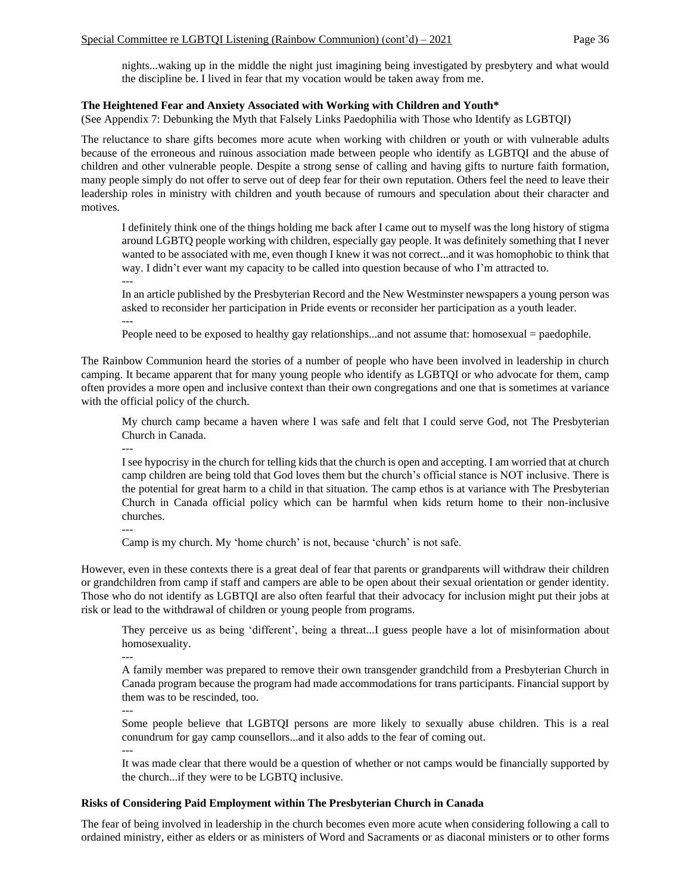nights...waking up in the middle the night just imagining being investigated by presbytery and what would the discipline be. I lived in fear that my vocation would be taken away from me.

# **The Heightened Fear and Anxiety Associated with Working with Children and Youth\***

(See Appendix 7: Debunking the Myth that Falsely Links Paedophilia with Those who Identify as LGBTQI)

The reluctance to share gifts becomes more acute when working with children or youth or with vulnerable adults because of the erroneous and ruinous association made between people who identify as LGBTQI and the abuse of children and other vulnerable people. Despite a strong sense of calling and having gifts to nurture faith formation, many people simply do not offer to serve out of deep fear for their own reputation. Others feel the need to leave their leadership roles in ministry with children and youth because of rumours and speculation about their character and motives.

I definitely think one of the things holding me back after I came out to myself was the long history of stigma around LGBTQ people working with children, especially gay people. It was definitely something that I never wanted to be associated with me, even though I knew it was not correct...and it was homophobic to think that way. I didn't ever want my capacity to be called into question because of who I'm attracted to. ---

In an article published by the Presbyterian Record and the New Westminster newspapers a young person was asked to reconsider her participation in Pride events or reconsider her participation as a youth leader. ---

People need to be exposed to healthy gay relationships...and not assume that: homosexual = paedophile.

The Rainbow Communion heard the stories of a number of people who have been involved in leadership in church camping. It became apparent that for many young people who identify as LGBTQI or who advocate for them, camp often provides a more open and inclusive context than their own congregations and one that is sometimes at variance with the official policy of the church.

My church camp became a haven where I was safe and felt that I could serve God, not The Presbyterian Church in Canada.

---

I see hypocrisy in the church for telling kids that the church is open and accepting. I am worried that at church camp children are being told that God loves them but the church's official stance is NOT inclusive. There is the potential for great harm to a child in that situation. The camp ethos is at variance with The Presbyterian Church in Canada official policy which can be harmful when kids return home to their non-inclusive churches.

---

Camp is my church. My 'home church' is not, because 'church' is not safe.

However, even in these contexts there is a great deal of fear that parents or grandparents will withdraw their children or grandchildren from camp if staff and campers are able to be open about their sexual orientation or gender identity. Those who do not identify as LGBTQI are also often fearful that their advocacy for inclusion might put their jobs at risk or lead to the withdrawal of children or young people from programs.

They perceive us as being 'different', being a threat...I guess people have a lot of misinformation about homosexuality.

---

A family member was prepared to remove their own transgender grandchild from a Presbyterian Church in Canada program because the program had made accommodations for trans participants. Financial support by them was to be rescinded, too.

---

Some people believe that LGBTQI persons are more likely to sexually abuse children. This is a real conundrum for gay camp counsellors...and it also adds to the fear of coming out.

---

It was made clear that there would be a question of whether or not camps would be financially supported by the church...if they were to be LGBTQ inclusive.

# **Risks of Considering Paid Employment within The Presbyterian Church in Canada**

The fear of being involved in leadership in the church becomes even more acute when considering following a call to ordained ministry, either as elders or as ministers of Word and Sacraments or as diaconal ministers or to other forms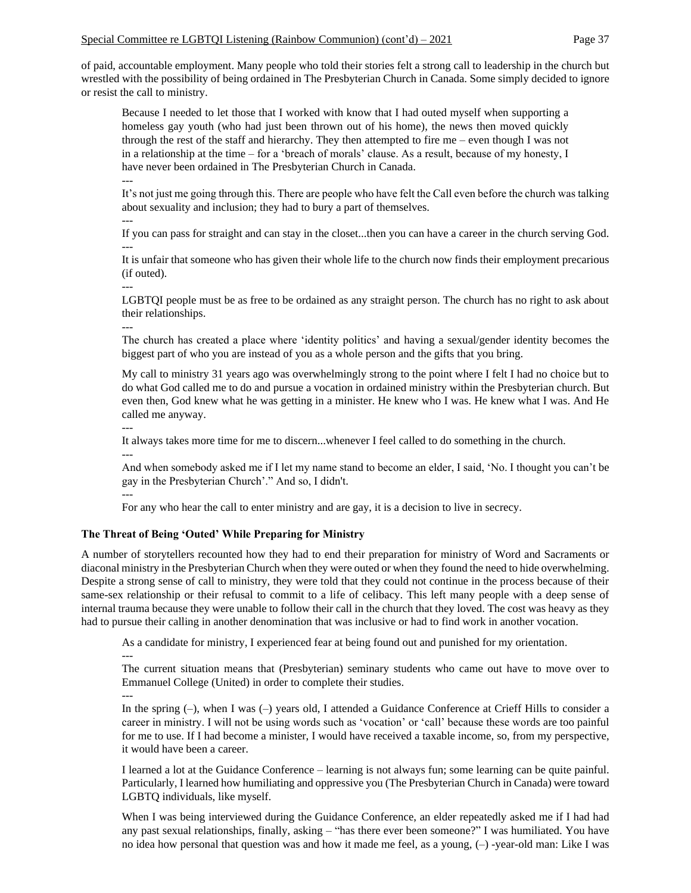of paid, accountable employment. Many people who told their stories felt a strong call to leadership in the church but wrestled with the possibility of being ordained in The Presbyterian Church in Canada. Some simply decided to ignore or resist the call to ministry.

Because I needed to let those that I worked with know that I had outed myself when supporting a homeless gay youth (who had just been thrown out of his home), the news then moved quickly through the rest of the staff and hierarchy. They then attempted to fire me – even though I was not in a relationship at the time – for a 'breach of morals' clause. As a result, because of my honesty, I have never been ordained in The Presbyterian Church in Canada.

--- It's not just me going through this. There are people who have felt the Call even before the church was talking about sexuality and inclusion; they had to bury a part of themselves.

--- If you can pass for straight and can stay in the closet...then you can have a career in the church serving God. ---

It is unfair that someone who has given their whole life to the church now finds their employment precarious (if outed).

---

LGBTQI people must be as free to be ordained as any straight person. The church has no right to ask about their relationships.

---

The church has created a place where 'identity politics' and having a sexual/gender identity becomes the biggest part of who you are instead of you as a whole person and the gifts that you bring.

My call to ministry 31 years ago was overwhelmingly strong to the point where I felt I had no choice but to do what God called me to do and pursue a vocation in ordained ministry within the Presbyterian church. But even then, God knew what he was getting in a minister. He knew who I was. He knew what I was. And He called me anyway.

---

---

It always takes more time for me to discern...whenever I feel called to do something in the church.

And when somebody asked me if I let my name stand to become an elder, I said, 'No. I thought you can't be gay in the Presbyterian Church'." And so, I didn't.

---

For any who hear the call to enter ministry and are gay, it is a decision to live in secrecy.

## **The Threat of Being 'Outed' While Preparing for Ministry**

A number of storytellers recounted how they had to end their preparation for ministry of Word and Sacraments or diaconal ministry in the Presbyterian Church when they were outed or when they found the need to hide overwhelming. Despite a strong sense of call to ministry, they were told that they could not continue in the process because of their same-sex relationship or their refusal to commit to a life of celibacy. This left many people with a deep sense of internal trauma because they were unable to follow their call in the church that they loved. The cost was heavy as they had to pursue their calling in another denomination that was inclusive or had to find work in another vocation.

As a candidate for ministry, I experienced fear at being found out and punished for my orientation.

---

---

The current situation means that (Presbyterian) seminary students who came out have to move over to Emmanuel College (United) in order to complete their studies.

In the spring (–), when I was (–) years old, I attended a Guidance Conference at Crieff Hills to consider a career in ministry. I will not be using words such as 'vocation' or 'call' because these words are too painful for me to use. If I had become a minister, I would have received a taxable income, so, from my perspective, it would have been a career.

I learned a lot at the Guidance Conference – learning is not always fun; some learning can be quite painful. Particularly, I learned how humiliating and oppressive you (The Presbyterian Church in Canada) were toward LGBTQ individuals, like myself.

When I was being interviewed during the Guidance Conference, an elder repeatedly asked me if I had had any past sexual relationships, finally, asking – "has there ever been someone?" I was humiliated. You have no idea how personal that question was and how it made me feel, as a young, (–) -year-old man: Like I was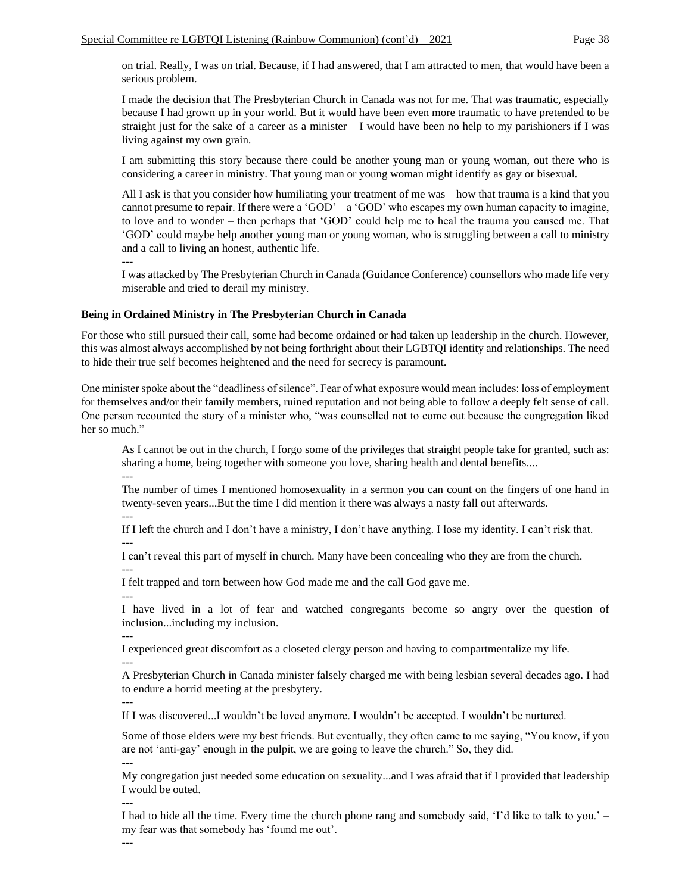on trial. Really, I was on trial. Because, if I had answered, that I am attracted to men, that would have been a serious problem.

I made the decision that The Presbyterian Church in Canada was not for me. That was traumatic, especially because I had grown up in your world. But it would have been even more traumatic to have pretended to be straight just for the sake of a career as a minister – I would have been no help to my parishioners if I was living against my own grain.

I am submitting this story because there could be another young man or young woman, out there who is considering a career in ministry. That young man or young woman might identify as gay or bisexual.

All I ask is that you consider how humiliating your treatment of me was – how that trauma is a kind that you cannot presume to repair. If there were a 'GOD' – a 'GOD' who escapes my own human capacity to imagine, to love and to wonder – then perhaps that 'GOD' could help me to heal the trauma you caused me. That 'GOD' could maybe help another young man or young woman, who is struggling between a call to ministry and a call to living an honest, authentic life.

---

I was attacked by The Presbyterian Church in Canada (Guidance Conference) counsellors who made life very miserable and tried to derail my ministry.

#### **Being in Ordained Ministry in The Presbyterian Church in Canada**

For those who still pursued their call, some had become ordained or had taken up leadership in the church. However, this was almost always accomplished by not being forthright about their LGBTQI identity and relationships. The need to hide their true self becomes heightened and the need for secrecy is paramount.

One minister spoke about the "deadliness of silence". Fear of what exposure would mean includes: loss of employment for themselves and/or their family members, ruined reputation and not being able to follow a deeply felt sense of call. One person recounted the story of a minister who, "was counselled not to come out because the congregation liked her so much."

As I cannot be out in the church, I forgo some of the privileges that straight people take for granted, such as: sharing a home, being together with someone you love, sharing health and dental benefits.... ---

The number of times I mentioned homosexuality in a sermon you can count on the fingers of one hand in twenty-seven years...But the time I did mention it there was always a nasty fall out afterwards.

---

If I left the church and I don't have a ministry, I don't have anything. I lose my identity. I can't risk that. ---

I can't reveal this part of myself in church. Many have been concealing who they are from the church.

--- I felt trapped and torn between how God made me and the call God gave me.

I have lived in a lot of fear and watched congregants become so angry over the question of inclusion...including my inclusion.

--- I experienced great discomfort as a closeted clergy person and having to compartmentalize my life.

---

---

A Presbyterian Church in Canada minister falsely charged me with being lesbian several decades ago. I had to endure a horrid meeting at the presbytery.

---

If I was discovered...I wouldn't be loved anymore. I wouldn't be accepted. I wouldn't be nurtured.

Some of those elders were my best friends. But eventually, they often came to me saying, "You know, if you are not 'anti-gay' enough in the pulpit, we are going to leave the church." So, they did. ---

My congregation just needed some education on sexuality...and I was afraid that if I provided that leadership I would be outed.

--- I had to hide all the time. Every time the church phone rang and somebody said, 'I'd like to talk to you.' – my fear was that somebody has 'found me out'.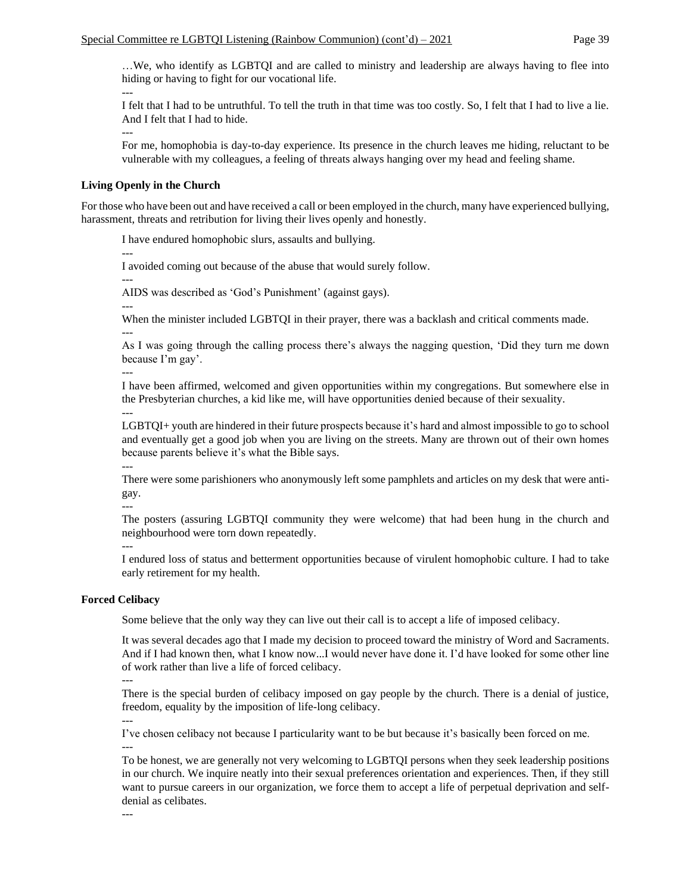…We, who identify as LGBTQI and are called to ministry and leadership are always having to flee into hiding or having to fight for our vocational life.

--- I felt that I had to be untruthful. To tell the truth in that time was too costly. So, I felt that I had to live a lie. And I felt that I had to hide.

---

For me, homophobia is day-to-day experience. Its presence in the church leaves me hiding, reluctant to be vulnerable with my colleagues, a feeling of threats always hanging over my head and feeling shame.

#### **Living Openly in the Church**

For those who have been out and have received a call or been employed in the church, many have experienced bullying, harassment, threats and retribution for living their lives openly and honestly.

I have endured homophobic slurs, assaults and bullying.

I avoided coming out because of the abuse that would surely follow.

---

---

AIDS was described as 'God's Punishment' (against gays).

---

---

When the minister included LGBTQI in their prayer, there was a backlash and critical comments made.

As I was going through the calling process there's always the nagging question, 'Did they turn me down because I'm gay'.

---

I have been affirmed, welcomed and given opportunities within my congregations. But somewhere else in the Presbyterian churches, a kid like me, will have opportunities denied because of their sexuality. ---

LGBTQI+ youth are hindered in their future prospects because it's hard and almost impossible to go to school and eventually get a good job when you are living on the streets. Many are thrown out of their own homes because parents believe it's what the Bible says.

---

There were some parishioners who anonymously left some pamphlets and articles on my desk that were antigay.

---

The posters (assuring LGBTQI community they were welcome) that had been hung in the church and neighbourhood were torn down repeatedly.

---

I endured loss of status and betterment opportunities because of virulent homophobic culture. I had to take early retirement for my health.

## **Forced Celibacy**

Some believe that the only way they can live out their call is to accept a life of imposed celibacy.

It was several decades ago that I made my decision to proceed toward the ministry of Word and Sacraments. And if I had known then, what I know now...I would never have done it. I'd have looked for some other line of work rather than live a life of forced celibacy.

---

There is the special burden of celibacy imposed on gay people by the church. There is a denial of justice, freedom, equality by the imposition of life-long celibacy.

---

I've chosen celibacy not because I particularity want to be but because it's basically been forced on me. ---

To be honest, we are generally not very welcoming to LGBTQI persons when they seek leadership positions in our church. We inquire neatly into their sexual preferences orientation and experiences. Then, if they still want to pursue careers in our organization, we force them to accept a life of perpetual deprivation and selfdenial as celibates.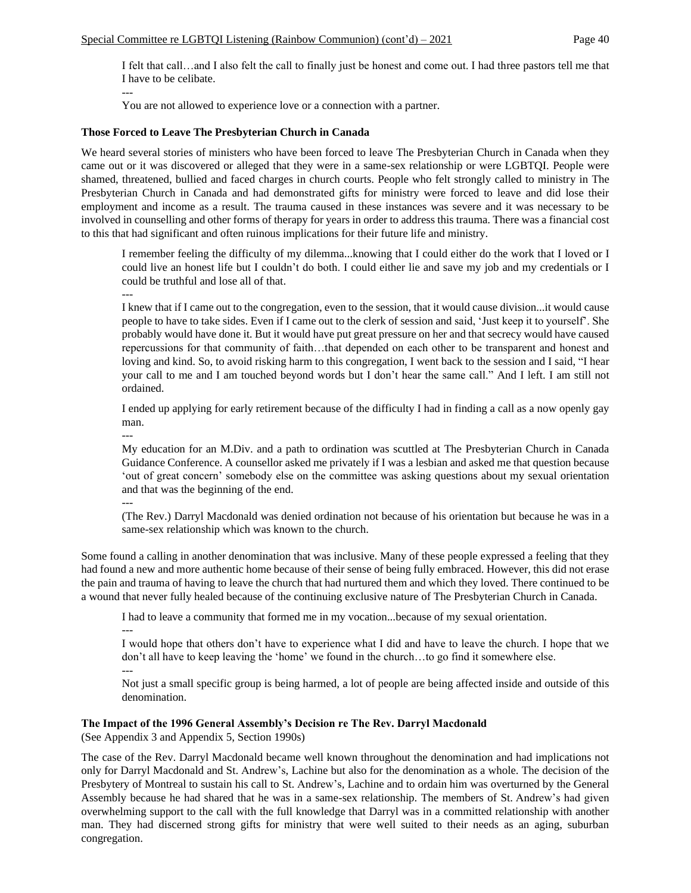I felt that call…and I also felt the call to finally just be honest and come out. I had three pastors tell me that I have to be celibate.

--- You are not allowed to experience love or a connection with a partner.

## **Those Forced to Leave The Presbyterian Church in Canada**

We heard several stories of ministers who have been forced to leave The Presbyterian Church in Canada when they came out or it was discovered or alleged that they were in a same-sex relationship or were LGBTQI. People were shamed, threatened, bullied and faced charges in church courts. People who felt strongly called to ministry in The Presbyterian Church in Canada and had demonstrated gifts for ministry were forced to leave and did lose their employment and income as a result. The trauma caused in these instances was severe and it was necessary to be involved in counselling and other forms of therapy for years in order to address this trauma. There was a financial cost to this that had significant and often ruinous implications for their future life and ministry.

I remember feeling the difficulty of my dilemma...knowing that I could either do the work that I loved or I could live an honest life but I couldn't do both. I could either lie and save my job and my credentials or I could be truthful and lose all of that.

---

I knew that if I came out to the congregation, even to the session, that it would cause division...it would cause people to have to take sides. Even if I came out to the clerk of session and said, 'Just keep it to yourself'. She probably would have done it. But it would have put great pressure on her and that secrecy would have caused repercussions for that community of faith…that depended on each other to be transparent and honest and loving and kind. So, to avoid risking harm to this congregation, I went back to the session and I said, "I hear your call to me and I am touched beyond words but I don't hear the same call." And I left. I am still not ordained.

I ended up applying for early retirement because of the difficulty I had in finding a call as a now openly gay man.

---

My education for an M.Div. and a path to ordination was scuttled at The Presbyterian Church in Canada Guidance Conference. A counsellor asked me privately if I was a lesbian and asked me that question because 'out of great concern' somebody else on the committee was asking questions about my sexual orientation and that was the beginning of the end.

---

(The Rev.) Darryl Macdonald was denied ordination not because of his orientation but because he was in a same-sex relationship which was known to the church.

Some found a calling in another denomination that was inclusive. Many of these people expressed a feeling that they had found a new and more authentic home because of their sense of being fully embraced. However, this did not erase the pain and trauma of having to leave the church that had nurtured them and which they loved. There continued to be a wound that never fully healed because of the continuing exclusive nature of The Presbyterian Church in Canada.

I had to leave a community that formed me in my vocation...because of my sexual orientation.

--- I would hope that others don't have to experience what I did and have to leave the church. I hope that we don't all have to keep leaving the 'home' we found in the church…to go find it somewhere else. ---

Not just a small specific group is being harmed, a lot of people are being affected inside and outside of this denomination.

# **The Impact of the 1996 General Assembly's Decision re The Rev. Darryl Macdonald**

(See Appendix 3 and Appendix 5, Section 1990s)

The case of the Rev. Darryl Macdonald became well known throughout the denomination and had implications not only for Darryl Macdonald and St. Andrew's, Lachine but also for the denomination as a whole. The decision of the Presbytery of Montreal to sustain his call to St. Andrew's, Lachine and to ordain him was overturned by the General Assembly because he had shared that he was in a same-sex relationship. The members of St. Andrew's had given overwhelming support to the call with the full knowledge that Darryl was in a committed relationship with another man. They had discerned strong gifts for ministry that were well suited to their needs as an aging, suburban congregation.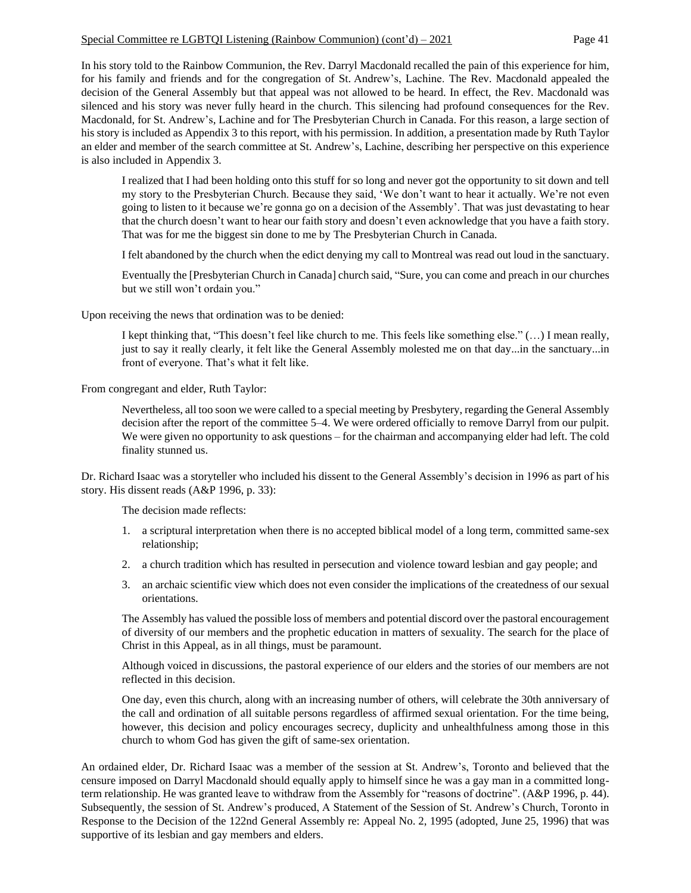#### Special Committee re LGBTQI Listening (Rainbow Communion) (cont'd)  $-2021$  Page 41

In his story told to the Rainbow Communion, the Rev. Darryl Macdonald recalled the pain of this experience for him, for his family and friends and for the congregation of St. Andrew's, Lachine. The Rev. Macdonald appealed the decision of the General Assembly but that appeal was not allowed to be heard. In effect, the Rev. Macdonald was silenced and his story was never fully heard in the church. This silencing had profound consequences for the Rev. Macdonald, for St. Andrew's, Lachine and for The Presbyterian Church in Canada. For this reason, a large section of his story is included as Appendix 3 to this report, with his permission. In addition, a presentation made by Ruth Taylor an elder and member of the search committee at St. Andrew's, Lachine, describing her perspective on this experience is also included in Appendix 3.

I realized that I had been holding onto this stuff for so long and never got the opportunity to sit down and tell my story to the Presbyterian Church. Because they said, 'We don't want to hear it actually. We're not even going to listen to it because we're gonna go on a decision of the Assembly'. That was just devastating to hear that the church doesn't want to hear our faith story and doesn't even acknowledge that you have a faith story. That was for me the biggest sin done to me by The Presbyterian Church in Canada.

I felt abandoned by the church when the edict denying my call to Montreal was read out loud in the sanctuary.

Eventually the [Presbyterian Church in Canada] church said, "Sure, you can come and preach in our churches but we still won't ordain you."

Upon receiving the news that ordination was to be denied:

I kept thinking that, "This doesn't feel like church to me. This feels like something else." (…) I mean really, just to say it really clearly, it felt like the General Assembly molested me on that day...in the sanctuary...in front of everyone. That's what it felt like.

From congregant and elder, Ruth Taylor:

Nevertheless, all too soon we were called to a special meeting by Presbytery, regarding the General Assembly decision after the report of the committee 5–4. We were ordered officially to remove Darryl from our pulpit. We were given no opportunity to ask questions – for the chairman and accompanying elder had left. The cold finality stunned us.

Dr. Richard Isaac was a storyteller who included his dissent to the General Assembly's decision in 1996 as part of his story. His dissent reads (A&P 1996, p. 33):

The decision made reflects:

- 1. a scriptural interpretation when there is no accepted biblical model of a long term, committed same-sex relationship;
- 2. a church tradition which has resulted in persecution and violence toward lesbian and gay people; and
- 3. an archaic scientific view which does not even consider the implications of the createdness of our sexual orientations.

The Assembly has valued the possible loss of members and potential discord over the pastoral encouragement of diversity of our members and the prophetic education in matters of sexuality. The search for the place of Christ in this Appeal, as in all things, must be paramount.

Although voiced in discussions, the pastoral experience of our elders and the stories of our members are not reflected in this decision.

One day, even this church, along with an increasing number of others, will celebrate the 30th anniversary of the call and ordination of all suitable persons regardless of affirmed sexual orientation. For the time being, however, this decision and policy encourages secrecy, duplicity and unhealthfulness among those in this church to whom God has given the gift of same-sex orientation.

An ordained elder, Dr. Richard Isaac was a member of the session at St. Andrew's, Toronto and believed that the censure imposed on Darryl Macdonald should equally apply to himself since he was a gay man in a committed longterm relationship. He was granted leave to withdraw from the Assembly for "reasons of doctrine". (A&P 1996, p. 44). Subsequently, the session of St. Andrew's produced, A Statement of the Session of St. Andrew's Church, Toronto in Response to the Decision of the 122nd General Assembly re: Appeal No. 2, 1995 (adopted, June 25, 1996) that was supportive of its lesbian and gay members and elders.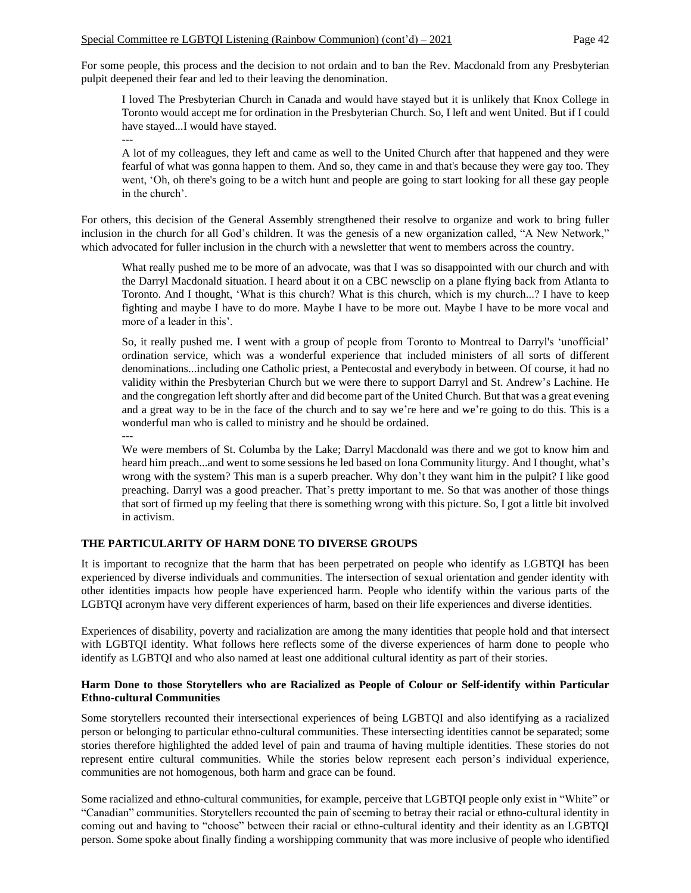For some people, this process and the decision to not ordain and to ban the Rev. Macdonald from any Presbyterian pulpit deepened their fear and led to their leaving the denomination.

I loved The Presbyterian Church in Canada and would have stayed but it is unlikely that Knox College in Toronto would accept me for ordination in the Presbyterian Church. So, I left and went United. But if I could have stayed...I would have stayed.

A lot of my colleagues, they left and came as well to the United Church after that happened and they were fearful of what was gonna happen to them. And so, they came in and that's because they were gay too. They went, 'Oh, oh there's going to be a witch hunt and people are going to start looking for all these gay people in the church'.

For others, this decision of the General Assembly strengthened their resolve to organize and work to bring fuller inclusion in the church for all God's children. It was the genesis of a new organization called, "A New Network," which advocated for fuller inclusion in the church with a newsletter that went to members across the country.

What really pushed me to be more of an advocate, was that I was so disappointed with our church and with the Darryl Macdonald situation. I heard about it on a CBC newsclip on a plane flying back from Atlanta to Toronto. And I thought, 'What is this church? What is this church, which is my church...? I have to keep fighting and maybe I have to do more. Maybe I have to be more out. Maybe I have to be more vocal and more of a leader in this'.

So, it really pushed me. I went with a group of people from Toronto to Montreal to Darryl's 'unofficial' ordination service, which was a wonderful experience that included ministers of all sorts of different denominations...including one Catholic priest, a Pentecostal and everybody in between. Of course, it had no validity within the Presbyterian Church but we were there to support Darryl and St. Andrew's Lachine. He and the congregation left shortly after and did become part of the United Church. But that was a great evening and a great way to be in the face of the church and to say we're here and we're going to do this. This is a wonderful man who is called to ministry and he should be ordained.

---

---

We were members of St. Columba by the Lake; Darryl Macdonald was there and we got to know him and heard him preach...and went to some sessions he led based on Iona Community liturgy. And I thought, what's wrong with the system? This man is a superb preacher. Why don't they want him in the pulpit? I like good preaching. Darryl was a good preacher. That's pretty important to me. So that was another of those things that sort of firmed up my feeling that there is something wrong with this picture. So, I got a little bit involved in activism.

# **THE PARTICULARITY OF HARM DONE TO DIVERSE GROUPS**

It is important to recognize that the harm that has been perpetrated on people who identify as LGBTQI has been experienced by diverse individuals and communities. The intersection of sexual orientation and gender identity with other identities impacts how people have experienced harm. People who identify within the various parts of the LGBTQI acronym have very different experiences of harm, based on their life experiences and diverse identities.

Experiences of disability, poverty and racialization are among the many identities that people hold and that intersect with LGBTQI identity. What follows here reflects some of the diverse experiences of harm done to people who identify as LGBTQI and who also named at least one additional cultural identity as part of their stories.

## **Harm Done to those Storytellers who are Racialized as People of Colour or Self-identify within Particular Ethno-cultural Communities**

Some storytellers recounted their intersectional experiences of being LGBTQI and also identifying as a racialized person or belonging to particular ethno-cultural communities. These intersecting identities cannot be separated; some stories therefore highlighted the added level of pain and trauma of having multiple identities. These stories do not represent entire cultural communities. While the stories below represent each person's individual experience, communities are not homogenous, both harm and grace can be found.

Some racialized and ethno-cultural communities, for example, perceive that LGBTQI people only exist in "White" or "Canadian" communities. Storytellers recounted the pain of seeming to betray their racial or ethno-cultural identity in coming out and having to "choose" between their racial or ethno-cultural identity and their identity as an LGBTQI person. Some spoke about finally finding a worshipping community that was more inclusive of people who identified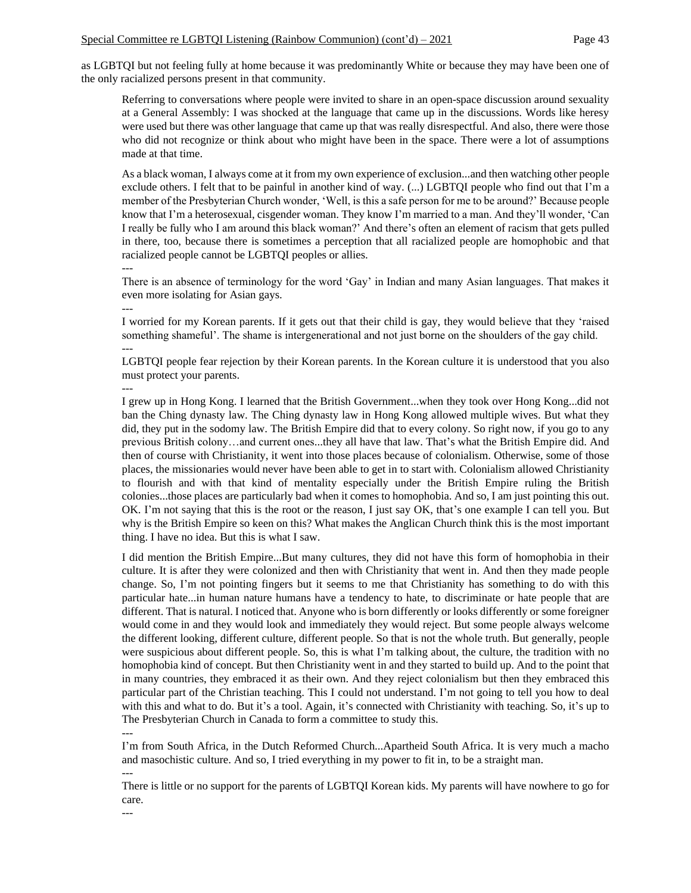as LGBTQI but not feeling fully at home because it was predominantly White or because they may have been one of the only racialized persons present in that community.

Referring to conversations where people were invited to share in an open-space discussion around sexuality at a General Assembly: I was shocked at the language that came up in the discussions. Words like heresy were used but there was other language that came up that was really disrespectful. And also, there were those who did not recognize or think about who might have been in the space. There were a lot of assumptions made at that time.

As a black woman, I always come at it from my own experience of exclusion...and then watching other people exclude others. I felt that to be painful in another kind of way. (...) LGBTQI people who find out that I'm a member of the Presbyterian Church wonder, 'Well, is this a safe person for me to be around?' Because people know that I'm a heterosexual, cisgender woman. They know I'm married to a man. And they'll wonder, 'Can I really be fully who I am around this black woman?' And there's often an element of racism that gets pulled in there, too, because there is sometimes a perception that all racialized people are homophobic and that racialized people cannot be LGBTQI peoples or allies.

---

There is an absence of terminology for the word 'Gay' in Indian and many Asian languages. That makes it even more isolating for Asian gays.

---

---

I worried for my Korean parents. If it gets out that their child is gay, they would believe that they 'raised something shameful'. The shame is intergenerational and not just borne on the shoulders of the gay child. ---

LGBTQI people fear rejection by their Korean parents. In the Korean culture it is understood that you also must protect your parents.

I grew up in Hong Kong. I learned that the British Government...when they took over Hong Kong...did not ban the Ching dynasty law. The Ching dynasty law in Hong Kong allowed multiple wives. But what they did, they put in the sodomy law. The British Empire did that to every colony. So right now, if you go to any previous British colony…and current ones...they all have that law. That's what the British Empire did. And then of course with Christianity, it went into those places because of colonialism. Otherwise, some of those places, the missionaries would never have been able to get in to start with. Colonialism allowed Christianity to flourish and with that kind of mentality especially under the British Empire ruling the British colonies...those places are particularly bad when it comes to homophobia. And so, I am just pointing this out. OK. I'm not saying that this is the root or the reason, I just say OK, that's one example I can tell you. But why is the British Empire so keen on this? What makes the Anglican Church think this is the most important thing. I have no idea. But this is what I saw.

I did mention the British Empire...But many cultures, they did not have this form of homophobia in their culture. It is after they were colonized and then with Christianity that went in. And then they made people change. So, I'm not pointing fingers but it seems to me that Christianity has something to do with this particular hate...in human nature humans have a tendency to hate, to discriminate or hate people that are different. That is natural. I noticed that. Anyone who is born differently or looks differently or some foreigner would come in and they would look and immediately they would reject. But some people always welcome the different looking, different culture, different people. So that is not the whole truth. But generally, people were suspicious about different people. So, this is what I'm talking about, the culture, the tradition with no homophobia kind of concept. But then Christianity went in and they started to build up. And to the point that in many countries, they embraced it as their own. And they reject colonialism but then they embraced this particular part of the Christian teaching. This I could not understand. I'm not going to tell you how to deal with this and what to do. But it's a tool. Again, it's connected with Christianity with teaching. So, it's up to The Presbyterian Church in Canada to form a committee to study this.

---

I'm from South Africa, in the Dutch Reformed Church...Apartheid South Africa. It is very much a macho and masochistic culture. And so, I tried everything in my power to fit in, to be a straight man. ---

There is little or no support for the parents of LGBTQI Korean kids. My parents will have nowhere to go for care.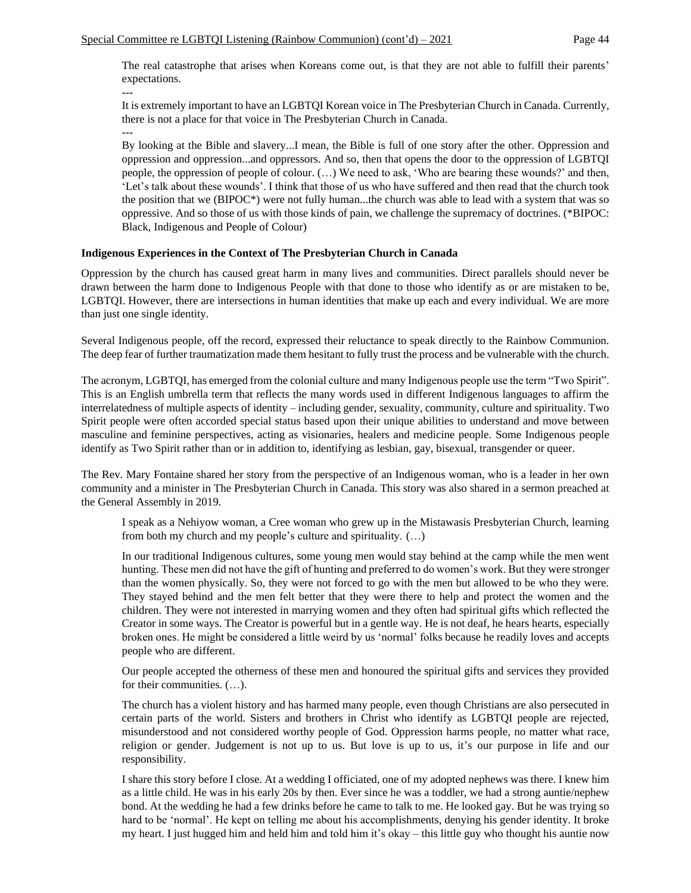The real catastrophe that arises when Koreans come out, is that they are not able to fulfill their parents' expectations. ---

It is extremely important to have an LGBTQI Korean voice in The Presbyterian Church in Canada. Currently, there is not a place for that voice in The Presbyterian Church in Canada. ---

By looking at the Bible and slavery...I mean, the Bible is full of one story after the other. Oppression and oppression and oppression...and oppressors. And so, then that opens the door to the oppression of LGBTQI people, the oppression of people of colour. (…) We need to ask, 'Who are bearing these wounds?' and then, 'Let's talk about these wounds'. I think that those of us who have suffered and then read that the church took the position that we (BIPOC\*) were not fully human...the church was able to lead with a system that was so oppressive. And so those of us with those kinds of pain, we challenge the supremacy of doctrines. (\*BIPOC: Black, Indigenous and People of Colour)

#### **Indigenous Experiences in the Context of The Presbyterian Church in Canada**

Oppression by the church has caused great harm in many lives and communities. Direct parallels should never be drawn between the harm done to Indigenous People with that done to those who identify as or are mistaken to be, LGBTQI. However, there are intersections in human identities that make up each and every individual. We are more than just one single identity.

Several Indigenous people, off the record, expressed their reluctance to speak directly to the Rainbow Communion. The deep fear of further traumatization made them hesitant to fully trust the process and be vulnerable with the church.

The acronym, LGBTQI, has emerged from the colonial culture and many Indigenous people use the term "Two Spirit". This is an English umbrella term that reflects the many words used in different Indigenous languages to affirm the interrelatedness of multiple aspects of identity – including gender, sexuality, community, culture and spirituality. Two Spirit people were often accorded special status based upon their unique abilities to understand and move between masculine and feminine perspectives, acting as visionaries, healers and medicine people. Some Indigenous people identify as Two Spirit rather than or in addition to, identifying as lesbian, gay, bisexual, transgender or queer.

The Rev. Mary Fontaine shared her story from the perspective of an Indigenous woman, who is a leader in her own community and a minister in The Presbyterian Church in Canada. This story was also shared in a sermon preached at the General Assembly in 2019.

I speak as a Nehiyow woman, a Cree woman who grew up in the Mistawasis Presbyterian Church, learning from both my church and my people's culture and spirituality. (…)

In our traditional Indigenous cultures, some young men would stay behind at the camp while the men went hunting. These men did not have the gift of hunting and preferred to do women's work. But they were stronger than the women physically. So, they were not forced to go with the men but allowed to be who they were. They stayed behind and the men felt better that they were there to help and protect the women and the children. They were not interested in marrying women and they often had spiritual gifts which reflected the Creator in some ways. The Creator is powerful but in a gentle way. He is not deaf, he hears hearts, especially broken ones. He might be considered a little weird by us 'normal' folks because he readily loves and accepts people who are different.

Our people accepted the otherness of these men and honoured the spiritual gifts and services they provided for their communities. (…).

The church has a violent history and has harmed many people, even though Christians are also persecuted in certain parts of the world. Sisters and brothers in Christ who identify as LGBTQI people are rejected, misunderstood and not considered worthy people of God. Oppression harms people, no matter what race, religion or gender. Judgement is not up to us. But love is up to us, it's our purpose in life and our responsibility.

I share this story before I close. At a wedding I officiated, one of my adopted nephews was there. I knew him as a little child. He was in his early 20s by then. Ever since he was a toddler, we had a strong auntie/nephew bond. At the wedding he had a few drinks before he came to talk to me. He looked gay. But he was trying so hard to be 'normal'. He kept on telling me about his accomplishments, denying his gender identity. It broke my heart. I just hugged him and held him and told him it's okay – this little guy who thought his auntie now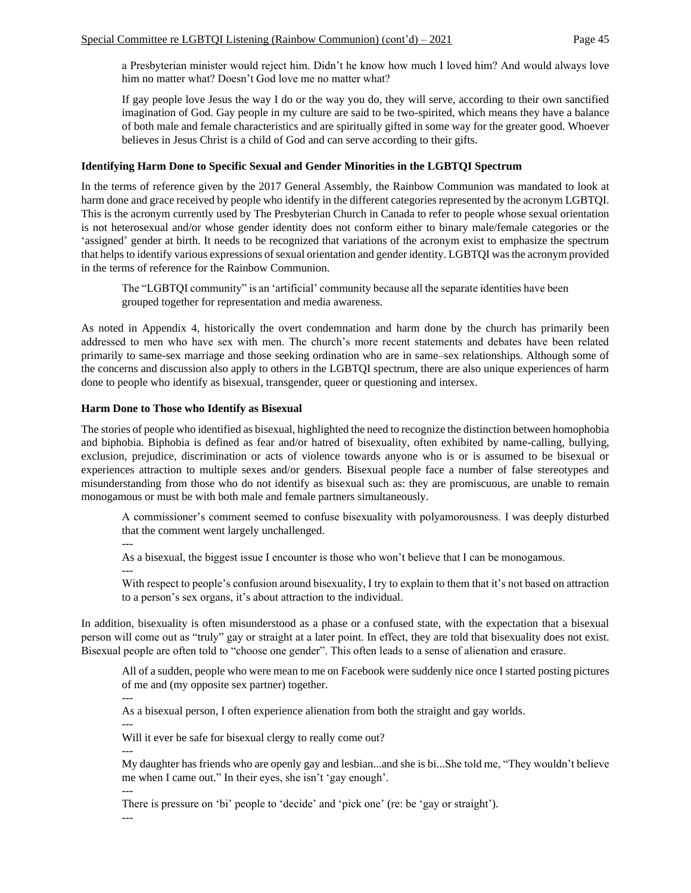a Presbyterian minister would reject him. Didn't he know how much I loved him? And would always love him no matter what? Doesn't God love me no matter what?

If gay people love Jesus the way I do or the way you do, they will serve, according to their own sanctified imagination of God. Gay people in my culture are said to be two-spirited, which means they have a balance of both male and female characteristics and are spiritually gifted in some way for the greater good. Whoever believes in Jesus Christ is a child of God and can serve according to their gifts.

## **Identifying Harm Done to Specific Sexual and Gender Minorities in the LGBTQI Spectrum**

In the terms of reference given by the 2017 General Assembly, the Rainbow Communion was mandated to look at harm done and grace received by people who identify in the different categories represented by the acronym LGBTQI. This is the acronym currently used by The Presbyterian Church in Canada to refer to people whose sexual orientation is not heterosexual and/or whose gender identity does not conform either to binary male/female categories or the 'assigned' gender at birth. It needs to be recognized that variations of the acronym exist to emphasize the spectrum that helps to identify various expressions of sexual orientation and gender identity. LGBTQI was the acronym provided in the terms of reference for the Rainbow Communion.

The "LGBTQI community" is an 'artificial' community because all the separate identities have been grouped together for representation and media awareness.

As noted in Appendix 4, historically the overt condemnation and harm done by the church has primarily been addressed to men who have sex with men. The church's more recent statements and debates have been related primarily to same-sex marriage and those seeking ordination who are in same–sex relationships. Although some of the concerns and discussion also apply to others in the LGBTQI spectrum, there are also unique experiences of harm done to people who identify as bisexual, transgender, queer or questioning and intersex.

#### **Harm Done to Those who Identify as Bisexual**

The stories of people who identified as bisexual, highlighted the need to recognize the distinction between homophobia and biphobia. Biphobia is defined as fear and/or hatred of bisexuality, often exhibited by name-calling, bullying, exclusion, prejudice, discrimination or acts of violence towards anyone who is or is assumed to be bisexual or experiences attraction to multiple sexes and/or genders. Bisexual people face a number of false stereotypes and misunderstanding from those who do not identify as bisexual such as: they are promiscuous, are unable to remain monogamous or must be with both male and female partners simultaneously.

A commissioner's comment seemed to confuse bisexuality with polyamorousness. I was deeply disturbed that the comment went largely unchallenged.

---

As a bisexual, the biggest issue I encounter is those who won't believe that I can be monogamous.

--- With respect to people's confusion around bisexuality, I try to explain to them that it's not based on attraction to a person's sex organs, it's about attraction to the individual.

In addition, bisexuality is often misunderstood as a phase or a confused state, with the expectation that a bisexual person will come out as "truly" gay or straight at a later point. In effect, they are told that bisexuality does not exist. Bisexual people are often told to "choose one gender". This often leads to a sense of alienation and erasure.

All of a sudden, people who were mean to me on Facebook were suddenly nice once I started posting pictures of me and (my opposite sex partner) together.

---

As a bisexual person, I often experience alienation from both the straight and gay worlds.

---

---

Will it ever be safe for bisexual clergy to really come out?

My daughter has friends who are openly gay and lesbian...and she is bi...She told me, "They wouldn't believe me when I came out." In their eyes, she isn't 'gay enough'.

--- There is pressure on 'bi' people to 'decide' and 'pick one' (re: be 'gay or straight').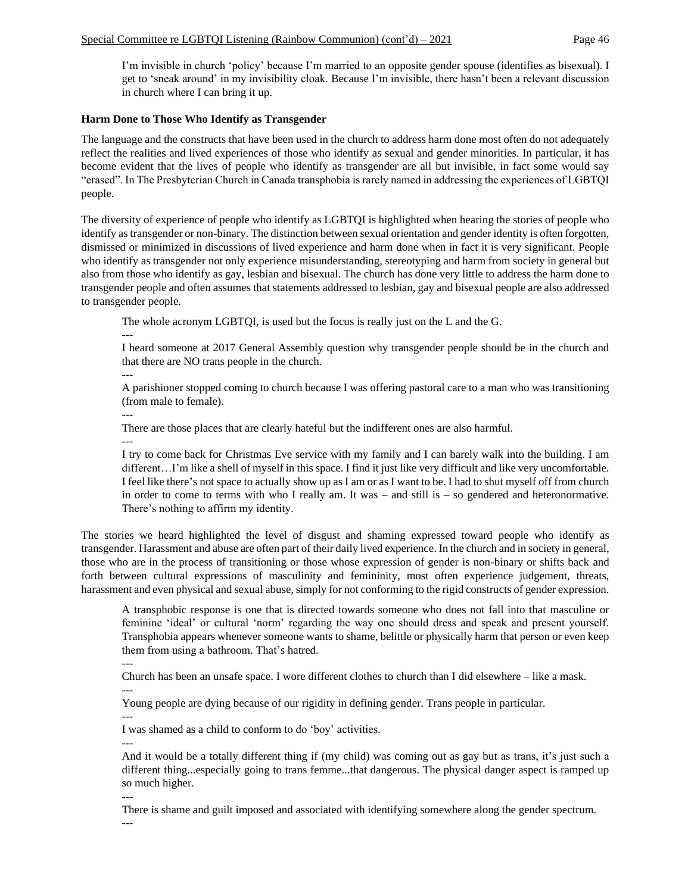I'm invisible in church 'policy' because I'm married to an opposite gender spouse (identifies as bisexual). I get to 'sneak around' in my invisibility cloak. Because I'm invisible, there hasn't been a relevant discussion in church where I can bring it up.

#### **Harm Done to Those Who Identify as Transgender**

The language and the constructs that have been used in the church to address harm done most often do not adequately reflect the realities and lived experiences of those who identify as sexual and gender minorities. In particular, it has become evident that the lives of people who identify as transgender are all but invisible, in fact some would say "erased". In The Presbyterian Church in Canada transphobia is rarely named in addressing the experiences of LGBTQI people.

The diversity of experience of people who identify as LGBTQI is highlighted when hearing the stories of people who identify as transgender or non-binary. The distinction between sexual orientation and gender identity is often forgotten, dismissed or minimized in discussions of lived experience and harm done when in fact it is very significant. People who identify as transgender not only experience misunderstanding, stereotyping and harm from society in general but also from those who identify as gay, lesbian and bisexual. The church has done very little to address the harm done to transgender people and often assumes that statements addressed to lesbian, gay and bisexual people are also addressed to transgender people.

The whole acronym LGBTQI, is used but the focus is really just on the L and the G.

I heard someone at 2017 General Assembly question why transgender people should be in the church and that there are NO trans people in the church.

---

---

A parishioner stopped coming to church because I was offering pastoral care to a man who was transitioning (from male to female).

---

There are those places that are clearly hateful but the indifferent ones are also harmful.

---

I try to come back for Christmas Eve service with my family and I can barely walk into the building. I am different…I'm like a shell of myself in this space. I find it just like very difficult and like very uncomfortable. I feel like there's not space to actually show up as I am or as I want to be. I had to shut myself off from church in order to come to terms with who I really am. It was – and still is – so gendered and heteronormative. There's nothing to affirm my identity.

The stories we heard highlighted the level of disgust and shaming expressed toward people who identify as transgender. Harassment and abuse are often part of their daily lived experience. In the church and in society in general, those who are in the process of transitioning or those whose expression of gender is non-binary or shifts back and forth between cultural expressions of masculinity and femininity, most often experience judgement, threats, harassment and even physical and sexual abuse, simply for not conforming to the rigid constructs of gender expression.

A transphobic response is one that is directed towards someone who does not fall into that masculine or feminine 'ideal' or cultural 'norm' regarding the way one should dress and speak and present yourself. Transphobia appears whenever someone wants to shame, belittle or physically harm that person or even keep them from using a bathroom. That's hatred.

---

Church has been an unsafe space. I wore different clothes to church than I did elsewhere – like a mask. ---

Young people are dying because of our rigidity in defining gender. Trans people in particular.

--- I was shamed as a child to conform to do 'boy' activities.

---

And it would be a totally different thing if (my child) was coming out as gay but as trans, it's just such a different thing...especially going to trans femme...that dangerous. The physical danger aspect is ramped up so much higher.

---

There is shame and guilt imposed and associated with identifying somewhere along the gender spectrum.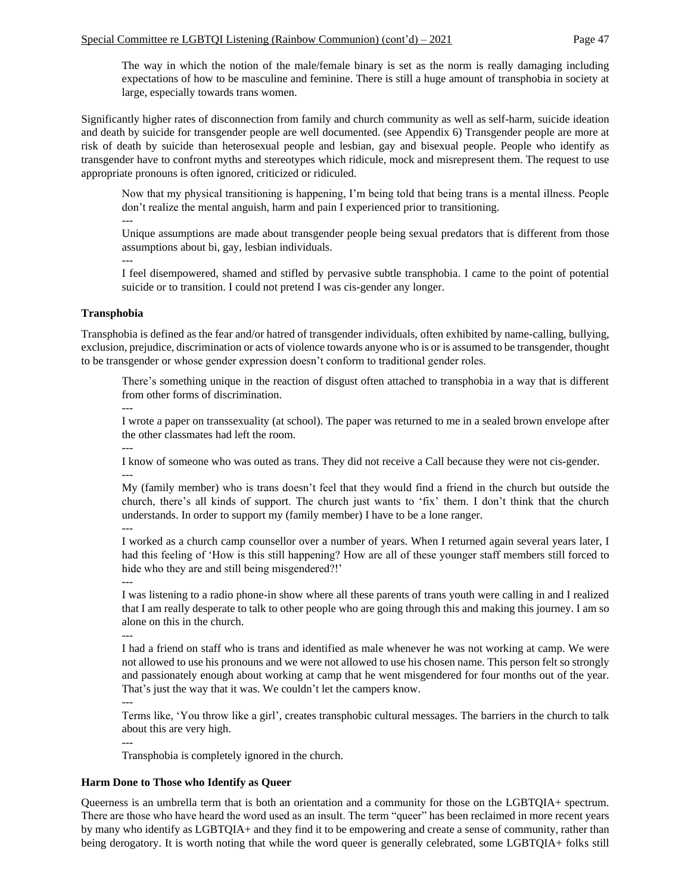The way in which the notion of the male/female binary is set as the norm is really damaging including expectations of how to be masculine and feminine. There is still a huge amount of transphobia in society at large, especially towards trans women.

Significantly higher rates of disconnection from family and church community as well as self-harm, suicide ideation and death by suicide for transgender people are well documented. (see Appendix 6) Transgender people are more at risk of death by suicide than heterosexual people and lesbian, gay and bisexual people. People who identify as transgender have to confront myths and stereotypes which ridicule, mock and misrepresent them. The request to use appropriate pronouns is often ignored, criticized or ridiculed.

Now that my physical transitioning is happening, I'm being told that being trans is a mental illness. People don't realize the mental anguish, harm and pain I experienced prior to transitioning.

Unique assumptions are made about transgender people being sexual predators that is different from those assumptions about bi, gay, lesbian individuals.

I feel disempowered, shamed and stifled by pervasive subtle transphobia. I came to the point of potential suicide or to transition. I could not pretend I was cis-gender any longer.

#### **Transphobia**

---

---

Transphobia is defined as the fear and/or hatred of transgender individuals, often exhibited by name-calling, bullying, exclusion, prejudice, discrimination or acts of violence towards anyone who is or is assumed to be transgender, thought to be transgender or whose gender expression doesn't conform to traditional gender roles.

There's something unique in the reaction of disgust often attached to transphobia in a way that is different from other forms of discrimination.

---

I wrote a paper on transsexuality (at school). The paper was returned to me in a sealed brown envelope after the other classmates had left the room.

---

I know of someone who was outed as trans. They did not receive a Call because they were not cis-gender. ---

My (family member) who is trans doesn't feel that they would find a friend in the church but outside the church, there's all kinds of support. The church just wants to 'fix' them. I don't think that the church understands. In order to support my (family member) I have to be a lone ranger.

I worked as a church camp counsellor over a number of years. When I returned again several years later, I had this feeling of 'How is this still happening? How are all of these younger staff members still forced to hide who they are and still being misgendered?!'

---

---

I was listening to a radio phone-in show where all these parents of trans youth were calling in and I realized that I am really desperate to talk to other people who are going through this and making this journey. I am so alone on this in the church.

---

I had a friend on staff who is trans and identified as male whenever he was not working at camp. We were not allowed to use his pronouns and we were not allowed to use his chosen name. This person felt so strongly and passionately enough about working at camp that he went misgendered for four months out of the year. That's just the way that it was. We couldn't let the campers know.

---

---

Terms like, 'You throw like a girl', creates transphobic cultural messages. The barriers in the church to talk about this are very high.

Transphobia is completely ignored in the church.

#### **Harm Done to Those who Identify as Queer**

Queerness is an umbrella term that is both an orientation and a community for those on the LGBTQIA+ spectrum. There are those who have heard the word used as an insult. The term "queer" has been reclaimed in more recent years by many who identify as LGBTQIA+ and they find it to be empowering and create a sense of community, rather than being derogatory. It is worth noting that while the word queer is generally celebrated, some LGBTQIA+ folks still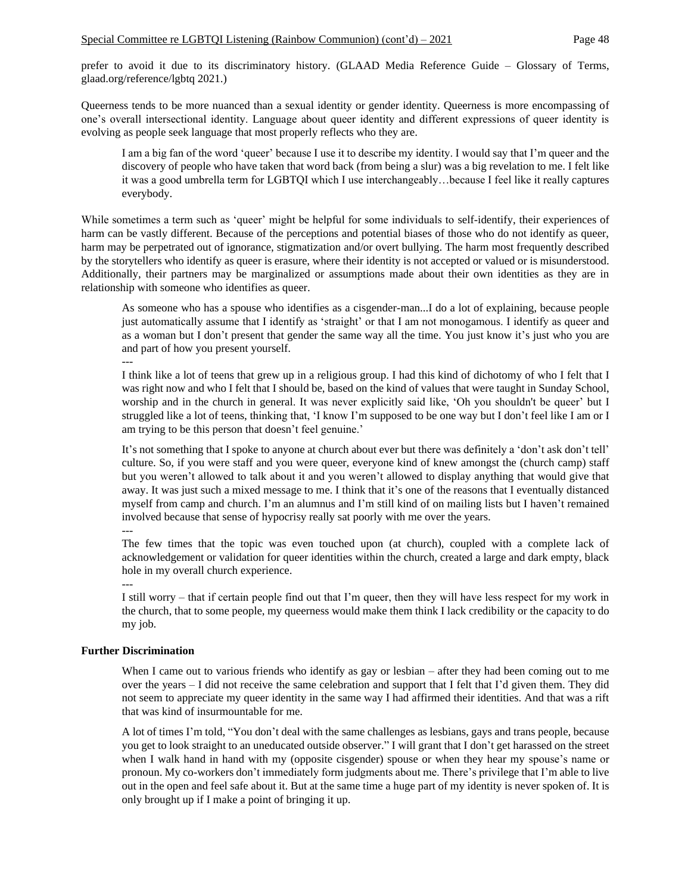prefer to avoid it due to its discriminatory history. (GLAAD Media Reference Guide – Glossary of Terms, glaad.org/reference/lgbtq 2021.)

Queerness tends to be more nuanced than a sexual identity or gender identity. Queerness is more encompassing of one's overall intersectional identity. Language about queer identity and different expressions of queer identity is evolving as people seek language that most properly reflects who they are.

I am a big fan of the word 'queer' because I use it to describe my identity. I would say that I'm queer and the discovery of people who have taken that word back (from being a slur) was a big revelation to me. I felt like it was a good umbrella term for LGBTQI which I use interchangeably…because I feel like it really captures everybody.

While sometimes a term such as 'queer' might be helpful for some individuals to self-identify, their experiences of harm can be vastly different. Because of the perceptions and potential biases of those who do not identify as queer, harm may be perpetrated out of ignorance, stigmatization and/or overt bullying. The harm most frequently described by the storytellers who identify as queer is erasure, where their identity is not accepted or valued or is misunderstood. Additionally, their partners may be marginalized or assumptions made about their own identities as they are in relationship with someone who identifies as queer.

As someone who has a spouse who identifies as a cisgender-man...I do a lot of explaining, because people just automatically assume that I identify as 'straight' or that I am not monogamous. I identify as queer and as a woman but I don't present that gender the same way all the time. You just know it's just who you are and part of how you present yourself.

---

I think like a lot of teens that grew up in a religious group. I had this kind of dichotomy of who I felt that I was right now and who I felt that I should be, based on the kind of values that were taught in Sunday School, worship and in the church in general. It was never explicitly said like, 'Oh you shouldn't be queer' but I struggled like a lot of teens, thinking that, 'I know I'm supposed to be one way but I don't feel like I am or I am trying to be this person that doesn't feel genuine.'

It's not something that I spoke to anyone at church about ever but there was definitely a 'don't ask don't tell' culture. So, if you were staff and you were queer, everyone kind of knew amongst the (church camp) staff but you weren't allowed to talk about it and you weren't allowed to display anything that would give that away. It was just such a mixed message to me. I think that it's one of the reasons that I eventually distanced myself from camp and church. I'm an alumnus and I'm still kind of on mailing lists but I haven't remained involved because that sense of hypocrisy really sat poorly with me over the years. ---

The few times that the topic was even touched upon (at church), coupled with a complete lack of acknowledgement or validation for queer identities within the church, created a large and dark empty, black hole in my overall church experience.

---

I still worry – that if certain people find out that I'm queer, then they will have less respect for my work in the church, that to some people, my queerness would make them think I lack credibility or the capacity to do my job.

## **Further Discrimination**

When I came out to various friends who identify as gay or lesbian – after they had been coming out to me over the years – I did not receive the same celebration and support that I felt that I'd given them. They did not seem to appreciate my queer identity in the same way I had affirmed their identities. And that was a rift that was kind of insurmountable for me.

A lot of times I'm told, "You don't deal with the same challenges as lesbians, gays and trans people, because you get to look straight to an uneducated outside observer." I will grant that I don't get harassed on the street when I walk hand in hand with my (opposite cisgender) spouse or when they hear my spouse's name or pronoun. My co-workers don't immediately form judgments about me. There's privilege that I'm able to live out in the open and feel safe about it. But at the same time a huge part of my identity is never spoken of. It is only brought up if I make a point of bringing it up.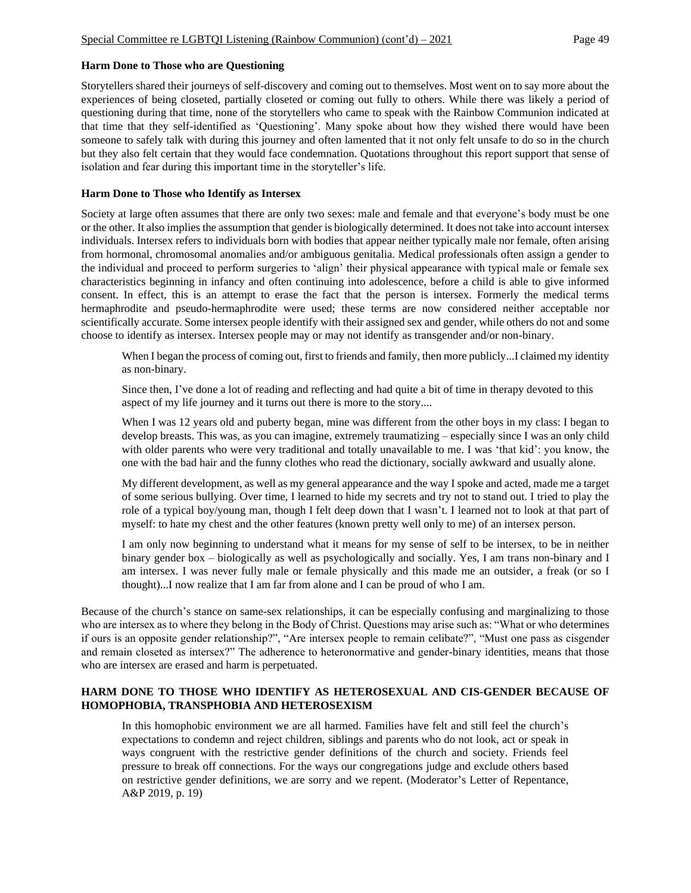#### **Harm Done to Those who are Questioning**

Storytellers shared their journeys of self-discovery and coming out to themselves. Most went on to say more about the experiences of being closeted, partially closeted or coming out fully to others. While there was likely a period of questioning during that time, none of the storytellers who came to speak with the Rainbow Communion indicated at that time that they self-identified as 'Questioning'. Many spoke about how they wished there would have been someone to safely talk with during this journey and often lamented that it not only felt unsafe to do so in the church but they also felt certain that they would face condemnation. Quotations throughout this report support that sense of isolation and fear during this important time in the storyteller's life.

#### **Harm Done to Those who Identify as Intersex**

Society at large often assumes that there are only two sexes: male and female and that everyone's body must be one or the other. It also implies the assumption that gender is biologically determined. It does not take into account intersex individuals. Intersex refers to individuals born with bodies that appear neither typically male nor female, often arising from hormonal, chromosomal anomalies and/or ambiguous genitalia. Medical professionals often assign a gender to the individual and proceed to perform surgeries to 'align' their physical appearance with typical male or female sex characteristics beginning in infancy and often continuing into adolescence, before a child is able to give informed consent. In effect, this is an attempt to erase the fact that the person is intersex. Formerly the medical terms hermaphrodite and pseudo-hermaphrodite were used; these terms are now considered neither acceptable nor scientifically accurate. Some intersex people identify with their assigned sex and gender, while others do not and some choose to identify as intersex. Intersex people may or may not identify as transgender and/or non-binary.

When I began the process of coming out, first to friends and family, then more publicly...I claimed my identity as non-binary.

Since then, I've done a lot of reading and reflecting and had quite a bit of time in therapy devoted to this aspect of my life journey and it turns out there is more to the story....

When I was 12 years old and puberty began, mine was different from the other boys in my class: I began to develop breasts. This was, as you can imagine, extremely traumatizing – especially since I was an only child with older parents who were very traditional and totally unavailable to me. I was 'that kid': you know, the one with the bad hair and the funny clothes who read the dictionary, socially awkward and usually alone.

My different development, as well as my general appearance and the way I spoke and acted, made me a target of some serious bullying. Over time, I learned to hide my secrets and try not to stand out. I tried to play the role of a typical boy/young man, though I felt deep down that I wasn't. I learned not to look at that part of myself: to hate my chest and the other features (known pretty well only to me) of an intersex person.

I am only now beginning to understand what it means for my sense of self to be intersex, to be in neither binary gender box – biologically as well as psychologically and socially. Yes, I am trans non-binary and I am intersex. I was never fully male or female physically and this made me an outsider, a freak (or so I thought)...I now realize that I am far from alone and I can be proud of who I am.

Because of the church's stance on same-sex relationships, it can be especially confusing and marginalizing to those who are intersex as to where they belong in the Body of Christ. Questions may arise such as: "What or who determines if ours is an opposite gender relationship?", "Are intersex people to remain celibate?", "Must one pass as cisgender and remain closeted as intersex?" The adherence to heteronormative and gender-binary identities, means that those who are intersex are erased and harm is perpetuated.

## **HARM DONE TO THOSE WHO IDENTIFY AS HETEROSEXUAL AND CIS-GENDER BECAUSE OF HOMOPHOBIA, TRANSPHOBIA AND HETEROSEXISM**

In this homophobic environment we are all harmed. Families have felt and still feel the church's expectations to condemn and reject children, siblings and parents who do not look, act or speak in ways congruent with the restrictive gender definitions of the church and society. Friends feel pressure to break off connections. For the ways our congregations judge and exclude others based on restrictive gender definitions, we are sorry and we repent. (Moderator's Letter of Repentance, A&P 2019, p. 19)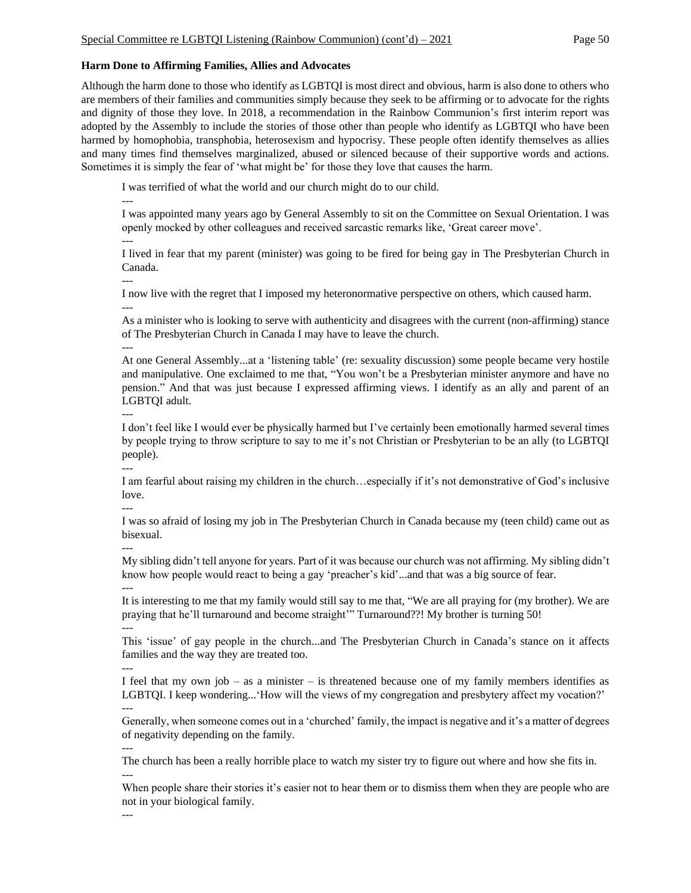## **Harm Done to Affirming Families, Allies and Advocates**

Although the harm done to those who identify as LGBTQI is most direct and obvious, harm is also done to others who are members of their families and communities simply because they seek to be affirming or to advocate for the rights and dignity of those they love. In 2018, a recommendation in the Rainbow Communion's first interim report was adopted by the Assembly to include the stories of those other than people who identify as LGBTQI who have been harmed by homophobia, transphobia, heterosexism and hypocrisy. These people often identify themselves as allies and many times find themselves marginalized, abused or silenced because of their supportive words and actions. Sometimes it is simply the fear of 'what might be' for those they love that causes the harm.

I was terrified of what the world and our church might do to our child.

--- I was appointed many years ago by General Assembly to sit on the Committee on Sexual Orientation. I was openly mocked by other colleagues and received sarcastic remarks like, 'Great career move'. ---

I lived in fear that my parent (minister) was going to be fired for being gay in The Presbyterian Church in Canada.

---

I now live with the regret that I imposed my heteronormative perspective on others, which caused harm. ---

As a minister who is looking to serve with authenticity and disagrees with the current (non-affirming) stance of The Presbyterian Church in Canada I may have to leave the church.

---

At one General Assembly...at a 'listening table' (re: sexuality discussion) some people became very hostile and manipulative. One exclaimed to me that, "You won't be a Presbyterian minister anymore and have no pension." And that was just because I expressed affirming views. I identify as an ally and parent of an LGBTQI adult.

---

I don't feel like I would ever be physically harmed but I've certainly been emotionally harmed several times by people trying to throw scripture to say to me it's not Christian or Presbyterian to be an ally (to LGBTQI people). ---

I am fearful about raising my children in the church…especially if it's not demonstrative of God's inclusive love.

---

I was so afraid of losing my job in The Presbyterian Church in Canada because my (teen child) came out as bisexual. ---

My sibling didn't tell anyone for years. Part of it was because our church was not affirming. My sibling didn't know how people would react to being a gay 'preacher's kid'...and that was a big source of fear.

--- It is interesting to me that my family would still say to me that, "We are all praying for (my brother). We are praying that he'll turnaround and become straight'" Turnaround??! My brother is turning 50! ---

This 'issue' of gay people in the church...and The Presbyterian Church in Canada's stance on it affects families and the way they are treated too.

I feel that my own job – as a minister – is threatened because one of my family members identifies as LGBTQI. I keep wondering...'How will the views of my congregation and presbytery affect my vocation?' ---

Generally, when someone comes out in a 'churched' family, the impact is negative and it's a matter of degrees of negativity depending on the family.

---

---

The church has been a really horrible place to watch my sister try to figure out where and how she fits in. ---

When people share their stories it's easier not to hear them or to dismiss them when they are people who are not in your biological family.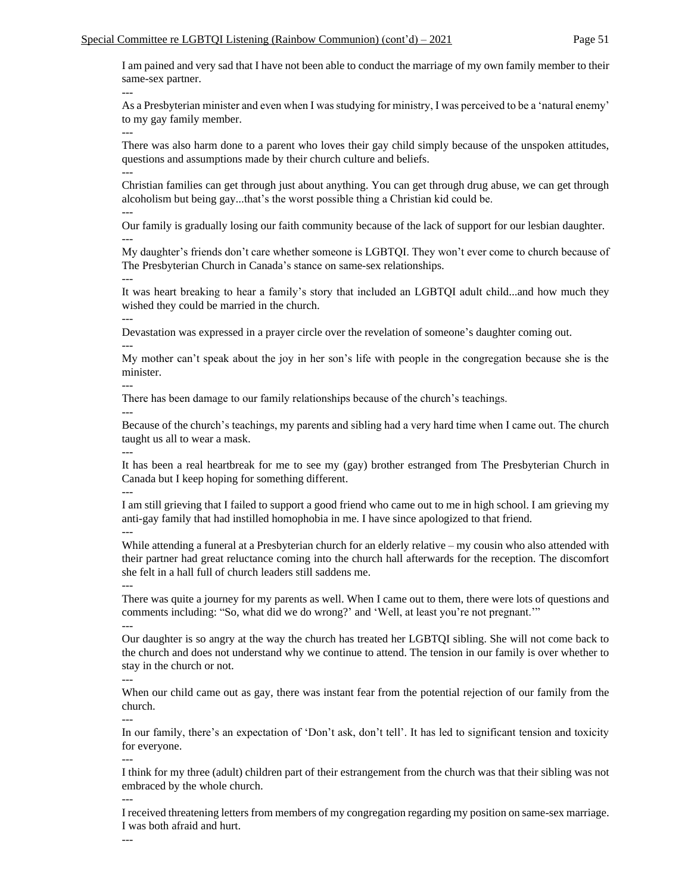I am pained and very sad that I have not been able to conduct the marriage of my own family member to their same-sex partner.

As a Presbyterian minister and even when I was studying for ministry, I was perceived to be a 'natural enemy' to my gay family member.

---

---

There was also harm done to a parent who loves their gay child simply because of the unspoken attitudes, questions and assumptions made by their church culture and beliefs. ---

Christian families can get through just about anything. You can get through drug abuse, we can get through alcoholism but being gay...that's the worst possible thing a Christian kid could be.

---

Our family is gradually losing our faith community because of the lack of support for our lesbian daughter. ---

My daughter's friends don't care whether someone is LGBTQI. They won't ever come to church because of The Presbyterian Church in Canada's stance on same-sex relationships. ---

It was heart breaking to hear a family's story that included an LGBTQI adult child...and how much they wished they could be married in the church.

---

Devastation was expressed in a prayer circle over the revelation of someone's daughter coming out. ---

My mother can't speak about the joy in her son's life with people in the congregation because she is the minister.

---

There has been damage to our family relationships because of the church's teachings.

---

Because of the church's teachings, my parents and sibling had a very hard time when I came out. The church taught us all to wear a mask.

---

It has been a real heartbreak for me to see my (gay) brother estranged from The Presbyterian Church in Canada but I keep hoping for something different.

---

I am still grieving that I failed to support a good friend who came out to me in high school. I am grieving my anti-gay family that had instilled homophobia in me. I have since apologized to that friend.

---

While attending a funeral at a Presbyterian church for an elderly relative – my cousin who also attended with their partner had great reluctance coming into the church hall afterwards for the reception. The discomfort she felt in a hall full of church leaders still saddens me.

There was quite a journey for my parents as well. When I came out to them, there were lots of questions and comments including: "So, what did we do wrong?' and 'Well, at least you're not pregnant.'"

---

---

Our daughter is so angry at the way the church has treated her LGBTQI sibling. She will not come back to the church and does not understand why we continue to attend. The tension in our family is over whether to stay in the church or not.

---

When our child came out as gay, there was instant fear from the potential rejection of our family from the church.

In our family, there's an expectation of 'Don't ask, don't tell'. It has led to significant tension and toxicity for everyone.

---

---

---

I think for my three (adult) children part of their estrangement from the church was that their sibling was not embraced by the whole church.

I received threatening letters from members of my congregation regarding my position on same-sex marriage. I was both afraid and hurt.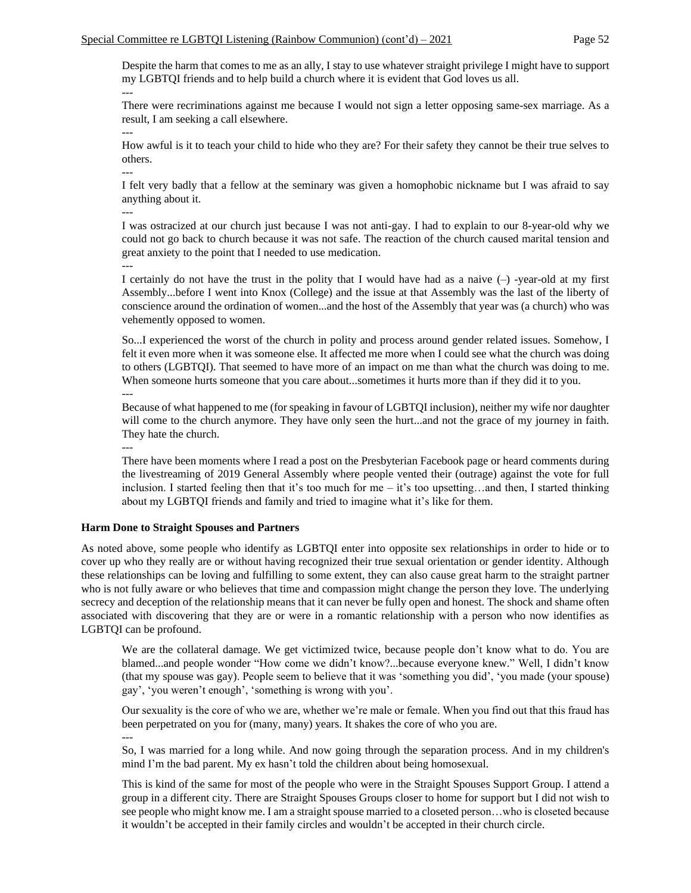Despite the harm that comes to me as an ally, I stay to use whatever straight privilege I might have to support my LGBTQI friends and to help build a church where it is evident that God loves us all. ---

There were recriminations against me because I would not sign a letter opposing same-sex marriage. As a result, I am seeking a call elsewhere.

How awful is it to teach your child to hide who they are? For their safety they cannot be their true selves to others.

I felt very badly that a fellow at the seminary was given a homophobic nickname but I was afraid to say anything about it.

---

---

---

I was ostracized at our church just because I was not anti-gay. I had to explain to our 8-year-old why we could not go back to church because it was not safe. The reaction of the church caused marital tension and great anxiety to the point that I needed to use medication. ---

I certainly do not have the trust in the polity that I would have had as a naive  $(-)$  -year-old at my first Assembly...before I went into Knox (College) and the issue at that Assembly was the last of the liberty of conscience around the ordination of women...and the host of the Assembly that year was (a church) who was vehemently opposed to women.

So...I experienced the worst of the church in polity and process around gender related issues. Somehow, I felt it even more when it was someone else. It affected me more when I could see what the church was doing to others (LGBTQI). That seemed to have more of an impact on me than what the church was doing to me. When someone hurts someone that you care about...sometimes it hurts more than if they did it to you. ---

Because of what happened to me (for speaking in favour of LGBTQI inclusion), neither my wife nor daughter will come to the church anymore. They have only seen the hurt...and not the grace of my journey in faith. They hate the church.

---

There have been moments where I read a post on the Presbyterian Facebook page or heard comments during the livestreaming of 2019 General Assembly where people vented their (outrage) against the vote for full inclusion. I started feeling then that it's too much for me – it's too upsetting…and then, I started thinking about my LGBTQI friends and family and tried to imagine what it's like for them.

## **Harm Done to Straight Spouses and Partners**

As noted above, some people who identify as LGBTQI enter into opposite sex relationships in order to hide or to cover up who they really are or without having recognized their true sexual orientation or gender identity. Although these relationships can be loving and fulfilling to some extent, they can also cause great harm to the straight partner who is not fully aware or who believes that time and compassion might change the person they love. The underlying secrecy and deception of the relationship means that it can never be fully open and honest. The shock and shame often associated with discovering that they are or were in a romantic relationship with a person who now identifies as LGBTQI can be profound.

We are the collateral damage. We get victimized twice, because people don't know what to do. You are blamed...and people wonder "How come we didn't know?...because everyone knew." Well, I didn't know (that my spouse was gay). People seem to believe that it was 'something you did', 'you made (your spouse) gay', 'you weren't enough', 'something is wrong with you'.

Our sexuality is the core of who we are, whether we're male or female. When you find out that this fraud has been perpetrated on you for (many, many) years. It shakes the core of who you are.

---

So, I was married for a long while. And now going through the separation process. And in my children's mind I'm the bad parent. My ex hasn't told the children about being homosexual.

This is kind of the same for most of the people who were in the Straight Spouses Support Group. I attend a group in a different city. There are Straight Spouses Groups closer to home for support but I did not wish to see people who might know me. I am a straight spouse married to a closeted person…who is closeted because it wouldn't be accepted in their family circles and wouldn't be accepted in their church circle.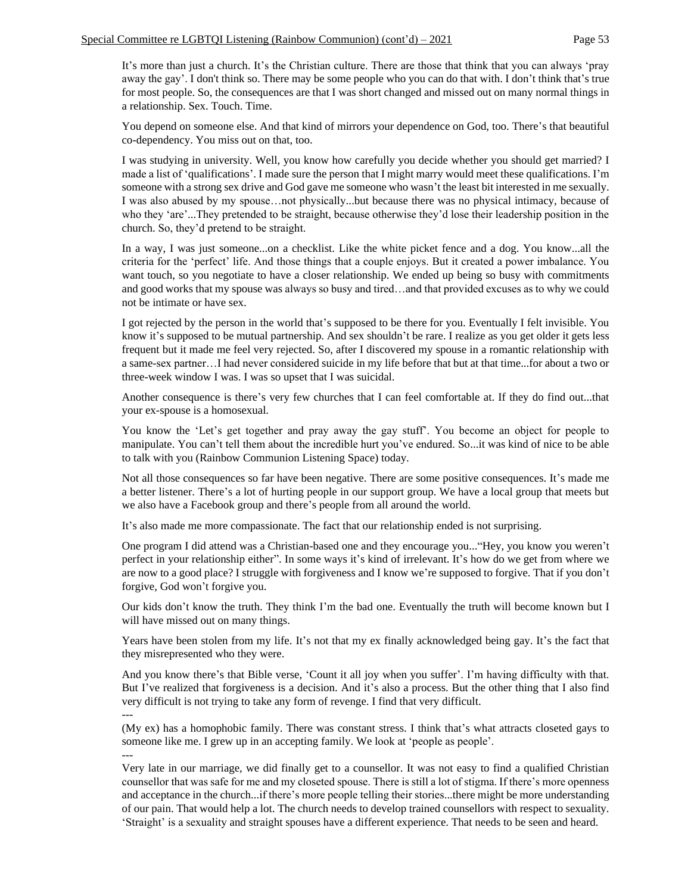It's more than just a church. It's the Christian culture. There are those that think that you can always 'pray away the gay'. I don't think so. There may be some people who you can do that with. I don't think that's true for most people. So, the consequences are that I was short changed and missed out on many normal things in a relationship. Sex. Touch. Time.

You depend on someone else. And that kind of mirrors your dependence on God, too. There's that beautiful co-dependency. You miss out on that, too.

I was studying in university. Well, you know how carefully you decide whether you should get married? I made a list of 'qualifications'. I made sure the person that I might marry would meet these qualifications. I'm someone with a strong sex drive and God gave me someone who wasn't the least bit interested in me sexually. I was also abused by my spouse…not physically...but because there was no physical intimacy, because of who they 'are'...They pretended to be straight, because otherwise they'd lose their leadership position in the church. So, they'd pretend to be straight.

In a way, I was just someone...on a checklist. Like the white picket fence and a dog. You know...all the criteria for the 'perfect' life. And those things that a couple enjoys. But it created a power imbalance. You want touch, so you negotiate to have a closer relationship. We ended up being so busy with commitments and good works that my spouse was always so busy and tired…and that provided excuses as to why we could not be intimate or have sex.

I got rejected by the person in the world that's supposed to be there for you. Eventually I felt invisible. You know it's supposed to be mutual partnership. And sex shouldn't be rare. I realize as you get older it gets less frequent but it made me feel very rejected. So, after I discovered my spouse in a romantic relationship with a same-sex partner…I had never considered suicide in my life before that but at that time...for about a two or three-week window I was. I was so upset that I was suicidal.

Another consequence is there's very few churches that I can feel comfortable at. If they do find out...that your ex-spouse is a homosexual.

You know the 'Let's get together and pray away the gay stuff'. You become an object for people to manipulate. You can't tell them about the incredible hurt you've endured. So...it was kind of nice to be able to talk with you (Rainbow Communion Listening Space) today.

Not all those consequences so far have been negative. There are some positive consequences. It's made me a better listener. There's a lot of hurting people in our support group. We have a local group that meets but we also have a Facebook group and there's people from all around the world.

It's also made me more compassionate. The fact that our relationship ended is not surprising.

One program I did attend was a Christian-based one and they encourage you..."Hey, you know you weren't perfect in your relationship either". In some ways it's kind of irrelevant. It's how do we get from where we are now to a good place? I struggle with forgiveness and I know we're supposed to forgive. That if you don't forgive, God won't forgive you.

Our kids don't know the truth. They think I'm the bad one. Eventually the truth will become known but I will have missed out on many things.

Years have been stolen from my life. It's not that my ex finally acknowledged being gay. It's the fact that they misrepresented who they were.

And you know there's that Bible verse, 'Count it all joy when you suffer'. I'm having difficulty with that. But I've realized that forgiveness is a decision. And it's also a process. But the other thing that I also find very difficult is not trying to take any form of revenge. I find that very difficult. ---

(My ex) has a homophobic family. There was constant stress. I think that's what attracts closeted gays to someone like me. I grew up in an accepting family. We look at 'people as people'.

---

Very late in our marriage, we did finally get to a counsellor. It was not easy to find a qualified Christian counsellor that was safe for me and my closeted spouse. There is still a lot of stigma. If there's more openness and acceptance in the church...if there's more people telling their stories...there might be more understanding of our pain. That would help a lot. The church needs to develop trained counsellors with respect to sexuality. 'Straight' is a sexuality and straight spouses have a different experience. That needs to be seen and heard.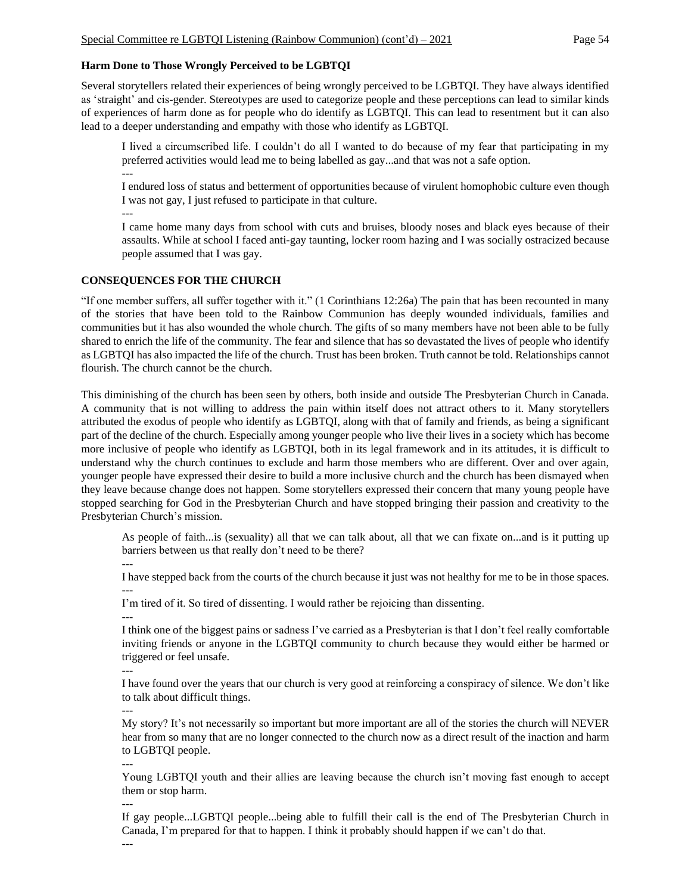## **Harm Done to Those Wrongly Perceived to be LGBTQI**

Several storytellers related their experiences of being wrongly perceived to be LGBTQI. They have always identified as 'straight' and cis-gender. Stereotypes are used to categorize people and these perceptions can lead to similar kinds of experiences of harm done as for people who do identify as LGBTQI. This can lead to resentment but it can also lead to a deeper understanding and empathy with those who identify as LGBTQI.

I lived a circumscribed life. I couldn't do all I wanted to do because of my fear that participating in my preferred activities would lead me to being labelled as gay...and that was not a safe option.

---

I endured loss of status and betterment of opportunities because of virulent homophobic culture even though I was not gay, I just refused to participate in that culture.

---

I came home many days from school with cuts and bruises, bloody noses and black eyes because of their assaults. While at school I faced anti-gay taunting, locker room hazing and I was socially ostracized because people assumed that I was gay.

#### **CONSEQUENCES FOR THE CHURCH**

"If one member suffers, all suffer together with it." (1 Corinthians 12:26a) The pain that has been recounted in many of the stories that have been told to the Rainbow Communion has deeply wounded individuals, families and communities but it has also wounded the whole church. The gifts of so many members have not been able to be fully shared to enrich the life of the community. The fear and silence that has so devastated the lives of people who identify as LGBTQI has also impacted the life of the church. Trust has been broken. Truth cannot be told. Relationships cannot flourish. The church cannot be the church.

This diminishing of the church has been seen by others, both inside and outside The Presbyterian Church in Canada. A community that is not willing to address the pain within itself does not attract others to it. Many storytellers attributed the exodus of people who identify as LGBTQI, along with that of family and friends, as being a significant part of the decline of the church. Especially among younger people who live their lives in a society which has become more inclusive of people who identify as LGBTQI, both in its legal framework and in its attitudes, it is difficult to understand why the church continues to exclude and harm those members who are different. Over and over again, younger people have expressed their desire to build a more inclusive church and the church has been dismayed when they leave because change does not happen. Some storytellers expressed their concern that many young people have stopped searching for God in the Presbyterian Church and have stopped bringing their passion and creativity to the Presbyterian Church's mission.

As people of faith...is (sexuality) all that we can talk about, all that we can fixate on...and is it putting up barriers between us that really don't need to be there?

I have stepped back from the courts of the church because it just was not healthy for me to be in those spaces. ---

I'm tired of it. So tired of dissenting. I would rather be rejoicing than dissenting.

---

---

I think one of the biggest pains or sadness I've carried as a Presbyterian is that I don't feel really comfortable inviting friends or anyone in the LGBTQI community to church because they would either be harmed or triggered or feel unsafe.

---

I have found over the years that our church is very good at reinforcing a conspiracy of silence. We don't like to talk about difficult things.

---

My story? It's not necessarily so important but more important are all of the stories the church will NEVER hear from so many that are no longer connected to the church now as a direct result of the inaction and harm to LGBTQI people.

Young LGBTQI youth and their allies are leaving because the church isn't moving fast enough to accept them or stop harm.

---

---

If gay people...LGBTQI people...being able to fulfill their call is the end of The Presbyterian Church in Canada, I'm prepared for that to happen. I think it probably should happen if we can't do that.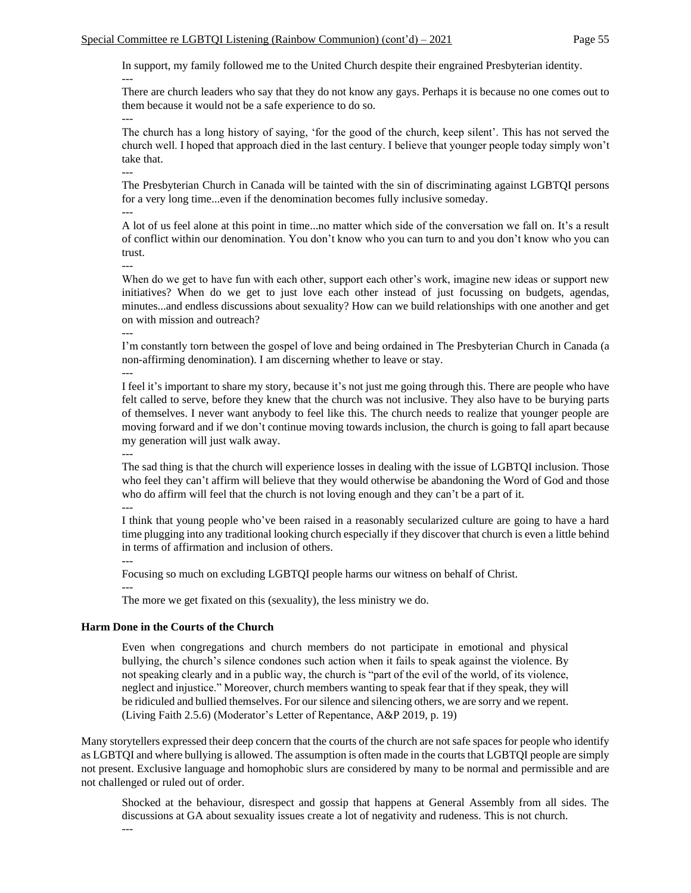In support, my family followed me to the United Church despite their engrained Presbyterian identity.

There are church leaders who say that they do not know any gays. Perhaps it is because no one comes out to them because it would not be a safe experience to do so.

The church has a long history of saying, 'for the good of the church, keep silent'. This has not served the church well. I hoped that approach died in the last century. I believe that younger people today simply won't take that.

The Presbyterian Church in Canada will be tainted with the sin of discriminating against LGBTQI persons for a very long time...even if the denomination becomes fully inclusive someday.

---

---

---

---

A lot of us feel alone at this point in time...no matter which side of the conversation we fall on. It's a result of conflict within our denomination. You don't know who you can turn to and you don't know who you can trust.

---

When do we get to have fun with each other, support each other's work, imagine new ideas or support new initiatives? When do we get to just love each other instead of just focussing on budgets, agendas, minutes...and endless discussions about sexuality? How can we build relationships with one another and get on with mission and outreach?

I'm constantly torn between the gospel of love and being ordained in The Presbyterian Church in Canada (a non-affirming denomination). I am discerning whether to leave or stay.

---

---

I feel it's important to share my story, because it's not just me going through this. There are people who have felt called to serve, before they knew that the church was not inclusive. They also have to be burying parts of themselves. I never want anybody to feel like this. The church needs to realize that younger people are moving forward and if we don't continue moving towards inclusion, the church is going to fall apart because my generation will just walk away.

---

The sad thing is that the church will experience losses in dealing with the issue of LGBTQI inclusion. Those who feel they can't affirm will believe that they would otherwise be abandoning the Word of God and those who do affirm will feel that the church is not loving enough and they can't be a part of it. ---

I think that young people who've been raised in a reasonably secularized culture are going to have a hard time plugging into any traditional looking church especially if they discover that church is even a little behind in terms of affirmation and inclusion of others.

---

Focusing so much on excluding LGBTQI people harms our witness on behalf of Christ.

---

The more we get fixated on this (sexuality), the less ministry we do.

## **Harm Done in the Courts of the Church**

Even when congregations and church members do not participate in emotional and physical bullying, the church's silence condones such action when it fails to speak against the violence. By not speaking clearly and in a public way, the church is "part of the evil of the world, of its violence, neglect and injustice." Moreover, church members wanting to speak fear that if they speak, they will be ridiculed and bullied themselves. For our silence and silencing others, we are sorry and we repent. (Living Faith 2.5.6) (Moderator's Letter of Repentance, A&P 2019, p. 19)

Many storytellers expressed their deep concern that the courts of the church are not safe spaces for people who identify as LGBTQI and where bullying is allowed. The assumption is often made in the courts that LGBTQI people are simply not present. Exclusive language and homophobic slurs are considered by many to be normal and permissible and are not challenged or ruled out of order.

Shocked at the behaviour, disrespect and gossip that happens at General Assembly from all sides. The discussions at GA about sexuality issues create a lot of negativity and rudeness. This is not church.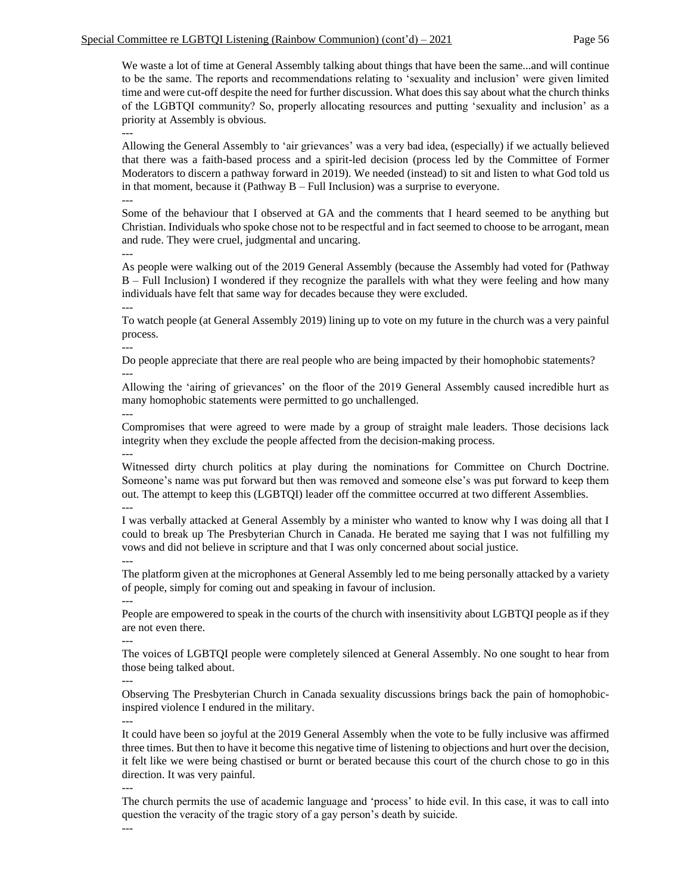We waste a lot of time at General Assembly talking about things that have been the same...and will continue to be the same. The reports and recommendations relating to 'sexuality and inclusion' were given limited time and were cut-off despite the need for further discussion. What does this say about what the church thinks of the LGBTQI community? So, properly allocating resources and putting 'sexuality and inclusion' as a priority at Assembly is obvious.

---

Allowing the General Assembly to 'air grievances' was a very bad idea, (especially) if we actually believed that there was a faith-based process and a spirit-led decision (process led by the Committee of Former Moderators to discern a pathway forward in 2019). We needed (instead) to sit and listen to what God told us in that moment, because it (Pathway B – Full Inclusion) was a surprise to everyone.

---

Some of the behaviour that I observed at GA and the comments that I heard seemed to be anything but Christian. Individuals who spoke chose not to be respectful and in fact seemed to choose to be arrogant, mean and rude. They were cruel, judgmental and uncaring. ---

As people were walking out of the 2019 General Assembly (because the Assembly had voted for (Pathway B – Full Inclusion) I wondered if they recognize the parallels with what they were feeling and how many individuals have felt that same way for decades because they were excluded.

--- To watch people (at General Assembly 2019) lining up to vote on my future in the church was a very painful process.

---

Do people appreciate that there are real people who are being impacted by their homophobic statements? ---

Allowing the 'airing of grievances' on the floor of the 2019 General Assembly caused incredible hurt as many homophobic statements were permitted to go unchallenged.

---

Compromises that were agreed to were made by a group of straight male leaders. Those decisions lack integrity when they exclude the people affected from the decision-making process. ---

Witnessed dirty church politics at play during the nominations for Committee on Church Doctrine. Someone's name was put forward but then was removed and someone else's was put forward to keep them out. The attempt to keep this (LGBTQI) leader off the committee occurred at two different Assemblies. ---

I was verbally attacked at General Assembly by a minister who wanted to know why I was doing all that I could to break up The Presbyterian Church in Canada. He berated me saying that I was not fulfilling my vows and did not believe in scripture and that I was only concerned about social justice.

The platform given at the microphones at General Assembly led to me being personally attacked by a variety of people, simply for coming out and speaking in favour of inclusion.

People are empowered to speak in the courts of the church with insensitivity about LGBTQI people as if they are not even there.

---

---

---

The voices of LGBTQI people were completely silenced at General Assembly. No one sought to hear from those being talked about.

---

Observing The Presbyterian Church in Canada sexuality discussions brings back the pain of homophobicinspired violence I endured in the military.

---

It could have been so joyful at the 2019 General Assembly when the vote to be fully inclusive was affirmed three times. But then to have it become this negative time of listening to objections and hurt over the decision, it felt like we were being chastised or burnt or berated because this court of the church chose to go in this direction. It was very painful.

---

The church permits the use of academic language and 'process' to hide evil. In this case, it was to call into question the veracity of the tragic story of a gay person's death by suicide.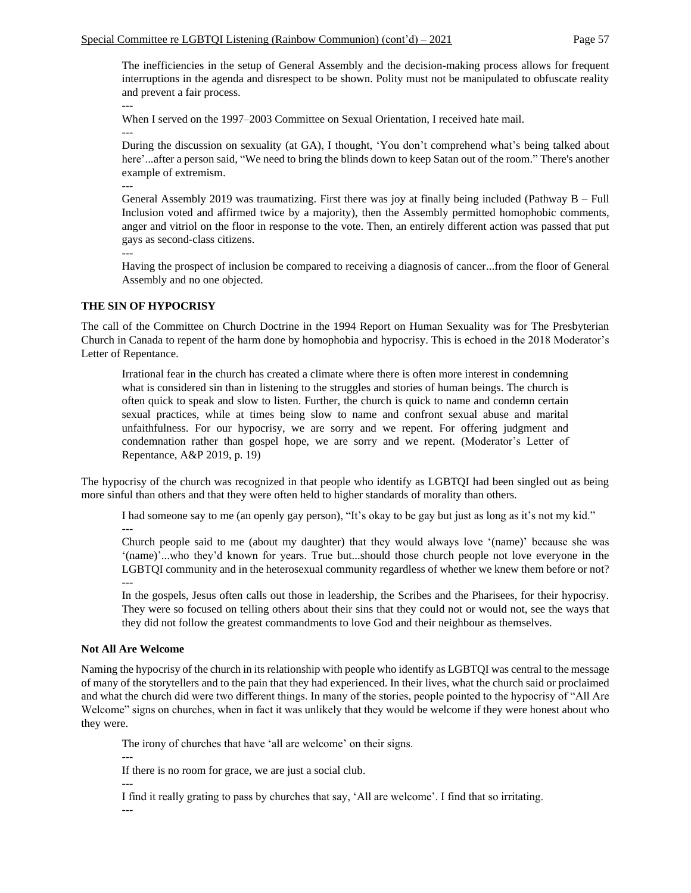The inefficiencies in the setup of General Assembly and the decision-making process allows for frequent interruptions in the agenda and disrespect to be shown. Polity must not be manipulated to obfuscate reality and prevent a fair process.

--- When I served on the 1997–2003 Committee on Sexual Orientation, I received hate mail. ---

During the discussion on sexuality (at GA), I thought, 'You don't comprehend what's being talked about here'...after a person said, "We need to bring the blinds down to keep Satan out of the room." There's another example of extremism.

General Assembly 2019 was traumatizing. First there was joy at finally being included (Pathway B – Full Inclusion voted and affirmed twice by a majority), then the Assembly permitted homophobic comments, anger and vitriol on the floor in response to the vote. Then, an entirely different action was passed that put gays as second-class citizens.

---

---

Having the prospect of inclusion be compared to receiving a diagnosis of cancer...from the floor of General Assembly and no one objected.

## **THE SIN OF HYPOCRISY**

The call of the Committee on Church Doctrine in the 1994 Report on Human Sexuality was for The Presbyterian Church in Canada to repent of the harm done by homophobia and hypocrisy. This is echoed in the 2018 Moderator's Letter of Repentance.

Irrational fear in the church has created a climate where there is often more interest in condemning what is considered sin than in listening to the struggles and stories of human beings. The church is often quick to speak and slow to listen. Further, the church is quick to name and condemn certain sexual practices, while at times being slow to name and confront sexual abuse and marital unfaithfulness. For our hypocrisy, we are sorry and we repent. For offering judgment and condemnation rather than gospel hope, we are sorry and we repent. (Moderator's Letter of Repentance, A&P 2019, p. 19)

The hypocrisy of the church was recognized in that people who identify as LGBTQI had been singled out as being more sinful than others and that they were often held to higher standards of morality than others.

I had someone say to me (an openly gay person), "It's okay to be gay but just as long as it's not my kid." ---

Church people said to me (about my daughter) that they would always love '(name)' because she was '(name)'...who they'd known for years. True but...should those church people not love everyone in the LGBTQI community and in the heterosexual community regardless of whether we knew them before or not? ---

In the gospels, Jesus often calls out those in leadership, the Scribes and the Pharisees, for their hypocrisy. They were so focused on telling others about their sins that they could not or would not, see the ways that they did not follow the greatest commandments to love God and their neighbour as themselves.

#### **Not All Are Welcome**

Naming the hypocrisy of the church in its relationship with people who identify as LGBTQI was central to the message of many of the storytellers and to the pain that they had experienced. In their lives, what the church said or proclaimed and what the church did were two different things. In many of the stories, people pointed to the hypocrisy of "All Are Welcome" signs on churches, when in fact it was unlikely that they would be welcome if they were honest about who they were.

The irony of churches that have 'all are welcome' on their signs.

--- If there is no room for grace, we are just a social club. ---

I find it really grating to pass by churches that say, 'All are welcome'. I find that so irritating.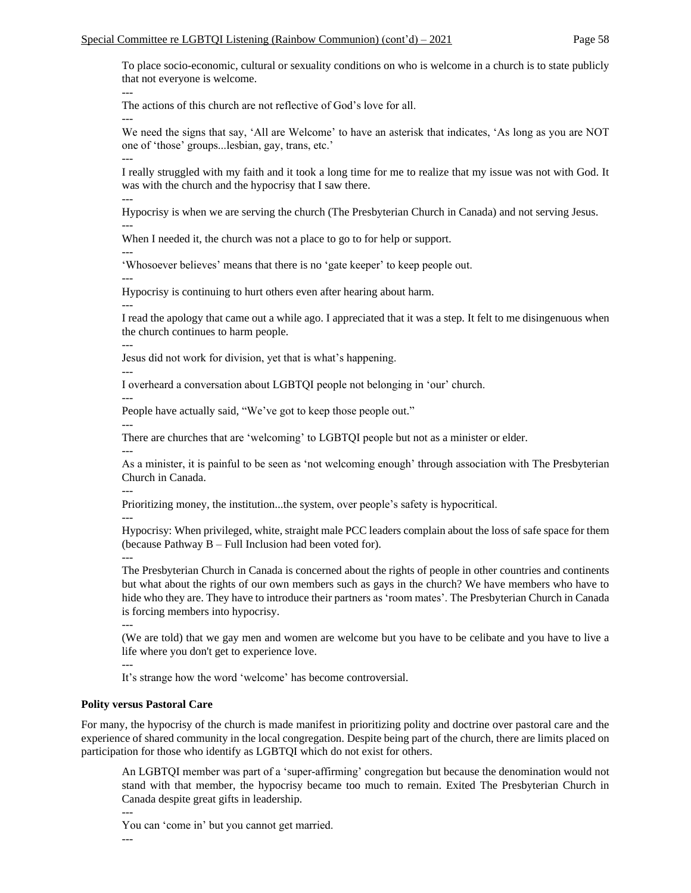To place socio-economic, cultural or sexuality conditions on who is welcome in a church is to state publicly that not everyone is welcome.

The actions of this church are not reflective of God's love for all.

We need the signs that say, 'All are Welcome' to have an asterisk that indicates, 'As long as you are NOT one of 'those' groups...lesbian, gay, trans, etc.'

I really struggled with my faith and it took a long time for me to realize that my issue was not with God. It was with the church and the hypocrisy that I saw there.

---

---

---

---

Hypocrisy is when we are serving the church (The Presbyterian Church in Canada) and not serving Jesus. ---

When I needed it, the church was not a place to go to for help or support.

---

---

---

---

'Whosoever believes' means that there is no 'gate keeper' to keep people out.

Hypocrisy is continuing to hurt others even after hearing about harm.

I read the apology that came out a while ago. I appreciated that it was a step. It felt to me disingenuous when the church continues to harm people.

Jesus did not work for division, yet that is what's happening.

--- I overheard a conversation about LGBTQI people not belonging in 'our' church.

---

---

People have actually said, "We've got to keep those people out."

There are churches that are 'welcoming' to LGBTQI people but not as a minister or elder.

---

As a minister, it is painful to be seen as 'not welcoming enough' through association with The Presbyterian Church in Canada.

---

Prioritizing money, the institution...the system, over people's safety is hypocritical.

---

Hypocrisy: When privileged, white, straight male PCC leaders complain about the loss of safe space for them (because Pathway B – Full Inclusion had been voted for).

The Presbyterian Church in Canada is concerned about the rights of people in other countries and continents but what about the rights of our own members such as gays in the church? We have members who have to hide who they are. They have to introduce their partners as 'room mates'. The Presbyterian Church in Canada is forcing members into hypocrisy.

---

(We are told) that we gay men and women are welcome but you have to be celibate and you have to live a life where you don't get to experience love.

---

It's strange how the word 'welcome' has become controversial.

## **Polity versus Pastoral Care**

For many, the hypocrisy of the church is made manifest in prioritizing polity and doctrine over pastoral care and the experience of shared community in the local congregation. Despite being part of the church, there are limits placed on participation for those who identify as LGBTQI which do not exist for others.

An LGBTQI member was part of a 'super-affirming' congregation but because the denomination would not stand with that member, the hypocrisy became too much to remain. Exited The Presbyterian Church in Canada despite great gifts in leadership.

--- You can 'come in' but you cannot get married.

<sup>---</sup>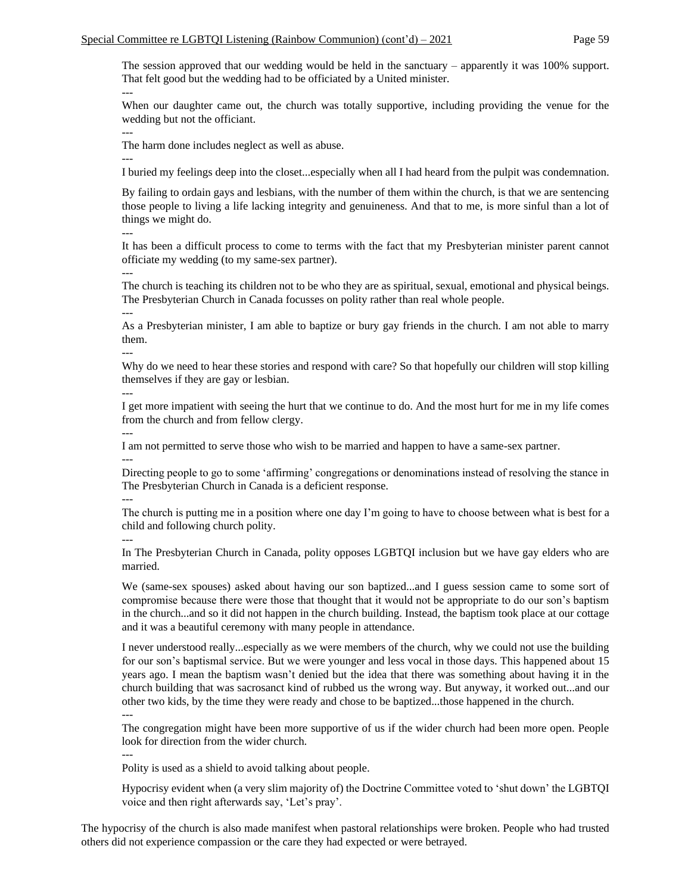The session approved that our wedding would be held in the sanctuary – apparently it was 100% support. That felt good but the wedding had to be officiated by a United minister. ---

When our daughter came out, the church was totally supportive, including providing the venue for the wedding but not the officiant.

---

---

The harm done includes neglect as well as abuse.

I buried my feelings deep into the closet...especially when all I had heard from the pulpit was condemnation.

By failing to ordain gays and lesbians, with the number of them within the church, is that we are sentencing those people to living a life lacking integrity and genuineness. And that to me, is more sinful than a lot of things we might do.

It has been a difficult process to come to terms with the fact that my Presbyterian minister parent cannot officiate my wedding (to my same-sex partner).

---

---

The church is teaching its children not to be who they are as spiritual, sexual, emotional and physical beings. The Presbyterian Church in Canada focusses on polity rather than real whole people.

---

As a Presbyterian minister, I am able to baptize or bury gay friends in the church. I am not able to marry them.

---

Why do we need to hear these stories and respond with care? So that hopefully our children will stop killing themselves if they are gay or lesbian. ---

I get more impatient with seeing the hurt that we continue to do. And the most hurt for me in my life comes from the church and from fellow clergy. ---

I am not permitted to serve those who wish to be married and happen to have a same-sex partner.

Directing people to go to some 'affirming' congregations or denominations instead of resolving the stance in The Presbyterian Church in Canada is a deficient response.

---

---

The church is putting me in a position where one day I'm going to have to choose between what is best for a child and following church polity.

---

In The Presbyterian Church in Canada, polity opposes LGBTQI inclusion but we have gay elders who are married.

We (same-sex spouses) asked about having our son baptized...and I guess session came to some sort of compromise because there were those that thought that it would not be appropriate to do our son's baptism in the church...and so it did not happen in the church building. Instead, the baptism took place at our cottage and it was a beautiful ceremony with many people in attendance.

I never understood really...especially as we were members of the church, why we could not use the building for our son's baptismal service. But we were younger and less vocal in those days. This happened about 15 years ago. I mean the baptism wasn't denied but the idea that there was something about having it in the church building that was sacrosanct kind of rubbed us the wrong way. But anyway, it worked out...and our other two kids, by the time they were ready and chose to be baptized...those happened in the church.

---

The congregation might have been more supportive of us if the wider church had been more open. People look for direction from the wider church.

---

Polity is used as a shield to avoid talking about people.

Hypocrisy evident when (a very slim majority of) the Doctrine Committee voted to 'shut down' the LGBTQI voice and then right afterwards say, 'Let's pray'.

The hypocrisy of the church is also made manifest when pastoral relationships were broken. People who had trusted others did not experience compassion or the care they had expected or were betrayed.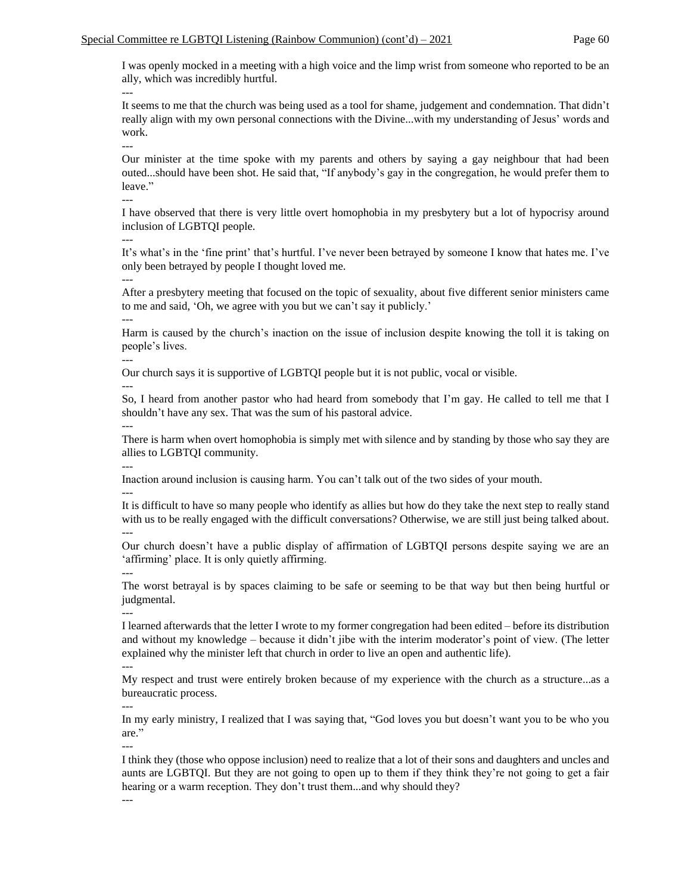I was openly mocked in a meeting with a high voice and the limp wrist from someone who reported to be an ally, which was incredibly hurtful. ---

It seems to me that the church was being used as a tool for shame, judgement and condemnation. That didn't really align with my own personal connections with the Divine...with my understanding of Jesus' words and work.

Our minister at the time spoke with my parents and others by saying a gay neighbour that had been outed...should have been shot. He said that, "If anybody's gay in the congregation, he would prefer them to leave."

I have observed that there is very little overt homophobia in my presbytery but a lot of hypocrisy around inclusion of LGBTQI people.

---

---

---

It's what's in the 'fine print' that's hurtful. I've never been betrayed by someone I know that hates me. I've only been betrayed by people I thought loved me. ---

After a presbytery meeting that focused on the topic of sexuality, about five different senior ministers came to me and said, 'Oh, we agree with you but we can't say it publicly.' ---

Harm is caused by the church's inaction on the issue of inclusion despite knowing the toll it is taking on people's lives.

---

Our church says it is supportive of LGBTQI people but it is not public, vocal or visible.

---

So, I heard from another pastor who had heard from somebody that I'm gay. He called to tell me that I shouldn't have any sex. That was the sum of his pastoral advice.

There is harm when overt homophobia is simply met with silence and by standing by those who say they are allies to LGBTQI community.

---

---

Inaction around inclusion is causing harm. You can't talk out of the two sides of your mouth.

---

It is difficult to have so many people who identify as allies but how do they take the next step to really stand with us to be really engaged with the difficult conversations? Otherwise, we are still just being talked about. ---

Our church doesn't have a public display of affirmation of LGBTQI persons despite saying we are an 'affirming' place. It is only quietly affirming.

---

The worst betrayal is by spaces claiming to be safe or seeming to be that way but then being hurtful or judgmental.

---

I learned afterwards that the letter I wrote to my former congregation had been edited – before its distribution and without my knowledge – because it didn't jibe with the interim moderator's point of view. (The letter explained why the minister left that church in order to live an open and authentic life).

---

My respect and trust were entirely broken because of my experience with the church as a structure...as a bureaucratic process.

In my early ministry, I realized that I was saying that, "God loves you but doesn't want you to be who you are."

---

---

I think they (those who oppose inclusion) need to realize that a lot of their sons and daughters and uncles and aunts are LGBTQI. But they are not going to open up to them if they think they're not going to get a fair hearing or a warm reception. They don't trust them...and why should they? ---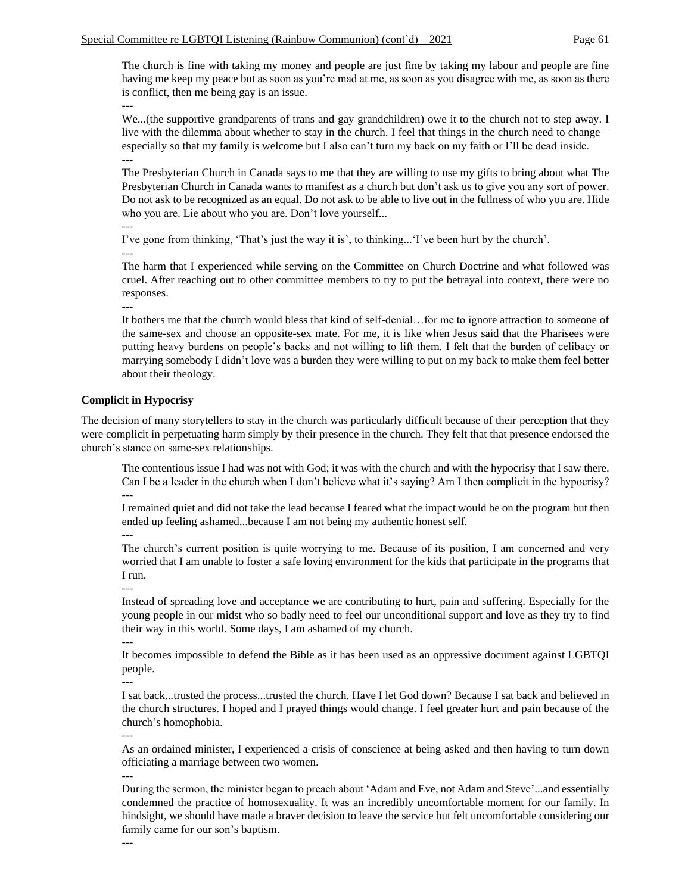The church is fine with taking my money and people are just fine by taking my labour and people are fine having me keep my peace but as soon as you're mad at me, as soon as you disagree with me, as soon as there is conflict, then me being gay is an issue.

---

We...(the supportive grandparents of trans and gay grandchildren) owe it to the church not to step away. I live with the dilemma about whether to stay in the church. I feel that things in the church need to change – especially so that my family is welcome but I also can't turn my back on my faith or I'll be dead inside. ---

The Presbyterian Church in Canada says to me that they are willing to use my gifts to bring about what The Presbyterian Church in Canada wants to manifest as a church but don't ask us to give you any sort of power. Do not ask to be recognized as an equal. Do not ask to be able to live out in the fullness of who you are. Hide who you are. Lie about who you are. Don't love yourself...

```
---
```
I've gone from thinking, 'That's just the way it is', to thinking...'I've been hurt by the church'.

---

---

The harm that I experienced while serving on the Committee on Church Doctrine and what followed was cruel. After reaching out to other committee members to try to put the betrayal into context, there were no responses.

It bothers me that the church would bless that kind of self-denial…for me to ignore attraction to someone of the same-sex and choose an opposite-sex mate. For me, it is like when Jesus said that the Pharisees were putting heavy burdens on people's backs and not willing to lift them. I felt that the burden of celibacy or marrying somebody I didn't love was a burden they were willing to put on my back to make them feel better about their theology.

## **Complicit in Hypocrisy**

The decision of many storytellers to stay in the church was particularly difficult because of their perception that they were complicit in perpetuating harm simply by their presence in the church. They felt that that presence endorsed the church's stance on same-sex relationships.

The contentious issue I had was not with God; it was with the church and with the hypocrisy that I saw there. Can I be a leader in the church when I don't believe what it's saying? Am I then complicit in the hypocrisy? ---

I remained quiet and did not take the lead because I feared what the impact would be on the program but then ended up feeling ashamed...because I am not being my authentic honest self.

---

The church's current position is quite worrying to me. Because of its position, I am concerned and very worried that I am unable to foster a safe loving environment for the kids that participate in the programs that I run.

Instead of spreading love and acceptance we are contributing to hurt, pain and suffering. Especially for the young people in our midst who so badly need to feel our unconditional support and love as they try to find their way in this world. Some days, I am ashamed of my church.

---

---

It becomes impossible to defend the Bible as it has been used as an oppressive document against LGBTQI people.

---

I sat back...trusted the process...trusted the church. Have I let God down? Because I sat back and believed in the church structures. I hoped and I prayed things would change. I feel greater hurt and pain because of the church's homophobia. ---

As an ordained minister, I experienced a crisis of conscience at being asked and then having to turn down officiating a marriage between two women.

---

During the sermon, the minister began to preach about 'Adam and Eve, not Adam and Steve'...and essentially condemned the practice of homosexuality. It was an incredibly uncomfortable moment for our family. In hindsight, we should have made a braver decision to leave the service but felt uncomfortable considering our family came for our son's baptism.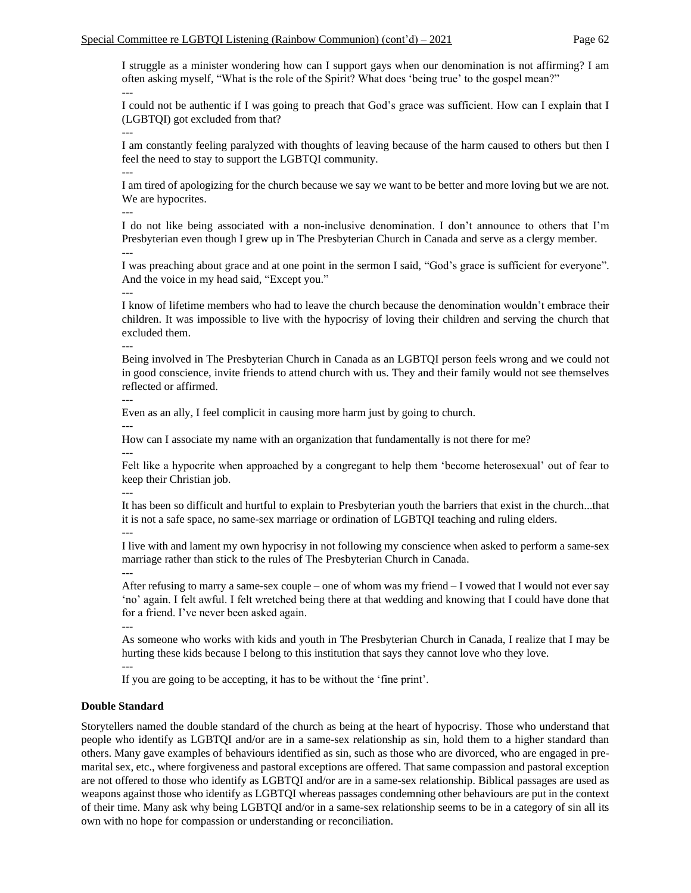I struggle as a minister wondering how can I support gays when our denomination is not affirming? I am often asking myself, "What is the role of the Spirit? What does 'being true' to the gospel mean?" ---

I could not be authentic if I was going to preach that God's grace was sufficient. How can I explain that I (LGBTQI) got excluded from that?

I am constantly feeling paralyzed with thoughts of leaving because of the harm caused to others but then I feel the need to stay to support the LGBTQI community. ---

I am tired of apologizing for the church because we say we want to be better and more loving but we are not. We are hypocrites.

---

---

I do not like being associated with a non-inclusive denomination. I don't announce to others that I'm Presbyterian even though I grew up in The Presbyterian Church in Canada and serve as a clergy member. ---

I was preaching about grace and at one point in the sermon I said, "God's grace is sufficient for everyone". And the voice in my head said, "Except you."

---

I know of lifetime members who had to leave the church because the denomination wouldn't embrace their children. It was impossible to live with the hypocrisy of loving their children and serving the church that excluded them.

---

Being involved in The Presbyterian Church in Canada as an LGBTQI person feels wrong and we could not in good conscience, invite friends to attend church with us. They and their family would not see themselves reflected or affirmed.

---

---

Even as an ally, I feel complicit in causing more harm just by going to church.

How can I associate my name with an organization that fundamentally is not there for me?

--- Felt like a hypocrite when approached by a congregant to help them 'become heterosexual' out of fear to keep their Christian job.

---

It has been so difficult and hurtful to explain to Presbyterian youth the barriers that exist in the church...that it is not a safe space, no same-sex marriage or ordination of LGBTQI teaching and ruling elders.

---

I live with and lament my own hypocrisy in not following my conscience when asked to perform a same-sex marriage rather than stick to the rules of The Presbyterian Church in Canada.

---

After refusing to marry a same-sex couple – one of whom was my friend  $-I$  vowed that I would not ever say 'no' again. I felt awful. I felt wretched being there at that wedding and knowing that I could have done that for a friend. I've never been asked again.

---

As someone who works with kids and youth in The Presbyterian Church in Canada, I realize that I may be hurting these kids because I belong to this institution that says they cannot love who they love.

--- If you are going to be accepting, it has to be without the 'fine print'.

## **Double Standard**

Storytellers named the double standard of the church as being at the heart of hypocrisy. Those who understand that people who identify as LGBTQI and/or are in a same-sex relationship as sin, hold them to a higher standard than others. Many gave examples of behaviours identified as sin, such as those who are divorced, who are engaged in premarital sex, etc., where forgiveness and pastoral exceptions are offered. That same compassion and pastoral exception are not offered to those who identify as LGBTQI and/or are in a same-sex relationship. Biblical passages are used as weapons against those who identify as LGBTQI whereas passages condemning other behaviours are put in the context of their time. Many ask why being LGBTQI and/or in a same-sex relationship seems to be in a category of sin all its own with no hope for compassion or understanding or reconciliation.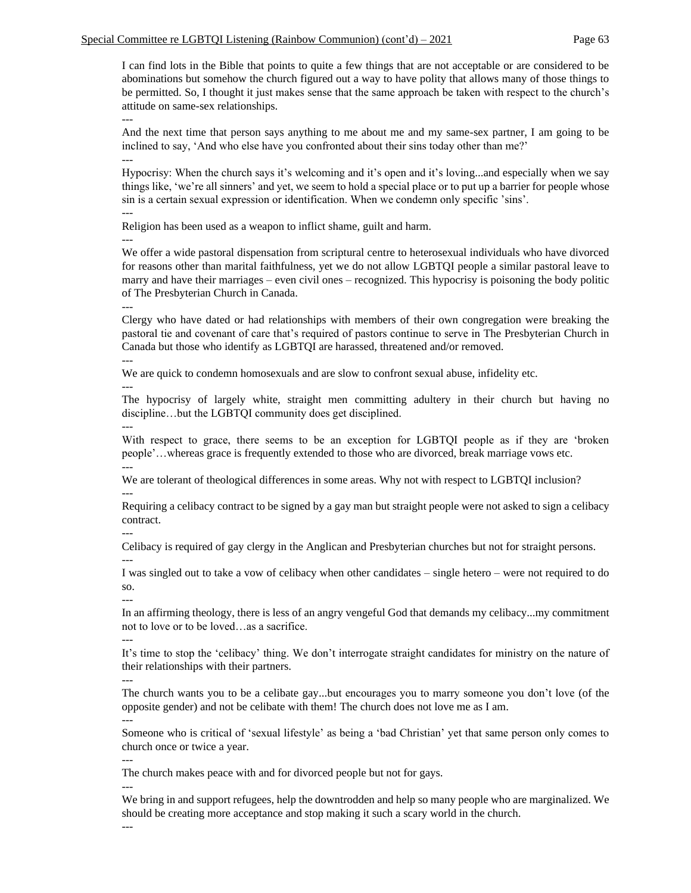I can find lots in the Bible that points to quite a few things that are not acceptable or are considered to be abominations but somehow the church figured out a way to have polity that allows many of those things to be permitted. So, I thought it just makes sense that the same approach be taken with respect to the church's attitude on same-sex relationships.

---

And the next time that person says anything to me about me and my same-sex partner, I am going to be inclined to say, 'And who else have you confronted about their sins today other than me?'

---

Hypocrisy: When the church says it's welcoming and it's open and it's loving...and especially when we say things like, 'we're all sinners' and yet, we seem to hold a special place or to put up a barrier for people whose sin is a certain sexual expression or identification. When we condemn only specific 'sins'. ---

Religion has been used as a weapon to inflict shame, guilt and harm.

We offer a wide pastoral dispensation from scriptural centre to heterosexual individuals who have divorced for reasons other than marital faithfulness, yet we do not allow LGBTQI people a similar pastoral leave to marry and have their marriages – even civil ones – recognized. This hypocrisy is poisoning the body politic of The Presbyterian Church in Canada.

---

---

Clergy who have dated or had relationships with members of their own congregation were breaking the pastoral tie and covenant of care that's required of pastors continue to serve in The Presbyterian Church in Canada but those who identify as LGBTQI are harassed, threatened and/or removed. ---

We are quick to condemn homosexuals and are slow to confront sexual abuse, infidelity etc.

---

The hypocrisy of largely white, straight men committing adultery in their church but having no discipline…but the LGBTQI community does get disciplined.

---

With respect to grace, there seems to be an exception for LGBTQI people as if they are 'broken people'…whereas grace is frequently extended to those who are divorced, break marriage vows etc. ---

We are tolerant of theological differences in some areas. Why not with respect to LGBTQI inclusion? ---

Requiring a celibacy contract to be signed by a gay man but straight people were not asked to sign a celibacy contract.

---

Celibacy is required of gay clergy in the Anglican and Presbyterian churches but not for straight persons. ---

I was singled out to take a vow of celibacy when other candidates – single hetero – were not required to do so.

---

In an affirming theology, there is less of an angry vengeful God that demands my celibacy...my commitment not to love or to be loved…as a sacrifice.

---

It's time to stop the 'celibacy' thing. We don't interrogate straight candidates for ministry on the nature of their relationships with their partners.

---

The church wants you to be a celibate gay...but encourages you to marry someone you don't love (of the opposite gender) and not be celibate with them! The church does not love me as I am.

---

Someone who is critical of 'sexual lifestyle' as being a 'bad Christian' yet that same person only comes to church once or twice a year.

---

The church makes peace with and for divorced people but not for gays.

---

We bring in and support refugees, help the downtrodden and help so many people who are marginalized. We should be creating more acceptance and stop making it such a scary world in the church.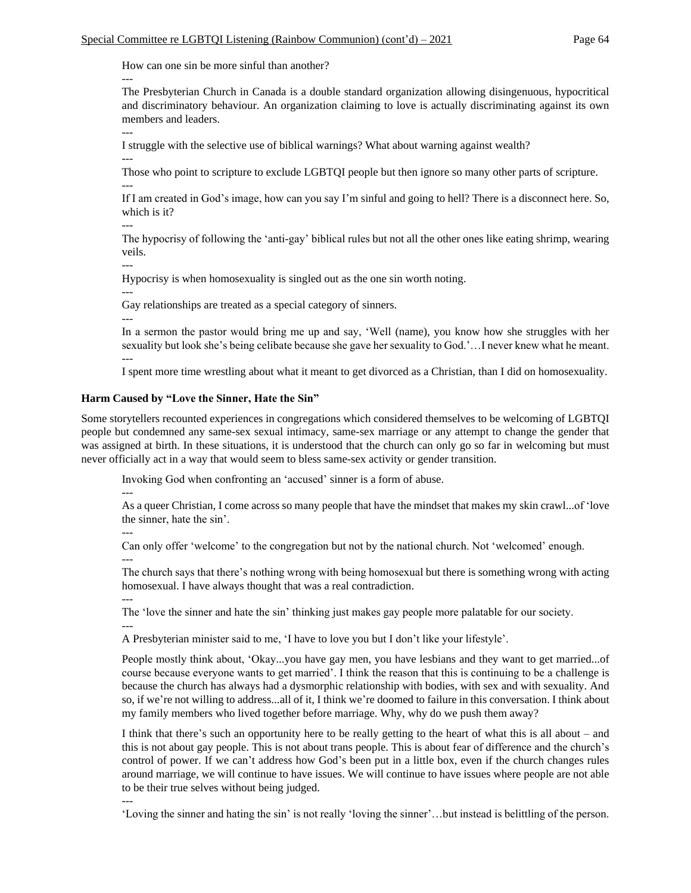How can one sin be more sinful than another?

The Presbyterian Church in Canada is a double standard organization allowing disingenuous, hypocritical and discriminatory behaviour. An organization claiming to love is actually discriminating against its own members and leaders.

---

---

---

I struggle with the selective use of biblical warnings? What about warning against wealth?

Those who point to scripture to exclude LGBTQI people but then ignore so many other parts of scripture. ---

If I am created in God's image, how can you say I'm sinful and going to hell? There is a disconnect here. So, which is it?

---

The hypocrisy of following the 'anti-gay' biblical rules but not all the other ones like eating shrimp, wearing veils.

---

Hypocrisy is when homosexuality is singled out as the one sin worth noting.

---

Gay relationships are treated as a special category of sinners.

---

In a sermon the pastor would bring me up and say, 'Well (name), you know how she struggles with her sexuality but look she's being celibate because she gave her sexuality to God.'…I never knew what he meant. ---

I spent more time wrestling about what it meant to get divorced as a Christian, than I did on homosexuality.

#### **Harm Caused by "Love the Sinner, Hate the Sin"**

Some storytellers recounted experiences in congregations which considered themselves to be welcoming of LGBTQI people but condemned any same-sex sexual intimacy, same-sex marriage or any attempt to change the gender that was assigned at birth. In these situations, it is understood that the church can only go so far in welcoming but must never officially act in a way that would seem to bless same-sex activity or gender transition.

Invoking God when confronting an 'accused' sinner is a form of abuse.

---

As a queer Christian, I come across so many people that have the mindset that makes my skin crawl...of 'love the sinner, hate the sin'.

---

Can only offer 'welcome' to the congregation but not by the national church. Not 'welcomed' enough. ---

The church says that there's nothing wrong with being homosexual but there is something wrong with acting homosexual. I have always thought that was a real contradiction.

---

The 'love the sinner and hate the sin' thinking just makes gay people more palatable for our society. ---

A Presbyterian minister said to me, 'I have to love you but I don't like your lifestyle'.

People mostly think about, 'Okay...you have gay men, you have lesbians and they want to get married...of course because everyone wants to get married'. I think the reason that this is continuing to be a challenge is because the church has always had a dysmorphic relationship with bodies, with sex and with sexuality. And so, if we're not willing to address...all of it, I think we're doomed to failure in this conversation. I think about my family members who lived together before marriage. Why, why do we push them away?

I think that there's such an opportunity here to be really getting to the heart of what this is all about – and this is not about gay people. This is not about trans people. This is about fear of difference and the church's control of power. If we can't address how God's been put in a little box, even if the church changes rules around marriage, we will continue to have issues. We will continue to have issues where people are not able to be their true selves without being judged.

---

'Loving the sinner and hating the sin' is not really 'loving the sinner'…but instead is belittling of the person.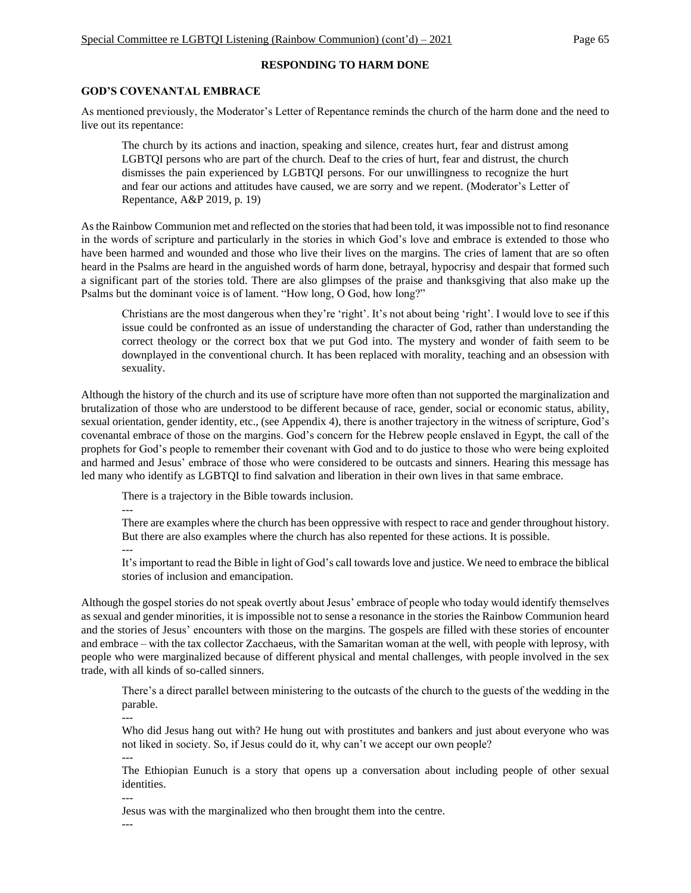# **RESPONDING TO HARM DONE**

## **GOD'S COVENANTAL EMBRACE**

As mentioned previously, the Moderator's Letter of Repentance reminds the church of the harm done and the need to live out its repentance:

The church by its actions and inaction, speaking and silence, creates hurt, fear and distrust among LGBTQI persons who are part of the church. Deaf to the cries of hurt, fear and distrust, the church dismisses the pain experienced by LGBTQI persons. For our unwillingness to recognize the hurt and fear our actions and attitudes have caused, we are sorry and we repent. (Moderator's Letter of Repentance, A&P 2019, p. 19)

As the Rainbow Communion met and reflected on the stories that had been told, it was impossible not to find resonance in the words of scripture and particularly in the stories in which God's love and embrace is extended to those who have been harmed and wounded and those who live their lives on the margins. The cries of lament that are so often heard in the Psalms are heard in the anguished words of harm done, betrayal, hypocrisy and despair that formed such a significant part of the stories told. There are also glimpses of the praise and thanksgiving that also make up the Psalms but the dominant voice is of lament. "How long, O God, how long?"

Christians are the most dangerous when they're 'right'. It's not about being 'right'. I would love to see if this issue could be confronted as an issue of understanding the character of God, rather than understanding the correct theology or the correct box that we put God into. The mystery and wonder of faith seem to be downplayed in the conventional church. It has been replaced with morality, teaching and an obsession with sexuality.

Although the history of the church and its use of scripture have more often than not supported the marginalization and brutalization of those who are understood to be different because of race, gender, social or economic status, ability, sexual orientation, gender identity, etc., (see Appendix 4), there is another trajectory in the witness of scripture, God's covenantal embrace of those on the margins. God's concern for the Hebrew people enslaved in Egypt, the call of the prophets for God's people to remember their covenant with God and to do justice to those who were being exploited and harmed and Jesus' embrace of those who were considered to be outcasts and sinners. Hearing this message has led many who identify as LGBTQI to find salvation and liberation in their own lives in that same embrace.

There is a trajectory in the Bible towards inclusion.

---

---

There are examples where the church has been oppressive with respect to race and gender throughout history. But there are also examples where the church has also repented for these actions. It is possible.

It's important to read the Bible in light of God's call towards love and justice. We need to embrace the biblical stories of inclusion and emancipation.

Although the gospel stories do not speak overtly about Jesus' embrace of people who today would identify themselves as sexual and gender minorities, it is impossible not to sense a resonance in the stories the Rainbow Communion heard and the stories of Jesus' encounters with those on the margins. The gospels are filled with these stories of encounter and embrace – with the tax collector Zacchaeus, with the Samaritan woman at the well, with people with leprosy, with people who were marginalized because of different physical and mental challenges, with people involved in the sex trade, with all kinds of so-called sinners.

There's a direct parallel between ministering to the outcasts of the church to the guests of the wedding in the parable.

Who did Jesus hang out with? He hung out with prostitutes and bankers and just about everyone who was not liked in society. So, if Jesus could do it, why can't we accept our own people?

---

---

The Ethiopian Eunuch is a story that opens up a conversation about including people of other sexual identities.

--- Jesus was with the marginalized who then brought them into the centre.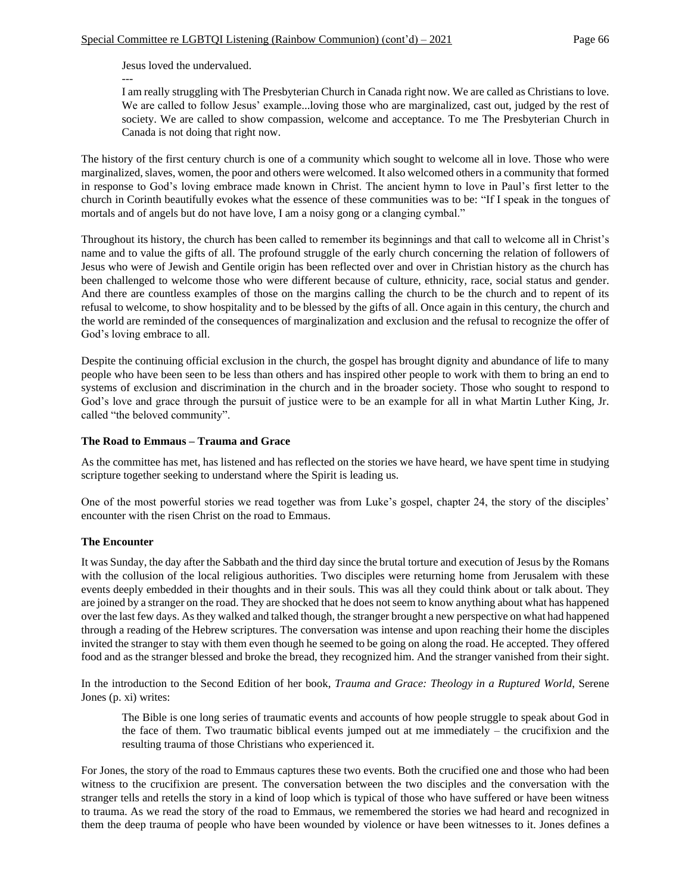Jesus loved the undervalued.

---

I am really struggling with The Presbyterian Church in Canada right now. We are called as Christians to love. We are called to follow Jesus' example...loving those who are marginalized, cast out, judged by the rest of society. We are called to show compassion, welcome and acceptance. To me The Presbyterian Church in Canada is not doing that right now.

The history of the first century church is one of a community which sought to welcome all in love. Those who were marginalized, slaves, women, the poor and others were welcomed. It also welcomed others in a community that formed in response to God's loving embrace made known in Christ. The ancient hymn to love in Paul's first letter to the church in Corinth beautifully evokes what the essence of these communities was to be: "If I speak in the tongues of mortals and of angels but do not have love, I am a noisy gong or a clanging cymbal."

Throughout its history, the church has been called to remember its beginnings and that call to welcome all in Christ's name and to value the gifts of all. The profound struggle of the early church concerning the relation of followers of Jesus who were of Jewish and Gentile origin has been reflected over and over in Christian history as the church has been challenged to welcome those who were different because of culture, ethnicity, race, social status and gender. And there are countless examples of those on the margins calling the church to be the church and to repent of its refusal to welcome, to show hospitality and to be blessed by the gifts of all. Once again in this century, the church and the world are reminded of the consequences of marginalization and exclusion and the refusal to recognize the offer of God's loving embrace to all.

Despite the continuing official exclusion in the church, the gospel has brought dignity and abundance of life to many people who have been seen to be less than others and has inspired other people to work with them to bring an end to systems of exclusion and discrimination in the church and in the broader society. Those who sought to respond to God's love and grace through the pursuit of justice were to be an example for all in what Martin Luther King, Jr. called "the beloved community".

#### **The Road to Emmaus – Trauma and Grace**

As the committee has met, has listened and has reflected on the stories we have heard, we have spent time in studying scripture together seeking to understand where the Spirit is leading us.

One of the most powerful stories we read together was from Luke's gospel, chapter 24, the story of the disciples' encounter with the risen Christ on the road to Emmaus.

#### **The Encounter**

It was Sunday, the day after the Sabbath and the third day since the brutal torture and execution of Jesus by the Romans with the collusion of the local religious authorities. Two disciples were returning home from Jerusalem with these events deeply embedded in their thoughts and in their souls. This was all they could think about or talk about. They are joined by a stranger on the road. They are shocked that he does not seem to know anything about what has happened over the last few days. As they walked and talked though, the stranger brought a new perspective on what had happened through a reading of the Hebrew scriptures. The conversation was intense and upon reaching their home the disciples invited the stranger to stay with them even though he seemed to be going on along the road. He accepted. They offered food and as the stranger blessed and broke the bread, they recognized him. And the stranger vanished from their sight.

In the introduction to the Second Edition of her book, *Trauma and Grace: Theology in a Ruptured World*, Serene Jones (p. xi) writes:

The Bible is one long series of traumatic events and accounts of how people struggle to speak about God in the face of them. Two traumatic biblical events jumped out at me immediately – the crucifixion and the resulting trauma of those Christians who experienced it.

For Jones, the story of the road to Emmaus captures these two events. Both the crucified one and those who had been witness to the crucifixion are present. The conversation between the two disciples and the conversation with the stranger tells and retells the story in a kind of loop which is typical of those who have suffered or have been witness to trauma. As we read the story of the road to Emmaus, we remembered the stories we had heard and recognized in them the deep trauma of people who have been wounded by violence or have been witnesses to it. Jones defines a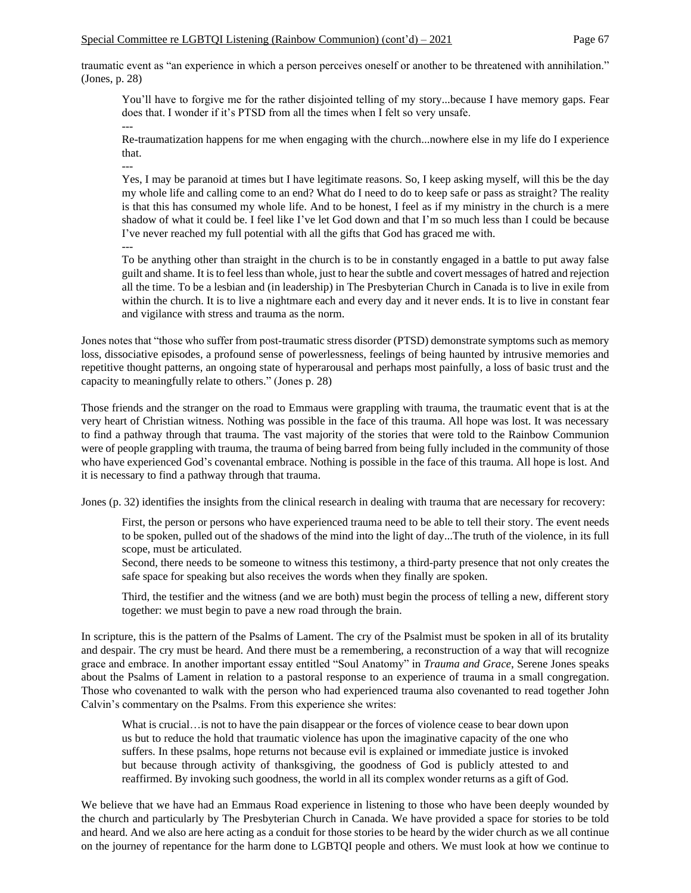traumatic event as "an experience in which a person perceives oneself or another to be threatened with annihilation." (Jones, p. 28)

You'll have to forgive me for the rather disjointed telling of my story...because I have memory gaps. Fear does that. I wonder if it's PTSD from all the times when I felt so very unsafe.

Re-traumatization happens for me when engaging with the church...nowhere else in my life do I experience that.

---

---

Yes, I may be paranoid at times but I have legitimate reasons. So, I keep asking myself, will this be the day my whole life and calling come to an end? What do I need to do to keep safe or pass as straight? The reality is that this has consumed my whole life. And to be honest, I feel as if my ministry in the church is a mere shadow of what it could be. I feel like I've let God down and that I'm so much less than I could be because I've never reached my full potential with all the gifts that God has graced me with. ---

To be anything other than straight in the church is to be in constantly engaged in a battle to put away false guilt and shame. It is to feel less than whole, just to hear the subtle and covert messages of hatred and rejection all the time. To be a lesbian and (in leadership) in The Presbyterian Church in Canada is to live in exile from within the church. It is to live a nightmare each and every day and it never ends. It is to live in constant fear and vigilance with stress and trauma as the norm.

Jones notes that "those who suffer from post-traumatic stress disorder (PTSD) demonstrate symptoms such as memory loss, dissociative episodes, a profound sense of powerlessness, feelings of being haunted by intrusive memories and repetitive thought patterns, an ongoing state of hyperarousal and perhaps most painfully, a loss of basic trust and the capacity to meaningfully relate to others." (Jones p. 28)

Those friends and the stranger on the road to Emmaus were grappling with trauma, the traumatic event that is at the very heart of Christian witness. Nothing was possible in the face of this trauma. All hope was lost. It was necessary to find a pathway through that trauma. The vast majority of the stories that were told to the Rainbow Communion were of people grappling with trauma, the trauma of being barred from being fully included in the community of those who have experienced God's covenantal embrace. Nothing is possible in the face of this trauma. All hope is lost. And it is necessary to find a pathway through that trauma.

Jones (p. 32) identifies the insights from the clinical research in dealing with trauma that are necessary for recovery:

First, the person or persons who have experienced trauma need to be able to tell their story. The event needs to be spoken, pulled out of the shadows of the mind into the light of day...The truth of the violence, in its full scope, must be articulated.

Second, there needs to be someone to witness this testimony, a third-party presence that not only creates the safe space for speaking but also receives the words when they finally are spoken.

Third, the testifier and the witness (and we are both) must begin the process of telling a new, different story together: we must begin to pave a new road through the brain.

In scripture, this is the pattern of the Psalms of Lament. The cry of the Psalmist must be spoken in all of its brutality and despair. The cry must be heard. And there must be a remembering, a reconstruction of a way that will recognize grace and embrace. In another important essay entitled "Soul Anatomy" in *Trauma and Grace*, Serene Jones speaks about the Psalms of Lament in relation to a pastoral response to an experience of trauma in a small congregation. Those who covenanted to walk with the person who had experienced trauma also covenanted to read together John Calvin's commentary on the Psalms. From this experience she writes:

What is crucial…is not to have the pain disappear or the forces of violence cease to bear down upon us but to reduce the hold that traumatic violence has upon the imaginative capacity of the one who suffers. In these psalms, hope returns not because evil is explained or immediate justice is invoked but because through activity of thanksgiving, the goodness of God is publicly attested to and reaffirmed. By invoking such goodness, the world in all its complex wonder returns as a gift of God.

We believe that we have had an Emmaus Road experience in listening to those who have been deeply wounded by the church and particularly by The Presbyterian Church in Canada. We have provided a space for stories to be told and heard. And we also are here acting as a conduit for those stories to be heard by the wider church as we all continue on the journey of repentance for the harm done to LGBTQI people and others. We must look at how we continue to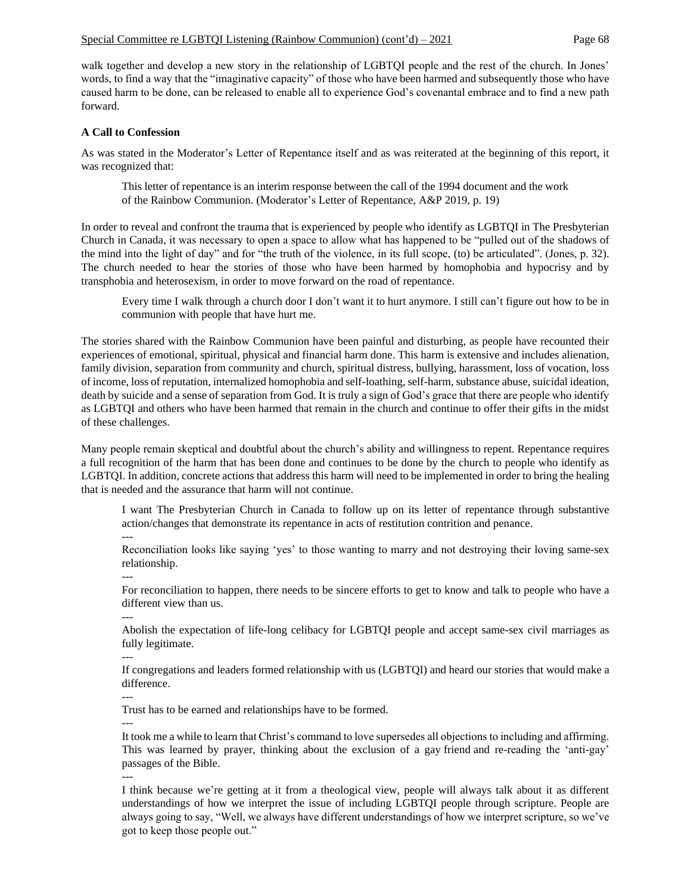walk together and develop a new story in the relationship of LGBTQI people and the rest of the church. In Jones' words, to find a way that the "imaginative capacity" of those who have been harmed and subsequently those who have caused harm to be done, can be released to enable all to experience God's covenantal embrace and to find a new path forward.

#### **A Call to Confession**

As was stated in the Moderator's Letter of Repentance itself and as was reiterated at the beginning of this report, it was recognized that:

This letter of repentance is an interim response between the call of the 1994 document and the work of the Rainbow Communion. (Moderator's Letter of Repentance, A&P 2019, p. 19)

In order to reveal and confront the trauma that is experienced by people who identify as LGBTQI in The Presbyterian Church in Canada, it was necessary to open a space to allow what has happened to be "pulled out of the shadows of the mind into the light of day" and for "the truth of the violence, in its full scope, (to) be articulated". (Jones, p. 32). The church needed to hear the stories of those who have been harmed by homophobia and hypocrisy and by transphobia and heterosexism, in order to move forward on the road of repentance.

Every time I walk through a church door I don't want it to hurt anymore. I still can't figure out how to be in communion with people that have hurt me.

The stories shared with the Rainbow Communion have been painful and disturbing, as people have recounted their experiences of emotional, spiritual, physical and financial harm done. This harm is extensive and includes alienation, family division, separation from community and church, spiritual distress, bullying, harassment, loss of vocation, loss of income, loss of reputation, internalized homophobia and self-loathing, self-harm, substance abuse, suicidal ideation, death by suicide and a sense of separation from God. It is truly a sign of God's grace that there are people who identify as LGBTQI and others who have been harmed that remain in the church and continue to offer their gifts in the midst of these challenges.

Many people remain skeptical and doubtful about the church's ability and willingness to repent. Repentance requires a full recognition of the harm that has been done and continues to be done by the church to people who identify as LGBTQI. In addition, concrete actions that address this harm will need to be implemented in order to bring the healing that is needed and the assurance that harm will not continue.

I want The Presbyterian Church in Canada to follow up on its letter of repentance through substantive action/changes that demonstrate its repentance in acts of restitution contrition and penance.

---

Reconciliation looks like saying 'yes' to those wanting to marry and not destroying their loving same-sex relationship.

For reconciliation to happen, there needs to be sincere efforts to get to know and talk to people who have a different view than us.

---

---

Abolish the expectation of life-long celibacy for LGBTQI people and accept same-sex civil marriages as fully legitimate.

---

If congregations and leaders formed relationship with us (LGBTQI) and heard our stories that would make a difference.

---

Trust has to be earned and relationships have to be formed.

--- It took me a while to learn that Christ's command to love supersedes all objections to including and affirming. This was learned by prayer, thinking about the exclusion of a gay friend and re-reading the 'anti-gay' passages of the Bible.

---

I think because we're getting at it from a theological view, people will always talk about it as different understandings of how we interpret the issue of including LGBTQI people through scripture. People are always going to say, "Well, we always have different understandings of how we interpret scripture, so we've got to keep those people out."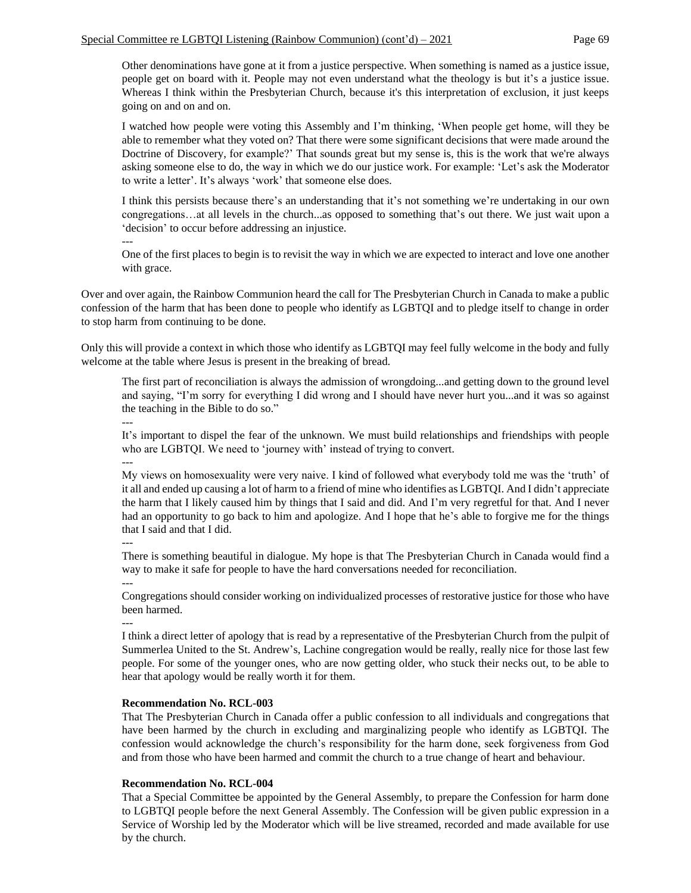Other denominations have gone at it from a justice perspective. When something is named as a justice issue, people get on board with it. People may not even understand what the theology is but it's a justice issue. Whereas I think within the Presbyterian Church, because it's this interpretation of exclusion, it just keeps going on and on and on.

I watched how people were voting this Assembly and I'm thinking, 'When people get home, will they be able to remember what they voted on? That there were some significant decisions that were made around the Doctrine of Discovery, for example?' That sounds great but my sense is, this is the work that we're always asking someone else to do, the way in which we do our justice work. For example: 'Let's ask the Moderator to write a letter'. It's always 'work' that someone else does.

I think this persists because there's an understanding that it's not something we're undertaking in our own congregations…at all levels in the church...as opposed to something that's out there. We just wait upon a 'decision' to occur before addressing an injustice.

--- One of the first places to begin is to revisit the way in which we are expected to interact and love one another with grace.

Over and over again, the Rainbow Communion heard the call for The Presbyterian Church in Canada to make a public confession of the harm that has been done to people who identify as LGBTQI and to pledge itself to change in order to stop harm from continuing to be done.

Only this will provide a context in which those who identify as LGBTQI may feel fully welcome in the body and fully welcome at the table where Jesus is present in the breaking of bread.

The first part of reconciliation is always the admission of wrongdoing...and getting down to the ground level and saying, "I'm sorry for everything I did wrong and I should have never hurt you...and it was so against the teaching in the Bible to do so."

---

It's important to dispel the fear of the unknown. We must build relationships and friendships with people who are LGBTQI. We need to 'journey with' instead of trying to convert.

---

My views on homosexuality were very naive. I kind of followed what everybody told me was the 'truth' of it all and ended up causing a lot of harm to a friend of mine who identifies as LGBTQI. And I didn't appreciate the harm that I likely caused him by things that I said and did. And I'm very regretful for that. And I never had an opportunity to go back to him and apologize. And I hope that he's able to forgive me for the things that I said and that I did.

---

There is something beautiful in dialogue. My hope is that The Presbyterian Church in Canada would find a way to make it safe for people to have the hard conversations needed for reconciliation.

---

Congregations should consider working on individualized processes of restorative justice for those who have been harmed.

---

I think a direct letter of apology that is read by a representative of the Presbyterian Church from the pulpit of Summerlea United to the St. Andrew's, Lachine congregation would be really, really nice for those last few people. For some of the younger ones, who are now getting older, who stuck their necks out, to be able to hear that apology would be really worth it for them.

## **Recommendation No. RCL-003**

That The Presbyterian Church in Canada offer a public confession to all individuals and congregations that have been harmed by the church in excluding and marginalizing people who identify as LGBTQI. The confession would acknowledge the church's responsibility for the harm done, seek forgiveness from God and from those who have been harmed and commit the church to a true change of heart and behaviour.

## **Recommendation No. RCL-004**

That a Special Committee be appointed by the General Assembly, to prepare the Confession for harm done to LGBTQI people before the next General Assembly. The Confession will be given public expression in a Service of Worship led by the Moderator which will be live streamed, recorded and made available for use by the church.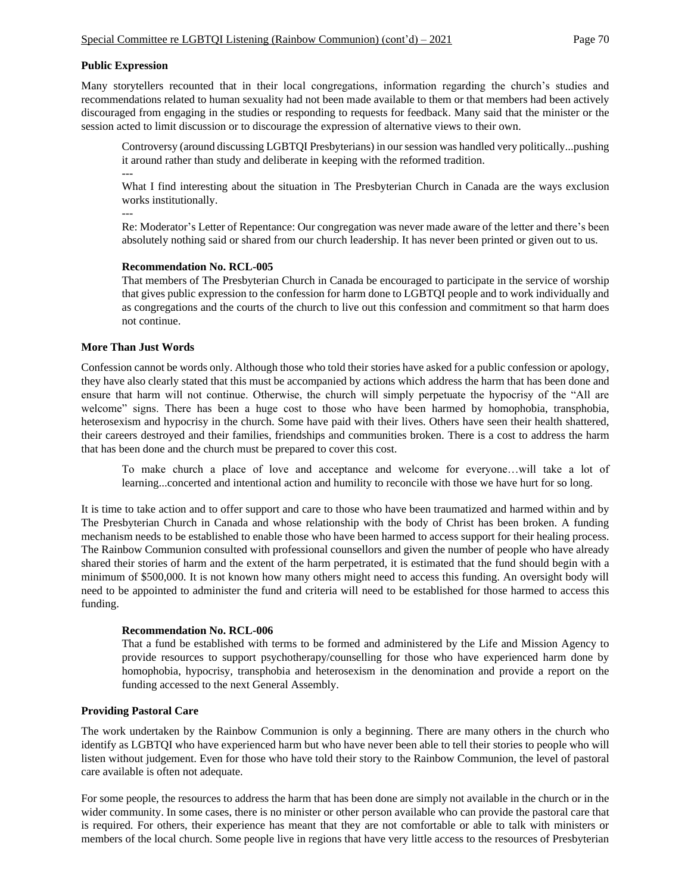#### **Public Expression**

Many storytellers recounted that in their local congregations, information regarding the church's studies and recommendations related to human sexuality had not been made available to them or that members had been actively discouraged from engaging in the studies or responding to requests for feedback. Many said that the minister or the session acted to limit discussion or to discourage the expression of alternative views to their own.

Controversy (around discussing LGBTQI Presbyterians) in our session was handled very politically...pushing it around rather than study and deliberate in keeping with the reformed tradition.

---

What I find interesting about the situation in The Presbyterian Church in Canada are the ways exclusion works institutionally.

---

Re: Moderator's Letter of Repentance: Our congregation was never made aware of the letter and there's been absolutely nothing said or shared from our church leadership. It has never been printed or given out to us.

#### **Recommendation No. RCL-005**

That members of The Presbyterian Church in Canada be encouraged to participate in the service of worship that gives public expression to the confession for harm done to LGBTQI people and to work individually and as congregations and the courts of the church to live out this confession and commitment so that harm does not continue.

#### **More Than Just Words**

Confession cannot be words only. Although those who told their stories have asked for a public confession or apology, they have also clearly stated that this must be accompanied by actions which address the harm that has been done and ensure that harm will not continue. Otherwise, the church will simply perpetuate the hypocrisy of the "All are welcome" signs. There has been a huge cost to those who have been harmed by homophobia, transphobia, heterosexism and hypocrisy in the church. Some have paid with their lives. Others have seen their health shattered, their careers destroyed and their families, friendships and communities broken. There is a cost to address the harm that has been done and the church must be prepared to cover this cost.

To make church a place of love and acceptance and welcome for everyone…will take a lot of learning...concerted and intentional action and humility to reconcile with those we have hurt for so long.

It is time to take action and to offer support and care to those who have been traumatized and harmed within and by The Presbyterian Church in Canada and whose relationship with the body of Christ has been broken. A funding mechanism needs to be established to enable those who have been harmed to access support for their healing process. The Rainbow Communion consulted with professional counsellors and given the number of people who have already shared their stories of harm and the extent of the harm perpetrated, it is estimated that the fund should begin with a minimum of \$500,000. It is not known how many others might need to access this funding. An oversight body will need to be appointed to administer the fund and criteria will need to be established for those harmed to access this funding.

#### **Recommendation No. RCL-006**

That a fund be established with terms to be formed and administered by the Life and Mission Agency to provide resources to support psychotherapy/counselling for those who have experienced harm done by homophobia, hypocrisy, transphobia and heterosexism in the denomination and provide a report on the funding accessed to the next General Assembly.

## **Providing Pastoral Care**

The work undertaken by the Rainbow Communion is only a beginning. There are many others in the church who identify as LGBTQI who have experienced harm but who have never been able to tell their stories to people who will listen without judgement. Even for those who have told their story to the Rainbow Communion, the level of pastoral care available is often not adequate.

For some people, the resources to address the harm that has been done are simply not available in the church or in the wider community. In some cases, there is no minister or other person available who can provide the pastoral care that is required. For others, their experience has meant that they are not comfortable or able to talk with ministers or members of the local church. Some people live in regions that have very little access to the resources of Presbyterian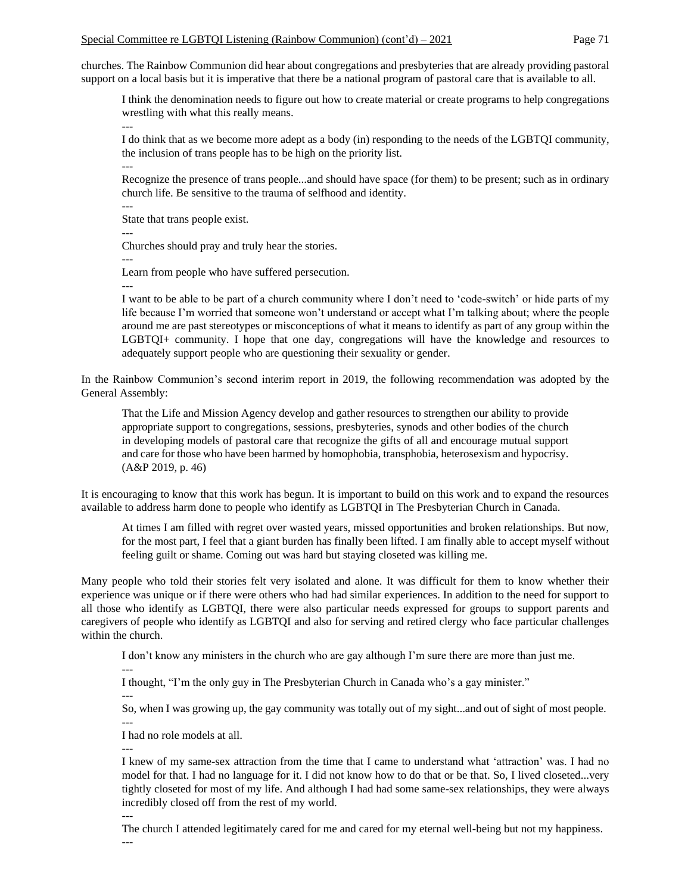churches. The Rainbow Communion did hear about congregations and presbyteries that are already providing pastoral support on a local basis but it is imperative that there be a national program of pastoral care that is available to all.

I think the denomination needs to figure out how to create material or create programs to help congregations wrestling with what this really means.

I do think that as we become more adept as a body (in) responding to the needs of the LGBTQI community, the inclusion of trans people has to be high on the priority list. ---

Recognize the presence of trans people...and should have space (for them) to be present; such as in ordinary church life. Be sensitive to the trauma of selfhood and identity.

State that trans people exist.

---

---

---

Churches should pray and truly hear the stories.

---

Learn from people who have suffered persecution.

---

I want to be able to be part of a church community where I don't need to 'code-switch' or hide parts of my life because I'm worried that someone won't understand or accept what I'm talking about; where the people around me are past stereotypes or misconceptions of what it means to identify as part of any group within the LGBTQI+ community. I hope that one day, congregations will have the knowledge and resources to adequately support people who are questioning their sexuality or gender.

In the Rainbow Communion's second interim report in 2019, the following recommendation was adopted by the General Assembly:

That the Life and Mission Agency develop and gather resources to strengthen our ability to provide appropriate support to congregations, sessions, presbyteries, synods and other bodies of the church in developing models of pastoral care that recognize the gifts of all and encourage mutual support and care for those who have been harmed by homophobia, transphobia, heterosexism and hypocrisy. (A&P 2019, p. 46)

It is encouraging to know that this work has begun. It is important to build on this work and to expand the resources available to address harm done to people who identify as LGBTQI in The Presbyterian Church in Canada.

At times I am filled with regret over wasted years, missed opportunities and broken relationships. But now, for the most part, I feel that a giant burden has finally been lifted. I am finally able to accept myself without feeling guilt or shame. Coming out was hard but staying closeted was killing me.

Many people who told their stories felt very isolated and alone. It was difficult for them to know whether their experience was unique or if there were others who had had similar experiences. In addition to the need for support to all those who identify as LGBTQI, there were also particular needs expressed for groups to support parents and caregivers of people who identify as LGBTQI and also for serving and retired clergy who face particular challenges within the church.

I don't know any ministers in the church who are gay although I'm sure there are more than just me.

I thought, "I'm the only guy in The Presbyterian Church in Canada who's a gay minister."

---

---

So, when I was growing up, the gay community was totally out of my sight...and out of sight of most people.

--- I had no role models at all.

---

---

I knew of my same-sex attraction from the time that I came to understand what 'attraction' was. I had no model for that. I had no language for it. I did not know how to do that or be that. So, I lived closeted...very tightly closeted for most of my life. And although I had had some same-sex relationships, they were always incredibly closed off from the rest of my world.

The church I attended legitimately cared for me and cared for my eternal well-being but not my happiness. ---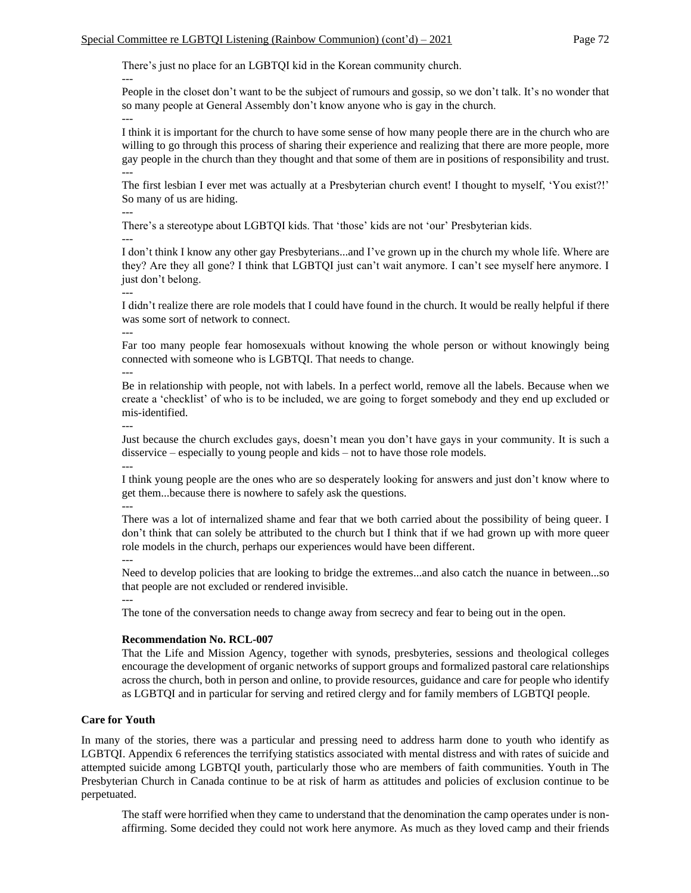There's just no place for an LGBTQI kid in the Korean community church.

People in the closet don't want to be the subject of rumours and gossip, so we don't talk. It's no wonder that so many people at General Assembly don't know anyone who is gay in the church.

I think it is important for the church to have some sense of how many people there are in the church who are willing to go through this process of sharing their experience and realizing that there are more people, more gay people in the church than they thought and that some of them are in positions of responsibility and trust. ---

The first lesbian I ever met was actually at a Presbyterian church event! I thought to myself, 'You exist?!' So many of us are hiding.

---

---

---

There's a stereotype about LGBTQI kids. That 'those' kids are not 'our' Presbyterian kids.

---

I don't think I know any other gay Presbyterians...and I've grown up in the church my whole life. Where are they? Are they all gone? I think that LGBTQI just can't wait anymore. I can't see myself here anymore. I just don't belong.

---

I didn't realize there are role models that I could have found in the church. It would be really helpful if there was some sort of network to connect.

Far too many people fear homosexuals without knowing the whole person or without knowingly being connected with someone who is LGBTQI. That needs to change.

---

---

Be in relationship with people, not with labels. In a perfect world, remove all the labels. Because when we create a 'checklist' of who is to be included, we are going to forget somebody and they end up excluded or mis-identified.

---

Just because the church excludes gays, doesn't mean you don't have gays in your community. It is such a disservice – especially to young people and kids – not to have those role models. ---

I think young people are the ones who are so desperately looking for answers and just don't know where to get them...because there is nowhere to safely ask the questions. ---

There was a lot of internalized shame and fear that we both carried about the possibility of being queer. I don't think that can solely be attributed to the church but I think that if we had grown up with more queer role models in the church, perhaps our experiences would have been different. ---

Need to develop policies that are looking to bridge the extremes...and also catch the nuance in between...so that people are not excluded or rendered invisible.

---

The tone of the conversation needs to change away from secrecy and fear to being out in the open.

## **Recommendation No. RCL-007**

That the Life and Mission Agency, together with synods, presbyteries, sessions and theological colleges encourage the development of organic networks of support groups and formalized pastoral care relationships across the church, both in person and online, to provide resources, guidance and care for people who identify as LGBTQI and in particular for serving and retired clergy and for family members of LGBTQI people.

## **Care for Youth**

In many of the stories, there was a particular and pressing need to address harm done to youth who identify as LGBTQI. Appendix 6 references the terrifying statistics associated with mental distress and with rates of suicide and attempted suicide among LGBTQI youth, particularly those who are members of faith communities. Youth in The Presbyterian Church in Canada continue to be at risk of harm as attitudes and policies of exclusion continue to be perpetuated.

The staff were horrified when they came to understand that the denomination the camp operates under is nonaffirming. Some decided they could not work here anymore. As much as they loved camp and their friends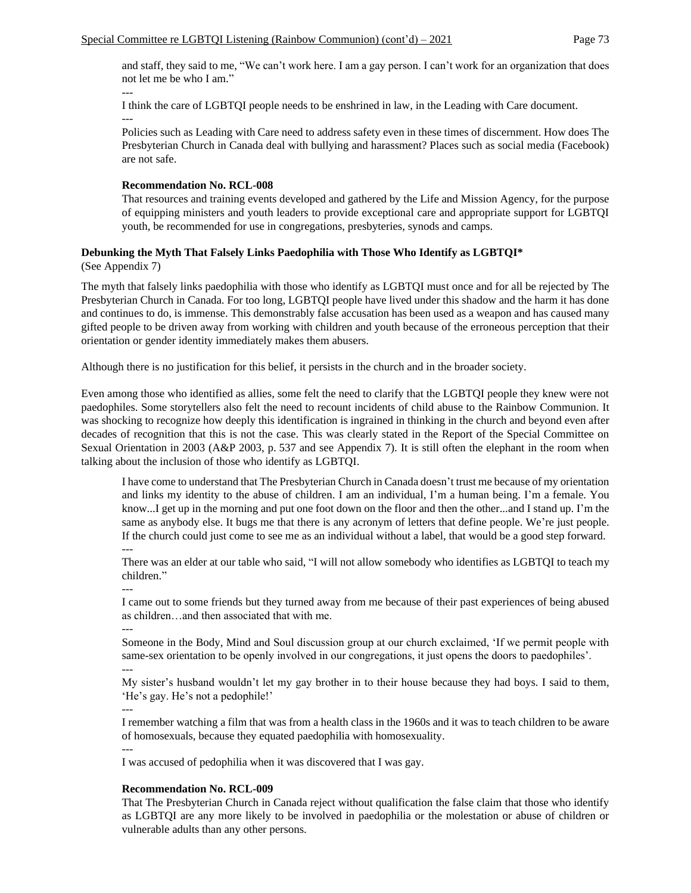and staff, they said to me, "We can't work here. I am a gay person. I can't work for an organization that does not let me be who I am."

I think the care of LGBTQI people needs to be enshrined in law, in the Leading with Care document. ---

Policies such as Leading with Care need to address safety even in these times of discernment. How does The Presbyterian Church in Canada deal with bullying and harassment? Places such as social media (Facebook) are not safe.

# **Recommendation No. RCL-008**

That resources and training events developed and gathered by the Life and Mission Agency, for the purpose of equipping ministers and youth leaders to provide exceptional care and appropriate support for LGBTQI youth, be recommended for use in congregations, presbyteries, synods and camps.

# **Debunking the Myth That Falsely Links Paedophilia with Those Who Identify as LGBTQI\***

(See Appendix 7)

---

The myth that falsely links paedophilia with those who identify as LGBTQI must once and for all be rejected by The Presbyterian Church in Canada. For too long, LGBTQI people have lived under this shadow and the harm it has done and continues to do, is immense. This demonstrably false accusation has been used as a weapon and has caused many gifted people to be driven away from working with children and youth because of the erroneous perception that their orientation or gender identity immediately makes them abusers.

Although there is no justification for this belief, it persists in the church and in the broader society.

Even among those who identified as allies, some felt the need to clarify that the LGBTQI people they knew were not paedophiles. Some storytellers also felt the need to recount incidents of child abuse to the Rainbow Communion. It was shocking to recognize how deeply this identification is ingrained in thinking in the church and beyond even after decades of recognition that this is not the case. This was clearly stated in the Report of the Special Committee on Sexual Orientation in 2003 (A&P 2003, p. 537 and see Appendix 7). It is still often the elephant in the room when talking about the inclusion of those who identify as LGBTQI.

I have come to understand that The Presbyterian Church in Canada doesn't trust me because of my orientation and links my identity to the abuse of children. I am an individual, I'm a human being. I'm a female. You know...I get up in the morning and put one foot down on the floor and then the other...and I stand up. I'm the same as anybody else. It bugs me that there is any acronym of letters that define people. We're just people. If the church could just come to see me as an individual without a label, that would be a good step forward. ---

There was an elder at our table who said, "I will not allow somebody who identifies as LGBTQI to teach my children."

I came out to some friends but they turned away from me because of their past experiences of being abused as children…and then associated that with me.

---

---

Someone in the Body, Mind and Soul discussion group at our church exclaimed, 'If we permit people with same-sex orientation to be openly involved in our congregations, it just opens the doors to paedophiles'.

My sister's husband wouldn't let my gay brother in to their house because they had boys. I said to them, 'He's gay. He's not a pedophile!'

---

---

I remember watching a film that was from a health class in the 1960s and it was to teach children to be aware of homosexuals, because they equated paedophilia with homosexuality.

--- I was accused of pedophilia when it was discovered that I was gay.

# **Recommendation No. RCL-009**

That The Presbyterian Church in Canada reject without qualification the false claim that those who identify as LGBTQI are any more likely to be involved in paedophilia or the molestation or abuse of children or vulnerable adults than any other persons.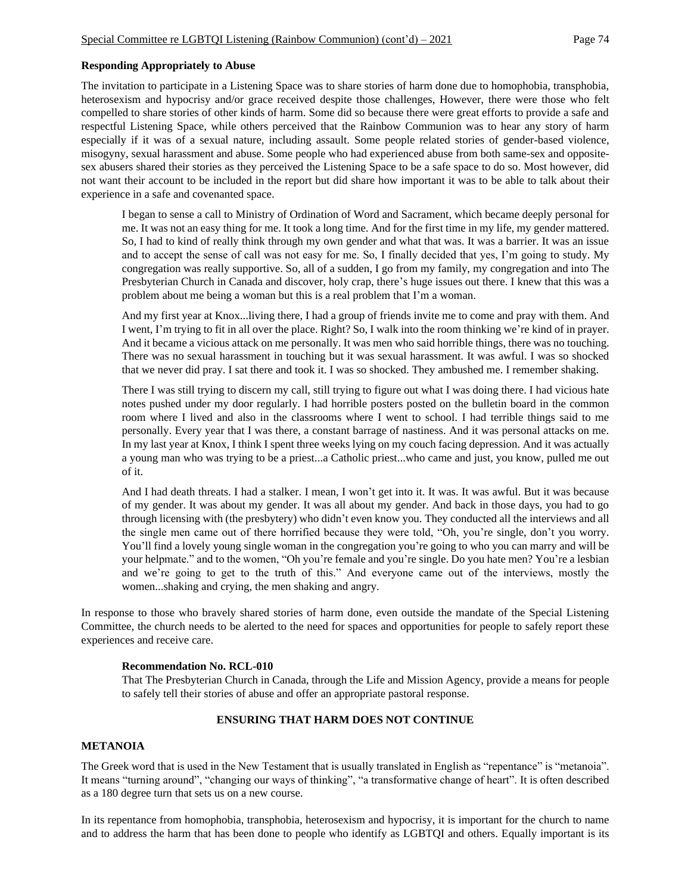### **Responding Appropriately to Abuse**

The invitation to participate in a Listening Space was to share stories of harm done due to homophobia, transphobia, heterosexism and hypocrisy and/or grace received despite those challenges, However, there were those who felt compelled to share stories of other kinds of harm. Some did so because there were great efforts to provide a safe and respectful Listening Space, while others perceived that the Rainbow Communion was to hear any story of harm especially if it was of a sexual nature, including assault. Some people related stories of gender-based violence, misogyny, sexual harassment and abuse. Some people who had experienced abuse from both same-sex and oppositesex abusers shared their stories as they perceived the Listening Space to be a safe space to do so. Most however, did not want their account to be included in the report but did share how important it was to be able to talk about their experience in a safe and covenanted space.

I began to sense a call to Ministry of Ordination of Word and Sacrament, which became deeply personal for me. It was not an easy thing for me. It took a long time. And for the first time in my life, my gender mattered. So, I had to kind of really think through my own gender and what that was. It was a barrier. It was an issue and to accept the sense of call was not easy for me. So, I finally decided that yes, I'm going to study. My congregation was really supportive. So, all of a sudden, I go from my family, my congregation and into The Presbyterian Church in Canada and discover, holy crap, there's huge issues out there. I knew that this was a problem about me being a woman but this is a real problem that I'm a woman.

And my first year at Knox...living there, I had a group of friends invite me to come and pray with them. And I went, I'm trying to fit in all over the place. Right? So, I walk into the room thinking we're kind of in prayer. And it became a vicious attack on me personally. It was men who said horrible things, there was no touching. There was no sexual harassment in touching but it was sexual harassment. It was awful. I was so shocked that we never did pray. I sat there and took it. I was so shocked. They ambushed me. I remember shaking.

There I was still trying to discern my call, still trying to figure out what I was doing there. I had vicious hate notes pushed under my door regularly. I had horrible posters posted on the bulletin board in the common room where I lived and also in the classrooms where I went to school. I had terrible things said to me personally. Every year that I was there, a constant barrage of nastiness. And it was personal attacks on me. In my last year at Knox, I think I spent three weeks lying on my couch facing depression. And it was actually a young man who was trying to be a priest...a Catholic priest...who came and just, you know, pulled me out of it.

And I had death threats. I had a stalker. I mean, I won't get into it. It was. It was awful. But it was because of my gender. It was about my gender. It was all about my gender. And back in those days, you had to go through licensing with (the presbytery) who didn't even know you. They conducted all the interviews and all the single men came out of there horrified because they were told, "Oh, you're single, don't you worry. You'll find a lovely young single woman in the congregation you're going to who you can marry and will be your helpmate." and to the women, "Oh you're female and you're single. Do you hate men? You're a lesbian and we're going to get to the truth of this." And everyone came out of the interviews, mostly the women...shaking and crying, the men shaking and angry.

In response to those who bravely shared stories of harm done, even outside the mandate of the Special Listening Committee, the church needs to be alerted to the need for spaces and opportunities for people to safely report these experiences and receive care.

#### **Recommendation No. RCL-010**

That The Presbyterian Church in Canada, through the Life and Mission Agency, provide a means for people to safely tell their stories of abuse and offer an appropriate pastoral response.

### **ENSURING THAT HARM DOES NOT CONTINUE**

#### **METANOIA**

The Greek word that is used in the New Testament that is usually translated in English as "repentance" is "metanoia". It means "turning around", "changing our ways of thinking", "a transformative change of heart". It is often described as a 180 degree turn that sets us on a new course.

In its repentance from homophobia, transphobia, heterosexism and hypocrisy, it is important for the church to name and to address the harm that has been done to people who identify as LGBTQI and others. Equally important is its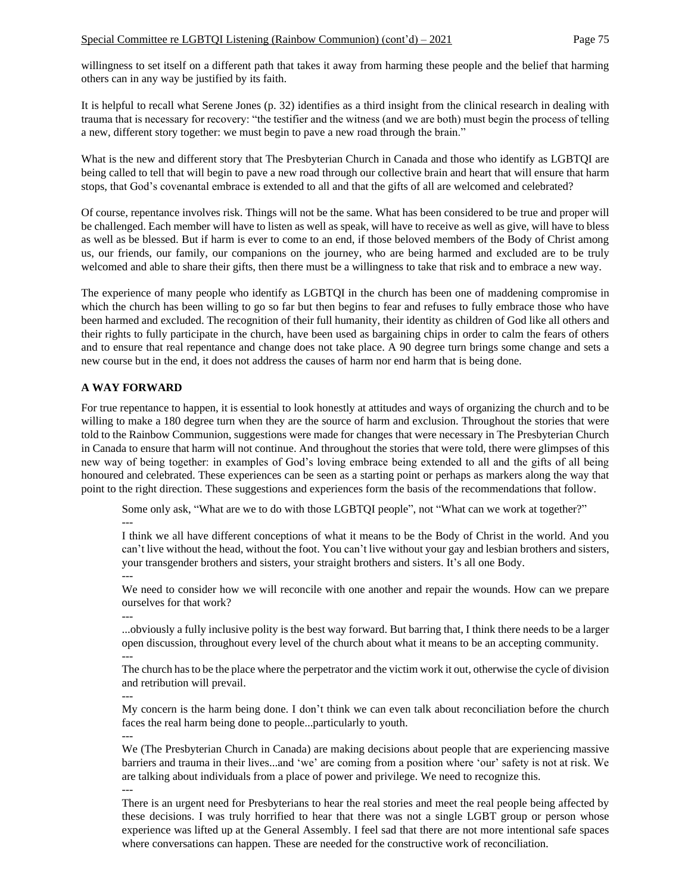willingness to set itself on a different path that takes it away from harming these people and the belief that harming others can in any way be justified by its faith.

It is helpful to recall what Serene Jones (p. 32) identifies as a third insight from the clinical research in dealing with trauma that is necessary for recovery: "the testifier and the witness (and we are both) must begin the process of telling a new, different story together: we must begin to pave a new road through the brain."

What is the new and different story that The Presbyterian Church in Canada and those who identify as LGBTQI are being called to tell that will begin to pave a new road through our collective brain and heart that will ensure that harm stops, that God's covenantal embrace is extended to all and that the gifts of all are welcomed and celebrated?

Of course, repentance involves risk. Things will not be the same. What has been considered to be true and proper will be challenged. Each member will have to listen as well as speak, will have to receive as well as give, will have to bless as well as be blessed. But if harm is ever to come to an end, if those beloved members of the Body of Christ among us, our friends, our family, our companions on the journey, who are being harmed and excluded are to be truly welcomed and able to share their gifts, then there must be a willingness to take that risk and to embrace a new way.

The experience of many people who identify as LGBTQI in the church has been one of maddening compromise in which the church has been willing to go so far but then begins to fear and refuses to fully embrace those who have been harmed and excluded. The recognition of their full humanity, their identity as children of God like all others and their rights to fully participate in the church, have been used as bargaining chips in order to calm the fears of others and to ensure that real repentance and change does not take place. A 90 degree turn brings some change and sets a new course but in the end, it does not address the causes of harm nor end harm that is being done.

# **A WAY FORWARD**

For true repentance to happen, it is essential to look honestly at attitudes and ways of organizing the church and to be willing to make a 180 degree turn when they are the source of harm and exclusion. Throughout the stories that were told to the Rainbow Communion, suggestions were made for changes that were necessary in The Presbyterian Church in Canada to ensure that harm will not continue. And throughout the stories that were told, there were glimpses of this new way of being together: in examples of God's loving embrace being extended to all and the gifts of all being honoured and celebrated. These experiences can be seen as a starting point or perhaps as markers along the way that point to the right direction. These suggestions and experiences form the basis of the recommendations that follow.

Some only ask, "What are we to do with those LGBTQI people", not "What can we work at together?" ---

I think we all have different conceptions of what it means to be the Body of Christ in the world. And you can't live without the head, without the foot. You can't live without your gay and lesbian brothers and sisters, your transgender brothers and sisters, your straight brothers and sisters. It's all one Body. ---

We need to consider how we will reconcile with one another and repair the wounds. How can we prepare ourselves for that work?

---

...obviously a fully inclusive polity is the best way forward. But barring that, I think there needs to be a larger open discussion, throughout every level of the church about what it means to be an accepting community. ---

The church has to be the place where the perpetrator and the victim work it out, otherwise the cycle of division and retribution will prevail.

---

My concern is the harm being done. I don't think we can even talk about reconciliation before the church faces the real harm being done to people...particularly to youth. ---

We (The Presbyterian Church in Canada) are making decisions about people that are experiencing massive barriers and trauma in their lives...and 'we' are coming from a position where 'our' safety is not at risk. We are talking about individuals from a place of power and privilege. We need to recognize this.

---

There is an urgent need for Presbyterians to hear the real stories and meet the real people being affected by these decisions. I was truly horrified to hear that there was not a single LGBT group or person whose experience was lifted up at the General Assembly. I feel sad that there are not more intentional safe spaces where conversations can happen. These are needed for the constructive work of reconciliation.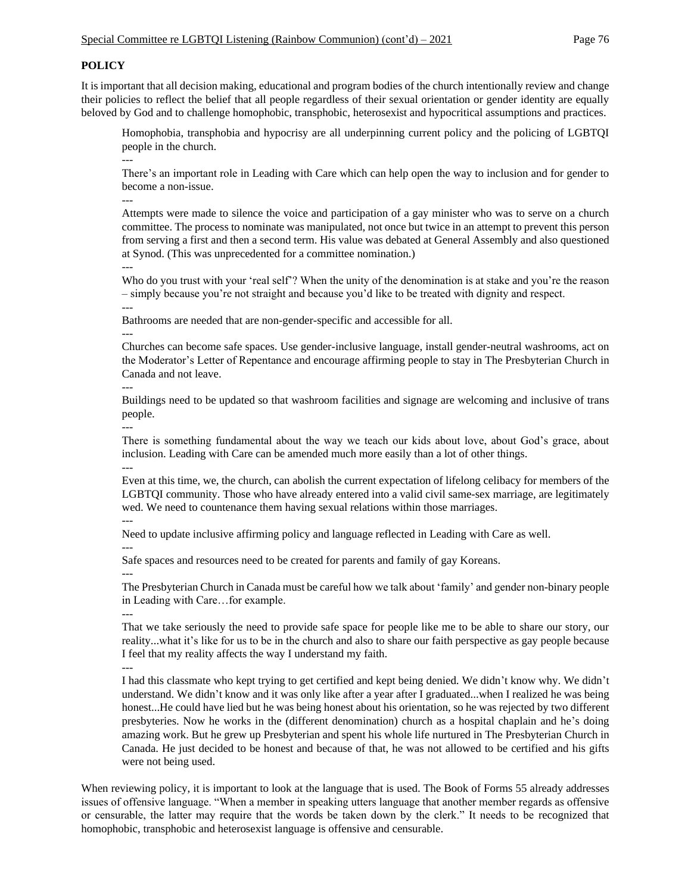# **POLICY**

It is important that all decision making, educational and program bodies of the church intentionally review and change their policies to reflect the belief that all people regardless of their sexual orientation or gender identity are equally beloved by God and to challenge homophobic, transphobic, heterosexist and hypocritical assumptions and practices.

Homophobia, transphobia and hypocrisy are all underpinning current policy and the policing of LGBTQI people in the church.

--- There's an important role in Leading with Care which can help open the way to inclusion and for gender to become a non-issue.

---

Attempts were made to silence the voice and participation of a gay minister who was to serve on a church committee. The process to nominate was manipulated, not once but twice in an attempt to prevent this person from serving a first and then a second term. His value was debated at General Assembly and also questioned at Synod. (This was unprecedented for a committee nomination.)

---

Who do you trust with your 'real self'? When the unity of the denomination is at stake and you're the reason – simply because you're not straight and because you'd like to be treated with dignity and respect.

---

Bathrooms are needed that are non-gender-specific and accessible for all.

---

Churches can become safe spaces. Use gender-inclusive language, install gender-neutral washrooms, act on the Moderator's Letter of Repentance and encourage affirming people to stay in The Presbyterian Church in Canada and not leave.

---

Buildings need to be updated so that washroom facilities and signage are welcoming and inclusive of trans people.

--- There is something fundamental about the way we teach our kids about love, about God's grace, about inclusion. Leading with Care can be amended much more easily than a lot of other things. ---

Even at this time, we, the church, can abolish the current expectation of lifelong celibacy for members of the LGBTQI community. Those who have already entered into a valid civil same-sex marriage, are legitimately wed. We need to countenance them having sexual relations within those marriages.

Need to update inclusive affirming policy and language reflected in Leading with Care as well.

---

---

---

---

Safe spaces and resources need to be created for parents and family of gay Koreans.

The Presbyterian Church in Canada must be careful how we talk about 'family' and gender non-binary people in Leading with Care…for example.

---

That we take seriously the need to provide safe space for people like me to be able to share our story, our reality...what it's like for us to be in the church and also to share our faith perspective as gay people because I feel that my reality affects the way I understand my faith.

I had this classmate who kept trying to get certified and kept being denied. We didn't know why. We didn't understand. We didn't know and it was only like after a year after I graduated...when I realized he was being honest...He could have lied but he was being honest about his orientation, so he was rejected by two different presbyteries. Now he works in the (different denomination) church as a hospital chaplain and he's doing amazing work. But he grew up Presbyterian and spent his whole life nurtured in The Presbyterian Church in Canada. He just decided to be honest and because of that, he was not allowed to be certified and his gifts were not being used.

When reviewing policy, it is important to look at the language that is used. The Book of Forms 55 already addresses issues of offensive language. "When a member in speaking utters language that another member regards as offensive or censurable, the latter may require that the words be taken down by the clerk." It needs to be recognized that homophobic, transphobic and heterosexist language is offensive and censurable.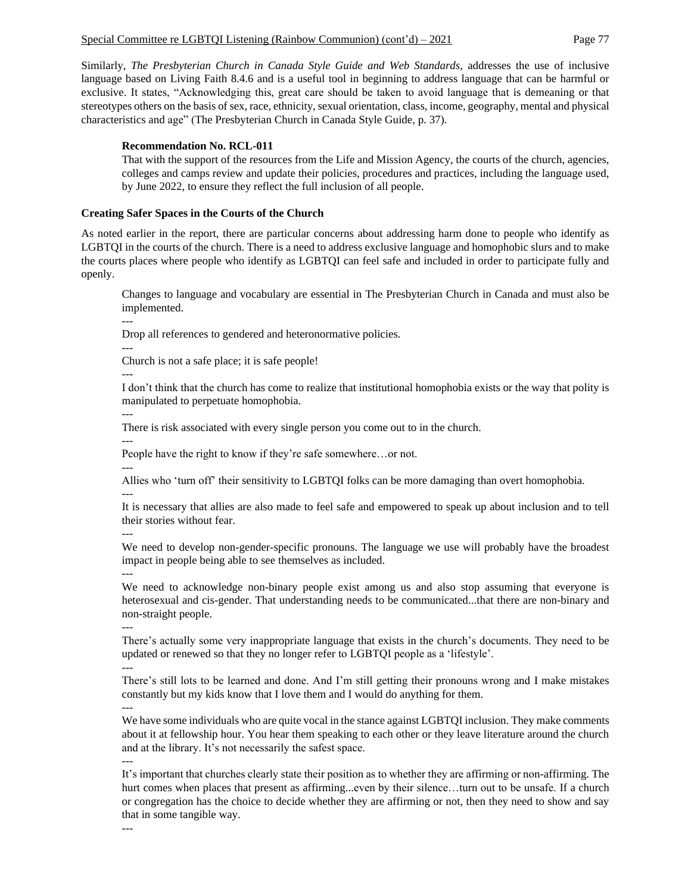Similarly, *The Presbyterian Church in Canada Style Guide and Web Standards*, addresses the use of inclusive language based on Living Faith 8.4.6 and is a useful tool in beginning to address language that can be harmful or exclusive. It states, "Acknowledging this, great care should be taken to avoid language that is demeaning or that stereotypes others on the basis of sex, race, ethnicity, sexual orientation, class, income, geography, mental and physical characteristics and age" (The Presbyterian Church in Canada Style Guide, p. 37).

### **Recommendation No. RCL-011**

That with the support of the resources from the Life and Mission Agency, the courts of the church, agencies, colleges and camps review and update their policies, procedures and practices, including the language used, by June 2022, to ensure they reflect the full inclusion of all people.

### **Creating Safer Spaces in the Courts of the Church**

As noted earlier in the report, there are particular concerns about addressing harm done to people who identify as LGBTQI in the courts of the church. There is a need to address exclusive language and homophobic slurs and to make the courts places where people who identify as LGBTQI can feel safe and included in order to participate fully and openly.

Changes to language and vocabulary are essential in The Presbyterian Church in Canada and must also be implemented.

---

Drop all references to gendered and heteronormative policies.

---

Church is not a safe place; it is safe people!

---

I don't think that the church has come to realize that institutional homophobia exists or the way that polity is manipulated to perpetuate homophobia.

---

There is risk associated with every single person you come out to in the church.

---

People have the right to know if they're safe somewhere…or not.

---

Allies who 'turn off' their sensitivity to LGBTQI folks can be more damaging than overt homophobia. ---

It is necessary that allies are also made to feel safe and empowered to speak up about inclusion and to tell their stories without fear.

---

We need to develop non-gender-specific pronouns. The language we use will probably have the broadest impact in people being able to see themselves as included.

---

We need to acknowledge non-binary people exist among us and also stop assuming that everyone is heterosexual and cis-gender. That understanding needs to be communicated...that there are non-binary and non-straight people.

---

---

There's actually some very inappropriate language that exists in the church's documents. They need to be updated or renewed so that they no longer refer to LGBTQI people as a 'lifestyle'.

There's still lots to be learned and done. And I'm still getting their pronouns wrong and I make mistakes constantly but my kids know that I love them and I would do anything for them. ---

We have some individuals who are quite vocal in the stance against LGBTQI inclusion. They make comments about it at fellowship hour. You hear them speaking to each other or they leave literature around the church and at the library. It's not necessarily the safest space. ---

It's important that churches clearly state their position as to whether they are affirming or non-affirming. The hurt comes when places that present as affirming...even by their silence...turn out to be unsafe. If a church or congregation has the choice to decide whether they are affirming or not, then they need to show and say that in some tangible way.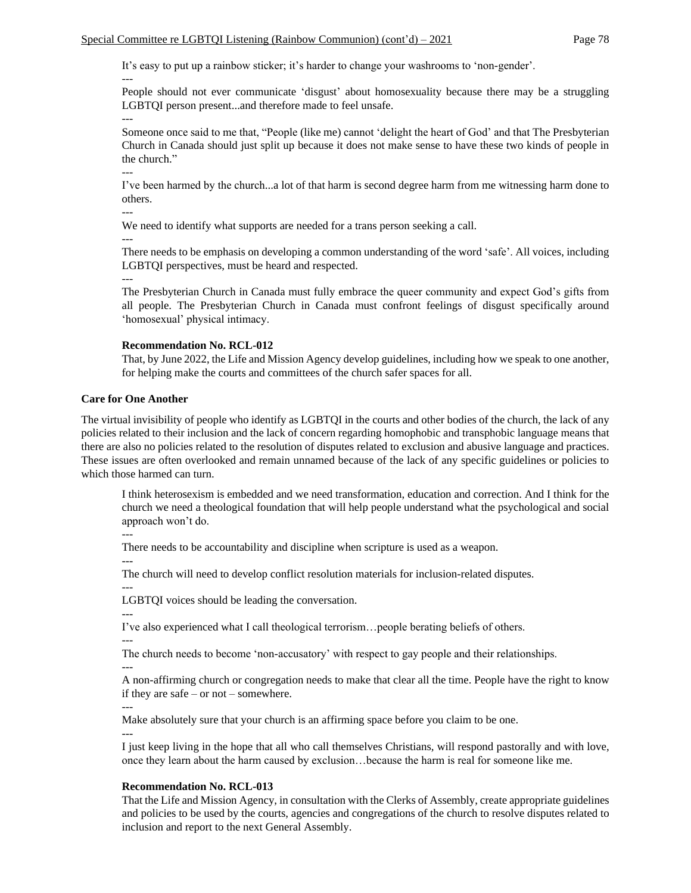It's easy to put up a rainbow sticker; it's harder to change your washrooms to 'non-gender'.

People should not ever communicate 'disgust' about homosexuality because there may be a struggling LGBTQI person present...and therefore made to feel unsafe.

Someone once said to me that, "People (like me) cannot 'delight the heart of God' and that The Presbyterian Church in Canada should just split up because it does not make sense to have these two kinds of people in the church."

I've been harmed by the church...a lot of that harm is second degree harm from me witnessing harm done to others.

---

---

---

---

We need to identify what supports are needed for a trans person seeking a call.

---

There needs to be emphasis on developing a common understanding of the word 'safe'. All voices, including LGBTQI perspectives, must be heard and respected.

---

The Presbyterian Church in Canada must fully embrace the queer community and expect God's gifts from all people. The Presbyterian Church in Canada must confront feelings of disgust specifically around 'homosexual' physical intimacy.

#### **Recommendation No. RCL-012**

That, by June 2022, the Life and Mission Agency develop guidelines, including how we speak to one another, for helping make the courts and committees of the church safer spaces for all.

#### **Care for One Another**

The virtual invisibility of people who identify as LGBTQI in the courts and other bodies of the church, the lack of any policies related to their inclusion and the lack of concern regarding homophobic and transphobic language means that there are also no policies related to the resolution of disputes related to exclusion and abusive language and practices. These issues are often overlooked and remain unnamed because of the lack of any specific guidelines or policies to which those harmed can turn.

I think heterosexism is embedded and we need transformation, education and correction. And I think for the church we need a theological foundation that will help people understand what the psychological and social approach won't do.

---

There needs to be accountability and discipline when scripture is used as a weapon.

---

The church will need to develop conflict resolution materials for inclusion-related disputes.

---

---

LGBTQI voices should be leading the conversation.

I've also experienced what I call theological terrorism…people berating beliefs of others.

The church needs to become 'non-accusatory' with respect to gay people and their relationships.

---

---

A non-affirming church or congregation needs to make that clear all the time. People have the right to know if they are safe – or not – somewhere.

Make absolutely sure that your church is an affirming space before you claim to be one.

---

---

I just keep living in the hope that all who call themselves Christians, will respond pastorally and with love, once they learn about the harm caused by exclusion…because the harm is real for someone like me.

# **Recommendation No. RCL-013**

That the Life and Mission Agency, in consultation with the Clerks of Assembly, create appropriate guidelines and policies to be used by the courts, agencies and congregations of the church to resolve disputes related to inclusion and report to the next General Assembly.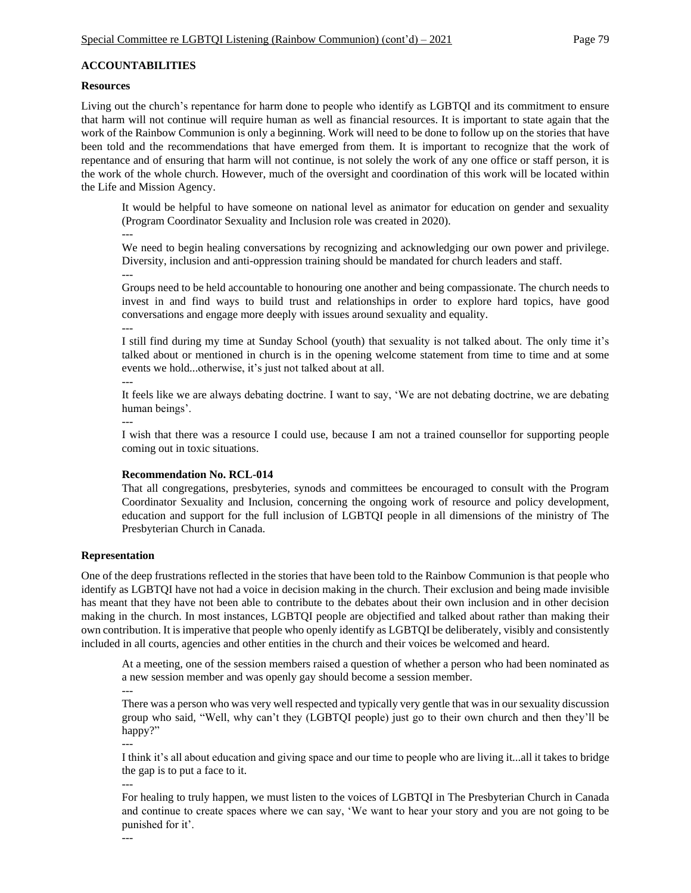# **ACCOUNTABILITIES**

#### **Resources**

Living out the church's repentance for harm done to people who identify as LGBTQI and its commitment to ensure that harm will not continue will require human as well as financial resources. It is important to state again that the work of the Rainbow Communion is only a beginning. Work will need to be done to follow up on the stories that have been told and the recommendations that have emerged from them. It is important to recognize that the work of repentance and of ensuring that harm will not continue, is not solely the work of any one office or staff person, it is the work of the whole church. However, much of the oversight and coordination of this work will be located within the Life and Mission Agency.

It would be helpful to have someone on national level as animator for education on gender and sexuality (Program Coordinator Sexuality and Inclusion role was created in 2020).

---

We need to begin healing conversations by recognizing and acknowledging our own power and privilege. Diversity, inclusion and anti-oppression training should be mandated for church leaders and staff.

---

Groups need to be held accountable to honouring one another and being compassionate. The church needs to invest in and find ways to build trust and relationships in order to explore hard topics, have good conversations and engage more deeply with issues around sexuality and equality.

---

I still find during my time at Sunday School (youth) that sexuality is not talked about. The only time it's talked about or mentioned in church is in the opening welcome statement from time to time and at some events we hold...otherwise, it's just not talked about at all.

---

It feels like we are always debating doctrine. I want to say, 'We are not debating doctrine, we are debating human beings'.

---

I wish that there was a resource I could use, because I am not a trained counsellor for supporting people coming out in toxic situations.

### **Recommendation No. RCL-014**

That all congregations, presbyteries, synods and committees be encouraged to consult with the Program Coordinator Sexuality and Inclusion, concerning the ongoing work of resource and policy development, education and support for the full inclusion of LGBTQI people in all dimensions of the ministry of The Presbyterian Church in Canada.

### **Representation**

One of the deep frustrations reflected in the stories that have been told to the Rainbow Communion is that people who identify as LGBTQI have not had a voice in decision making in the church. Their exclusion and being made invisible has meant that they have not been able to contribute to the debates about their own inclusion and in other decision making in the church. In most instances, LGBTQI people are objectified and talked about rather than making their own contribution. It is imperative that people who openly identify as LGBTQI be deliberately, visibly and consistently included in all courts, agencies and other entities in the church and their voices be welcomed and heard.

At a meeting, one of the session members raised a question of whether a person who had been nominated as a new session member and was openly gay should become a session member. ---

There was a person who was very well respected and typically very gentle that was in our sexuality discussion group who said, "Well, why can't they (LGBTQI people) just go to their own church and then they'll be happy?"

I think it's all about education and giving space and our time to people who are living it...all it takes to bridge the gap is to put a face to it.

---

---

For healing to truly happen, we must listen to the voices of LGBTQI in The Presbyterian Church in Canada and continue to create spaces where we can say, 'We want to hear your story and you are not going to be punished for it'.

---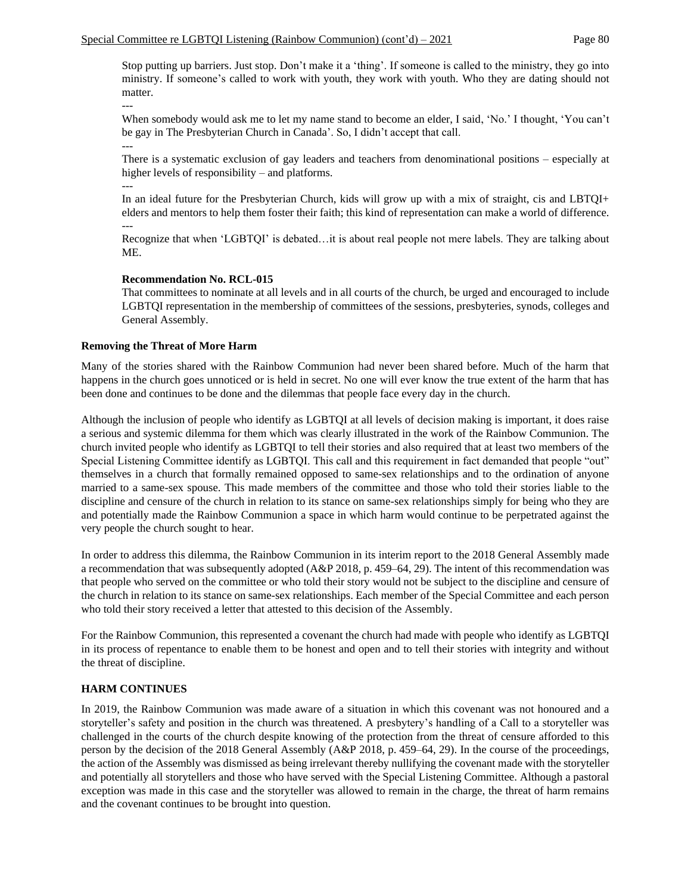Stop putting up barriers. Just stop. Don't make it a 'thing'. If someone is called to the ministry, they go into ministry. If someone's called to work with youth, they work with youth. Who they are dating should not matter.

When somebody would ask me to let my name stand to become an elder, I said, 'No.' I thought, 'You can't be gay in The Presbyterian Church in Canada'. So, I didn't accept that call.

There is a systematic exclusion of gay leaders and teachers from denominational positions – especially at higher levels of responsibility – and platforms.

In an ideal future for the Presbyterian Church, kids will grow up with a mix of straight, cis and LBTQI+ elders and mentors to help them foster their faith; this kind of representation can make a world of difference. ---

Recognize that when 'LGBTQI' is debated…it is about real people not mere labels. They are talking about ME.

#### **Recommendation No. RCL-015**

That committees to nominate at all levels and in all courts of the church, be urged and encouraged to include LGBTQI representation in the membership of committees of the sessions, presbyteries, synods, colleges and General Assembly.

# **Removing the Threat of More Harm**

---

---

---

Many of the stories shared with the Rainbow Communion had never been shared before. Much of the harm that happens in the church goes unnoticed or is held in secret. No one will ever know the true extent of the harm that has been done and continues to be done and the dilemmas that people face every day in the church.

Although the inclusion of people who identify as LGBTQI at all levels of decision making is important, it does raise a serious and systemic dilemma for them which was clearly illustrated in the work of the Rainbow Communion. The church invited people who identify as LGBTQI to tell their stories and also required that at least two members of the Special Listening Committee identify as LGBTQI. This call and this requirement in fact demanded that people "out" themselves in a church that formally remained opposed to same-sex relationships and to the ordination of anyone married to a same-sex spouse. This made members of the committee and those who told their stories liable to the discipline and censure of the church in relation to its stance on same-sex relationships simply for being who they are and potentially made the Rainbow Communion a space in which harm would continue to be perpetrated against the very people the church sought to hear.

In order to address this dilemma, the Rainbow Communion in its interim report to the 2018 General Assembly made a recommendation that was subsequently adopted (A&P 2018, p. 459–64, 29). The intent of this recommendation was that people who served on the committee or who told their story would not be subject to the discipline and censure of the church in relation to its stance on same-sex relationships. Each member of the Special Committee and each person who told their story received a letter that attested to this decision of the Assembly.

For the Rainbow Communion, this represented a covenant the church had made with people who identify as LGBTQI in its process of repentance to enable them to be honest and open and to tell their stories with integrity and without the threat of discipline.

# **HARM CONTINUES**

In 2019, the Rainbow Communion was made aware of a situation in which this covenant was not honoured and a storyteller's safety and position in the church was threatened. A presbytery's handling of a Call to a storyteller was challenged in the courts of the church despite knowing of the protection from the threat of censure afforded to this person by the decision of the 2018 General Assembly (A&P 2018, p. 459–64, 29). In the course of the proceedings, the action of the Assembly was dismissed as being irrelevant thereby nullifying the covenant made with the storyteller and potentially all storytellers and those who have served with the Special Listening Committee. Although a pastoral exception was made in this case and the storyteller was allowed to remain in the charge, the threat of harm remains and the covenant continues to be brought into question.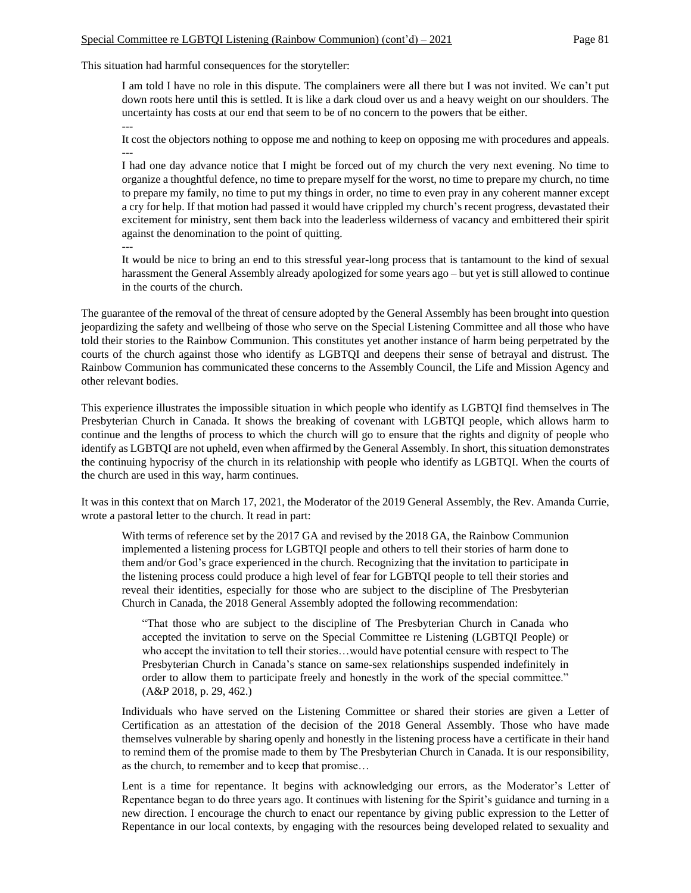This situation had harmful consequences for the storyteller:

---

I am told I have no role in this dispute. The complainers were all there but I was not invited. We can't put down roots here until this is settled. It is like a dark cloud over us and a heavy weight on our shoulders. The uncertainty has costs at our end that seem to be of no concern to the powers that be either.

It cost the objectors nothing to oppose me and nothing to keep on opposing me with procedures and appeals. ---

I had one day advance notice that I might be forced out of my church the very next evening. No time to organize a thoughtful defence, no time to prepare myself for the worst, no time to prepare my church, no time to prepare my family, no time to put my things in order, no time to even pray in any coherent manner except a cry for help. If that motion had passed it would have crippled my church's recent progress, devastated their excitement for ministry, sent them back into the leaderless wilderness of vacancy and embittered their spirit against the denomination to the point of quitting. ---

It would be nice to bring an end to this stressful year-long process that is tantamount to the kind of sexual harassment the General Assembly already apologized for some years ago – but yet is still allowed to continue in the courts of the church.

The guarantee of the removal of the threat of censure adopted by the General Assembly has been brought into question jeopardizing the safety and wellbeing of those who serve on the Special Listening Committee and all those who have told their stories to the Rainbow Communion. This constitutes yet another instance of harm being perpetrated by the courts of the church against those who identify as LGBTQI and deepens their sense of betrayal and distrust. The Rainbow Communion has communicated these concerns to the Assembly Council, the Life and Mission Agency and other relevant bodies.

This experience illustrates the impossible situation in which people who identify as LGBTQI find themselves in The Presbyterian Church in Canada. It shows the breaking of covenant with LGBTQI people, which allows harm to continue and the lengths of process to which the church will go to ensure that the rights and dignity of people who identify as LGBTQI are not upheld, even when affirmed by the General Assembly. In short, this situation demonstrates the continuing hypocrisy of the church in its relationship with people who identify as LGBTQI. When the courts of the church are used in this way, harm continues.

It was in this context that on March 17, 2021, the Moderator of the 2019 General Assembly, the Rev. Amanda Currie, wrote a pastoral letter to the church. It read in part:

With terms of reference set by the 2017 GA and revised by the 2018 GA, the Rainbow Communion implemented a listening process for LGBTQI people and others to tell their stories of harm done to them and/or God's grace experienced in the church. Recognizing that the invitation to participate in the listening process could produce a high level of fear for LGBTQI people to tell their stories and reveal their identities, especially for those who are subject to the discipline of The Presbyterian Church in Canada, the 2018 General Assembly adopted the following recommendation:

"That those who are subject to the discipline of The Presbyterian Church in Canada who accepted the invitation to serve on the Special Committee re Listening (LGBTQI People) or who accept the invitation to tell their stories…would have potential censure with respect to The Presbyterian Church in Canada's stance on same-sex relationships suspended indefinitely in order to allow them to participate freely and honestly in the work of the special committee." (A&P 2018, p. 29, 462.)

Individuals who have served on the Listening Committee or shared their stories are given a Letter of Certification as an attestation of the decision of the 2018 General Assembly. Those who have made themselves vulnerable by sharing openly and honestly in the listening process have a certificate in their hand to remind them of the promise made to them by The Presbyterian Church in Canada. It is our responsibility, as the church, to remember and to keep that promise…

Lent is a time for repentance. It begins with acknowledging our errors, as the Moderator's Letter of Repentance began to do three years ago. It continues with listening for the Spirit's guidance and turning in a new direction. I encourage the church to enact our repentance by giving public expression to the Letter of Repentance in our local contexts, by engaging with the resources being developed related to sexuality and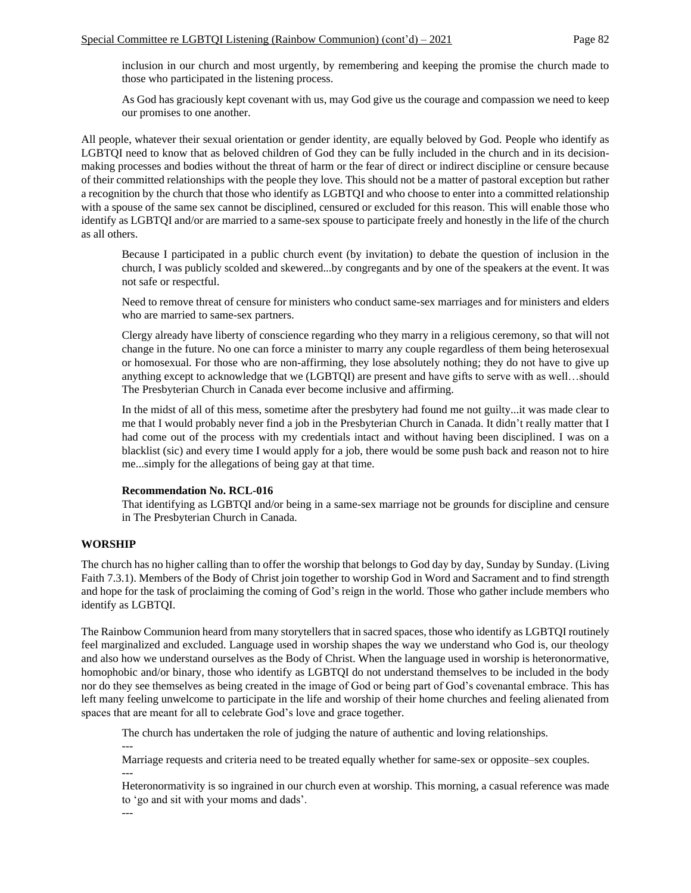inclusion in our church and most urgently, by remembering and keeping the promise the church made to those who participated in the listening process.

As God has graciously kept covenant with us, may God give us the courage and compassion we need to keep our promises to one another.

All people, whatever their sexual orientation or gender identity, are equally beloved by God. People who identify as LGBTQI need to know that as beloved children of God they can be fully included in the church and in its decisionmaking processes and bodies without the threat of harm or the fear of direct or indirect discipline or censure because of their committed relationships with the people they love. This should not be a matter of pastoral exception but rather a recognition by the church that those who identify as LGBTQI and who choose to enter into a committed relationship with a spouse of the same sex cannot be disciplined, censured or excluded for this reason. This will enable those who identify as LGBTQI and/or are married to a same-sex spouse to participate freely and honestly in the life of the church as all others.

Because I participated in a public church event (by invitation) to debate the question of inclusion in the church, I was publicly scolded and skewered...by congregants and by one of the speakers at the event. It was not safe or respectful.

Need to remove threat of censure for ministers who conduct same-sex marriages and for ministers and elders who are married to same-sex partners.

Clergy already have liberty of conscience regarding who they marry in a religious ceremony, so that will not change in the future. No one can force a minister to marry any couple regardless of them being heterosexual or homosexual. For those who are non-affirming, they lose absolutely nothing; they do not have to give up anything except to acknowledge that we (LGBTQI) are present and have gifts to serve with as well…should The Presbyterian Church in Canada ever become inclusive and affirming.

In the midst of all of this mess, sometime after the presbytery had found me not guilty...it was made clear to me that I would probably never find a job in the Presbyterian Church in Canada. It didn't really matter that I had come out of the process with my credentials intact and without having been disciplined. I was on a blacklist (sic) and every time I would apply for a job, there would be some push back and reason not to hire me...simply for the allegations of being gay at that time.

### **Recommendation No. RCL-016**

That identifying as LGBTQI and/or being in a same-sex marriage not be grounds for discipline and censure in The Presbyterian Church in Canada.

### **WORSHIP**

The church has no higher calling than to offer the worship that belongs to God day by day, Sunday by Sunday. (Living Faith 7.3.1). Members of the Body of Christ join together to worship God in Word and Sacrament and to find strength and hope for the task of proclaiming the coming of God's reign in the world. Those who gather include members who identify as LGBTQI.

The Rainbow Communion heard from many storytellers that in sacred spaces, those who identify as LGBTQI routinely feel marginalized and excluded. Language used in worship shapes the way we understand who God is, our theology and also how we understand ourselves as the Body of Christ. When the language used in worship is heteronormative, homophobic and/or binary, those who identify as LGBTQI do not understand themselves to be included in the body nor do they see themselves as being created in the image of God or being part of God's covenantal embrace. This has left many feeling unwelcome to participate in the life and worship of their home churches and feeling alienated from spaces that are meant for all to celebrate God's love and grace together.

The church has undertaken the role of judging the nature of authentic and loving relationships.

---

Marriage requests and criteria need to be treated equally whether for same-sex or opposite–sex couples. ---

Heteronormativity is so ingrained in our church even at worship. This morning, a casual reference was made to 'go and sit with your moms and dads'.

---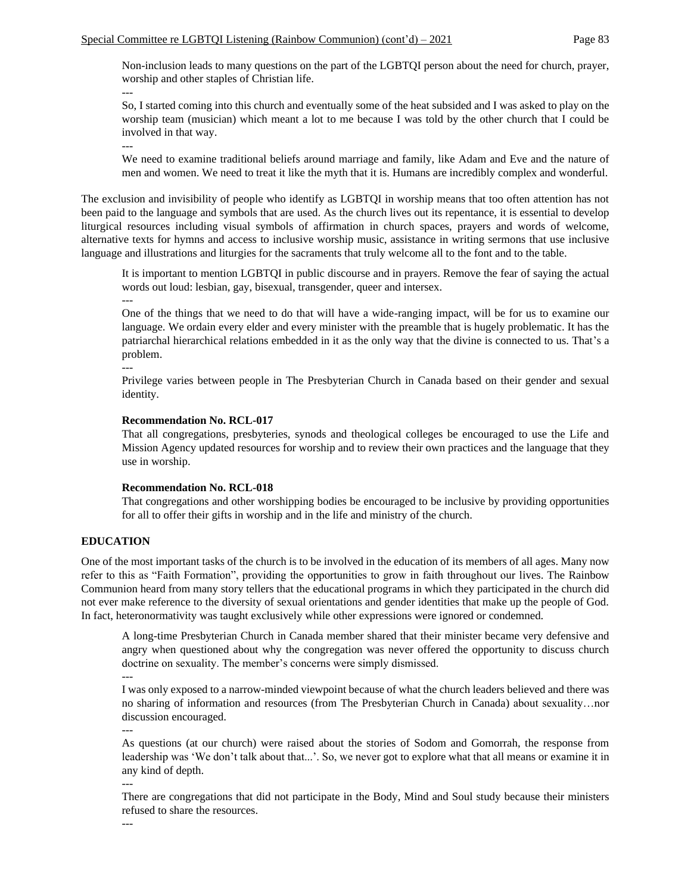Non-inclusion leads to many questions on the part of the LGBTQI person about the need for church, prayer, worship and other staples of Christian life. ---

So, I started coming into this church and eventually some of the heat subsided and I was asked to play on the worship team (musician) which meant a lot to me because I was told by the other church that I could be involved in that way.

We need to examine traditional beliefs around marriage and family, like Adam and Eve and the nature of men and women. We need to treat it like the myth that it is. Humans are incredibly complex and wonderful.

The exclusion and invisibility of people who identify as LGBTQI in worship means that too often attention has not been paid to the language and symbols that are used. As the church lives out its repentance, it is essential to develop liturgical resources including visual symbols of affirmation in church spaces, prayers and words of welcome, alternative texts for hymns and access to inclusive worship music, assistance in writing sermons that use inclusive language and illustrations and liturgies for the sacraments that truly welcome all to the font and to the table.

It is important to mention LGBTQI in public discourse and in prayers. Remove the fear of saying the actual words out loud: lesbian, gay, bisexual, transgender, queer and intersex. ---

One of the things that we need to do that will have a wide-ranging impact, will be for us to examine our language. We ordain every elder and every minister with the preamble that is hugely problematic. It has the patriarchal hierarchical relations embedded in it as the only way that the divine is connected to us. That's a problem.

---

---

Privilege varies between people in The Presbyterian Church in Canada based on their gender and sexual identity.

#### **Recommendation No. RCL-017**

That all congregations, presbyteries, synods and theological colleges be encouraged to use the Life and Mission Agency updated resources for worship and to review their own practices and the language that they use in worship.

#### **Recommendation No. RCL-018**

That congregations and other worshipping bodies be encouraged to be inclusive by providing opportunities for all to offer their gifts in worship and in the life and ministry of the church.

#### **EDUCATION**

One of the most important tasks of the church is to be involved in the education of its members of all ages. Many now refer to this as "Faith Formation", providing the opportunities to grow in faith throughout our lives. The Rainbow Communion heard from many story tellers that the educational programs in which they participated in the church did not ever make reference to the diversity of sexual orientations and gender identities that make up the people of God. In fact, heteronormativity was taught exclusively while other expressions were ignored or condemned.

A long-time Presbyterian Church in Canada member shared that their minister became very defensive and angry when questioned about why the congregation was never offered the opportunity to discuss church doctrine on sexuality. The member's concerns were simply dismissed.

---

I was only exposed to a narrow-minded viewpoint because of what the church leaders believed and there was no sharing of information and resources (from The Presbyterian Church in Canada) about sexuality…nor discussion encouraged.

---

As questions (at our church) were raised about the stories of Sodom and Gomorrah, the response from leadership was 'We don't talk about that...'. So, we never got to explore what that all means or examine it in any kind of depth.

---

There are congregations that did not participate in the Body, Mind and Soul study because their ministers refused to share the resources.

---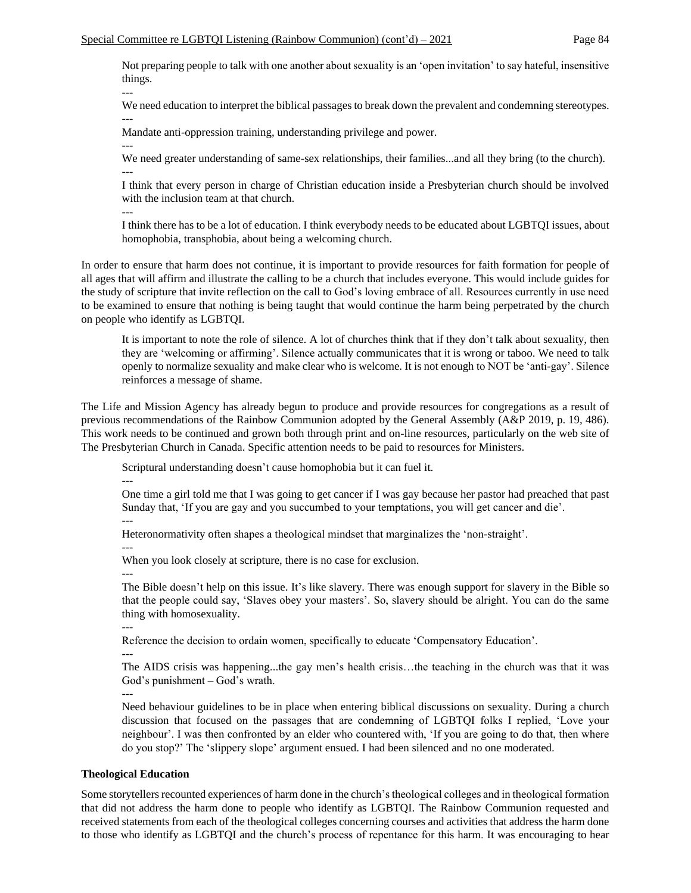Not preparing people to talk with one another about sexuality is an 'open invitation' to say hateful, insensitive things.

We need education to interpret the biblical passages to break down the prevalent and condemning stereotypes. ---

Mandate anti-oppression training, understanding privilege and power.

--- We need greater understanding of same-sex relationships, their families...and all they bring (to the church). ---

I think that every person in charge of Christian education inside a Presbyterian church should be involved with the inclusion team at that church.

---

---

I think there has to be a lot of education. I think everybody needs to be educated about LGBTQI issues, about homophobia, transphobia, about being a welcoming church.

In order to ensure that harm does not continue, it is important to provide resources for faith formation for people of all ages that will affirm and illustrate the calling to be a church that includes everyone. This would include guides for the study of scripture that invite reflection on the call to God's loving embrace of all. Resources currently in use need to be examined to ensure that nothing is being taught that would continue the harm being perpetrated by the church on people who identify as LGBTQI.

It is important to note the role of silence. A lot of churches think that if they don't talk about sexuality, then they are 'welcoming or affirming'. Silence actually communicates that it is wrong or taboo. We need to talk openly to normalize sexuality and make clear who is welcome. It is not enough to NOT be 'anti-gay'. Silence reinforces a message of shame.

The Life and Mission Agency has already begun to produce and provide resources for congregations as a result of previous recommendations of the Rainbow Communion adopted by the General Assembly (A&P 2019, p. 19, 486). This work needs to be continued and grown both through print and on-line resources, particularly on the web site of The Presbyterian Church in Canada. Specific attention needs to be paid to resources for Ministers.

Scriptural understanding doesn't cause homophobia but it can fuel it.

---

One time a girl told me that I was going to get cancer if I was gay because her pastor had preached that past Sunday that, 'If you are gay and you succumbed to your temptations, you will get cancer and die'. ---

Heteronormativity often shapes a theological mindset that marginalizes the 'non-straight'.

---

When you look closely at scripture, there is no case for exclusion.

---

The Bible doesn't help on this issue. It's like slavery. There was enough support for slavery in the Bible so that the people could say, 'Slaves obey your masters'. So, slavery should be alright. You can do the same thing with homosexuality.

---

Reference the decision to ordain women, specifically to educate 'Compensatory Education'.

---

The AIDS crisis was happening...the gay men's health crisis…the teaching in the church was that it was God's punishment – God's wrath.

---

Need behaviour guidelines to be in place when entering biblical discussions on sexuality. During a church discussion that focused on the passages that are condemning of LGBTQI folks I replied, 'Love your neighbour'. I was then confronted by an elder who countered with, 'If you are going to do that, then where do you stop?' The 'slippery slope' argument ensued. I had been silenced and no one moderated.

# **Theological Education**

Some storytellers recounted experiences of harm done in the church's theological colleges and in theological formation that did not address the harm done to people who identify as LGBTQI. The Rainbow Communion requested and received statements from each of the theological colleges concerning courses and activities that address the harm done to those who identify as LGBTQI and the church's process of repentance for this harm. It was encouraging to hear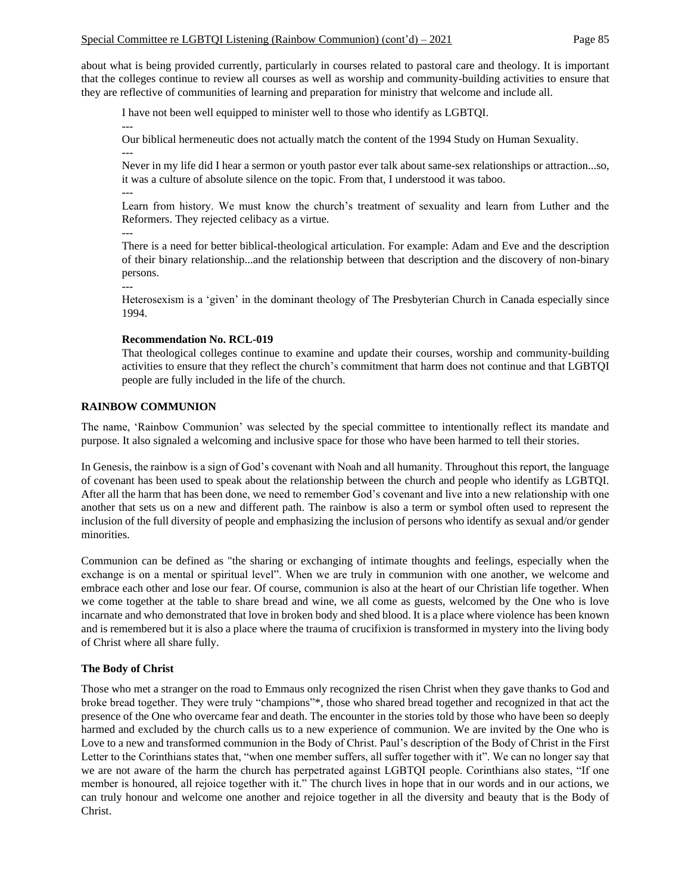about what is being provided currently, particularly in courses related to pastoral care and theology. It is important that the colleges continue to review all courses as well as worship and community-building activities to ensure that they are reflective of communities of learning and preparation for ministry that welcome and include all.

I have not been well equipped to minister well to those who identify as LGBTQI.

Our biblical hermeneutic does not actually match the content of the 1994 Study on Human Sexuality. ---

Never in my life did I hear a sermon or youth pastor ever talk about same-sex relationships or attraction...so, it was a culture of absolute silence on the topic. From that, I understood it was taboo. ---

Learn from history. We must know the church's treatment of sexuality and learn from Luther and the Reformers. They rejected celibacy as a virtue.

---

---

---

There is a need for better biblical-theological articulation. For example: Adam and Eve and the description of their binary relationship...and the relationship between that description and the discovery of non-binary persons.

Heterosexism is a 'given' in the dominant theology of The Presbyterian Church in Canada especially since 1994.

# **Recommendation No. RCL-019**

That theological colleges continue to examine and update their courses, worship and community-building activities to ensure that they reflect the church's commitment that harm does not continue and that LGBTQI people are fully included in the life of the church.

# **RAINBOW COMMUNION**

The name, 'Rainbow Communion' was selected by the special committee to intentionally reflect its mandate and purpose. It also signaled a welcoming and inclusive space for those who have been harmed to tell their stories.

In Genesis, the rainbow is a sign of God's covenant with Noah and all humanity. Throughout this report, the language of covenant has been used to speak about the relationship between the church and people who identify as LGBTQI. After all the harm that has been done, we need to remember God's covenant and live into a new relationship with one another that sets us on a new and different path. The rainbow is also a term or symbol often used to represent the inclusion of the full diversity of people and emphasizing the inclusion of persons who identify as sexual and/or gender minorities.

Communion can be defined as "the sharing or exchanging of intimate thoughts and feelings, especially when the exchange is on a mental or spiritual level". When we are truly in communion with one another, we welcome and embrace each other and lose our fear. Of course, communion is also at the heart of our Christian life together. When we come together at the table to share bread and wine, we all come as guests, welcomed by the One who is love incarnate and who demonstrated that love in broken body and shed blood. It is a place where violence has been known and is remembered but it is also a place where the trauma of crucifixion is transformed in mystery into the living body of Christ where all share fully.

### **The Body of Christ**

Those who met a stranger on the road to Emmaus only recognized the risen Christ when they gave thanks to God and broke bread together. They were truly "champions"\*, those who shared bread together and recognized in that act the presence of the One who overcame fear and death. The encounter in the stories told by those who have been so deeply harmed and excluded by the church calls us to a new experience of communion. We are invited by the One who is Love to a new and transformed communion in the Body of Christ. Paul's description of the Body of Christ in the First Letter to the Corinthians states that, "when one member suffers, all suffer together with it". We can no longer say that we are not aware of the harm the church has perpetrated against LGBTQI people. Corinthians also states, "If one member is honoured, all rejoice together with it." The church lives in hope that in our words and in our actions, we can truly honour and welcome one another and rejoice together in all the diversity and beauty that is the Body of Christ.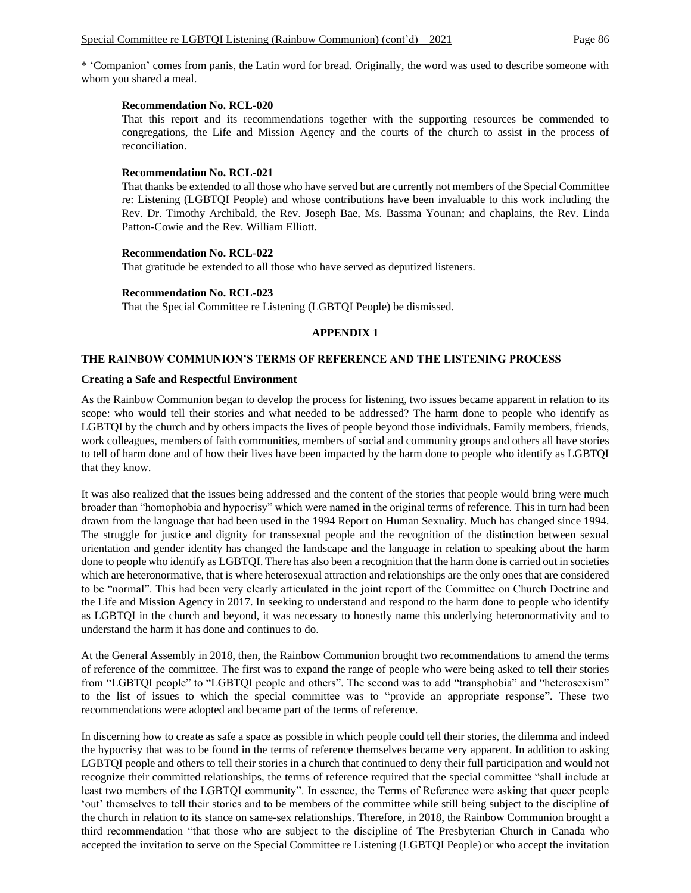\* 'Companion' comes from panis, the Latin word for bread. Originally, the word was used to describe someone with whom you shared a meal.

#### **Recommendation No. RCL-020**

That this report and its recommendations together with the supporting resources be commended to congregations, the Life and Mission Agency and the courts of the church to assist in the process of reconciliation.

### **Recommendation No. RCL-021**

That thanks be extended to all those who have served but are currently not members of the Special Committee re: Listening (LGBTQI People) and whose contributions have been invaluable to this work including the Rev. Dr. Timothy Archibald, the Rev. Joseph Bae, Ms. Bassma Younan; and chaplains, the Rev. Linda Patton-Cowie and the Rev. William Elliott.

### **Recommendation No. RCL-022**

That gratitude be extended to all those who have served as deputized listeners.

#### **Recommendation No. RCL-023**

That the Special Committee re Listening (LGBTQI People) be dismissed.

### **APPENDIX 1**

# **THE RAINBOW COMMUNION'S TERMS OF REFERENCE AND THE LISTENING PROCESS**

#### **Creating a Safe and Respectful Environment**

As the Rainbow Communion began to develop the process for listening, two issues became apparent in relation to its scope: who would tell their stories and what needed to be addressed? The harm done to people who identify as LGBTQI by the church and by others impacts the lives of people beyond those individuals. Family members, friends, work colleagues, members of faith communities, members of social and community groups and others all have stories to tell of harm done and of how their lives have been impacted by the harm done to people who identify as LGBTQI that they know.

It was also realized that the issues being addressed and the content of the stories that people would bring were much broader than "homophobia and hypocrisy" which were named in the original terms of reference. This in turn had been drawn from the language that had been used in the 1994 Report on Human Sexuality. Much has changed since 1994. The struggle for justice and dignity for transsexual people and the recognition of the distinction between sexual orientation and gender identity has changed the landscape and the language in relation to speaking about the harm done to people who identify as LGBTQI. There has also been a recognition that the harm done is carried out in societies which are heteronormative, that is where heterosexual attraction and relationships are the only ones that are considered to be "normal". This had been very clearly articulated in the joint report of the Committee on Church Doctrine and the Life and Mission Agency in 2017. In seeking to understand and respond to the harm done to people who identify as LGBTQI in the church and beyond, it was necessary to honestly name this underlying heteronormativity and to understand the harm it has done and continues to do.

At the General Assembly in 2018, then, the Rainbow Communion brought two recommendations to amend the terms of reference of the committee. The first was to expand the range of people who were being asked to tell their stories from "LGBTQI people" to "LGBTQI people and others". The second was to add "transphobia" and "heterosexism" to the list of issues to which the special committee was to "provide an appropriate response". These two recommendations were adopted and became part of the terms of reference.

In discerning how to create as safe a space as possible in which people could tell their stories, the dilemma and indeed the hypocrisy that was to be found in the terms of reference themselves became very apparent. In addition to asking LGBTQI people and others to tell their stories in a church that continued to deny their full participation and would not recognize their committed relationships, the terms of reference required that the special committee "shall include at least two members of the LGBTQI community". In essence, the Terms of Reference were asking that queer people 'out' themselves to tell their stories and to be members of the committee while still being subject to the discipline of the church in relation to its stance on same-sex relationships. Therefore, in 2018, the Rainbow Communion brought a third recommendation "that those who are subject to the discipline of The Presbyterian Church in Canada who accepted the invitation to serve on the Special Committee re Listening (LGBTQI People) or who accept the invitation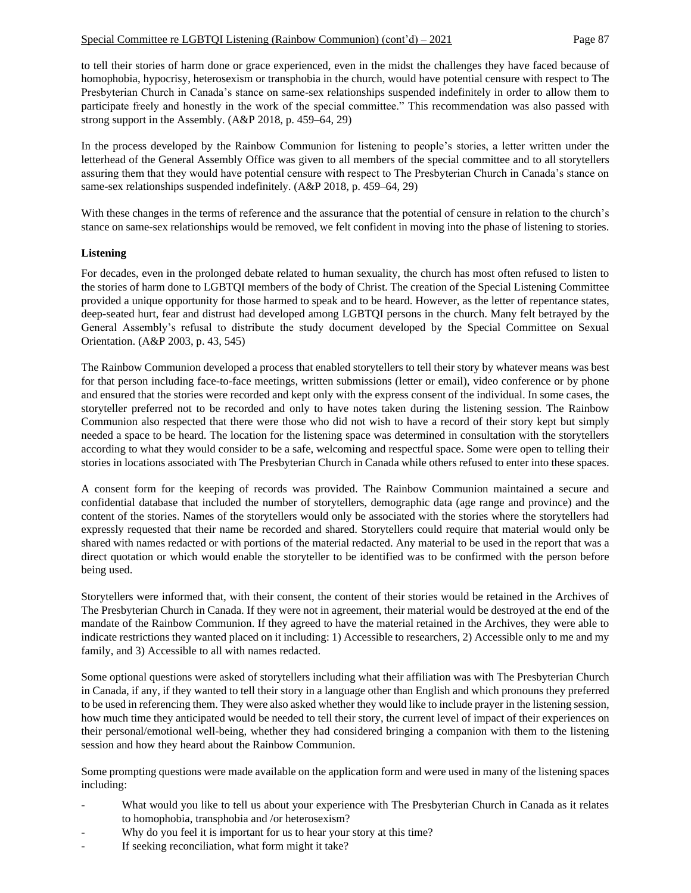to tell their stories of harm done or grace experienced, even in the midst the challenges they have faced because of homophobia, hypocrisy, heterosexism or transphobia in the church, would have potential censure with respect to The Presbyterian Church in Canada's stance on same-sex relationships suspended indefinitely in order to allow them to participate freely and honestly in the work of the special committee." This recommendation was also passed with strong support in the Assembly. (A&P 2018, p. 459–64, 29)

In the process developed by the Rainbow Communion for listening to people's stories, a letter written under the letterhead of the General Assembly Office was given to all members of the special committee and to all storytellers assuring them that they would have potential censure with respect to The Presbyterian Church in Canada's stance on same-sex relationships suspended indefinitely. (A&P 2018, p. 459–64, 29)

With these changes in the terms of reference and the assurance that the potential of censure in relation to the church's stance on same-sex relationships would be removed, we felt confident in moving into the phase of listening to stories.

# **Listening**

For decades, even in the prolonged debate related to human sexuality, the church has most often refused to listen to the stories of harm done to LGBTQI members of the body of Christ. The creation of the Special Listening Committee provided a unique opportunity for those harmed to speak and to be heard. However, as the letter of repentance states, deep-seated hurt, fear and distrust had developed among LGBTQI persons in the church. Many felt betrayed by the General Assembly's refusal to distribute the study document developed by the Special Committee on Sexual Orientation. (A&P 2003, p. 43, 545)

The Rainbow Communion developed a process that enabled storytellers to tell their story by whatever means was best for that person including face-to-face meetings, written submissions (letter or email), video conference or by phone and ensured that the stories were recorded and kept only with the express consent of the individual. In some cases, the storyteller preferred not to be recorded and only to have notes taken during the listening session. The Rainbow Communion also respected that there were those who did not wish to have a record of their story kept but simply needed a space to be heard. The location for the listening space was determined in consultation with the storytellers according to what they would consider to be a safe, welcoming and respectful space. Some were open to telling their stories in locations associated with The Presbyterian Church in Canada while others refused to enter into these spaces.

A consent form for the keeping of records was provided. The Rainbow Communion maintained a secure and confidential database that included the number of storytellers, demographic data (age range and province) and the content of the stories. Names of the storytellers would only be associated with the stories where the storytellers had expressly requested that their name be recorded and shared. Storytellers could require that material would only be shared with names redacted or with portions of the material redacted. Any material to be used in the report that was a direct quotation or which would enable the storyteller to be identified was to be confirmed with the person before being used.

Storytellers were informed that, with their consent, the content of their stories would be retained in the Archives of The Presbyterian Church in Canada. If they were not in agreement, their material would be destroyed at the end of the mandate of the Rainbow Communion. If they agreed to have the material retained in the Archives, they were able to indicate restrictions they wanted placed on it including: 1) Accessible to researchers, 2) Accessible only to me and my family, and 3) Accessible to all with names redacted.

Some optional questions were asked of storytellers including what their affiliation was with The Presbyterian Church in Canada, if any, if they wanted to tell their story in a language other than English and which pronouns they preferred to be used in referencing them. They were also asked whether they would like to include prayer in the listening session, how much time they anticipated would be needed to tell their story, the current level of impact of their experiences on their personal/emotional well-being, whether they had considered bringing a companion with them to the listening session and how they heard about the Rainbow Communion.

Some prompting questions were made available on the application form and were used in many of the listening spaces including:

- What would you like to tell us about your experience with The Presbyterian Church in Canada as it relates to homophobia, transphobia and /or heterosexism?
- Why do you feel it is important for us to hear your story at this time?
- If seeking reconciliation, what form might it take?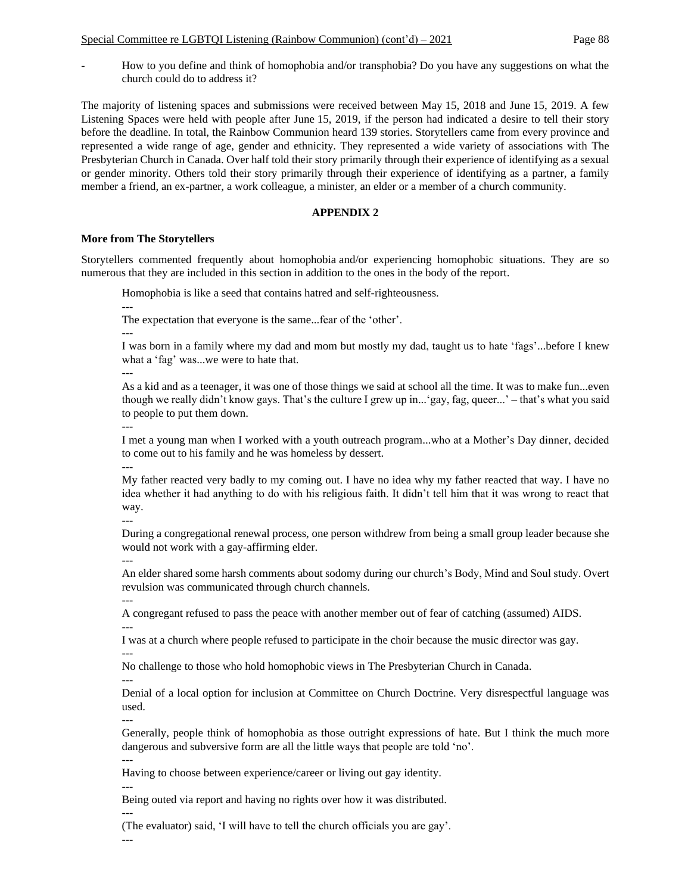- How to you define and think of homophobia and/or transphobia? Do you have any suggestions on what the church could do to address it?

The majority of listening spaces and submissions were received between May 15, 2018 and June 15, 2019. A few Listening Spaces were held with people after June 15, 2019, if the person had indicated a desire to tell their story before the deadline. In total, the Rainbow Communion heard 139 stories. Storytellers came from every province and represented a wide range of age, gender and ethnicity. They represented a wide variety of associations with The Presbyterian Church in Canada. Over half told their story primarily through their experience of identifying as a sexual or gender minority. Others told their story primarily through their experience of identifying as a partner, a family member a friend, an ex-partner, a work colleague, a minister, an elder or a member of a church community.

# **APPENDIX 2**

# **More from The Storytellers**

Storytellers commented frequently about homophobia and/or experiencing homophobic situations. They are so numerous that they are included in this section in addition to the ones in the body of the report.

Homophobia is like a seed that contains hatred and self-righteousness.

--- The expectation that everyone is the same...fear of the 'other'.

I was born in a family where my dad and mom but mostly my dad, taught us to hate 'fags'...before I knew what a 'fag' was...we were to hate that.

---

---

As a kid and as a teenager, it was one of those things we said at school all the time. It was to make fun...even though we really didn't know gays. That's the culture I grew up in...'gay, fag, queer...' – that's what you said to people to put them down.

---

I met a young man when I worked with a youth outreach program...who at a Mother's Day dinner, decided to come out to his family and he was homeless by dessert. ---

My father reacted very badly to my coming out. I have no idea why my father reacted that way. I have no idea whether it had anything to do with his religious faith. It didn't tell him that it was wrong to react that way.

---

During a congregational renewal process, one person withdrew from being a small group leader because she would not work with a gay-affirming elder.

---

An elder shared some harsh comments about sodomy during our church's Body, Mind and Soul study. Overt revulsion was communicated through church channels.

---

A congregant refused to pass the peace with another member out of fear of catching (assumed) AIDS. ---

I was at a church where people refused to participate in the choir because the music director was gay. ---

No challenge to those who hold homophobic views in The Presbyterian Church in Canada.

--- Denial of a local option for inclusion at Committee on Church Doctrine. Very disrespectful language was used.

Generally, people think of homophobia as those outright expressions of hate. But I think the much more dangerous and subversive form are all the little ways that people are told 'no'.

--- Having to choose between experience/career or living out gay identity.

---

---

Being outed via report and having no rights over how it was distributed.

--- (The evaluator) said, 'I will have to tell the church officials you are gay'.

---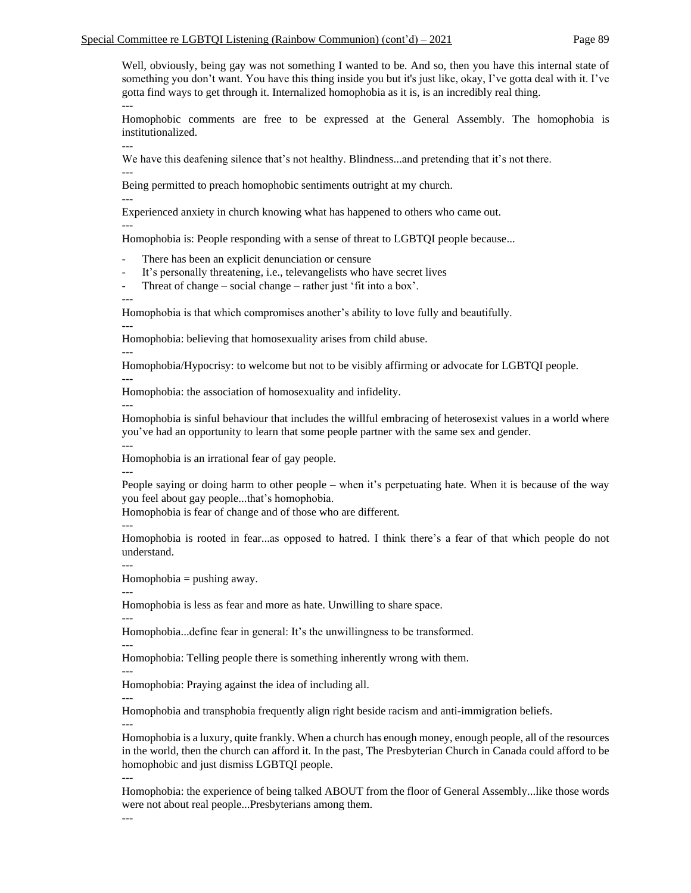Well, obviously, being gay was not something I wanted to be. And so, then you have this internal state of something you don't want. You have this thing inside you but it's just like, okay, I've gotta deal with it. I've gotta find ways to get through it. Internalized homophobia as it is, is an incredibly real thing. ---

Homophobic comments are free to be expressed at the General Assembly. The homophobia is institutionalized.

We have this deafening silence that's not healthy. Blindness...and pretending that it's not there.

---

---

Being permitted to preach homophobic sentiments outright at my church.

--- Experienced anxiety in church knowing what has happened to others who came out.

---

Homophobia is: People responding with a sense of threat to LGBTQI people because...

There has been an explicit denunciation or censure

It's personally threatening, i.e., televangelists who have secret lives

- Threat of change – social change – rather just 'fit into a box'.

---

Homophobia is that which compromises another's ability to love fully and beautifully.

--- Homophobia: believing that homosexuality arises from child abuse.

Homophobia/Hypocrisy: to welcome but not to be visibly affirming or advocate for LGBTQI people.

---

---

Homophobia: the association of homosexuality and infidelity.

---

Homophobia is sinful behaviour that includes the willful embracing of heterosexist values in a world where you've had an opportunity to learn that some people partner with the same sex and gender.

--- Homophobia is an irrational fear of gay people.

---

People saying or doing harm to other people – when it's perpetuating hate. When it is because of the way you feel about gay people...that's homophobia.

Homophobia is fear of change and of those who are different.

---

Homophobia is rooted in fear...as opposed to hatred. I think there's a fear of that which people do not understand.

---

 $Homophobia = pushing away.$ 

--- Homophobia is less as fear and more as hate. Unwilling to share space.

---

Homophobia...define fear in general: It's the unwillingness to be transformed.

--- Homophobia: Telling people there is something inherently wrong with them.

--- Homophobia: Praying against the idea of including all.

---

Homophobia and transphobia frequently align right beside racism and anti-immigration beliefs. ---

Homophobia is a luxury, quite frankly. When a church has enough money, enough people, all of the resources in the world, then the church can afford it. In the past, The Presbyterian Church in Canada could afford to be homophobic and just dismiss LGBTQI people.

--- Homophobia: the experience of being talked ABOUT from the floor of General Assembly...like those words were not about real people...Presbyterians among them.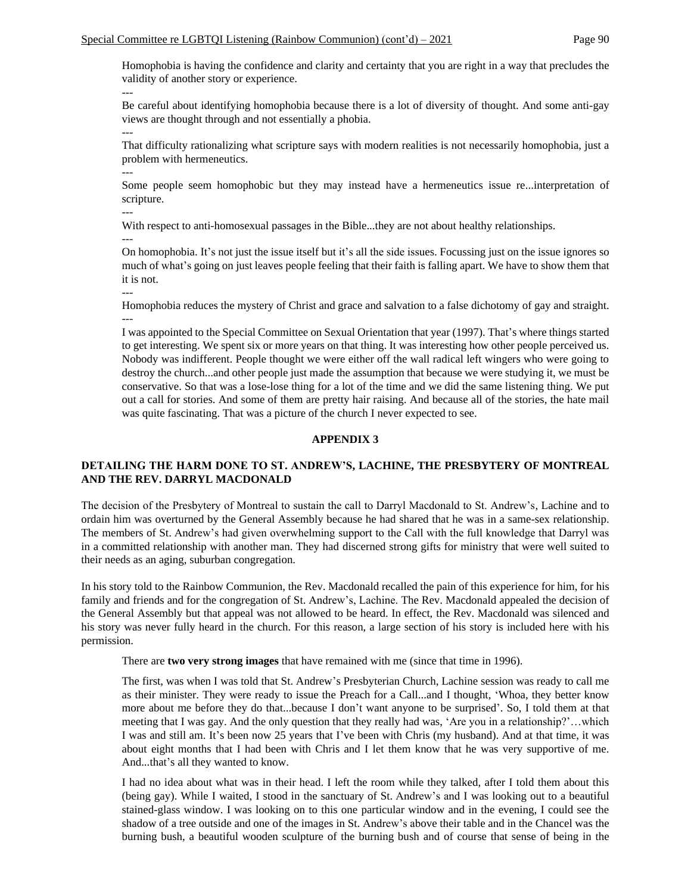Homophobia is having the confidence and clarity and certainty that you are right in a way that precludes the validity of another story or experience.

--- Be careful about identifying homophobia because there is a lot of diversity of thought. And some anti-gay views are thought through and not essentially a phobia. ---

That difficulty rationalizing what scripture says with modern realities is not necessarily homophobia, just a problem with hermeneutics. ---

Some people seem homophobic but they may instead have a hermeneutics issue re...interpretation of scripture.

---

With respect to anti-homosexual passages in the Bible...they are not about healthy relationships.

---

---

On homophobia. It's not just the issue itself but it's all the side issues. Focussing just on the issue ignores so much of what's going on just leaves people feeling that their faith is falling apart. We have to show them that it is not.

Homophobia reduces the mystery of Christ and grace and salvation to a false dichotomy of gay and straight. ---

I was appointed to the Special Committee on Sexual Orientation that year (1997). That's where things started to get interesting. We spent six or more years on that thing. It was interesting how other people perceived us. Nobody was indifferent. People thought we were either off the wall radical left wingers who were going to destroy the church...and other people just made the assumption that because we were studying it, we must be conservative. So that was a lose-lose thing for a lot of the time and we did the same listening thing. We put out a call for stories. And some of them are pretty hair raising. And because all of the stories, the hate mail was quite fascinating. That was a picture of the church I never expected to see.

# **APPENDIX 3**

# **DETAILING THE HARM DONE TO ST. ANDREW'S, LACHINE, THE PRESBYTERY OF MONTREAL AND THE REV. DARRYL MACDONALD**

The decision of the Presbytery of Montreal to sustain the call to Darryl Macdonald to St. Andrew's, Lachine and to ordain him was overturned by the General Assembly because he had shared that he was in a same-sex relationship. The members of St. Andrew's had given overwhelming support to the Call with the full knowledge that Darryl was in a committed relationship with another man. They had discerned strong gifts for ministry that were well suited to their needs as an aging, suburban congregation.

In his story told to the Rainbow Communion, the Rev. Macdonald recalled the pain of this experience for him, for his family and friends and for the congregation of St. Andrew's, Lachine. The Rev. Macdonald appealed the decision of the General Assembly but that appeal was not allowed to be heard. In effect, the Rev. Macdonald was silenced and his story was never fully heard in the church. For this reason, a large section of his story is included here with his permission.

There are **two very strong images** that have remained with me (since that time in 1996).

The first, was when I was told that St. Andrew's Presbyterian Church, Lachine session was ready to call me as their minister. They were ready to issue the Preach for a Call...and I thought, 'Whoa, they better know more about me before they do that...because I don't want anyone to be surprised'. So, I told them at that meeting that I was gay. And the only question that they really had was, 'Are you in a relationship?'…which I was and still am. It's been now 25 years that I've been with Chris (my husband). And at that time, it was about eight months that I had been with Chris and I let them know that he was very supportive of me. And...that's all they wanted to know.

I had no idea about what was in their head. I left the room while they talked, after I told them about this (being gay). While I waited, I stood in the sanctuary of St. Andrew's and I was looking out to a beautiful stained-glass window. I was looking on to this one particular window and in the evening, I could see the shadow of a tree outside and one of the images in St. Andrew's above their table and in the Chancel was the burning bush, a beautiful wooden sculpture of the burning bush and of course that sense of being in the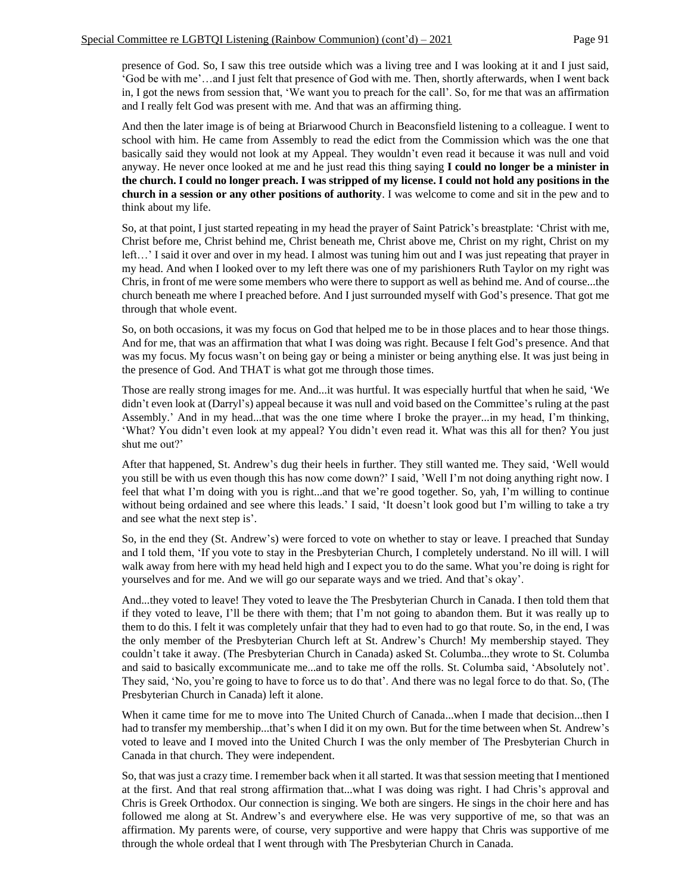presence of God. So, I saw this tree outside which was a living tree and I was looking at it and I just said, 'God be with me'…and I just felt that presence of God with me. Then, shortly afterwards, when I went back in, I got the news from session that, 'We want you to preach for the call'. So, for me that was an affirmation and I really felt God was present with me. And that was an affirming thing.

And then the later image is of being at Briarwood Church in Beaconsfield listening to a colleague. I went to school with him. He came from Assembly to read the edict from the Commission which was the one that basically said they would not look at my Appeal. They wouldn't even read it because it was null and void anyway. He never once looked at me and he just read this thing saying **I could no longer be a minister in the church. I could no longer preach. I was stripped of my license. I could not hold any positions in the church in a session or any other positions of authority**. I was welcome to come and sit in the pew and to think about my life.

So, at that point, I just started repeating in my head the prayer of Saint Patrick's breastplate: 'Christ with me, Christ before me, Christ behind me, Christ beneath me, Christ above me, Christ on my right, Christ on my left…' I said it over and over in my head. I almost was tuning him out and I was just repeating that prayer in my head. And when I looked over to my left there was one of my parishioners Ruth Taylor on my right was Chris, in front of me were some members who were there to support as well as behind me. And of course...the church beneath me where I preached before. And I just surrounded myself with God's presence. That got me through that whole event.

So, on both occasions, it was my focus on God that helped me to be in those places and to hear those things. And for me, that was an affirmation that what I was doing was right. Because I felt God's presence. And that was my focus. My focus wasn't on being gay or being a minister or being anything else. It was just being in the presence of God. And THAT is what got me through those times.

Those are really strong images for me. And...it was hurtful. It was especially hurtful that when he said, 'We didn't even look at (Darryl's) appeal because it was null and void based on the Committee's ruling at the past Assembly.' And in my head...that was the one time where I broke the prayer...in my head, I'm thinking, 'What? You didn't even look at my appeal? You didn't even read it. What was this all for then? You just shut me out?'

After that happened, St. Andrew's dug their heels in further. They still wanted me. They said, 'Well would you still be with us even though this has now come down?' I said, 'Well I'm not doing anything right now. I feel that what I'm doing with you is right...and that we're good together. So, yah, I'm willing to continue without being ordained and see where this leads.' I said, 'It doesn't look good but I'm willing to take a try and see what the next step is'.

So, in the end they (St. Andrew's) were forced to vote on whether to stay or leave. I preached that Sunday and I told them, 'If you vote to stay in the Presbyterian Church, I completely understand. No ill will. I will walk away from here with my head held high and I expect you to do the same. What you're doing is right for yourselves and for me. And we will go our separate ways and we tried. And that's okay'.

And...they voted to leave! They voted to leave the The Presbyterian Church in Canada. I then told them that if they voted to leave, I'll be there with them; that I'm not going to abandon them. But it was really up to them to do this. I felt it was completely unfair that they had to even had to go that route. So, in the end, I was the only member of the Presbyterian Church left at St. Andrew's Church! My membership stayed. They couldn't take it away. (The Presbyterian Church in Canada) asked St. Columba...they wrote to St. Columba and said to basically excommunicate me...and to take me off the rolls. St. Columba said, 'Absolutely not'. They said, 'No, you're going to have to force us to do that'. And there was no legal force to do that. So, (The Presbyterian Church in Canada) left it alone.

When it came time for me to move into The United Church of Canada...when I made that decision...then I had to transfer my membership...that's when I did it on my own. But for the time between when St. Andrew's voted to leave and I moved into the United Church I was the only member of The Presbyterian Church in Canada in that church. They were independent.

So, that was just a crazy time. I remember back when it all started. It was that session meeting that I mentioned at the first. And that real strong affirmation that...what I was doing was right. I had Chris's approval and Chris is Greek Orthodox. Our connection is singing. We both are singers. He sings in the choir here and has followed me along at St. Andrew's and everywhere else. He was very supportive of me, so that was an affirmation. My parents were, of course, very supportive and were happy that Chris was supportive of me through the whole ordeal that I went through with The Presbyterian Church in Canada.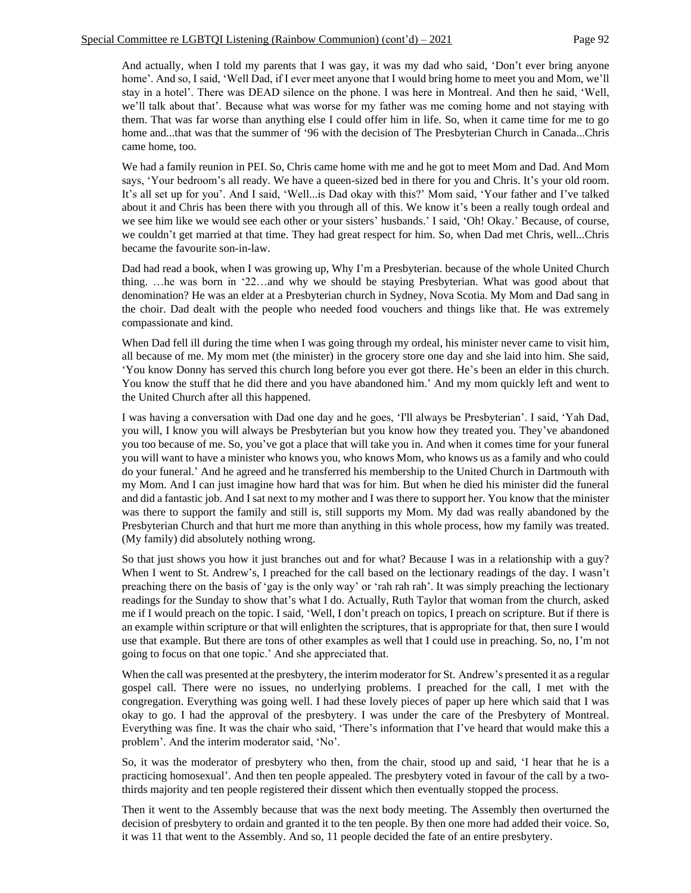And actually, when I told my parents that I was gay, it was my dad who said, 'Don't ever bring anyone home'. And so, I said, 'Well Dad, if I ever meet anyone that I would bring home to meet you and Mom, we'll stay in a hotel'. There was DEAD silence on the phone. I was here in Montreal. And then he said, 'Well, we'll talk about that'. Because what was worse for my father was me coming home and not staying with them. That was far worse than anything else I could offer him in life. So, when it came time for me to go home and...that was that the summer of '96 with the decision of The Presbyterian Church in Canada...Chris came home, too.

We had a family reunion in PEI. So, Chris came home with me and he got to meet Mom and Dad. And Mom says, 'Your bedroom's all ready. We have a queen-sized bed in there for you and Chris. It's your old room. It's all set up for you'. And I said, 'Well...is Dad okay with this?' Mom said, 'Your father and I've talked about it and Chris has been there with you through all of this. We know it's been a really tough ordeal and we see him like we would see each other or your sisters' husbands.' I said, 'Oh! Okay.' Because, of course, we couldn't get married at that time. They had great respect for him. So, when Dad met Chris, well...Chris became the favourite son-in-law.

Dad had read a book, when I was growing up, Why I'm a Presbyterian. because of the whole United Church thing. …he was born in '22…and why we should be staying Presbyterian. What was good about that denomination? He was an elder at a Presbyterian church in Sydney, Nova Scotia. My Mom and Dad sang in the choir. Dad dealt with the people who needed food vouchers and things like that. He was extremely compassionate and kind.

When Dad fell ill during the time when I was going through my ordeal, his minister never came to visit him, all because of me. My mom met (the minister) in the grocery store one day and she laid into him. She said, 'You know Donny has served this church long before you ever got there. He's been an elder in this church. You know the stuff that he did there and you have abandoned him.' And my mom quickly left and went to the United Church after all this happened.

I was having a conversation with Dad one day and he goes, 'I'll always be Presbyterian'. I said, 'Yah Dad, you will, I know you will always be Presbyterian but you know how they treated you. They've abandoned you too because of me. So, you've got a place that will take you in. And when it comes time for your funeral you will want to have a minister who knows you, who knows Mom, who knows us as a family and who could do your funeral.' And he agreed and he transferred his membership to the United Church in Dartmouth with my Mom. And I can just imagine how hard that was for him. But when he died his minister did the funeral and did a fantastic job. And I sat next to my mother and I was there to support her. You know that the minister was there to support the family and still is, still supports my Mom. My dad was really abandoned by the Presbyterian Church and that hurt me more than anything in this whole process, how my family was treated. (My family) did absolutely nothing wrong.

So that just shows you how it just branches out and for what? Because I was in a relationship with a guy? When I went to St. Andrew's, I preached for the call based on the lectionary readings of the day. I wasn't preaching there on the basis of 'gay is the only way' or 'rah rah rah'. It was simply preaching the lectionary readings for the Sunday to show that's what I do. Actually, Ruth Taylor that woman from the church, asked me if I would preach on the topic. I said, 'Well, I don't preach on topics, I preach on scripture. But if there is an example within scripture or that will enlighten the scriptures, that is appropriate for that, then sure I would use that example. But there are tons of other examples as well that I could use in preaching. So, no, I'm not going to focus on that one topic.' And she appreciated that.

When the call was presented at the presbytery, the interim moderator for St. Andrew's presented it as a regular gospel call. There were no issues, no underlying problems. I preached for the call, I met with the congregation. Everything was going well. I had these lovely pieces of paper up here which said that I was okay to go. I had the approval of the presbytery. I was under the care of the Presbytery of Montreal. Everything was fine. It was the chair who said, 'There's information that I've heard that would make this a problem'. And the interim moderator said, 'No'.

So, it was the moderator of presbytery who then, from the chair, stood up and said, 'I hear that he is a practicing homosexual'. And then ten people appealed. The presbytery voted in favour of the call by a twothirds majority and ten people registered their dissent which then eventually stopped the process.

Then it went to the Assembly because that was the next body meeting. The Assembly then overturned the decision of presbytery to ordain and granted it to the ten people. By then one more had added their voice. So, it was 11 that went to the Assembly. And so, 11 people decided the fate of an entire presbytery.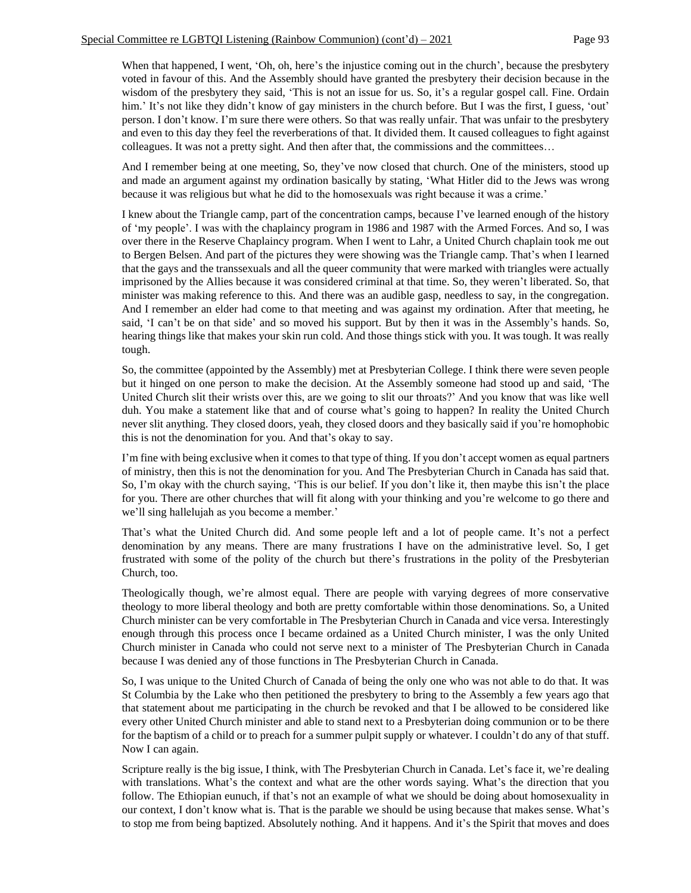When that happened, I went, 'Oh, oh, here's the injustice coming out in the church', because the presbytery voted in favour of this. And the Assembly should have granted the presbytery their decision because in the wisdom of the presbytery they said, 'This is not an issue for us. So, it's a regular gospel call. Fine. Ordain him.' It's not like they didn't know of gay ministers in the church before. But I was the first, I guess, 'out' person. I don't know. I'm sure there were others. So that was really unfair. That was unfair to the presbytery and even to this day they feel the reverberations of that. It divided them. It caused colleagues to fight against colleagues. It was not a pretty sight. And then after that, the commissions and the committees…

And I remember being at one meeting, So, they've now closed that church. One of the ministers, stood up and made an argument against my ordination basically by stating, 'What Hitler did to the Jews was wrong because it was religious but what he did to the homosexuals was right because it was a crime.'

I knew about the Triangle camp, part of the concentration camps, because I've learned enough of the history of 'my people'. I was with the chaplaincy program in 1986 and 1987 with the Armed Forces. And so, I was over there in the Reserve Chaplaincy program. When I went to Lahr, a United Church chaplain took me out to Bergen Belsen. And part of the pictures they were showing was the Triangle camp. That's when I learned that the gays and the transsexuals and all the queer community that were marked with triangles were actually imprisoned by the Allies because it was considered criminal at that time. So, they weren't liberated. So, that minister was making reference to this. And there was an audible gasp, needless to say, in the congregation. And I remember an elder had come to that meeting and was against my ordination. After that meeting, he said, 'I can't be on that side' and so moved his support. But by then it was in the Assembly's hands. So, hearing things like that makes your skin run cold. And those things stick with you. It was tough. It was really tough.

So, the committee (appointed by the Assembly) met at Presbyterian College. I think there were seven people but it hinged on one person to make the decision. At the Assembly someone had stood up and said, 'The United Church slit their wrists over this, are we going to slit our throats?' And you know that was like well duh. You make a statement like that and of course what's going to happen? In reality the United Church never slit anything. They closed doors, yeah, they closed doors and they basically said if you're homophobic this is not the denomination for you. And that's okay to say.

I'm fine with being exclusive when it comes to that type of thing. If you don't accept women as equal partners of ministry, then this is not the denomination for you. And The Presbyterian Church in Canada has said that. So, I'm okay with the church saying, 'This is our belief. If you don't like it, then maybe this isn't the place for you. There are other churches that will fit along with your thinking and you're welcome to go there and we'll sing hallelujah as you become a member.'

That's what the United Church did. And some people left and a lot of people came. It's not a perfect denomination by any means. There are many frustrations I have on the administrative level. So, I get frustrated with some of the polity of the church but there's frustrations in the polity of the Presbyterian Church, too.

Theologically though, we're almost equal. There are people with varying degrees of more conservative theology to more liberal theology and both are pretty comfortable within those denominations. So, a United Church minister can be very comfortable in The Presbyterian Church in Canada and vice versa. Interestingly enough through this process once I became ordained as a United Church minister, I was the only United Church minister in Canada who could not serve next to a minister of The Presbyterian Church in Canada because I was denied any of those functions in The Presbyterian Church in Canada.

So, I was unique to the United Church of Canada of being the only one who was not able to do that. It was St Columbia by the Lake who then petitioned the presbytery to bring to the Assembly a few years ago that that statement about me participating in the church be revoked and that I be allowed to be considered like every other United Church minister and able to stand next to a Presbyterian doing communion or to be there for the baptism of a child or to preach for a summer pulpit supply or whatever. I couldn't do any of that stuff. Now I can again.

Scripture really is the big issue, I think, with The Presbyterian Church in Canada. Let's face it, we're dealing with translations. What's the context and what are the other words saying. What's the direction that you follow. The Ethiopian eunuch, if that's not an example of what we should be doing about homosexuality in our context, I don't know what is. That is the parable we should be using because that makes sense. What's to stop me from being baptized. Absolutely nothing. And it happens. And it's the Spirit that moves and does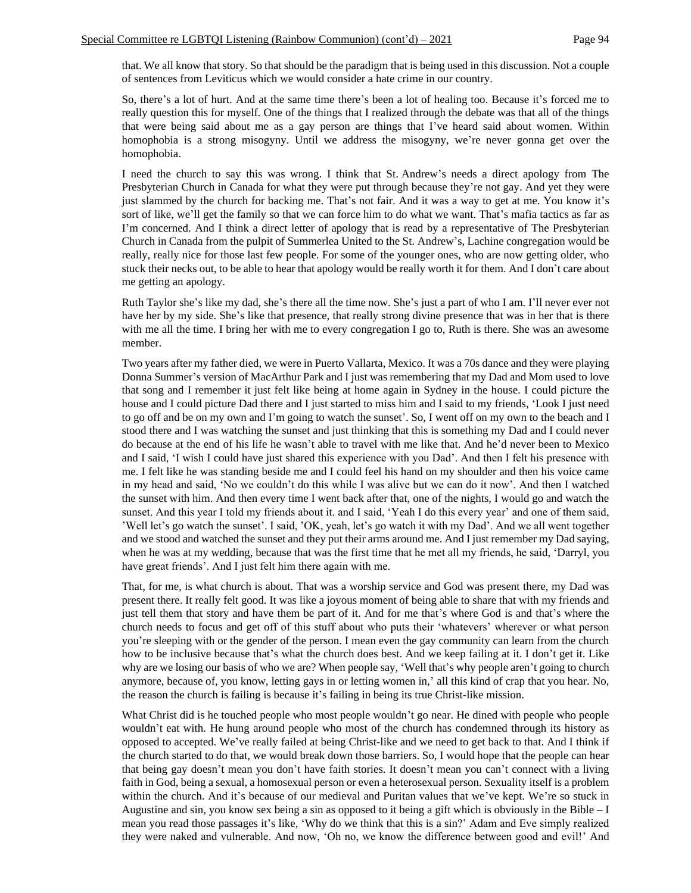that. We all know that story. So that should be the paradigm that is being used in this discussion. Not a couple of sentences from Leviticus which we would consider a hate crime in our country.

So, there's a lot of hurt. And at the same time there's been a lot of healing too. Because it's forced me to really question this for myself. One of the things that I realized through the debate was that all of the things that were being said about me as a gay person are things that I've heard said about women. Within homophobia is a strong misogyny. Until we address the misogyny, we're never gonna get over the homophobia.

I need the church to say this was wrong. I think that St. Andrew's needs a direct apology from The Presbyterian Church in Canada for what they were put through because they're not gay. And yet they were just slammed by the church for backing me. That's not fair. And it was a way to get at me. You know it's sort of like, we'll get the family so that we can force him to do what we want. That's mafia tactics as far as I'm concerned. And I think a direct letter of apology that is read by a representative of The Presbyterian Church in Canada from the pulpit of Summerlea United to the St. Andrew's, Lachine congregation would be really, really nice for those last few people. For some of the younger ones, who are now getting older, who stuck their necks out, to be able to hear that apology would be really worth it for them. And I don't care about me getting an apology.

Ruth Taylor she's like my dad, she's there all the time now. She's just a part of who I am. I'll never ever not have her by my side. She's like that presence, that really strong divine presence that was in her that is there with me all the time. I bring her with me to every congregation I go to, Ruth is there. She was an awesome member.

Two years after my father died, we were in Puerto Vallarta, Mexico. It was a 70s dance and they were playing Donna Summer's version of MacArthur Park and I just was remembering that my Dad and Mom used to love that song and I remember it just felt like being at home again in Sydney in the house. I could picture the house and I could picture Dad there and I just started to miss him and I said to my friends, 'Look I just need to go off and be on my own and I'm going to watch the sunset'. So, I went off on my own to the beach and I stood there and I was watching the sunset and just thinking that this is something my Dad and I could never do because at the end of his life he wasn't able to travel with me like that. And he'd never been to Mexico and I said, 'I wish I could have just shared this experience with you Dad'. And then I felt his presence with me. I felt like he was standing beside me and I could feel his hand on my shoulder and then his voice came in my head and said, 'No we couldn't do this while I was alive but we can do it now'. And then I watched the sunset with him. And then every time I went back after that, one of the nights, I would go and watch the sunset. And this year I told my friends about it. and I said, 'Yeah I do this every year' and one of them said, 'Well let's go watch the sunset'. I said, 'OK, yeah, let's go watch it with my Dad'. And we all went together and we stood and watched the sunset and they put their arms around me. And I just remember my Dad saying, when he was at my wedding, because that was the first time that he met all my friends, he said, 'Darryl, you have great friends'. And I just felt him there again with me.

That, for me, is what church is about. That was a worship service and God was present there, my Dad was present there. It really felt good. It was like a joyous moment of being able to share that with my friends and just tell them that story and have them be part of it. And for me that's where God is and that's where the church needs to focus and get off of this stuff about who puts their 'whatevers' wherever or what person you're sleeping with or the gender of the person. I mean even the gay community can learn from the church how to be inclusive because that's what the church does best. And we keep failing at it. I don't get it. Like why are we losing our basis of who we are? When people say, 'Well that's why people aren't going to church anymore, because of, you know, letting gays in or letting women in,' all this kind of crap that you hear. No, the reason the church is failing is because it's failing in being its true Christ-like mission.

What Christ did is he touched people who most people wouldn't go near. He dined with people who people wouldn't eat with. He hung around people who most of the church has condemned through its history as opposed to accepted. We've really failed at being Christ-like and we need to get back to that. And I think if the church started to do that, we would break down those barriers. So, I would hope that the people can hear that being gay doesn't mean you don't have faith stories. It doesn't mean you can't connect with a living faith in God, being a sexual, a homosexual person or even a heterosexual person. Sexuality itself is a problem within the church. And it's because of our medieval and Puritan values that we've kept. We're so stuck in Augustine and sin, you know sex being a sin as opposed to it being a gift which is obviously in the Bible – I mean you read those passages it's like, 'Why do we think that this is a sin?' Adam and Eve simply realized they were naked and vulnerable. And now, 'Oh no, we know the difference between good and evil!' And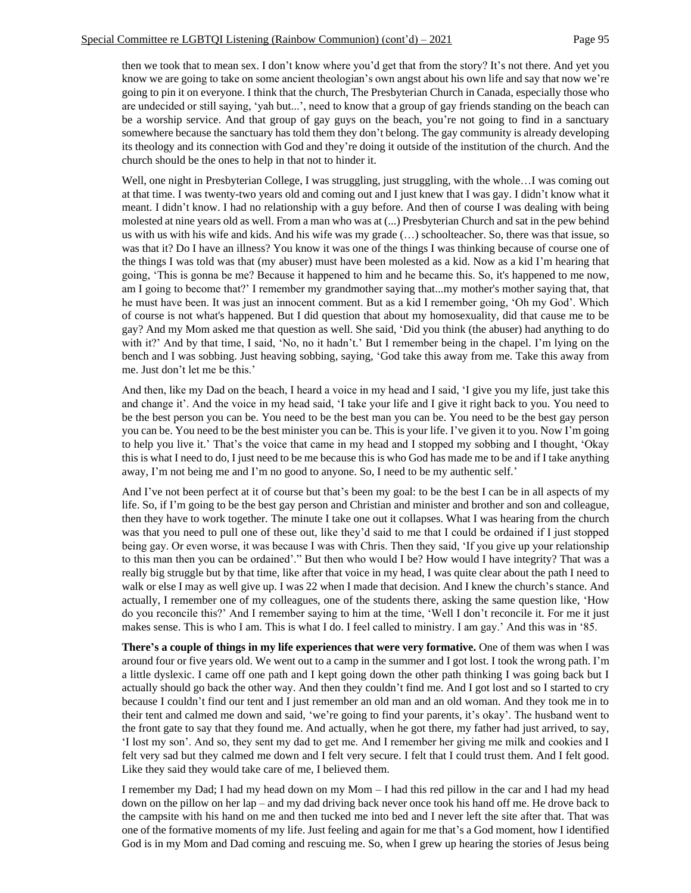then we took that to mean sex. I don't know where you'd get that from the story? It's not there. And yet you know we are going to take on some ancient theologian's own angst about his own life and say that now we're going to pin it on everyone. I think that the church, The Presbyterian Church in Canada, especially those who are undecided or still saying, 'yah but...', need to know that a group of gay friends standing on the beach can be a worship service. And that group of gay guys on the beach, you're not going to find in a sanctuary somewhere because the sanctuary has told them they don't belong. The gay community is already developing its theology and its connection with God and they're doing it outside of the institution of the church. And the church should be the ones to help in that not to hinder it.

Well, one night in Presbyterian College, I was struggling, just struggling, with the whole…I was coming out at that time. I was twenty-two years old and coming out and I just knew that I was gay. I didn't know what it meant. I didn't know. I had no relationship with a guy before. And then of course I was dealing with being molested at nine years old as well. From a man who was at (...) Presbyterian Church and sat in the pew behind us with us with his wife and kids. And his wife was my grade (…) schoolteacher. So, there was that issue, so was that it? Do I have an illness? You know it was one of the things I was thinking because of course one of the things I was told was that (my abuser) must have been molested as a kid. Now as a kid I'm hearing that going, 'This is gonna be me? Because it happened to him and he became this. So, it's happened to me now, am I going to become that?' I remember my grandmother saying that...my mother's mother saying that, that he must have been. It was just an innocent comment. But as a kid I remember going, 'Oh my God'. Which of course is not what's happened. But I did question that about my homosexuality, did that cause me to be gay? And my Mom asked me that question as well. She said, 'Did you think (the abuser) had anything to do with it?' And by that time, I said, 'No, no it hadn't.' But I remember being in the chapel. I'm lying on the bench and I was sobbing. Just heaving sobbing, saying, 'God take this away from me. Take this away from me. Just don't let me be this.'

And then, like my Dad on the beach, I heard a voice in my head and I said, 'I give you my life, just take this and change it'. And the voice in my head said, 'I take your life and I give it right back to you. You need to be the best person you can be. You need to be the best man you can be. You need to be the best gay person you can be. You need to be the best minister you can be. This is your life. I've given it to you. Now I'm going to help you live it.' That's the voice that came in my head and I stopped my sobbing and I thought, 'Okay this is what I need to do, I just need to be me because this is who God has made me to be and if I take anything away, I'm not being me and I'm no good to anyone. So, I need to be my authentic self.'

And I've not been perfect at it of course but that's been my goal: to be the best I can be in all aspects of my life. So, if I'm going to be the best gay person and Christian and minister and brother and son and colleague, then they have to work together. The minute I take one out it collapses. What I was hearing from the church was that you need to pull one of these out, like they'd said to me that I could be ordained if I just stopped being gay. Or even worse, it was because I was with Chris. Then they said, 'If you give up your relationship to this man then you can be ordained'." But then who would I be? How would I have integrity? That was a really big struggle but by that time, like after that voice in my head, I was quite clear about the path I need to walk or else I may as well give up. I was 22 when I made that decision. And I knew the church's stance. And actually, I remember one of my colleagues, one of the students there, asking the same question like, 'How do you reconcile this?' And I remember saying to him at the time, 'Well I don't reconcile it. For me it just makes sense. This is who I am. This is what I do. I feel called to ministry. I am gay.' And this was in '85.

**There's a couple of things in my life experiences that were very formative.** One of them was when I was around four or five years old. We went out to a camp in the summer and I got lost. I took the wrong path. I'm a little dyslexic. I came off one path and I kept going down the other path thinking I was going back but I actually should go back the other way. And then they couldn't find me. And I got lost and so I started to cry because I couldn't find our tent and I just remember an old man and an old woman. And they took me in to their tent and calmed me down and said, 'we're going to find your parents, it's okay'. The husband went to the front gate to say that they found me. And actually, when he got there, my father had just arrived, to say, 'I lost my son'. And so, they sent my dad to get me. And I remember her giving me milk and cookies and I felt very sad but they calmed me down and I felt very secure. I felt that I could trust them. And I felt good. Like they said they would take care of me, I believed them.

I remember my Dad; I had my head down on my Mom – I had this red pillow in the car and I had my head down on the pillow on her lap – and my dad driving back never once took his hand off me. He drove back to the campsite with his hand on me and then tucked me into bed and I never left the site after that. That was one of the formative moments of my life. Just feeling and again for me that's a God moment, how I identified God is in my Mom and Dad coming and rescuing me. So, when I grew up hearing the stories of Jesus being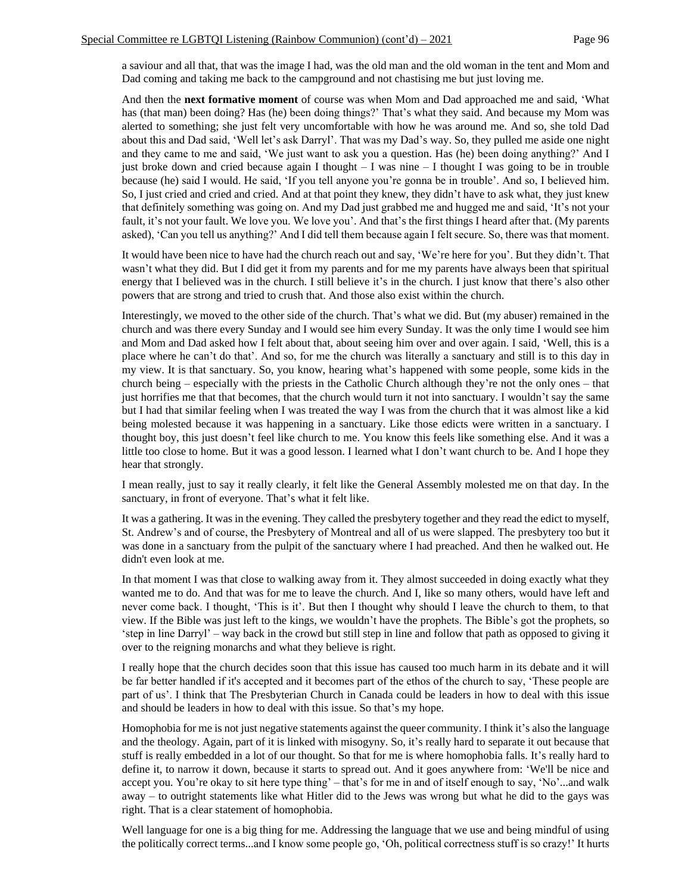a saviour and all that, that was the image I had, was the old man and the old woman in the tent and Mom and Dad coming and taking me back to the campground and not chastising me but just loving me.

And then the **next formative moment** of course was when Mom and Dad approached me and said, 'What has (that man) been doing? Has (he) been doing things?' That's what they said. And because my Mom was alerted to something; she just felt very uncomfortable with how he was around me. And so, she told Dad about this and Dad said, 'Well let's ask Darryl'. That was my Dad's way. So, they pulled me aside one night and they came to me and said, 'We just want to ask you a question. Has (he) been doing anything?' And I just broke down and cried because again I thought – I was nine – I thought I was going to be in trouble because (he) said I would. He said, 'If you tell anyone you're gonna be in trouble'. And so, I believed him. So, I just cried and cried and cried. And at that point they knew, they didn't have to ask what, they just knew that definitely something was going on. And my Dad just grabbed me and hugged me and said, 'It's not your fault, it's not your fault. We love you. We love you'. And that's the first things I heard after that. (My parents asked), 'Can you tell us anything?' And I did tell them because again I felt secure. So, there was that moment.

It would have been nice to have had the church reach out and say, 'We're here for you'. But they didn't. That wasn't what they did. But I did get it from my parents and for me my parents have always been that spiritual energy that I believed was in the church. I still believe it's in the church. I just know that there's also other powers that are strong and tried to crush that. And those also exist within the church.

Interestingly, we moved to the other side of the church. That's what we did. But (my abuser) remained in the church and was there every Sunday and I would see him every Sunday. It was the only time I would see him and Mom and Dad asked how I felt about that, about seeing him over and over again. I said, 'Well, this is a place where he can't do that'. And so, for me the church was literally a sanctuary and still is to this day in my view. It is that sanctuary. So, you know, hearing what's happened with some people, some kids in the church being – especially with the priests in the Catholic Church although they're not the only ones – that just horrifies me that that becomes, that the church would turn it not into sanctuary. I wouldn't say the same but I had that similar feeling when I was treated the way I was from the church that it was almost like a kid being molested because it was happening in a sanctuary. Like those edicts were written in a sanctuary. I thought boy, this just doesn't feel like church to me. You know this feels like something else. And it was a little too close to home. But it was a good lesson. I learned what I don't want church to be. And I hope they hear that strongly.

I mean really, just to say it really clearly, it felt like the General Assembly molested me on that day. In the sanctuary, in front of everyone. That's what it felt like.

It was a gathering. It was in the evening. They called the presbytery together and they read the edict to myself, St. Andrew's and of course, the Presbytery of Montreal and all of us were slapped. The presbytery too but it was done in a sanctuary from the pulpit of the sanctuary where I had preached. And then he walked out. He didn't even look at me.

In that moment I was that close to walking away from it. They almost succeeded in doing exactly what they wanted me to do. And that was for me to leave the church. And I, like so many others, would have left and never come back. I thought, 'This is it'. But then I thought why should I leave the church to them, to that view. If the Bible was just left to the kings, we wouldn't have the prophets. The Bible's got the prophets, so 'step in line Darryl' – way back in the crowd but still step in line and follow that path as opposed to giving it over to the reigning monarchs and what they believe is right.

I really hope that the church decides soon that this issue has caused too much harm in its debate and it will be far better handled if it's accepted and it becomes part of the ethos of the church to say, 'These people are part of us'. I think that The Presbyterian Church in Canada could be leaders in how to deal with this issue and should be leaders in how to deal with this issue. So that's my hope.

Homophobia for me is not just negative statements against the queer community. I think it's also the language and the theology. Again, part of it is linked with misogyny. So, it's really hard to separate it out because that stuff is really embedded in a lot of our thought. So that for me is where homophobia falls. It's really hard to define it, to narrow it down, because it starts to spread out. And it goes anywhere from: 'We'll be nice and accept you. You're okay to sit here type thing' – that's for me in and of itself enough to say, 'No'...and walk away – to outright statements like what Hitler did to the Jews was wrong but what he did to the gays was right. That is a clear statement of homophobia.

Well language for one is a big thing for me. Addressing the language that we use and being mindful of using the politically correct terms...and I know some people go, 'Oh, political correctness stuff is so crazy!' It hurts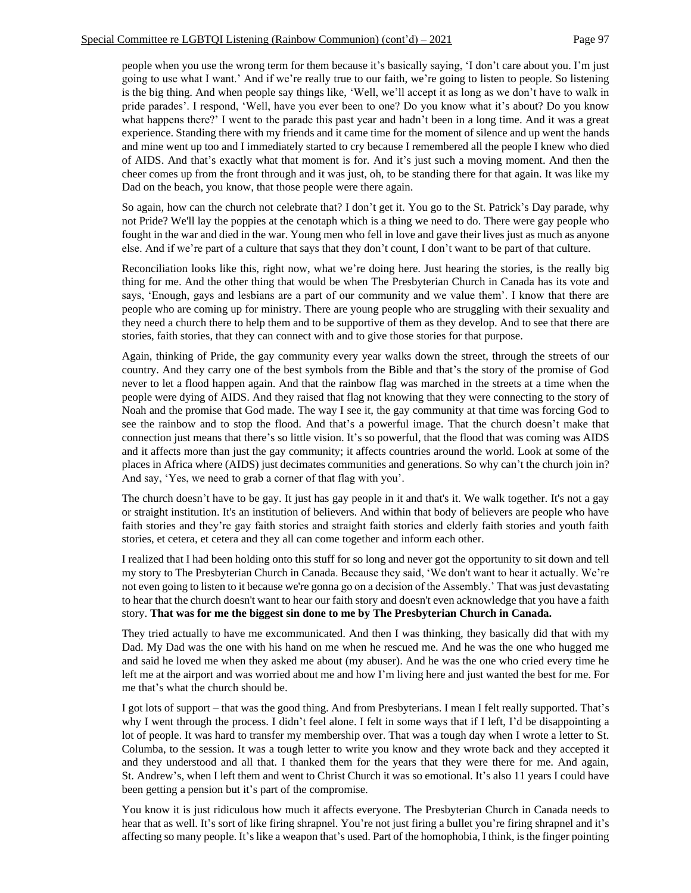people when you use the wrong term for them because it's basically saying, 'I don't care about you. I'm just going to use what I want.' And if we're really true to our faith, we're going to listen to people. So listening is the big thing. And when people say things like, 'Well, we'll accept it as long as we don't have to walk in pride parades'. I respond, 'Well, have you ever been to one? Do you know what it's about? Do you know what happens there?' I went to the parade this past year and hadn't been in a long time. And it was a great experience. Standing there with my friends and it came time for the moment of silence and up went the hands and mine went up too and I immediately started to cry because I remembered all the people I knew who died of AIDS. And that's exactly what that moment is for. And it's just such a moving moment. And then the cheer comes up from the front through and it was just, oh, to be standing there for that again. It was like my Dad on the beach, you know, that those people were there again.

So again, how can the church not celebrate that? I don't get it. You go to the St. Patrick's Day parade, why not Pride? We'll lay the poppies at the cenotaph which is a thing we need to do. There were gay people who fought in the war and died in the war. Young men who fell in love and gave their lives just as much as anyone else. And if we're part of a culture that says that they don't count, I don't want to be part of that culture.

Reconciliation looks like this, right now, what we're doing here. Just hearing the stories, is the really big thing for me. And the other thing that would be when The Presbyterian Church in Canada has its vote and says, 'Enough, gays and lesbians are a part of our community and we value them'. I know that there are people who are coming up for ministry. There are young people who are struggling with their sexuality and they need a church there to help them and to be supportive of them as they develop. And to see that there are stories, faith stories, that they can connect with and to give those stories for that purpose.

Again, thinking of Pride, the gay community every year walks down the street, through the streets of our country. And they carry one of the best symbols from the Bible and that's the story of the promise of God never to let a flood happen again. And that the rainbow flag was marched in the streets at a time when the people were dying of AIDS. And they raised that flag not knowing that they were connecting to the story of Noah and the promise that God made. The way I see it, the gay community at that time was forcing God to see the rainbow and to stop the flood. And that's a powerful image. That the church doesn't make that connection just means that there's so little vision. It's so powerful, that the flood that was coming was AIDS and it affects more than just the gay community; it affects countries around the world. Look at some of the places in Africa where (AIDS) just decimates communities and generations. So why can't the church join in? And say, 'Yes, we need to grab a corner of that flag with you'.

The church doesn't have to be gay. It just has gay people in it and that's it. We walk together. It's not a gay or straight institution. It's an institution of believers. And within that body of believers are people who have faith stories and they're gay faith stories and straight faith stories and elderly faith stories and youth faith stories, et cetera, et cetera and they all can come together and inform each other.

I realized that I had been holding onto this stuff for so long and never got the opportunity to sit down and tell my story to The Presbyterian Church in Canada. Because they said, 'We don't want to hear it actually. We're not even going to listen to it because we're gonna go on a decision of the Assembly.' That was just devastating to hear that the church doesn't want to hear our faith story and doesn't even acknowledge that you have a faith story. **That was for me the biggest sin done to me by The Presbyterian Church in Canada.**

They tried actually to have me excommunicated. And then I was thinking, they basically did that with my Dad. My Dad was the one with his hand on me when he rescued me. And he was the one who hugged me and said he loved me when they asked me about (my abuser). And he was the one who cried every time he left me at the airport and was worried about me and how I'm living here and just wanted the best for me. For me that's what the church should be.

I got lots of support – that was the good thing. And from Presbyterians. I mean I felt really supported. That's why I went through the process. I didn't feel alone. I felt in some ways that if I left, I'd be disappointing a lot of people. It was hard to transfer my membership over. That was a tough day when I wrote a letter to St. Columba, to the session. It was a tough letter to write you know and they wrote back and they accepted it and they understood and all that. I thanked them for the years that they were there for me. And again, St. Andrew's, when I left them and went to Christ Church it was so emotional. It's also 11 years I could have been getting a pension but it's part of the compromise.

You know it is just ridiculous how much it affects everyone. The Presbyterian Church in Canada needs to hear that as well. It's sort of like firing shrapnel. You're not just firing a bullet you're firing shrapnel and it's affecting so many people. It's like a weapon that's used. Part of the homophobia, I think, is the finger pointing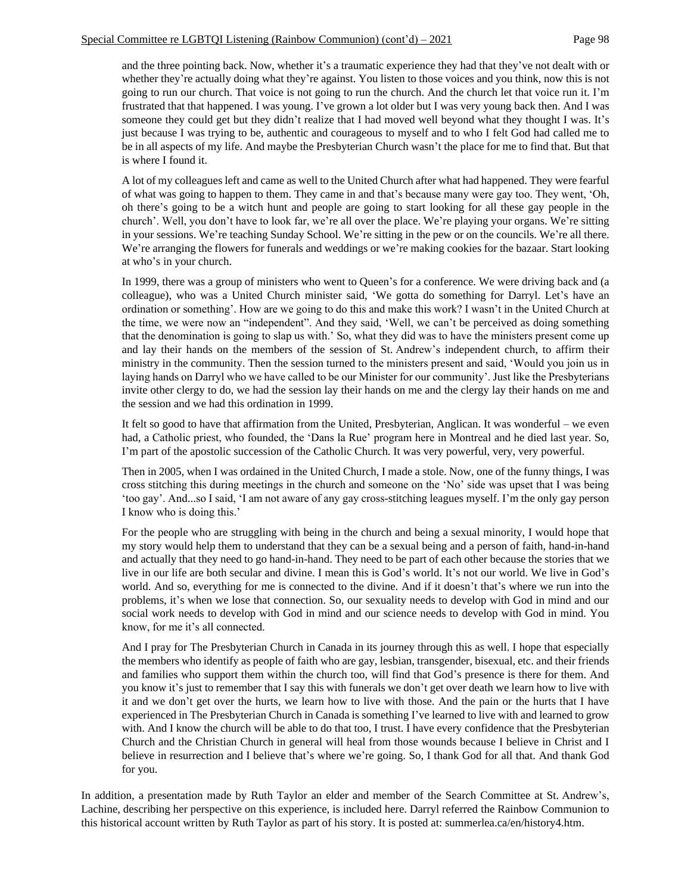and the three pointing back. Now, whether it's a traumatic experience they had that they've not dealt with or whether they're actually doing what they're against. You listen to those voices and you think, now this is not going to run our church. That voice is not going to run the church. And the church let that voice run it. I'm frustrated that that happened. I was young. I've grown a lot older but I was very young back then. And I was someone they could get but they didn't realize that I had moved well beyond what they thought I was. It's just because I was trying to be, authentic and courageous to myself and to who I felt God had called me to be in all aspects of my life. And maybe the Presbyterian Church wasn't the place for me to find that. But that is where I found it.

A lot of my colleagues left and came as well to the United Church after what had happened. They were fearful of what was going to happen to them. They came in and that's because many were gay too. They went, 'Oh, oh there's going to be a witch hunt and people are going to start looking for all these gay people in the church'. Well, you don't have to look far, we're all over the place. We're playing your organs. We're sitting in your sessions. We're teaching Sunday School. We're sitting in the pew or on the councils. We're all there. We're arranging the flowers for funerals and weddings or we're making cookies for the bazaar. Start looking at who's in your church.

In 1999, there was a group of ministers who went to Queen's for a conference. We were driving back and (a colleague), who was a United Church minister said, 'We gotta do something for Darryl. Let's have an ordination or something'. How are we going to do this and make this work? I wasn't in the United Church at the time, we were now an "independent". And they said, 'Well, we can't be perceived as doing something that the denomination is going to slap us with.' So, what they did was to have the ministers present come up and lay their hands on the members of the session of St. Andrew's independent church, to affirm their ministry in the community. Then the session turned to the ministers present and said, 'Would you join us in laying hands on Darryl who we have called to be our Minister for our community'. Just like the Presbyterians invite other clergy to do, we had the session lay their hands on me and the clergy lay their hands on me and the session and we had this ordination in 1999.

It felt so good to have that affirmation from the United, Presbyterian, Anglican. It was wonderful – we even had, a Catholic priest, who founded, the 'Dans la Rue' program here in Montreal and he died last year. So, I'm part of the apostolic succession of the Catholic Church. It was very powerful, very, very powerful.

Then in 2005, when I was ordained in the United Church, I made a stole. Now, one of the funny things, I was cross stitching this during meetings in the church and someone on the 'No' side was upset that I was being 'too gay'. And...so I said, 'I am not aware of any gay cross-stitching leagues myself. I'm the only gay person I know who is doing this.'

For the people who are struggling with being in the church and being a sexual minority, I would hope that my story would help them to understand that they can be a sexual being and a person of faith, hand-in-hand and actually that they need to go hand-in-hand. They need to be part of each other because the stories that we live in our life are both secular and divine. I mean this is God's world. It's not our world. We live in God's world. And so, everything for me is connected to the divine. And if it doesn't that's where we run into the problems, it's when we lose that connection. So, our sexuality needs to develop with God in mind and our social work needs to develop with God in mind and our science needs to develop with God in mind. You know, for me it's all connected.

And I pray for The Presbyterian Church in Canada in its journey through this as well. I hope that especially the members who identify as people of faith who are gay, lesbian, transgender, bisexual, etc. and their friends and families who support them within the church too, will find that God's presence is there for them. And you know it's just to remember that I say this with funerals we don't get over death we learn how to live with it and we don't get over the hurts, we learn how to live with those. And the pain or the hurts that I have experienced in The Presbyterian Church in Canada is something I've learned to live with and learned to grow with. And I know the church will be able to do that too, I trust. I have every confidence that the Presbyterian Church and the Christian Church in general will heal from those wounds because I believe in Christ and I believe in resurrection and I believe that's where we're going. So, I thank God for all that. And thank God for you.

In addition, a presentation made by Ruth Taylor an elder and member of the Search Committee at St. Andrew's, Lachine, describing her perspective on this experience, is included here. Darryl referred the Rainbow Communion to this historical account written by Ruth Taylor as part of his story. It is posted at: summerlea.ca/en/history4.htm.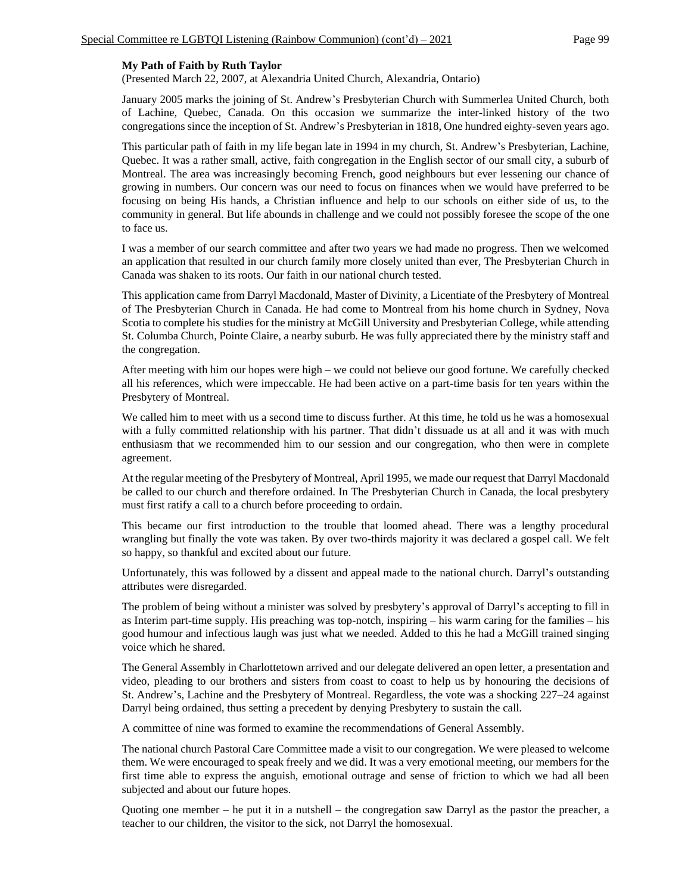#### **My Path of Faith by Ruth Taylor**

(Presented March 22, 2007, at Alexandria United Church, Alexandria, Ontario)

January 2005 marks the joining of St. Andrew's Presbyterian Church with Summerlea United Church, both of Lachine, Quebec, Canada. On this occasion we summarize the inter-linked history of the two congregations since the inception of St. Andrew's Presbyterian in 1818, One hundred eighty-seven years ago.

This particular path of faith in my life began late in 1994 in my church, St. Andrew's Presbyterian, Lachine, Quebec. It was a rather small, active, faith congregation in the English sector of our small city, a suburb of Montreal. The area was increasingly becoming French, good neighbours but ever lessening our chance of growing in numbers. Our concern was our need to focus on finances when we would have preferred to be focusing on being His hands, a Christian influence and help to our schools on either side of us, to the community in general. But life abounds in challenge and we could not possibly foresee the scope of the one to face us.

I was a member of our search committee and after two years we had made no progress. Then we welcomed an application that resulted in our church family more closely united than ever, The Presbyterian Church in Canada was shaken to its roots. Our faith in our national church tested.

This application came from Darryl Macdonald, Master of Divinity, a Licentiate of the Presbytery of Montreal of The Presbyterian Church in Canada. He had come to Montreal from his home church in Sydney, Nova Scotia to complete his studies for the ministry at McGill University and Presbyterian College, while attending St. Columba Church, Pointe Claire, a nearby suburb. He was fully appreciated there by the ministry staff and the congregation.

After meeting with him our hopes were high – we could not believe our good fortune. We carefully checked all his references, which were impeccable. He had been active on a part-time basis for ten years within the Presbytery of Montreal.

We called him to meet with us a second time to discuss further. At this time, he told us he was a homosexual with a fully committed relationship with his partner. That didn't dissuade us at all and it was with much enthusiasm that we recommended him to our session and our congregation, who then were in complete agreement.

At the regular meeting of the Presbytery of Montreal, April 1995, we made our request that Darryl Macdonald be called to our church and therefore ordained. In The Presbyterian Church in Canada, the local presbytery must first ratify a call to a church before proceeding to ordain.

This became our first introduction to the trouble that loomed ahead. There was a lengthy procedural wrangling but finally the vote was taken. By over two-thirds majority it was declared a gospel call. We felt so happy, so thankful and excited about our future.

Unfortunately, this was followed by a dissent and appeal made to the national church. Darryl's outstanding attributes were disregarded.

The problem of being without a minister was solved by presbytery's approval of Darryl's accepting to fill in as Interim part-time supply. His preaching was top-notch, inspiring – his warm caring for the families – his good humour and infectious laugh was just what we needed. Added to this he had a McGill trained singing voice which he shared.

The General Assembly in Charlottetown arrived and our delegate delivered an open letter, a presentation and video, pleading to our brothers and sisters from coast to coast to help us by honouring the decisions of St. Andrew's, Lachine and the Presbytery of Montreal. Regardless, the vote was a shocking 227–24 against Darryl being ordained, thus setting a precedent by denying Presbytery to sustain the call.

A committee of nine was formed to examine the recommendations of General Assembly.

The national church Pastoral Care Committee made a visit to our congregation. We were pleased to welcome them. We were encouraged to speak freely and we did. It was a very emotional meeting, our members for the first time able to express the anguish, emotional outrage and sense of friction to which we had all been subjected and about our future hopes.

Quoting one member – he put it in a nutshell – the congregation saw Darryl as the pastor the preacher, a teacher to our children, the visitor to the sick, not Darryl the homosexual.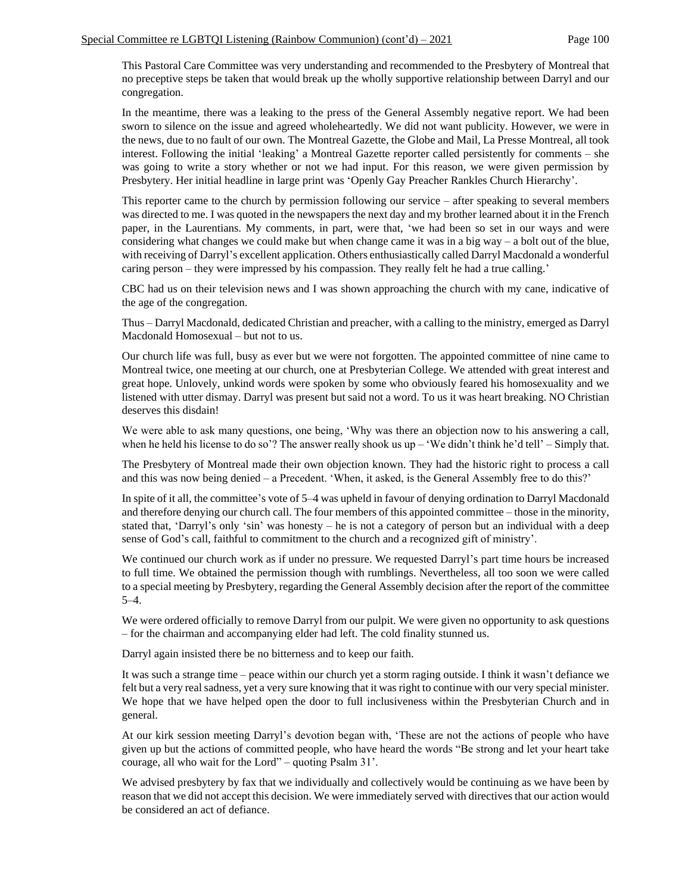This Pastoral Care Committee was very understanding and recommended to the Presbytery of Montreal that no preceptive steps be taken that would break up the wholly supportive relationship between Darryl and our congregation.

In the meantime, there was a leaking to the press of the General Assembly negative report. We had been sworn to silence on the issue and agreed wholeheartedly. We did not want publicity. However, we were in the news, due to no fault of our own. The Montreal Gazette, the Globe and Mail, La Presse Montreal, all took interest. Following the initial 'leaking' a Montreal Gazette reporter called persistently for comments – she was going to write a story whether or not we had input. For this reason, we were given permission by Presbytery. Her initial headline in large print was 'Openly Gay Preacher Rankles Church Hierarchy'.

This reporter came to the church by permission following our service – after speaking to several members was directed to me. I was quoted in the newspapers the next day and my brother learned about it in the French paper, in the Laurentians. My comments, in part, were that, 'we had been so set in our ways and were considering what changes we could make but when change came it was in a big way – a bolt out of the blue, with receiving of Darryl's excellent application. Others enthusiastically called Darryl Macdonald a wonderful caring person – they were impressed by his compassion. They really felt he had a true calling.'

CBC had us on their television news and I was shown approaching the church with my cane, indicative of the age of the congregation.

Thus – Darryl Macdonald, dedicated Christian and preacher, with a calling to the ministry, emerged as Darryl Macdonald Homosexual – but not to us.

Our church life was full, busy as ever but we were not forgotten. The appointed committee of nine came to Montreal twice, one meeting at our church, one at Presbyterian College. We attended with great interest and great hope. Unlovely, unkind words were spoken by some who obviously feared his homosexuality and we listened with utter dismay. Darryl was present but said not a word. To us it was heart breaking. NO Christian deserves this disdain!

We were able to ask many questions, one being, 'Why was there an objection now to his answering a call, when he held his license to do so'? The answer really shook us  $up - 'We didn't think he'd tell' - Simply that.$ 

The Presbytery of Montreal made their own objection known. They had the historic right to process a call and this was now being denied – a Precedent. 'When, it asked, is the General Assembly free to do this?'

In spite of it all, the committee's vote of 5–4 was upheld in favour of denying ordination to Darryl Macdonald and therefore denying our church call. The four members of this appointed committee – those in the minority, stated that, 'Darryl's only 'sin' was honesty – he is not a category of person but an individual with a deep sense of God's call, faithful to commitment to the church and a recognized gift of ministry'.

We continued our church work as if under no pressure. We requested Darryl's part time hours be increased to full time. We obtained the permission though with rumblings. Nevertheless, all too soon we were called to a special meeting by Presbytery, regarding the General Assembly decision after the report of the committee 5–4.

We were ordered officially to remove Darryl from our pulpit. We were given no opportunity to ask questions – for the chairman and accompanying elder had left. The cold finality stunned us.

Darryl again insisted there be no bitterness and to keep our faith.

It was such a strange time – peace within our church yet a storm raging outside. I think it wasn't defiance we felt but a very real sadness, yet a very sure knowing that it was right to continue with our very special minister. We hope that we have helped open the door to full inclusiveness within the Presbyterian Church and in general.

At our kirk session meeting Darryl's devotion began with, 'These are not the actions of people who have given up but the actions of committed people, who have heard the words "Be strong and let your heart take courage, all who wait for the Lord" – quoting Psalm 31'.

We advised presbytery by fax that we individually and collectively would be continuing as we have been by reason that we did not accept this decision. We were immediately served with directives that our action would be considered an act of defiance.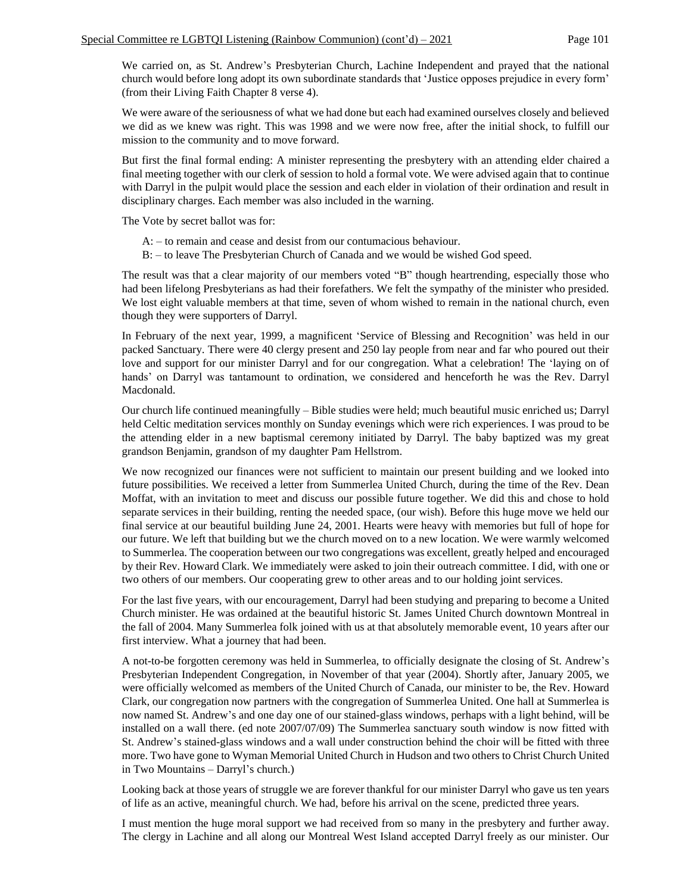We carried on, as St. Andrew's Presbyterian Church, Lachine Independent and prayed that the national church would before long adopt its own subordinate standards that 'Justice opposes prejudice in every form' (from their Living Faith Chapter 8 verse 4).

We were aware of the seriousness of what we had done but each had examined ourselves closely and believed we did as we knew was right. This was 1998 and we were now free, after the initial shock, to fulfill our mission to the community and to move forward.

But first the final formal ending: A minister representing the presbytery with an attending elder chaired a final meeting together with our clerk of session to hold a formal vote. We were advised again that to continue with Darryl in the pulpit would place the session and each elder in violation of their ordination and result in disciplinary charges. Each member was also included in the warning.

The Vote by secret ballot was for:

- A: to remain and cease and desist from our contumacious behaviour.
- B: to leave The Presbyterian Church of Canada and we would be wished God speed.

The result was that a clear majority of our members voted "B" though heartrending, especially those who had been lifelong Presbyterians as had their forefathers. We felt the sympathy of the minister who presided. We lost eight valuable members at that time, seven of whom wished to remain in the national church, even though they were supporters of Darryl.

In February of the next year, 1999, a magnificent 'Service of Blessing and Recognition' was held in our packed Sanctuary. There were 40 clergy present and 250 lay people from near and far who poured out their love and support for our minister Darryl and for our congregation. What a celebration! The 'laying on of hands' on Darryl was tantamount to ordination, we considered and henceforth he was the Rev. Darryl Macdonald.

Our church life continued meaningfully – Bible studies were held; much beautiful music enriched us; Darryl held Celtic meditation services monthly on Sunday evenings which were rich experiences. I was proud to be the attending elder in a new baptismal ceremony initiated by Darryl. The baby baptized was my great grandson Benjamin, grandson of my daughter Pam Hellstrom.

We now recognized our finances were not sufficient to maintain our present building and we looked into future possibilities. We received a letter from Summerlea United Church, during the time of the Rev. Dean Moffat, with an invitation to meet and discuss our possible future together. We did this and chose to hold separate services in their building, renting the needed space, (our wish). Before this huge move we held our final service at our beautiful building June 24, 2001. Hearts were heavy with memories but full of hope for our future. We left that building but we the church moved on to a new location. We were warmly welcomed to Summerlea. The cooperation between our two congregations was excellent, greatly helped and encouraged by their Rev. Howard Clark. We immediately were asked to join their outreach committee. I did, with one or two others of our members. Our cooperating grew to other areas and to our holding joint services.

For the last five years, with our encouragement, Darryl had been studying and preparing to become a United Church minister. He was ordained at the beautiful historic St. James United Church downtown Montreal in the fall of 2004. Many Summerlea folk joined with us at that absolutely memorable event, 10 years after our first interview. What a journey that had been.

A not-to-be forgotten ceremony was held in Summerlea, to officially designate the closing of St. Andrew's Presbyterian Independent Congregation, in November of that year (2004). Shortly after, January 2005, we were officially welcomed as members of the United Church of Canada, our minister to be, the Rev. Howard Clark, our congregation now partners with the congregation of Summerlea United. One hall at Summerlea is now named St. Andrew's and one day one of our stained-glass windows, perhaps with a light behind, will be installed on a wall there. (ed note 2007/07/09) The Summerlea sanctuary south window is now fitted with St. Andrew's stained-glass windows and a wall under construction behind the choir will be fitted with three more. Two have gone to Wyman Memorial United Church in Hudson and two others to Christ Church United in Two Mountains – Darryl's church.)

Looking back at those years of struggle we are forever thankful for our minister Darryl who gave us ten years of life as an active, meaningful church. We had, before his arrival on the scene, predicted three years.

I must mention the huge moral support we had received from so many in the presbytery and further away. The clergy in Lachine and all along our Montreal West Island accepted Darryl freely as our minister. Our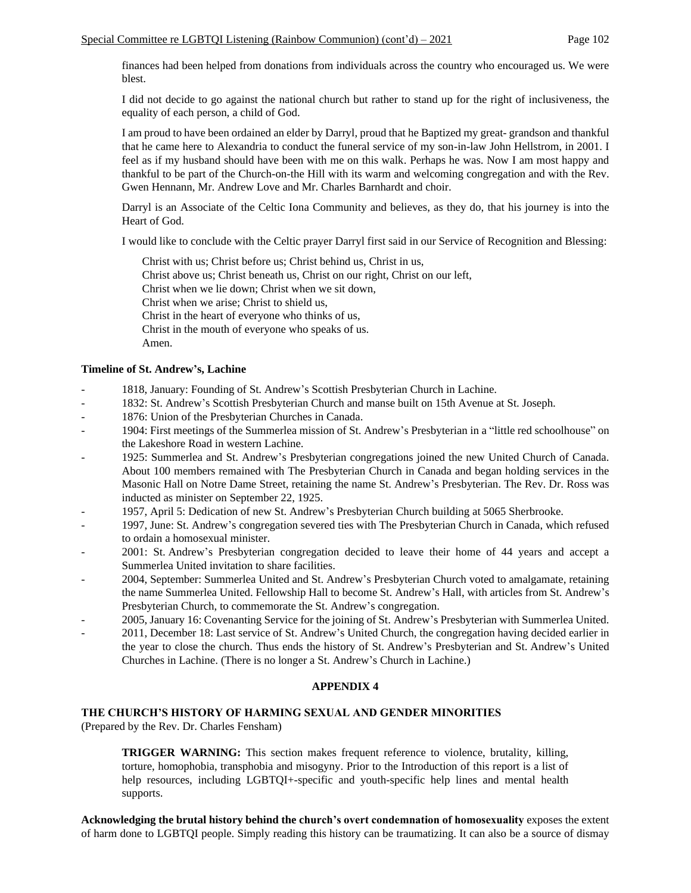finances had been helped from donations from individuals across the country who encouraged us. We were blest.

I did not decide to go against the national church but rather to stand up for the right of inclusiveness, the equality of each person, a child of God.

I am proud to have been ordained an elder by Darryl, proud that he Baptized my great- grandson and thankful that he came here to Alexandria to conduct the funeral service of my son-in-law John Hellstrom, in 2001. I feel as if my husband should have been with me on this walk. Perhaps he was. Now I am most happy and thankful to be part of the Church-on-the Hill with its warm and welcoming congregation and with the Rev. Gwen Hennann, Mr. Andrew Love and Mr. Charles Barnhardt and choir.

Darryl is an Associate of the Celtic Iona Community and believes, as they do, that his journey is into the Heart of God.

I would like to conclude with the Celtic prayer Darryl first said in our Service of Recognition and Blessing:

Christ with us; Christ before us; Christ behind us, Christ in us, Christ above us; Christ beneath us, Christ on our right, Christ on our left, Christ when we lie down; Christ when we sit down, Christ when we arise; Christ to shield us, Christ in the heart of everyone who thinks of us, Christ in the mouth of everyone who speaks of us. Amen.

# **Timeline of St. Andrew's, Lachine**

- 1818, January: Founding of St. Andrew's Scottish Presbyterian Church in Lachine.
- 1832: St. Andrew's Scottish Presbyterian Church and manse built on 15th Avenue at St. Joseph.
- 1876: Union of the Presbyterian Churches in Canada.
- 1904: First meetings of the Summerlea mission of St. Andrew's Presbyterian in a "little red schoolhouse" on the Lakeshore Road in western Lachine.
- 1925: Summerlea and St. Andrew's Presbyterian congregations joined the new United Church of Canada. About 100 members remained with The Presbyterian Church in Canada and began holding services in the Masonic Hall on Notre Dame Street, retaining the name St. Andrew's Presbyterian. The Rev. Dr. Ross was inducted as minister on September 22, 1925.
- 1957, April 5: Dedication of new St. Andrew's Presbyterian Church building at 5065 Sherbrooke.
- 1997, June: St. Andrew's congregation severed ties with The Presbyterian Church in Canada, which refused to ordain a homosexual minister.
- 2001: St. Andrew's Presbyterian congregation decided to leave their home of 44 years and accept a Summerlea United invitation to share facilities.
- 2004, September: Summerlea United and St. Andrew's Presbyterian Church voted to amalgamate, retaining the name Summerlea United. Fellowship Hall to become St. Andrew's Hall, with articles from St. Andrew's Presbyterian Church, to commemorate the St. Andrew's congregation.
- 2005, January 16: Covenanting Service for the joining of St. Andrew's Presbyterian with Summerlea United.
- 2011, December 18: Last service of St. Andrew's United Church, the congregation having decided earlier in the year to close the church. Thus ends the history of St. Andrew's Presbyterian and St. Andrew's United Churches in Lachine. (There is no longer a St. Andrew's Church in Lachine.)

### **APPENDIX 4**

# **THE CHURCH'S HISTORY OF HARMING SEXUAL AND GENDER MINORITIES**

(Prepared by the Rev. Dr. Charles Fensham)

**TRIGGER WARNING:** This section makes frequent reference to violence, brutality, killing, torture, homophobia, transphobia and misogyny. Prior to the Introduction of this report is a list of help resources, including LGBTQI+-specific and youth-specific help lines and mental health supports.

**Acknowledging the brutal history behind the church's overt condemnation of homosexuality** exposes the extent of harm done to LGBTQI people. Simply reading this history can be traumatizing. It can also be a source of dismay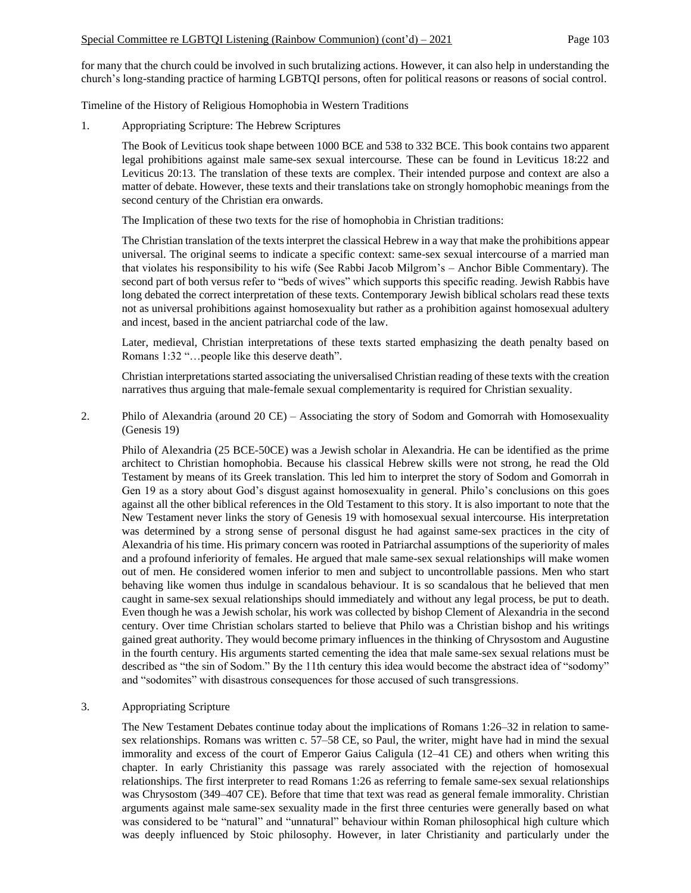for many that the church could be involved in such brutalizing actions. However, it can also help in understanding the church's long-standing practice of harming LGBTQI persons, often for political reasons or reasons of social control.

Timeline of the History of Religious Homophobia in Western Traditions

1. Appropriating Scripture: The Hebrew Scriptures

The Book of Leviticus took shape between 1000 BCE and 538 to 332 BCE. This book contains two apparent legal prohibitions against male same-sex sexual intercourse. These can be found in Leviticus 18:22 and Leviticus 20:13. The translation of these texts are complex. Their intended purpose and context are also a matter of debate. However, these texts and their translations take on strongly homophobic meanings from the second century of the Christian era onwards.

The Implication of these two texts for the rise of homophobia in Christian traditions:

The Christian translation of the texts interpret the classical Hebrew in a way that make the prohibitions appear universal. The original seems to indicate a specific context: same-sex sexual intercourse of a married man that violates his responsibility to his wife (See Rabbi Jacob Milgrom's – Anchor Bible Commentary). The second part of both versus refer to "beds of wives" which supports this specific reading. Jewish Rabbis have long debated the correct interpretation of these texts. Contemporary Jewish biblical scholars read these texts not as universal prohibitions against homosexuality but rather as a prohibition against homosexual adultery and incest, based in the ancient patriarchal code of the law.

Later, medieval, Christian interpretations of these texts started emphasizing the death penalty based on Romans 1:32 "…people like this deserve death".

Christian interpretations started associating the universalised Christian reading of these texts with the creation narratives thus arguing that male-female sexual complementarity is required for Christian sexuality.

2. Philo of Alexandria (around 20 CE) – Associating the story of Sodom and Gomorrah with Homosexuality (Genesis 19)

Philo of Alexandria (25 BCE-50CE) was a Jewish scholar in Alexandria. He can be identified as the prime architect to Christian homophobia. Because his classical Hebrew skills were not strong, he read the Old Testament by means of its Greek translation. This led him to interpret the story of Sodom and Gomorrah in Gen 19 as a story about God's disgust against homosexuality in general. Philo's conclusions on this goes against all the other biblical references in the Old Testament to this story. It is also important to note that the New Testament never links the story of Genesis 19 with homosexual sexual intercourse. His interpretation was determined by a strong sense of personal disgust he had against same-sex practices in the city of Alexandria of his time. His primary concern was rooted in Patriarchal assumptions of the superiority of males and a profound inferiority of females. He argued that male same-sex sexual relationships will make women out of men. He considered women inferior to men and subject to uncontrollable passions. Men who start behaving like women thus indulge in scandalous behaviour. It is so scandalous that he believed that men caught in same-sex sexual relationships should immediately and without any legal process, be put to death. Even though he was a Jewish scholar, his work was collected by bishop Clement of Alexandria in the second century. Over time Christian scholars started to believe that Philo was a Christian bishop and his writings gained great authority. They would become primary influences in the thinking of Chrysostom and Augustine in the fourth century. His arguments started cementing the idea that male same-sex sexual relations must be described as "the sin of Sodom." By the 11th century this idea would become the abstract idea of "sodomy" and "sodomites" with disastrous consequences for those accused of such transgressions.

# 3. Appropriating Scripture

The New Testament Debates continue today about the implications of Romans 1:26–32 in relation to samesex relationships. Romans was written c. 57–58 CE, so Paul, the writer, might have had in mind the sexual immorality and excess of the court of Emperor Gaius Caligula (12–41 CE) and others when writing this chapter. In early Christianity this passage was rarely associated with the rejection of homosexual relationships. The first interpreter to read Romans 1:26 as referring to female same-sex sexual relationships was Chrysostom (349–407 CE). Before that time that text was read as general female immorality. Christian arguments against male same-sex sexuality made in the first three centuries were generally based on what was considered to be "natural" and "unnatural" behaviour within Roman philosophical high culture which was deeply influenced by Stoic philosophy. However, in later Christianity and particularly under the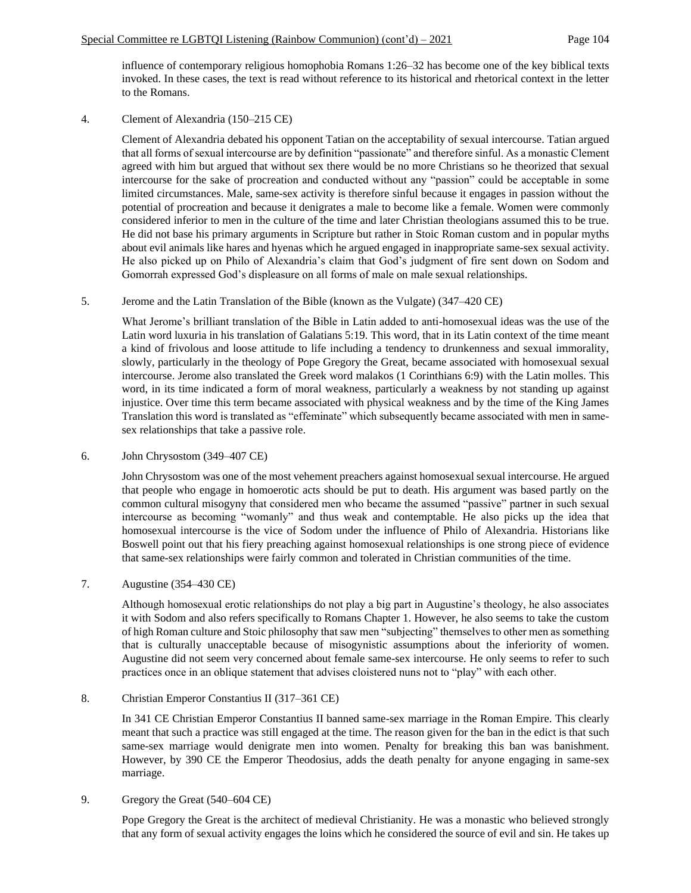influence of contemporary religious homophobia Romans 1:26–32 has become one of the key biblical texts invoked. In these cases, the text is read without reference to its historical and rhetorical context in the letter to the Romans.

4. Clement of Alexandria (150–215 CE)

Clement of Alexandria debated his opponent Tatian on the acceptability of sexual intercourse. Tatian argued that all forms of sexual intercourse are by definition "passionate" and therefore sinful. As a monastic Clement agreed with him but argued that without sex there would be no more Christians so he theorized that sexual intercourse for the sake of procreation and conducted without any "passion" could be acceptable in some limited circumstances. Male, same-sex activity is therefore sinful because it engages in passion without the potential of procreation and because it denigrates a male to become like a female. Women were commonly considered inferior to men in the culture of the time and later Christian theologians assumed this to be true. He did not base his primary arguments in Scripture but rather in Stoic Roman custom and in popular myths about evil animals like hares and hyenas which he argued engaged in inappropriate same-sex sexual activity. He also picked up on Philo of Alexandria's claim that God's judgment of fire sent down on Sodom and Gomorrah expressed God's displeasure on all forms of male on male sexual relationships.

# 5. Jerome and the Latin Translation of the Bible (known as the Vulgate) (347–420 CE)

What Jerome's brilliant translation of the Bible in Latin added to anti-homosexual ideas was the use of the Latin word luxuria in his translation of Galatians 5:19. This word, that in its Latin context of the time meant a kind of frivolous and loose attitude to life including a tendency to drunkenness and sexual immorality, slowly, particularly in the theology of Pope Gregory the Great, became associated with homosexual sexual intercourse. Jerome also translated the Greek word malakos (1 Corinthians 6:9) with the Latin molles. This word, in its time indicated a form of moral weakness, particularly a weakness by not standing up against injustice. Over time this term became associated with physical weakness and by the time of the King James Translation this word is translated as "effeminate" which subsequently became associated with men in samesex relationships that take a passive role.

6. John Chrysostom (349–407 CE)

John Chrysostom was one of the most vehement preachers against homosexual sexual intercourse. He argued that people who engage in homoerotic acts should be put to death. His argument was based partly on the common cultural misogyny that considered men who became the assumed "passive" partner in such sexual intercourse as becoming "womanly" and thus weak and contemptable. He also picks up the idea that homosexual intercourse is the vice of Sodom under the influence of Philo of Alexandria. Historians like Boswell point out that his fiery preaching against homosexual relationships is one strong piece of evidence that same-sex relationships were fairly common and tolerated in Christian communities of the time.

# 7. Augustine (354–430 CE)

Although homosexual erotic relationships do not play a big part in Augustine's theology, he also associates it with Sodom and also refers specifically to Romans Chapter 1. However, he also seems to take the custom of high Roman culture and Stoic philosophy that saw men "subjecting" themselves to other men as something that is culturally unacceptable because of misogynistic assumptions about the inferiority of women. Augustine did not seem very concerned about female same-sex intercourse. He only seems to refer to such practices once in an oblique statement that advises cloistered nuns not to "play" with each other.

# 8. Christian Emperor Constantius II (317–361 CE)

In 341 CE Christian Emperor Constantius II banned same-sex marriage in the Roman Empire. This clearly meant that such a practice was still engaged at the time. The reason given for the ban in the edict is that such same-sex marriage would denigrate men into women. Penalty for breaking this ban was banishment. However, by 390 CE the Emperor Theodosius, adds the death penalty for anyone engaging in same-sex marriage.

# 9. Gregory the Great (540–604 CE)

Pope Gregory the Great is the architect of medieval Christianity. He was a monastic who believed strongly that any form of sexual activity engages the loins which he considered the source of evil and sin. He takes up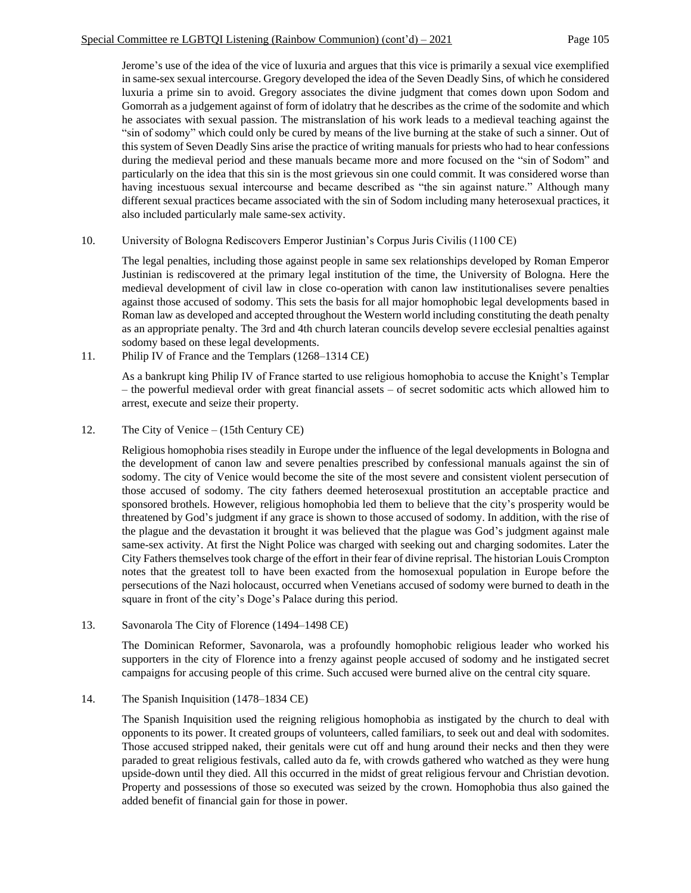Jerome's use of the idea of the vice of luxuria and argues that this vice is primarily a sexual vice exemplified in same-sex sexual intercourse. Gregory developed the idea of the Seven Deadly Sins, of which he considered luxuria a prime sin to avoid. Gregory associates the divine judgment that comes down upon Sodom and Gomorrah as a judgement against of form of idolatry that he describes as the crime of the sodomite and which he associates with sexual passion. The mistranslation of his work leads to a medieval teaching against the "sin of sodomy" which could only be cured by means of the live burning at the stake of such a sinner. Out of this system of Seven Deadly Sins arise the practice of writing manuals for priests who had to hear confessions during the medieval period and these manuals became more and more focused on the "sin of Sodom" and particularly on the idea that this sin is the most grievous sin one could commit. It was considered worse than having incestuous sexual intercourse and became described as "the sin against nature." Although many different sexual practices became associated with the sin of Sodom including many heterosexual practices, it also included particularly male same-sex activity.

# 10. University of Bologna Rediscovers Emperor Justinian's Corpus Juris Civilis (1100 CE)

The legal penalties, including those against people in same sex relationships developed by Roman Emperor Justinian is rediscovered at the primary legal institution of the time, the University of Bologna. Here the medieval development of civil law in close co-operation with canon law institutionalises severe penalties against those accused of sodomy. This sets the basis for all major homophobic legal developments based in Roman law as developed and accepted throughout the Western world including constituting the death penalty as an appropriate penalty. The 3rd and 4th church lateran councils develop severe ecclesial penalties against sodomy based on these legal developments.

11. Philip IV of France and the Templars (1268–1314 CE)

As a bankrupt king Philip IV of France started to use religious homophobia to accuse the Knight's Templar – the powerful medieval order with great financial assets – of secret sodomitic acts which allowed him to arrest, execute and seize their property.

12. The City of Venice – (15th Century CE)

Religious homophobia rises steadily in Europe under the influence of the legal developments in Bologna and the development of canon law and severe penalties prescribed by confessional manuals against the sin of sodomy. The city of Venice would become the site of the most severe and consistent violent persecution of those accused of sodomy. The city fathers deemed heterosexual prostitution an acceptable practice and sponsored brothels. However, religious homophobia led them to believe that the city's prosperity would be threatened by God's judgment if any grace is shown to those accused of sodomy. In addition, with the rise of the plague and the devastation it brought it was believed that the plague was God's judgment against male same-sex activity. At first the Night Police was charged with seeking out and charging sodomites. Later the City Fathers themselves took charge of the effort in their fear of divine reprisal. The historian Louis Crompton notes that the greatest toll to have been exacted from the homosexual population in Europe before the persecutions of the Nazi holocaust, occurred when Venetians accused of sodomy were burned to death in the square in front of the city's Doge's Palace during this period.

13. Savonarola The City of Florence (1494–1498 CE)

The Dominican Reformer, Savonarola, was a profoundly homophobic religious leader who worked his supporters in the city of Florence into a frenzy against people accused of sodomy and he instigated secret campaigns for accusing people of this crime. Such accused were burned alive on the central city square.

# 14. The Spanish Inquisition (1478–1834 CE)

The Spanish Inquisition used the reigning religious homophobia as instigated by the church to deal with opponents to its power. It created groups of volunteers, called familiars, to seek out and deal with sodomites. Those accused stripped naked, their genitals were cut off and hung around their necks and then they were paraded to great religious festivals, called auto da fe, with crowds gathered who watched as they were hung upside-down until they died. All this occurred in the midst of great religious fervour and Christian devotion. Property and possessions of those so executed was seized by the crown. Homophobia thus also gained the added benefit of financial gain for those in power.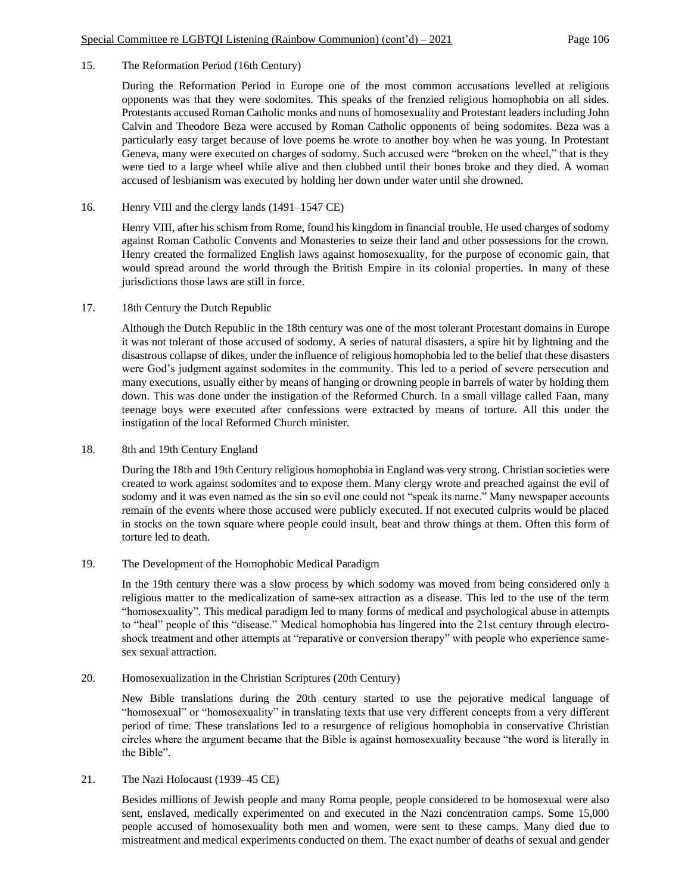# 15. The Reformation Period (16th Century)

During the Reformation Period in Europe one of the most common accusations levelled at religious opponents was that they were sodomites. This speaks of the frenzied religious homophobia on all sides. Protestants accused Roman Catholic monks and nuns of homosexuality and Protestant leaders including John Calvin and Theodore Beza were accused by Roman Catholic opponents of being sodomites. Beza was a particularly easy target because of love poems he wrote to another boy when he was young. In Protestant Geneva, many were executed on charges of sodomy. Such accused were "broken on the wheel," that is they were tied to a large wheel while alive and then clubbed until their bones broke and they died. A woman accused of lesbianism was executed by holding her down under water until she drowned.

# 16. Henry VIII and the clergy lands (1491–1547 CE)

Henry VIII, after his schism from Rome, found his kingdom in financial trouble. He used charges of sodomy against Roman Catholic Convents and Monasteries to seize their land and other possessions for the crown. Henry created the formalized English laws against homosexuality, for the purpose of economic gain, that would spread around the world through the British Empire in its colonial properties. In many of these jurisdictions those laws are still in force.

### 17. 18th Century the Dutch Republic

Although the Dutch Republic in the 18th century was one of the most tolerant Protestant domains in Europe it was not tolerant of those accused of sodomy. A series of natural disasters, a spire hit by lightning and the disastrous collapse of dikes, under the influence of religious homophobia led to the belief that these disasters were God's judgment against sodomites in the community. This led to a period of severe persecution and many executions, usually either by means of hanging or drowning people in barrels of water by holding them down. This was done under the instigation of the Reformed Church. In a small village called Faan, many teenage boys were executed after confessions were extracted by means of torture. All this under the instigation of the local Reformed Church minister.

### 18. 8th and 19th Century England

During the 18th and 19th Century religious homophobia in England was very strong. Christian societies were created to work against sodomites and to expose them. Many clergy wrote and preached against the evil of sodomy and it was even named as the sin so evil one could not "speak its name." Many newspaper accounts remain of the events where those accused were publicly executed. If not executed culprits would be placed in stocks on the town square where people could insult, beat and throw things at them. Often this form of torture led to death.

# 19. The Development of the Homophobic Medical Paradigm

In the 19th century there was a slow process by which sodomy was moved from being considered only a religious matter to the medicalization of same-sex attraction as a disease. This led to the use of the term "homosexuality". This medical paradigm led to many forms of medical and psychological abuse in attempts to "heal" people of this "disease." Medical homophobia has lingered into the 21st century through electroshock treatment and other attempts at "reparative or conversion therapy" with people who experience samesex sexual attraction.

### 20. Homosexualization in the Christian Scriptures (20th Century)

New Bible translations during the 20th century started to use the pejorative medical language of "homosexual" or "homosexuality" in translating texts that use very different concepts from a very different period of time. These translations led to a resurgence of religious homophobia in conservative Christian circles where the argument became that the Bible is against homosexuality because "the word is literally in the Bible".

### 21. The Nazi Holocaust (1939–45 CE)

Besides millions of Jewish people and many Roma people, people considered to be homosexual were also sent, enslaved, medically experimented on and executed in the Nazi concentration camps. Some 15,000 people accused of homosexuality both men and women, were sent to these camps. Many died due to mistreatment and medical experiments conducted on them. The exact number of deaths of sexual and gender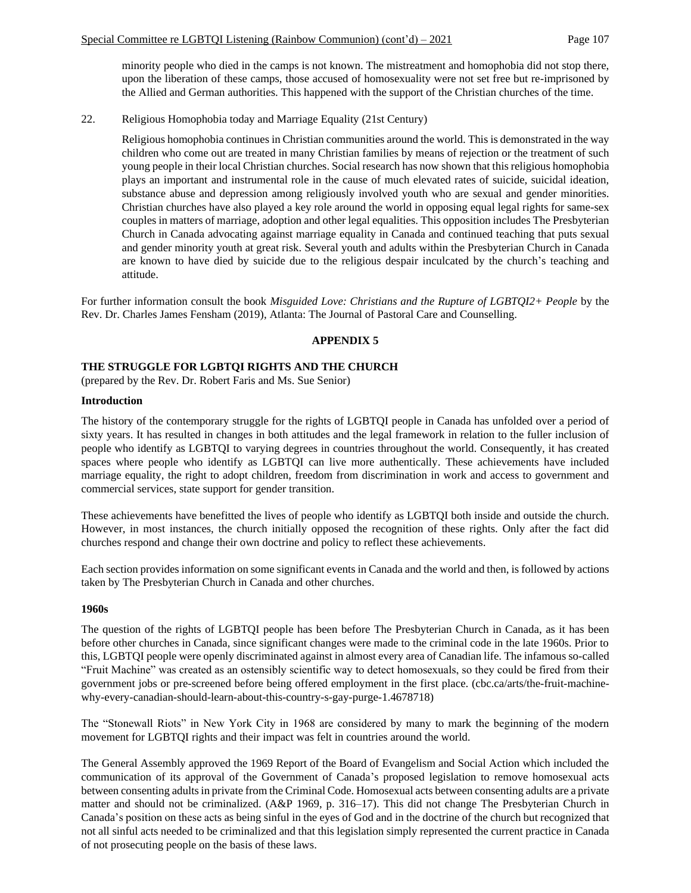minority people who died in the camps is not known. The mistreatment and homophobia did not stop there, upon the liberation of these camps, those accused of homosexuality were not set free but re-imprisoned by the Allied and German authorities. This happened with the support of the Christian churches of the time.

# 22. Religious Homophobia today and Marriage Equality (21st Century)

Religious homophobia continues in Christian communities around the world. This is demonstrated in the way children who come out are treated in many Christian families by means of rejection or the treatment of such young people in their local Christian churches. Social research has now shown that this religious homophobia plays an important and instrumental role in the cause of much elevated rates of suicide, suicidal ideation, substance abuse and depression among religiously involved youth who are sexual and gender minorities. Christian churches have also played a key role around the world in opposing equal legal rights for same-sex couples in matters of marriage, adoption and other legal equalities. This opposition includes The Presbyterian Church in Canada advocating against marriage equality in Canada and continued teaching that puts sexual and gender minority youth at great risk. Several youth and adults within the Presbyterian Church in Canada are known to have died by suicide due to the religious despair inculcated by the church's teaching and attitude.

For further information consult the book *Misguided Love: Christians and the Rupture of LGBTQI2+ People* by the Rev. Dr. Charles James Fensham (2019), Atlanta: The Journal of Pastoral Care and Counselling.

# **APPENDIX 5**

### **THE STRUGGLE FOR LGBTQI RIGHTS AND THE CHURCH**

(prepared by the Rev. Dr. Robert Faris and Ms. Sue Senior)

### **Introduction**

The history of the contemporary struggle for the rights of LGBTQI people in Canada has unfolded over a period of sixty years. It has resulted in changes in both attitudes and the legal framework in relation to the fuller inclusion of people who identify as LGBTQI to varying degrees in countries throughout the world. Consequently, it has created spaces where people who identify as LGBTQI can live more authentically. These achievements have included marriage equality, the right to adopt children, freedom from discrimination in work and access to government and commercial services, state support for gender transition.

These achievements have benefitted the lives of people who identify as LGBTQI both inside and outside the church. However, in most instances, the church initially opposed the recognition of these rights. Only after the fact did churches respond and change their own doctrine and policy to reflect these achievements.

Each section provides information on some significant events in Canada and the world and then, is followed by actions taken by The Presbyterian Church in Canada and other churches.

### **1960s**

The question of the rights of LGBTQI people has been before The Presbyterian Church in Canada, as it has been before other churches in Canada, since significant changes were made to the criminal code in the late 1960s. Prior to this, LGBTQI people were openly discriminated against in almost every area of Canadian life. The infamous so-called "Fruit Machine" was created as an ostensibly scientific way to detect homosexuals, so they could be fired from their government jobs or pre-screened before being offered employment in the first place. (cbc.ca/arts/the-fruit-machinewhy-every-canadian-should-learn-about-this-country-s-gay-purge-1.4678718)

The "Stonewall Riots" in New York City in 1968 are considered by many to mark the beginning of the modern movement for LGBTQI rights and their impact was felt in countries around the world.

The General Assembly approved the 1969 Report of the Board of Evangelism and Social Action which included the communication of its approval of the Government of Canada's proposed legislation to remove homosexual acts between consenting adults in private from the Criminal Code. Homosexual acts between consenting adults are a private matter and should not be criminalized. (A&P 1969, p. 316–17). This did not change The Presbyterian Church in Canada's position on these acts as being sinful in the eyes of God and in the doctrine of the church but recognized that not all sinful acts needed to be criminalized and that this legislation simply represented the current practice in Canada of not prosecuting people on the basis of these laws.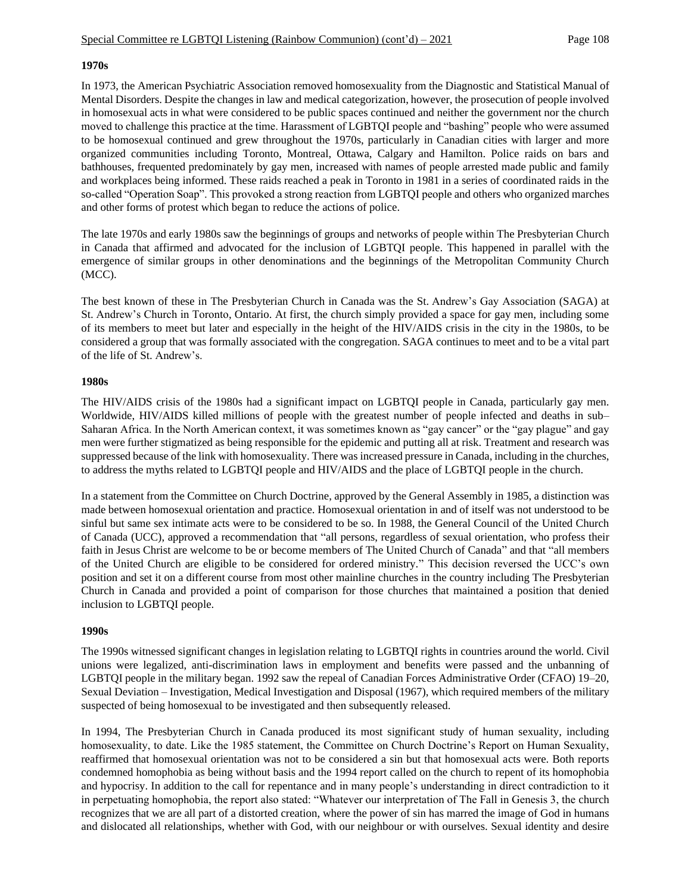### **1970s**

In 1973, the American Psychiatric Association removed homosexuality from the Diagnostic and Statistical Manual of Mental Disorders. Despite the changes in law and medical categorization, however, the prosecution of people involved in homosexual acts in what were considered to be public spaces continued and neither the government nor the church moved to challenge this practice at the time. Harassment of LGBTQI people and "bashing" people who were assumed to be homosexual continued and grew throughout the 1970s, particularly in Canadian cities with larger and more organized communities including Toronto, Montreal, Ottawa, Calgary and Hamilton. Police raids on bars and bathhouses, frequented predominately by gay men, increased with names of people arrested made public and family and workplaces being informed. These raids reached a peak in Toronto in 1981 in a series of coordinated raids in the so-called "Operation Soap". This provoked a strong reaction from LGBTQI people and others who organized marches and other forms of protest which began to reduce the actions of police.

The late 1970s and early 1980s saw the beginnings of groups and networks of people within The Presbyterian Church in Canada that affirmed and advocated for the inclusion of LGBTQI people. This happened in parallel with the emergence of similar groups in other denominations and the beginnings of the Metropolitan Community Church (MCC).

The best known of these in The Presbyterian Church in Canada was the St. Andrew's Gay Association (SAGA) at St. Andrew's Church in Toronto, Ontario. At first, the church simply provided a space for gay men, including some of its members to meet but later and especially in the height of the HIV/AIDS crisis in the city in the 1980s, to be considered a group that was formally associated with the congregation. SAGA continues to meet and to be a vital part of the life of St. Andrew's.

### **1980s**

The HIV/AIDS crisis of the 1980s had a significant impact on LGBTQI people in Canada, particularly gay men. Worldwide, HIV/AIDS killed millions of people with the greatest number of people infected and deaths in sub– Saharan Africa. In the North American context, it was sometimes known as "gay cancer" or the "gay plague" and gay men were further stigmatized as being responsible for the epidemic and putting all at risk. Treatment and research was suppressed because of the link with homosexuality. There was increased pressure in Canada, including in the churches, to address the myths related to LGBTQI people and HIV/AIDS and the place of LGBTQI people in the church.

In a statement from the Committee on Church Doctrine, approved by the General Assembly in 1985, a distinction was made between homosexual orientation and practice. Homosexual orientation in and of itself was not understood to be sinful but same sex intimate acts were to be considered to be so. In 1988, the General Council of the United Church of Canada (UCC), approved a recommendation that "all persons, regardless of sexual orientation, who profess their faith in Jesus Christ are welcome to be or become members of The United Church of Canada" and that "all members of the United Church are eligible to be considered for ordered ministry." This decision reversed the UCC's own position and set it on a different course from most other mainline churches in the country including The Presbyterian Church in Canada and provided a point of comparison for those churches that maintained a position that denied inclusion to LGBTQI people.

### **1990s**

The 1990s witnessed significant changes in legislation relating to LGBTQI rights in countries around the world. Civil unions were legalized, anti-discrimination laws in employment and benefits were passed and the unbanning of LGBTQI people in the military began. 1992 saw the repeal of Canadian Forces Administrative Order (CFAO) 19–20, Sexual Deviation – Investigation, Medical Investigation and Disposal (1967), which required members of the military suspected of being homosexual to be investigated and then subsequently released.

In 1994, The Presbyterian Church in Canada produced its most significant study of human sexuality, including homosexuality, to date. Like the 1985 statement, the Committee on Church Doctrine's Report on Human Sexuality, reaffirmed that homosexual orientation was not to be considered a sin but that homosexual acts were. Both reports condemned homophobia as being without basis and the 1994 report called on the church to repent of its homophobia and hypocrisy. In addition to the call for repentance and in many people's understanding in direct contradiction to it in perpetuating homophobia, the report also stated: "Whatever our interpretation of The Fall in Genesis 3, the church recognizes that we are all part of a distorted creation, where the power of sin has marred the image of God in humans and dislocated all relationships, whether with God, with our neighbour or with ourselves. Sexual identity and desire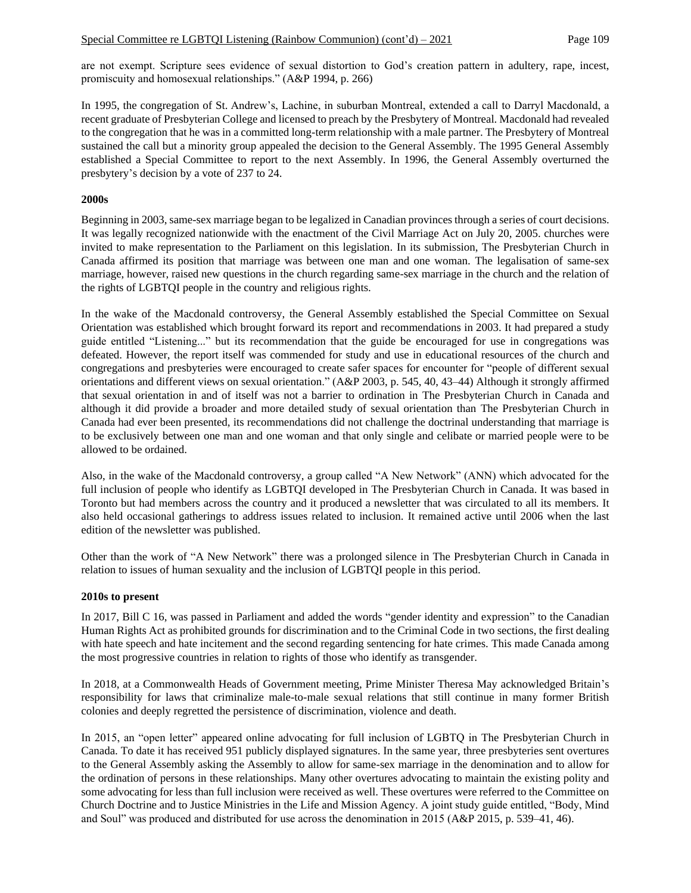are not exempt. Scripture sees evidence of sexual distortion to God's creation pattern in adultery, rape, incest, promiscuity and homosexual relationships." (A&P 1994, p. 266)

In 1995, the congregation of St. Andrew's, Lachine, in suburban Montreal, extended a call to Darryl Macdonald, a recent graduate of Presbyterian College and licensed to preach by the Presbytery of Montreal. Macdonald had revealed to the congregation that he was in a committed long-term relationship with a male partner. The Presbytery of Montreal sustained the call but a minority group appealed the decision to the General Assembly. The 1995 General Assembly established a Special Committee to report to the next Assembly. In 1996, the General Assembly overturned the presbytery's decision by a vote of 237 to 24.

## **2000s**

Beginning in 2003, same-sex marriage began to be legalized in Canadian provinces through a series of court decisions. It was legally recognized nationwide with the enactment of the Civil Marriage Act on July 20, 2005. churches were invited to make representation to the Parliament on this legislation. In its submission, The Presbyterian Church in Canada affirmed its position that marriage was between one man and one woman. The legalisation of same-sex marriage, however, raised new questions in the church regarding same-sex marriage in the church and the relation of the rights of LGBTQI people in the country and religious rights.

In the wake of the Macdonald controversy, the General Assembly established the Special Committee on Sexual Orientation was established which brought forward its report and recommendations in 2003. It had prepared a study guide entitled "Listening..." but its recommendation that the guide be encouraged for use in congregations was defeated. However, the report itself was commended for study and use in educational resources of the church and congregations and presbyteries were encouraged to create safer spaces for encounter for "people of different sexual orientations and different views on sexual orientation." (A&P 2003, p. 545, 40, 43–44) Although it strongly affirmed that sexual orientation in and of itself was not a barrier to ordination in The Presbyterian Church in Canada and although it did provide a broader and more detailed study of sexual orientation than The Presbyterian Church in Canada had ever been presented, its recommendations did not challenge the doctrinal understanding that marriage is to be exclusively between one man and one woman and that only single and celibate or married people were to be allowed to be ordained.

Also, in the wake of the Macdonald controversy, a group called "A New Network" (ANN) which advocated for the full inclusion of people who identify as LGBTQI developed in The Presbyterian Church in Canada. It was based in Toronto but had members across the country and it produced a newsletter that was circulated to all its members. It also held occasional gatherings to address issues related to inclusion. It remained active until 2006 when the last edition of the newsletter was published.

Other than the work of "A New Network" there was a prolonged silence in The Presbyterian Church in Canada in relation to issues of human sexuality and the inclusion of LGBTQI people in this period.

### **2010s to present**

In 2017, Bill C 16, was passed in Parliament and added the words "gender identity and expression" to the Canadian Human Rights Act as prohibited grounds for discrimination and to the Criminal Code in two sections, the first dealing with hate speech and hate incitement and the second regarding sentencing for hate crimes. This made Canada among the most progressive countries in relation to rights of those who identify as transgender.

In 2018, at a Commonwealth Heads of Government meeting, Prime Minister Theresa May acknowledged Britain's responsibility for laws that criminalize male-to-male sexual relations that still continue in many former British colonies and deeply regretted the persistence of discrimination, violence and death.

In 2015, an "open letter" appeared online advocating for full inclusion of LGBTQ in The Presbyterian Church in Canada. To date it has received 951 publicly displayed signatures. In the same year, three presbyteries sent overtures to the General Assembly asking the Assembly to allow for same-sex marriage in the denomination and to allow for the ordination of persons in these relationships. Many other overtures advocating to maintain the existing polity and some advocating for less than full inclusion were received as well. These overtures were referred to the Committee on Church Doctrine and to Justice Ministries in the Life and Mission Agency. A joint study guide entitled, "Body, Mind and Soul" was produced and distributed for use across the denomination in 2015 (A&P 2015, p. 539–41, 46).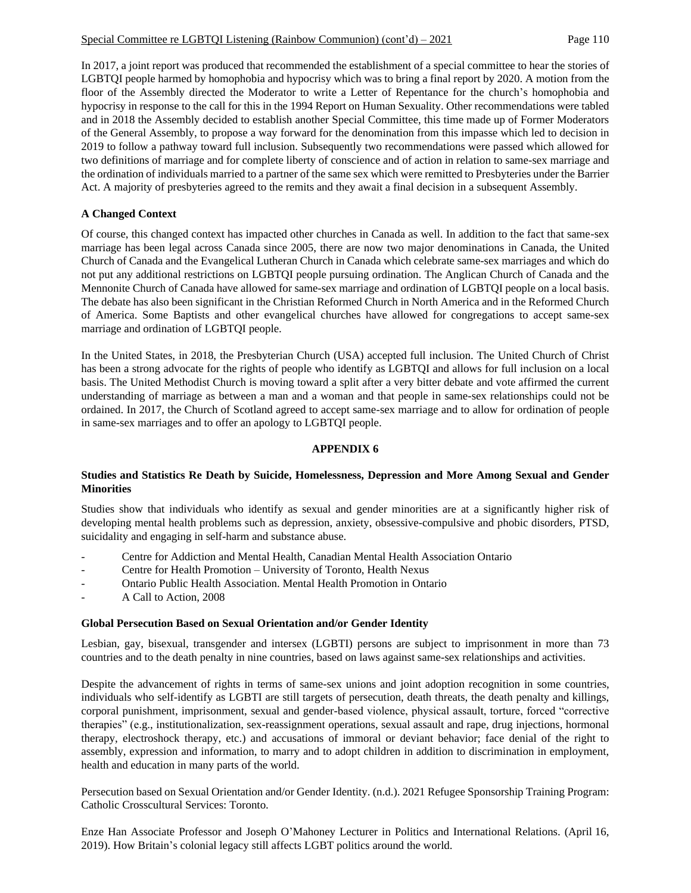In 2017, a joint report was produced that recommended the establishment of a special committee to hear the stories of LGBTQI people harmed by homophobia and hypocrisy which was to bring a final report by 2020. A motion from the floor of the Assembly directed the Moderator to write a Letter of Repentance for the church's homophobia and hypocrisy in response to the call for this in the 1994 Report on Human Sexuality. Other recommendations were tabled and in 2018 the Assembly decided to establish another Special Committee, this time made up of Former Moderators of the General Assembly, to propose a way forward for the denomination from this impasse which led to decision in 2019 to follow a pathway toward full inclusion. Subsequently two recommendations were passed which allowed for two definitions of marriage and for complete liberty of conscience and of action in relation to same-sex marriage and the ordination of individuals married to a partner of the same sex which were remitted to Presbyteries under the Barrier Act. A majority of presbyteries agreed to the remits and they await a final decision in a subsequent Assembly.

# **A Changed Context**

Of course, this changed context has impacted other churches in Canada as well. In addition to the fact that same-sex marriage has been legal across Canada since 2005, there are now two major denominations in Canada, the United Church of Canada and the Evangelical Lutheran Church in Canada which celebrate same-sex marriages and which do not put any additional restrictions on LGBTQI people pursuing ordination. The Anglican Church of Canada and the Mennonite Church of Canada have allowed for same-sex marriage and ordination of LGBTQI people on a local basis. The debate has also been significant in the Christian Reformed Church in North America and in the Reformed Church of America. Some Baptists and other evangelical churches have allowed for congregations to accept same-sex marriage and ordination of LGBTQI people.

In the United States, in 2018, the Presbyterian Church (USA) accepted full inclusion. The United Church of Christ has been a strong advocate for the rights of people who identify as LGBTQI and allows for full inclusion on a local basis. The United Methodist Church is moving toward a split after a very bitter debate and vote affirmed the current understanding of marriage as between a man and a woman and that people in same-sex relationships could not be ordained. In 2017, the Church of Scotland agreed to accept same-sex marriage and to allow for ordination of people in same-sex marriages and to offer an apology to LGBTQI people.

# **APPENDIX 6**

# **Studies and Statistics Re Death by Suicide, Homelessness, Depression and More Among Sexual and Gender Minorities**

Studies show that individuals who identify as sexual and gender minorities are at a significantly higher risk of developing mental health problems such as depression, anxiety, obsessive-compulsive and phobic disorders, PTSD, suicidality and engaging in self-harm and substance abuse.

- Centre for Addiction and Mental Health, Canadian Mental Health Association Ontario
- Centre for Health Promotion University of Toronto, Health Nexus
- Ontario Public Health Association. Mental Health Promotion in Ontario
- A Call to Action, 2008

# **Global Persecution Based on Sexual Orientation and/or Gender Identity**

Lesbian, gay, bisexual, transgender and intersex (LGBTI) persons are subject to imprisonment in more than 73 countries and to the death penalty in nine countries, based on laws against same-sex relationships and activities.

Despite the advancement of rights in terms of same-sex unions and joint adoption recognition in some countries, individuals who self-identify as LGBTI are still targets of persecution, death threats, the death penalty and killings, corporal punishment, imprisonment, sexual and gender-based violence, physical assault, torture, forced "corrective therapies" (e.g., institutionalization, sex-reassignment operations, sexual assault and rape, drug injections, hormonal therapy, electroshock therapy, etc.) and accusations of immoral or deviant behavior; face denial of the right to assembly, expression and information, to marry and to adopt children in addition to discrimination in employment, health and education in many parts of the world.

Persecution based on Sexual Orientation and/or Gender Identity. (n.d.). 2021 Refugee Sponsorship Training Program: Catholic Crosscultural Services: Toronto.

Enze Han Associate Professor and Joseph O'Mahoney Lecturer in Politics and International Relations. (April 16, 2019). How Britain's colonial legacy still affects LGBT politics around the world.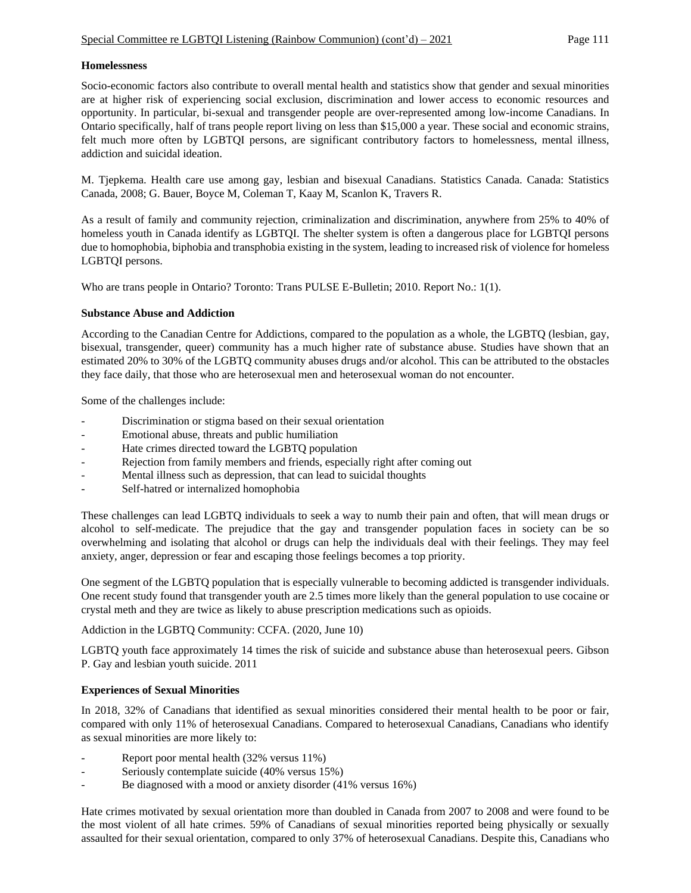## **Homelessness**

Socio-economic factors also contribute to overall mental health and statistics show that gender and sexual minorities are at higher risk of experiencing social exclusion, discrimination and lower access to economic resources and opportunity. In particular, bi-sexual and transgender people are over-represented among low-income Canadians. In Ontario specifically, half of trans people report living on less than \$15,000 a year. These social and economic strains, felt much more often by LGBTQI persons, are significant contributory factors to homelessness, mental illness, addiction and suicidal ideation.

M. Tjepkema. Health care use among gay, lesbian and bisexual Canadians. Statistics Canada. Canada: Statistics Canada, 2008; G. Bauer, Boyce M, Coleman T, Kaay M, Scanlon K, Travers R.

As a result of family and community rejection, criminalization and discrimination, anywhere from 25% to 40% of homeless youth in Canada identify as LGBTQI. The shelter system is often a dangerous place for LGBTQI persons due to homophobia, biphobia and transphobia existing in the system, leading to increased risk of violence for homeless LGBTQI persons.

Who are trans people in Ontario? Toronto: Trans PULSE E-Bulletin; 2010. Report No.: 1(1).

## **Substance Abuse and Addiction**

According to the Canadian Centre for Addictions, compared to the population as a whole, the LGBTQ (lesbian, gay, bisexual, transgender, queer) community has a much higher rate of substance abuse. Studies have shown that an estimated 20% to 30% of the LGBTQ community abuses drugs and/or alcohol. This can be attributed to the obstacles they face daily, that those who are heterosexual men and heterosexual woman do not encounter.

Some of the challenges include:

- Discrimination or stigma based on their sexual orientation
- Emotional abuse, threats and public humiliation
- Hate crimes directed toward the LGBTQ population
- Rejection from family members and friends, especially right after coming out
- Mental illness such as depression, that can lead to suicidal thoughts
- Self-hatred or internalized homophobia

These challenges can lead LGBTQ individuals to seek a way to numb their pain and often, that will mean drugs or alcohol to self-medicate. The prejudice that the gay and transgender population faces in society can be so overwhelming and isolating that alcohol or drugs can help the individuals deal with their feelings. They may feel anxiety, anger, depression or fear and escaping those feelings becomes a top priority.

One segment of the LGBTQ population that is especially vulnerable to becoming addicted is transgender individuals. One recent study found that transgender youth are 2.5 times more likely than the general population to use cocaine or crystal meth and they are twice as likely to abuse prescription medications such as opioids.

Addiction in the LGBTQ Community: CCFA. (2020, June 10)

LGBTQ youth face approximately 14 times the risk of suicide and substance abuse than heterosexual peers. Gibson P. Gay and lesbian youth suicide. 2011

# **Experiences of Sexual Minorities**

In 2018, 32% of Canadians that identified as sexual minorities considered their mental health to be poor or fair, compared with only 11% of heterosexual Canadians. Compared to heterosexual Canadians, Canadians who identify as sexual minorities are more likely to:

- Report poor mental health (32% versus 11%)
- Seriously contemplate suicide (40% versus 15%)
- Be diagnosed with a mood or anxiety disorder (41% versus 16%)

Hate crimes motivated by sexual orientation more than doubled in Canada from 2007 to 2008 and were found to be the most violent of all hate crimes. 59% of Canadians of sexual minorities reported being physically or sexually assaulted for their sexual orientation, compared to only 37% of heterosexual Canadians. Despite this, Canadians who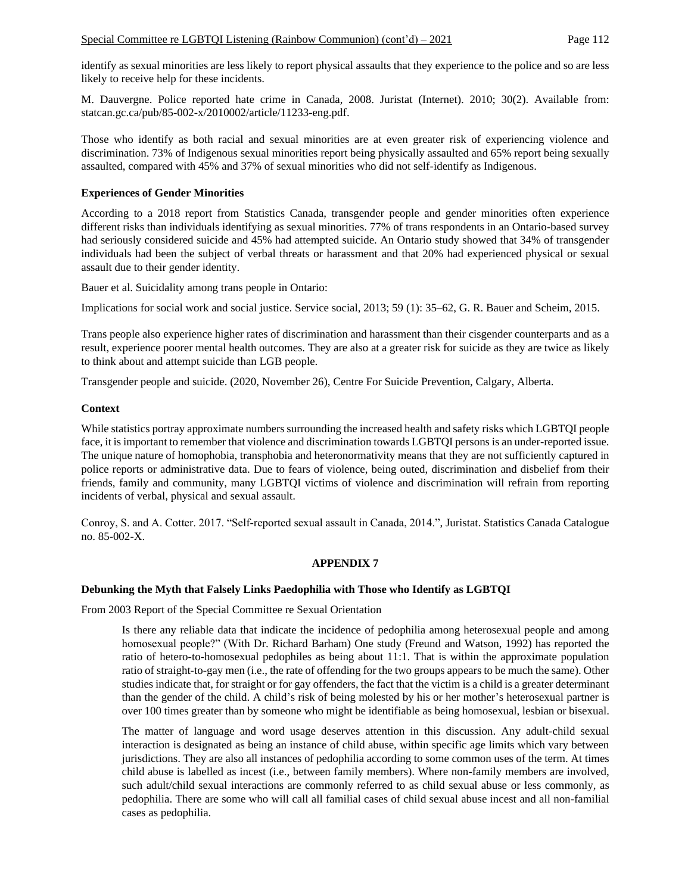identify as sexual minorities are less likely to report physical assaults that they experience to the police and so are less likely to receive help for these incidents.

M. Dauvergne. Police reported hate crime in Canada, 2008. Juristat (Internet). 2010; 30(2). Available from: statcan.gc.ca/pub/85-002-x/2010002/article/11233-eng.pdf.

Those who identify as both racial and sexual minorities are at even greater risk of experiencing violence and discrimination. 73% of Indigenous sexual minorities report being physically assaulted and 65% report being sexually assaulted, compared with 45% and 37% of sexual minorities who did not self-identify as Indigenous.

## **Experiences of Gender Minorities**

According to a 2018 report from Statistics Canada, transgender people and gender minorities often experience different risks than individuals identifying as sexual minorities. 77% of trans respondents in an Ontario-based survey had seriously considered suicide and 45% had attempted suicide. An Ontario study showed that 34% of transgender individuals had been the subject of verbal threats or harassment and that 20% had experienced physical or sexual assault due to their gender identity.

Bauer et al. Suicidality among trans people in Ontario:

Implications for social work and social justice. Service social, 2013; 59 (1): 35–62, G. R. Bauer and Scheim, 2015.

Trans people also experience higher rates of discrimination and harassment than their cisgender counterparts and as a result, experience poorer mental health outcomes. They are also at a greater risk for suicide as they are twice as likely to think about and attempt suicide than LGB people.

Transgender people and suicide. (2020, November 26), Centre For Suicide Prevention, Calgary, Alberta.

## **Context**

While statistics portray approximate numbers surrounding the increased health and safety risks which LGBTQI people face, it is important to remember that violence and discrimination towards LGBTQI persons is an under-reported issue. The unique nature of homophobia, transphobia and heteronormativity means that they are not sufficiently captured in police reports or administrative data. Due to fears of violence, being outed, discrimination and disbelief from their friends, family and community, many LGBTQI victims of violence and discrimination will refrain from reporting incidents of verbal, physical and sexual assault.

Conroy, S. and A. Cotter. 2017. "Self-reported sexual assault in Canada, 2014.", Juristat. Statistics Canada Catalogue no. 85-002-X.

# **APPENDIX 7**

# **Debunking the Myth that Falsely Links Paedophilia with Those who Identify as LGBTQI**

From 2003 Report of the Special Committee re Sexual Orientation

Is there any reliable data that indicate the incidence of pedophilia among heterosexual people and among homosexual people?" (With Dr. Richard Barham) One study (Freund and Watson, 1992) has reported the ratio of hetero-to-homosexual pedophiles as being about 11:1. That is within the approximate population ratio of straight-to-gay men (i.e., the rate of offending for the two groups appears to be much the same). Other studies indicate that, for straight or for gay offenders, the fact that the victim is a child is a greater determinant than the gender of the child. A child's risk of being molested by his or her mother's heterosexual partner is over 100 times greater than by someone who might be identifiable as being homosexual, lesbian or bisexual.

The matter of language and word usage deserves attention in this discussion. Any adult-child sexual interaction is designated as being an instance of child abuse, within specific age limits which vary between jurisdictions. They are also all instances of pedophilia according to some common uses of the term. At times child abuse is labelled as incest (i.e., between family members). Where non-family members are involved, such adult/child sexual interactions are commonly referred to as child sexual abuse or less commonly, as pedophilia. There are some who will call all familial cases of child sexual abuse incest and all non-familial cases as pedophilia.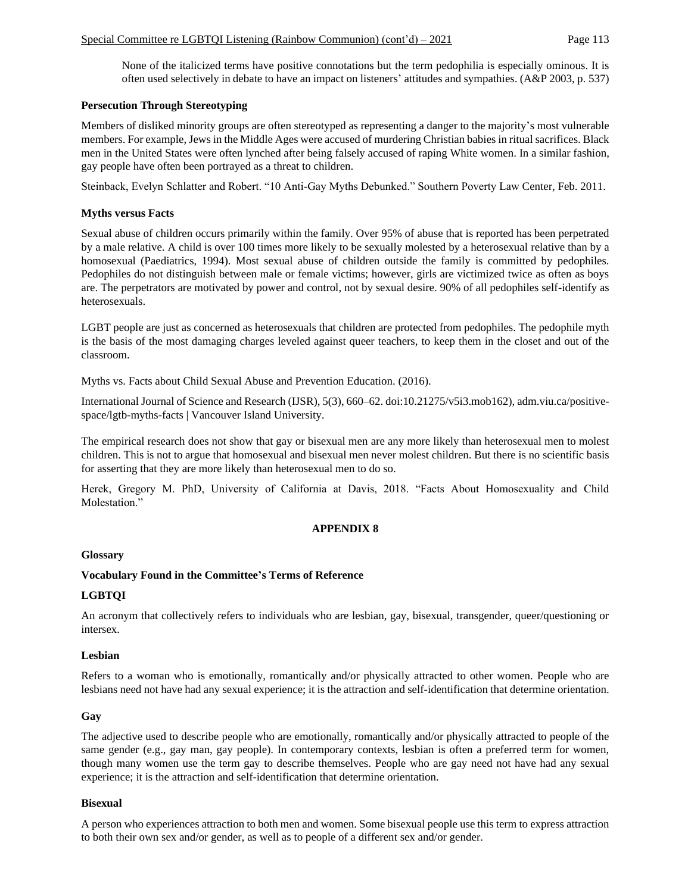None of the italicized terms have positive connotations but the term pedophilia is especially ominous. It is often used selectively in debate to have an impact on listeners' attitudes and sympathies. (A&P 2003, p. 537)

## **Persecution Through Stereotyping**

Members of disliked minority groups are often stereotyped as representing a danger to the majority's most vulnerable members. For example, Jews in the Middle Ages were accused of murdering Christian babies in ritual sacrifices. Black men in the United States were often lynched after being falsely accused of raping White women. In a similar fashion, gay people have often been portrayed as a threat to children.

Steinback, Evelyn Schlatter and Robert. "10 Anti-Gay Myths Debunked." Southern Poverty Law Center, Feb. 2011.

### **Myths versus Facts**

Sexual abuse of children occurs primarily within the family. Over 95% of abuse that is reported has been perpetrated by a male relative. A child is over 100 times more likely to be sexually molested by a heterosexual relative than by a homosexual (Paediatrics, 1994). Most sexual abuse of children outside the family is committed by pedophiles. Pedophiles do not distinguish between male or female victims; however, girls are victimized twice as often as boys are. The perpetrators are motivated by power and control, not by sexual desire. 90% of all pedophiles self-identify as heterosexuals.

LGBT people are just as concerned as heterosexuals that children are protected from pedophiles. The pedophile myth is the basis of the most damaging charges leveled against queer teachers, to keep them in the closet and out of the classroom.

Myths vs. Facts about Child Sexual Abuse and Prevention Education. (2016).

International Journal of Science and Research (IJSR), 5(3), 660–62. doi:10.21275/v5i3.mob162), adm.viu.ca/positivespace/lgtb-myths-facts | Vancouver Island University.

The empirical research does not show that gay or bisexual men are any more likely than heterosexual men to molest children. This is not to argue that homosexual and bisexual men never molest children. But there is no scientific basis for asserting that they are more likely than heterosexual men to do so.

Herek, Gregory M. PhD, University of California at Davis, 2018. "Facts About Homosexuality and Child Molestation."

### **APPENDIX 8**

### **Glossary**

### **Vocabulary Found in the Committee's Terms of Reference**

### **LGBTQI**

An acronym that collectively refers to individuals who are lesbian, gay, bisexual, transgender, queer/questioning or intersex.

#### **Lesbian**

Refers to a woman who is emotionally, romantically and/or physically attracted to other women. People who are lesbians need not have had any sexual experience; it is the attraction and self-identification that determine orientation.

### **Gay**

The adjective used to describe people who are emotionally, romantically and/or physically attracted to people of the same gender (e.g., gay man, gay people). In contemporary contexts, lesbian is often a preferred term for women, though many women use the term gay to describe themselves. People who are gay need not have had any sexual experience; it is the attraction and self-identification that determine orientation.

### **Bisexual**

A person who experiences attraction to both men and women. Some bisexual people use this term to express attraction to both their own sex and/or gender, as well as to people of a different sex and/or gender.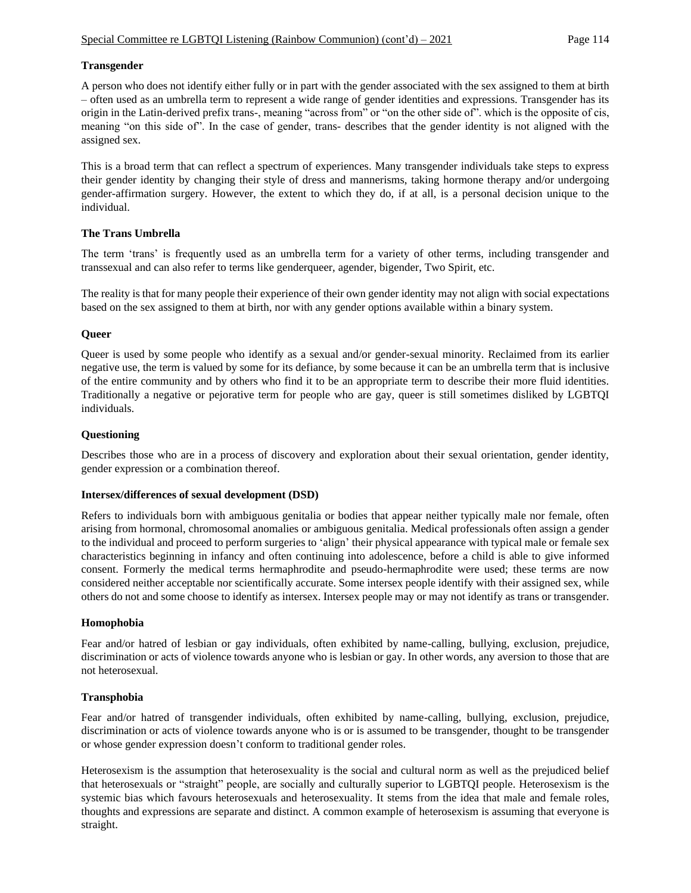# **Transgender**

A person who does not identify either fully or in part with the gender associated with the sex assigned to them at birth – often used as an umbrella term to represent a wide range of gender identities and expressions. Transgender has its origin in the Latin-derived prefix trans-, meaning "across from" or "on the other side of". which is the opposite of cis, meaning "on this side of". In the case of gender, trans- describes that the gender identity is not aligned with the assigned sex.

This is a broad term that can reflect a spectrum of experiences. Many transgender individuals take steps to express their gender identity by changing their style of dress and mannerisms, taking hormone therapy and/or undergoing gender-affirmation surgery. However, the extent to which they do, if at all, is a personal decision unique to the individual.

## **The Trans Umbrella**

The term 'trans' is frequently used as an umbrella term for a variety of other terms, including transgender and transsexual and can also refer to terms like genderqueer, agender, bigender, Two Spirit, etc.

The reality is that for many people their experience of their own gender identity may not align with social expectations based on the sex assigned to them at birth, nor with any gender options available within a binary system.

## **Queer**

Queer is used by some people who identify as a sexual and/or gender-sexual minority. Reclaimed from its earlier negative use, the term is valued by some for its defiance, by some because it can be an umbrella term that is inclusive of the entire community and by others who find it to be an appropriate term to describe their more fluid identities. Traditionally a negative or pejorative term for people who are gay, queer is still sometimes disliked by LGBTQI individuals.

## **Questioning**

Describes those who are in a process of discovery and exploration about their sexual orientation, gender identity, gender expression or a combination thereof.

### **Intersex/differences of sexual development (DSD)**

Refers to individuals born with ambiguous genitalia or bodies that appear neither typically male nor female, often arising from hormonal, chromosomal anomalies or ambiguous genitalia. Medical professionals often assign a gender to the individual and proceed to perform surgeries to 'align' their physical appearance with typical male or female sex characteristics beginning in infancy and often continuing into adolescence, before a child is able to give informed consent. Formerly the medical terms hermaphrodite and pseudo-hermaphrodite were used; these terms are now considered neither acceptable nor scientifically accurate. Some intersex people identify with their assigned sex, while others do not and some choose to identify as intersex. Intersex people may or may not identify as trans or transgender.

### **Homophobia**

Fear and/or hatred of lesbian or gay individuals, often exhibited by name-calling, bullying, exclusion, prejudice, discrimination or acts of violence towards anyone who is lesbian or gay. In other words, any aversion to those that are not heterosexual.

### **Transphobia**

Fear and/or hatred of transgender individuals, often exhibited by name-calling, bullying, exclusion, prejudice, discrimination or acts of violence towards anyone who is or is assumed to be transgender, thought to be transgender or whose gender expression doesn't conform to traditional gender roles.

Heterosexism is the assumption that heterosexuality is the social and cultural norm as well as the prejudiced belief that heterosexuals or "straight" people, are socially and culturally superior to LGBTQI people. Heterosexism is the systemic bias which favours heterosexuals and heterosexuality. It stems from the idea that male and female roles, thoughts and expressions are separate and distinct. A common example of heterosexism is assuming that everyone is straight.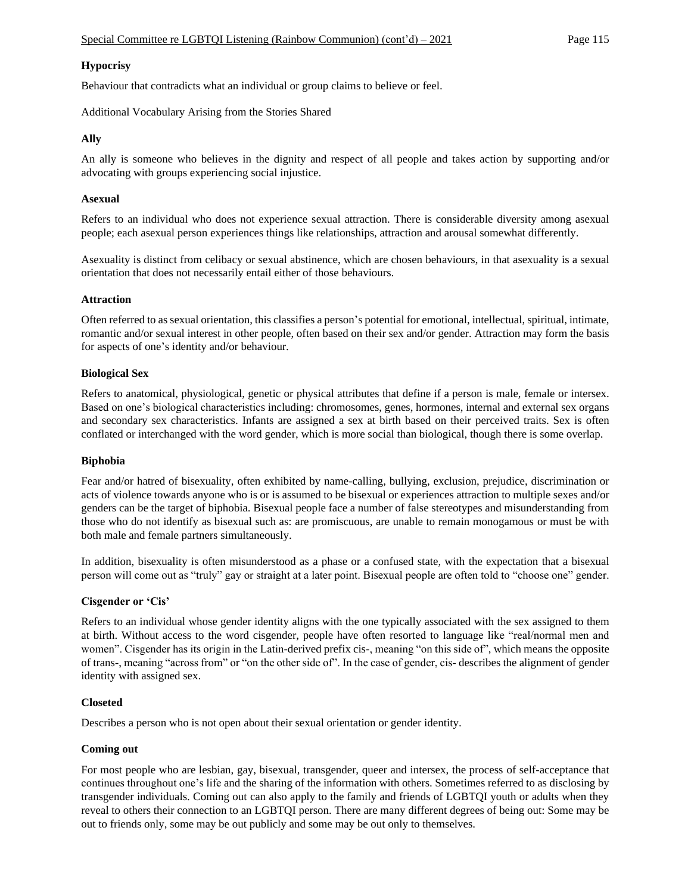### **Hypocrisy**

Behaviour that contradicts what an individual or group claims to believe or feel.

Additional Vocabulary Arising from the Stories Shared

### **Ally**

An ally is someone who believes in the dignity and respect of all people and takes action by supporting and/or advocating with groups experiencing social injustice.

#### **Asexual**

Refers to an individual who does not experience sexual attraction. There is considerable diversity among asexual people; each asexual person experiences things like relationships, attraction and arousal somewhat differently.

Asexuality is distinct from celibacy or sexual abstinence, which are chosen behaviours, in that asexuality is a sexual orientation that does not necessarily entail either of those behaviours.

#### **Attraction**

Often referred to as sexual orientation, this classifies a person's potential for emotional, intellectual, spiritual, intimate, romantic and/or sexual interest in other people, often based on their sex and/or gender. Attraction may form the basis for aspects of one's identity and/or behaviour.

#### **Biological Sex**

Refers to anatomical, physiological, genetic or physical attributes that define if a person is male, female or intersex. Based on one's biological characteristics including: chromosomes, genes, hormones, internal and external sex organs and secondary sex characteristics. Infants are assigned a sex at birth based on their perceived traits. Sex is often conflated or interchanged with the word gender, which is more social than biological, though there is some overlap.

#### **Biphobia**

Fear and/or hatred of bisexuality, often exhibited by name-calling, bullying, exclusion, prejudice, discrimination or acts of violence towards anyone who is or is assumed to be bisexual or experiences attraction to multiple sexes and/or genders can be the target of biphobia. Bisexual people face a number of false stereotypes and misunderstanding from those who do not identify as bisexual such as: are promiscuous, are unable to remain monogamous or must be with both male and female partners simultaneously.

In addition, bisexuality is often misunderstood as a phase or a confused state, with the expectation that a bisexual person will come out as "truly" gay or straight at a later point. Bisexual people are often told to "choose one" gender.

### **Cisgender or 'Cis'**

Refers to an individual whose gender identity aligns with the one typically associated with the sex assigned to them at birth. Without access to the word cisgender, people have often resorted to language like "real/normal men and women". Cisgender has its origin in the Latin-derived prefix cis-, meaning "on this side of", which means the opposite of trans-, meaning "across from" or "on the other side of". In the case of gender, cis- describes the alignment of gender identity with assigned sex.

### **Closeted**

Describes a person who is not open about their sexual orientation or gender identity.

### **Coming out**

For most people who are lesbian, gay, bisexual, transgender, queer and intersex, the process of self-acceptance that continues throughout one's life and the sharing of the information with others. Sometimes referred to as disclosing by transgender individuals. Coming out can also apply to the family and friends of LGBTQI youth or adults when they reveal to others their connection to an LGBTQI person. There are many different degrees of being out: Some may be out to friends only, some may be out publicly and some may be out only to themselves.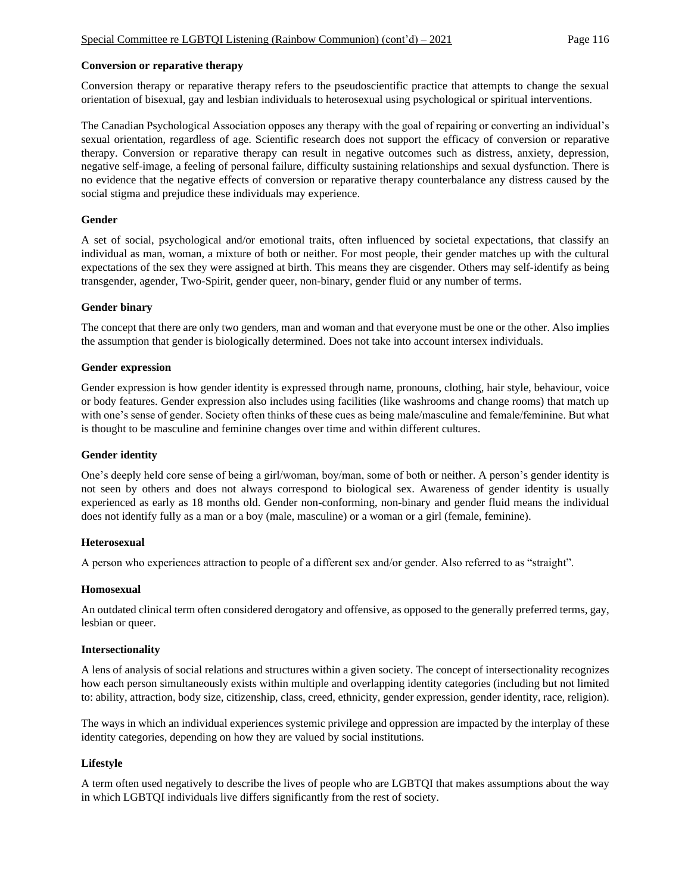### **Conversion or reparative therapy**

Conversion therapy or reparative therapy refers to the pseudoscientific practice that attempts to change the sexual orientation of bisexual, gay and lesbian individuals to heterosexual using psychological or spiritual interventions.

The Canadian Psychological Association opposes any therapy with the goal of repairing or converting an individual's sexual orientation, regardless of age. Scientific research does not support the efficacy of conversion or reparative therapy. Conversion or reparative therapy can result in negative outcomes such as distress, anxiety, depression, negative self-image, a feeling of personal failure, difficulty sustaining relationships and sexual dysfunction. There is no evidence that the negative effects of conversion or reparative therapy counterbalance any distress caused by the social stigma and prejudice these individuals may experience.

#### **Gender**

A set of social, psychological and/or emotional traits, often influenced by societal expectations, that classify an individual as man, woman, a mixture of both or neither. For most people, their gender matches up with the cultural expectations of the sex they were assigned at birth. This means they are cisgender. Others may self-identify as being transgender, agender, Two-Spirit, gender queer, non-binary, gender fluid or any number of terms.

#### **Gender binary**

The concept that there are only two genders, man and woman and that everyone must be one or the other. Also implies the assumption that gender is biologically determined. Does not take into account intersex individuals.

#### **Gender expression**

Gender expression is how gender identity is expressed through name, pronouns, clothing, hair style, behaviour, voice or body features. Gender expression also includes using facilities (like washrooms and change rooms) that match up with one's sense of gender. Society often thinks of these cues as being male/masculine and female/feminine. But what is thought to be masculine and feminine changes over time and within different cultures.

### **Gender identity**

One's deeply held core sense of being a girl/woman, boy/man, some of both or neither. A person's gender identity is not seen by others and does not always correspond to biological sex. Awareness of gender identity is usually experienced as early as 18 months old. Gender non-conforming, non-binary and gender fluid means the individual does not identify fully as a man or a boy (male, masculine) or a woman or a girl (female, feminine).

### **Heterosexual**

A person who experiences attraction to people of a different sex and/or gender. Also referred to as "straight".

#### **Homosexual**

An outdated clinical term often considered derogatory and offensive, as opposed to the generally preferred terms, gay, lesbian or queer.

#### **Intersectionality**

A lens of analysis of social relations and structures within a given society. The concept of intersectionality recognizes how each person simultaneously exists within multiple and overlapping identity categories (including but not limited to: ability, attraction, body size, citizenship, class, creed, ethnicity, gender expression, gender identity, race, religion).

The ways in which an individual experiences systemic privilege and oppression are impacted by the interplay of these identity categories, depending on how they are valued by social institutions.

### **Lifestyle**

A term often used negatively to describe the lives of people who are LGBTQI that makes assumptions about the way in which LGBTQI individuals live differs significantly from the rest of society.